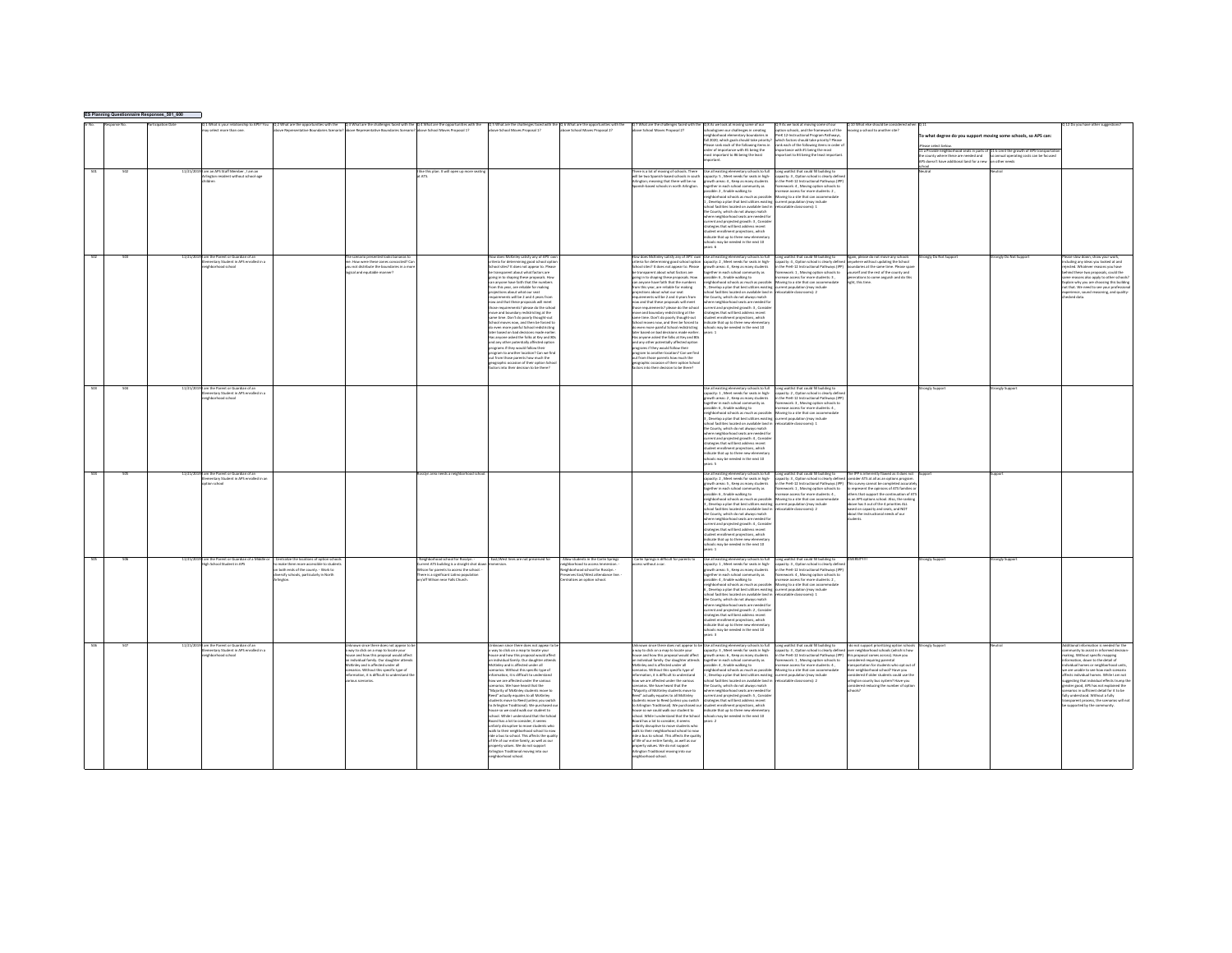|     | ES Planning Questionnaire Responses 501 600 |           |                                                                                             |                                                                                                                                                                                                                                                                                        |                                                                                                                                                                                     |                                                                                                                                                                                                                                                                                                                                                                                                                                                                                                                                                                                                                                                                                                                                                                                                                                                                                                                                                                                                               |                                                                                                                                                                           |                                                                                                                                                                                                                                                                                                                                                                                                                                                                                                                                                                                                                                                                                                                                                                                                                                                                                                                                                                                                   |                                                                                                                                                                                                                                                                                                                                                                                                                                                                                                                                                                                                                                                                                                                                                         |                                                                                                                                                                                                                                                                                                                                                                                                  |                                                                                                                                                                                                                                                                                                                                                                                                                                                  |                                                                                                                                                                                                    |                                                      |                                                                                                                                                                                                                                                                                                                                                                                                                                                                                                                                 |
|-----|---------------------------------------------|-----------|---------------------------------------------------------------------------------------------|----------------------------------------------------------------------------------------------------------------------------------------------------------------------------------------------------------------------------------------------------------------------------------------|-------------------------------------------------------------------------------------------------------------------------------------------------------------------------------------|---------------------------------------------------------------------------------------------------------------------------------------------------------------------------------------------------------------------------------------------------------------------------------------------------------------------------------------------------------------------------------------------------------------------------------------------------------------------------------------------------------------------------------------------------------------------------------------------------------------------------------------------------------------------------------------------------------------------------------------------------------------------------------------------------------------------------------------------------------------------------------------------------------------------------------------------------------------------------------------------------------------|---------------------------------------------------------------------------------------------------------------------------------------------------------------------------|---------------------------------------------------------------------------------------------------------------------------------------------------------------------------------------------------------------------------------------------------------------------------------------------------------------------------------------------------------------------------------------------------------------------------------------------------------------------------------------------------------------------------------------------------------------------------------------------------------------------------------------------------------------------------------------------------------------------------------------------------------------------------------------------------------------------------------------------------------------------------------------------------------------------------------------------------------------------------------------------------|---------------------------------------------------------------------------------------------------------------------------------------------------------------------------------------------------------------------------------------------------------------------------------------------------------------------------------------------------------------------------------------------------------------------------------------------------------------------------------------------------------------------------------------------------------------------------------------------------------------------------------------------------------------------------------------------------------------------------------------------------------|--------------------------------------------------------------------------------------------------------------------------------------------------------------------------------------------------------------------------------------------------------------------------------------------------------------------------------------------------------------------------------------------------|--------------------------------------------------------------------------------------------------------------------------------------------------------------------------------------------------------------------------------------------------------------------------------------------------------------------------------------------------------------------------------------------------------------------------------------------------|----------------------------------------------------------------------------------------------------------------------------------------------------------------------------------------------------|------------------------------------------------------|---------------------------------------------------------------------------------------------------------------------------------------------------------------------------------------------------------------------------------------------------------------------------------------------------------------------------------------------------------------------------------------------------------------------------------------------------------------------------------------------------------------------------------|
|     | artirination Dat                            |           |                                                                                             |                                                                                                                                                                                                                                                                                        |                                                                                                                                                                                     |                                                                                                                                                                                                                                                                                                                                                                                                                                                                                                                                                                                                                                                                                                                                                                                                                                                                                                                                                                                                               |                                                                                                                                                                           |                                                                                                                                                                                                                                                                                                                                                                                                                                                                                                                                                                                                                                                                                                                                                                                                                                                                                                                                                                                                   | choolsgiven our challenges in creating<br>eighborhood elementary boundaries in<br>all 2020, which eoals should take priority<br>ease rank each of the following items in                                                                                                                                                                                                                                                                                                                                                                                                                                                                                                                                                                                | Q 9 As we look at moving some of our<br>option schools, and the framework of the<br>K 12-Instructional Program Pathways,<br>hich factors should take priority? Please<br>sk each of the following items in order o                                                                                                                                                                               | O 10 What else should be considered whe<br>ing a school to another site?                                                                                                                                                                                                                                                                                                                                                                         | o what degree do you support moving some schools, so APS can:<br>Please select below.                                                                                                              |                                                      | 12 Do you have other suggestions                                                                                                                                                                                                                                                                                                                                                                                                                                                                                                |
|     |                                             |           |                                                                                             |                                                                                                                                                                                                                                                                                        |                                                                                                                                                                                     |                                                                                                                                                                                                                                                                                                                                                                                                                                                                                                                                                                                                                                                                                                                                                                                                                                                                                                                                                                                                               |                                                                                                                                                                           |                                                                                                                                                                                                                                                                                                                                                                                                                                                                                                                                                                                                                                                                                                                                                                                                                                                                                                                                                                                                   | rder of importance with #1 being the<br>nost important to #6 being the least                                                                                                                                                                                                                                                                                                                                                                                                                                                                                                                                                                                                                                                                            | tance with #1 being the most<br>ortant to #4 being the least importan                                                                                                                                                                                                                                                                                                                            |                                                                                                                                                                                                                                                                                                                                                                                                                                                  | 11 a Provide neighborhood seats in parts of 11 b Limit the growth of APS transportation of APS transportation of the county where these are needed and<br>S doesn't have additional land for a new | annual operating costs can be focused<br>other needs |                                                                                                                                                                                                                                                                                                                                                                                                                                                                                                                                 |
|     |                                             | 11/21/2   | am an APS Staff Member . I am an<br>ngton resident without school-age                       |                                                                                                                                                                                                                                                                                        | like this plan. It will open up more seating                                                                                                                                        |                                                                                                                                                                                                                                                                                                                                                                                                                                                                                                                                                                                                                                                                                                                                                                                                                                                                                                                                                                                                               |                                                                                                                                                                           | ere is a lot of moving of schools. There<br>Il be two Spenish-based schools in south<br>rington; meaning that there will be no<br>ish-based schools in north Arlineton.                                                                                                                                                                                                                                                                                                                                                                                                                                                                                                                                                                                                                                                                                                                                                                                                                           | Use all existing elementary schools to full<br>spacity: S , Meet needs for seats in high-<br>powth areas: 4 , Keep as many students<br>rether in each school community as<br>. Develop a plan that best utilizes existing<br>chool facilities located on available land in<br>the County, which do not always match<br>where neighborhood seats are needed for<br>errent and projected growth: 3 , Conside<br>rategies that will best address recent<br>tudent enrollment projections, which<br>ndicate that up to three new elementary<br>ools may be needed in the next 10<br>are 6                                                                                                                                                                   | ng waitlist that could fill building to<br>.<br>iacity: 3 , Option school is clearly defin<br>he PreK-12 Instructional Pathways (IPI<br>mework: 4 . Moving option schools to<br>:<br>rease access for more students: 2 ,<br>oving to a site that can accommodal<br>current population (may include<br>ocatable classrooms): 1                                                                    |                                                                                                                                                                                                                                                                                                                                                                                                                                                  |                                                                                                                                                                                                    |                                                      |                                                                                                                                                                                                                                                                                                                                                                                                                                                                                                                                 |
|     |                                             |           | n the Parent or Guardian of a<br>entary Student in APS enrolled in a<br>hborhood schoo      | me. How were these zones concocted? Ca<br>you not distribute the boundaries in a mor<br><b>Stennem eldeduge bns lexis</b>                                                                                                                                                              |                                                                                                                                                                                     | does McKinley satisfy any of APS'<br>criteria for determining good school optic<br>School sites? It does not appear to. Please<br>to transnaront about what factors are<br>poing in to shaping these proposals. How<br>can anyone have faith that the numbers<br>from this year, are reliable for making<br>projections about what our seat<br>requirements will be 2 and 4 years from<br>now and that these proposals will meet<br>those requirements? please do the scho<br>nove and boundary redistricting at the<br>same time. Don't do poorly thought-out<br>School moves now, and then be forced to<br>to even more painful School redistricting<br>later based on bad decisions made earlier.<br>Has anyone asked the folks at Key and 80s<br>and any other potentially affected optic<br>programs if they would follow their<br>sroaram to another location? Can we fin<br>out from those parents how much the<br>geographic occasion of their option Sch<br>lactors into their decision to be there? |                                                                                                                                                                           | transnaront about what factors are<br>pe comparent about what recording<br>going in to shaping these proposals. How<br>can anyone have faith that the numbers<br>m this year, are reliable for making<br>:<br>jections about what our seat<br>uirements will be 2 and 4 years from<br>ow and that these proposals will meet<br>tose requirements? please do the school<br>ove and boundary redistricting at the<br>me time. Don't do poorly thought-out<br>hool moves now, and then be forced to<br>even more painful School redistricting<br>later based on bad decisions made earlier.<br>Has anyone asked the folks at Key and 8Ds<br>nd any other potentially affected optio<br>rograms if they would follow their<br>peram to another location? Can we find<br>ut from those parents how much the<br>eographic occasion of their option Schor<br>tors into their decision to be there?                                                                                                       | low does McKinley satisfy any of APS' own. Dise all existing elementary schools to full<br>riteria for determining good school option. capacity: 2 , Meet needs for seats in high-<br>chool sites? It does not appear to. Please gro<br>meether in each orbord community as<br>sible: 6, Enable walking to<br>righborhood schools as much as pr<br>. Develop a plan that best utilizes existin<br>school facilities located on available land is<br>the County, which do not always match<br>where neighborhood seats are needed for<br>rrent and projected arowth: 3. Consid-<br>tegies that will best address recent<br>udent enrollment projections, which<br>dicate that up to three new elementar<br>ools may be needed in the next 10<br>years: 1 | ng waitlist that could fill building to<br>capacity: 4, Option school is clearly define<br>the PreK-12 Instructional Pathways (IPP) boundaries at the same time. Please spa<br>mework: 1. Moving option schools to<br>rease access for more students: 3<br>rease access for more students: 3 ,<br>oving to a site that can accommodate<br>sent population (may include<br>catable classrooms): 2 | lgain, please do not move any sche<br>where without updating the School<br>fire interiors with his team with him Hazmans<br>possess and one reason time county and<br>generations to come anguish and do this<br>right, this time.                                                                                                                                                                                                               | ngly Do Not Suppor                                                                                                                                                                                 | ngly Do Not Suppo                                    | iase slow down, show your work,<br>Juding any ideas you looked at and<br>ected. Whatever reasons you have<br>hind these two proposals routd the<br>e reasons also apply to other school<br>Explain why you are choosing this building<br>ot that. We need to see your professio<br>perience, sound reasoning, and quality-<br>ecked data.                                                                                                                                                                                       |
|     |                                             |           | m the Parent or Guardian of an<br>ementary Student in APS enrolled in a<br>hborhood schoo   |                                                                                                                                                                                                                                                                                        |                                                                                                                                                                                     |                                                                                                                                                                                                                                                                                                                                                                                                                                                                                                                                                                                                                                                                                                                                                                                                                                                                                                                                                                                                               |                                                                                                                                                                           |                                                                                                                                                                                                                                                                                                                                                                                                                                                                                                                                                                                                                                                                                                                                                                                                                                                                                                                                                                                                   | Use all existing elementary schools to ful<br>capacity: 1 , Meet needs for seats in high<br>rowth areas: 2, Keep as many students<br>parther in each school community as<br>ssible: 6, Enable walking to<br>ghborhood schools as much as p<br>. Develop a plan that best utilizes existin<br>ed facilities located on available land is<br>e County, which do not always match<br>here neighborhood seats are needed fo<br>urrent and projected erowth: 4. Conside<br>rategies that will best address recent<br>udent enrollment projections, which<br>dicate that up to three new elementary<br>ools may be needed in the next 10<br>sars: 5                                                                                                           | ong waitlist that could fill building to<br>spacity: 2 , Option school is clearly defin<br>the PreK-12 Instructional Pathways (IPP<br>nework: 3 . Moving option schools to<br>ase arress for more students-4<br>ving to a site that can accommodate<br>ent population (may include<br>atable classrooms): 1                                                                                      |                                                                                                                                                                                                                                                                                                                                                                                                                                                  |                                                                                                                                                                                                    |                                                      |                                                                                                                                                                                                                                                                                                                                                                                                                                                                                                                                 |
| 505 |                                             | 11/21/201 | l am the Parent or Guardian of an<br>Elementary Student in APS enrolled in<br>loorlas noit  |                                                                                                                                                                                                                                                                                        | ilyn area needs a neighborhood schoo                                                                                                                                                |                                                                                                                                                                                                                                                                                                                                                                                                                                                                                                                                                                                                                                                                                                                                                                                                                                                                                                                                                                                                               |                                                                                                                                                                           |                                                                                                                                                                                                                                                                                                                                                                                                                                                                                                                                                                                                                                                                                                                                                                                                                                                                                                                                                                                                   | Use all existing elementary schools to full<br>capacity: 2 , Meet needs for seats in high-<br>rowth areas: S , Keep as many students<br>prether in each school community as<br>sible: 6, Enable walking to<br>wighborhood schools as much as possibl<br>. Develop a plan that best utilizes existin<br>ool facilities located on available land in<br>he County, which do not always match<br>there neighborhood seats are needed for<br>rrent and projected growth: 4, Conside<br>trategies that will best address recent<br>udent enrollment projections, which<br>dicate that up to three new elementar<br>cols may be needed in the next 10<br>sers: 1                                                                                              | ong waitlist that could fill building to<br>apacity: 3 , Option school is clearly define<br>nework: 1 . Moving option schools to<br>ase access for more students: 4,<br>oving to a site that can accommodate<br>sent population (may include<br>catable classrooms): 2                                                                                                                           | The IPP is inherently flawed as it does not<br>I consider ATS at all as an options program.<br>the PreK-12 Instructional Pathways (IPP) This survey cannot be completed accurate<br>to represent the opinions of ATS families<br>rs that support the continuation of A'<br>as an APS options school. Also, the ranking<br>above has 3 out of the 4 priorities ALL<br>ased on capacity and seats, and NOT<br>about the instructional needs of our |                                                                                                                                                                                                    |                                                      |                                                                                                                                                                                                                                                                                                                                                                                                                                                                                                                                 |
|     |                                             |           | am the Parent or Guardian of a <mark>1</mark><br>tigh School Student in APS                 | make them more accessible to studer<br>hoth ends of the county. - Work to<br>ersify schools, particularly in North<br>gton.                                                                                                                                                            | school for Ross<br>rrent ATS building is a straight shot dow<br>son for parents to access the school.<br>here is a significant Latino population<br>n/off Wilson near Falls Church. | East/West lines are not pres-<br>rsion                                                                                                                                                                                                                                                                                                                                                                                                                                                                                                                                                                                                                                                                                                                                                                                                                                                                                                                                                                        | llow students in the Carlin Spring<br>eighborhood to access Immersion<br>Neighborhood school for Rosslyn.<br>enues Fast Most attendance line<br>tralizes an option school | arlin Springs is difficult for par<br>ess without a car.                                                                                                                                                                                                                                                                                                                                                                                                                                                                                                                                                                                                                                                                                                                                                                                                                                                                                                                                          | ise all existing elementary schools to full<br>apacity: 1 , Meet needs for seats in high-<br>rowth areas: 5 . Keep as many students<br>neether in each school community as<br>sible: 4, Enable walking to<br>wighborhood schools as much as possible<br>. Develop a plan that best utilizes existing<br>ol facilities located on available land i<br>he County, which do not always match<br>here neighborhood seats are needed for<br>orrent and projected growth: 2 , Consid<br>rategies that will best address recent<br>udent enrollment projections, which<br>sticate that up to three new element<br>chools may be needed in the next 10<br>ears: 3                                                                                               | ong waitlist that could fill building to<br>apacity: 3 , Option school is clearly defin<br>the PreK-12 Instructional Pathways (IPP<br>nework: 4 . Moving option schools to<br>ase access for more students: 2,<br>oving to a site that can accommodate<br>stion (may include<br>stable classrooms): 1                                                                                            |                                                                                                                                                                                                                                                                                                                                                                                                                                                  |                                                                                                                                                                                                    |                                                      |                                                                                                                                                                                                                                                                                                                                                                                                                                                                                                                                 |
|     |                                             |           | m the Parent or Guardian of<br>nentary Student in APS enrolled in<br><b>Monthmod school</b> | there does not app<br>way to click on a map to locate your<br>se and how this proposal would affect<br>dividual family. Our daughter attends<br>AcKinley and is affected under all<br>cenarios. Without this specific type of<br>mation, it is difficult to understand<br>us scenarios |                                                                                                                                                                                     | .<br>Unknown since there does not appear t<br>a way to click on a map to locate your<br>house and how this proposal would affect<br>an individual family. Our daughter attend<br>McKinley and is affected under all<br>scenarios. Without this specific type of<br>mation, it is difficult to understan<br>how we are affected under the various<br>scenarios. We have heard that the<br>Majority of McKinley students move to<br>Reed" actually equates to all McKinley<br>students move to Reed (unless you swit<br>to Arlineton Traditional). We purchased a<br>house so we could walk our student to<br>chool. While I understand that the Sch<br>Board has a lot to consider, it seems<br>unfairly disruptive to move students who<br>walk to their neighborhood school to now<br>ride a bus to school. This affects the quali<br>of life of our entire family, as well as our<br>roperty values. We do not support<br>Arlington Traditional moving into our<br>Joodaz boorhood site                     |                                                                                                                                                                           | sown since there does not appea<br>way to click on a map to locate your<br>se and how this nonnoted would affect<br>dual family. Our daughter attends<br>.<br>McKinley and is affected under all<br>icenarios. Without this specific type of<br>mation, it is difficult to understand<br>ournation, is a unnuin to understand<br>our we are affected under the various<br>cenarios. We have heard that the<br>daivrity of McKinley students move to<br>ed" actually equates to all McKinley<br>dents move to Reed (unless you switch<br>o Arlineton Traditional). We purchased our<br>ouse so we could walk our student to<br>hool. While I understand that the School<br>pard has a lot to consider, it seems<br>fairly disruptive to move students who<br>lik to their neighborhood school to now<br>ride a bus to school. This affects the qualit<br>life of our entire family, as well as our<br>perty values. We do not support<br>Arlinaton Traditional moving into our<br>therhood school. | capacity: 3, Meet needs for seats in high-<br>owth areas: 6, Keep as many student<br>ogether in each school commun<br>ogether in each school commun<br>oossible: 4 , Enable walking to<br>neighborhood schools as much as possi<br>Develop a plan that best utilizes existin<br>ol facilities located on available land in<br>e County, which do not always match<br>re neighborhood seats are needed fo<br>current and projected growth: S, Consid<br>strategies that will best address recent<br>udent enrollment projections, which<br>indicate that up to three new elementar<br>schools may be needed in the next 10<br>ears: 2                                                                                                                    | Long waitlist that could fill building to<br>pacity: 3, Option school is clearly define<br>the Dreft.12 Instructional Dathways (IDD)<br>ework: 1, Moving option schools to<br>ease access for more students: 4,<br>oving to a site that can accommodate<br>rent population (may include<br>scatable classrooms): 2                                                                               | I do not support prioritizing option scho<br>wer neighborhood schools (which is how<br>this proposal comes across). Have you<br>ered requiring parental<br>-<br>transportation for students who opt out of<br>their neighborhood school? Have you<br>fered if older students could use the<br>ington county bus system? Have you<br>nsidered reducing the number of optio                                                                        | ngly Suppor                                                                                                                                                                                        |                                                      | ional information is needed for the<br>munity to assist in informed decision<br>aking. Without specific mapping<br>formation, down to the detail of<br>ividual homes or neighborhood units<br>we are unable to see how each scenario<br>:<br>Hects individual homes. While I am not<br>aggesting that indvidual effects trump th<br>ater good, APS has not explained the<br>arios in sufficient detail for it to be<br>ly understood. Without a fully<br>insparent process, the scenarios will no<br>supported by the community |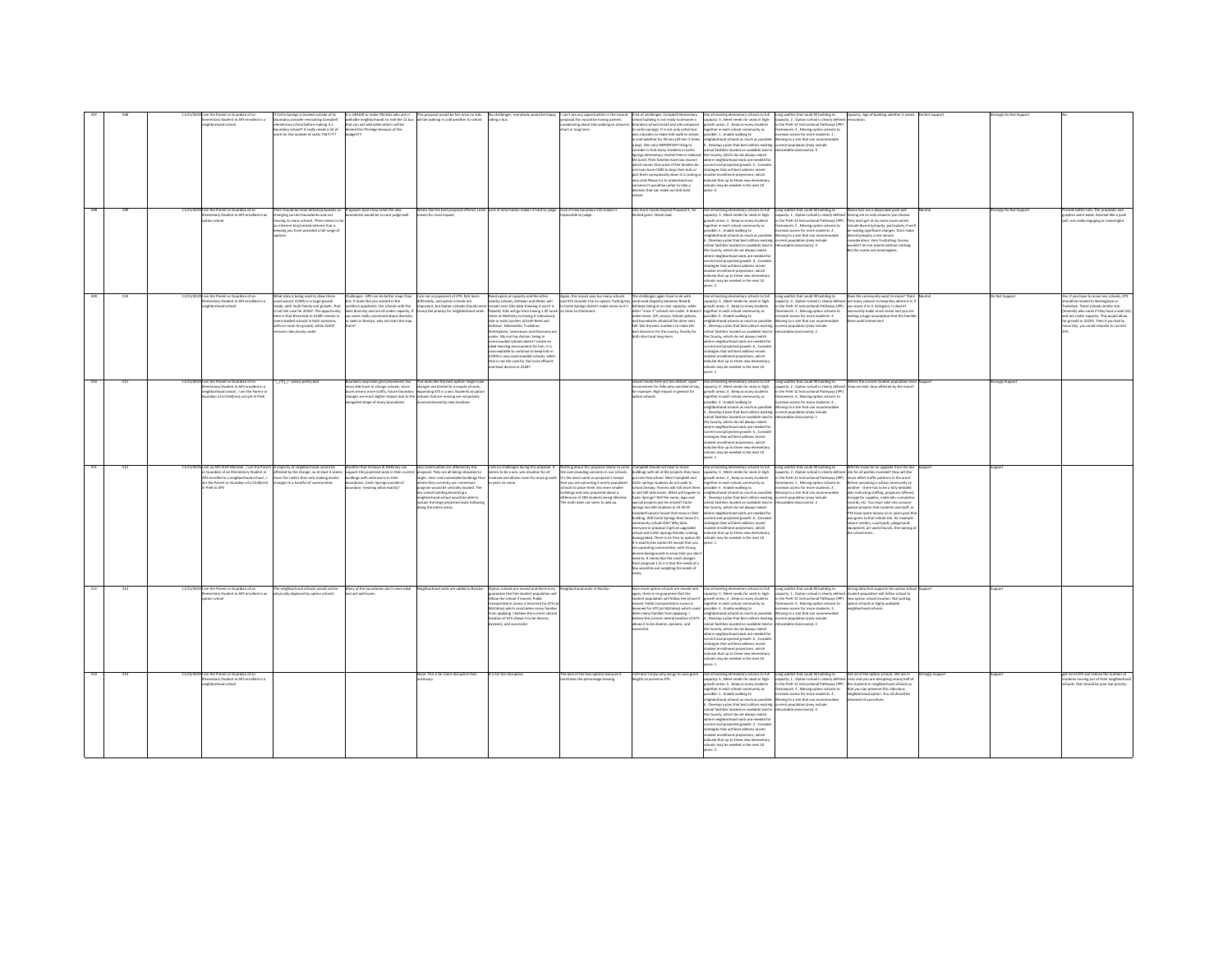|     |     |          | mentary Student in APS enrolled in a<br>ishborhood school                                                                                                                                | larlin Springs is located outside of it<br>oundary,consider renovating Campbell<br>mentary school before making it a<br>undary school!! It really needs a lot of<br>rk for the number of seats 750!!!???                                                                                                                | walkable neighborhoods to ride the 12 bus will be walking in cold weather to school.<br>hat you will add while others will be<br>ied this Privilege because of the                                                                                              | This proposal would be fair since no kids                                                                                                                                                                                                                                                                 | ding a bus.                                                                                                                                                                                                                                                                                                                                                                                                                                                                                                                                                                                                        | is in the s<br>an't see any opp<br>roposal. You would be having parents<br>omplaining about kids walking to school in<br>hort or long term.                                                                                                                                                              | school building is not ready to become a<br>sundary school (small and old compared<br>carlin springs). It is not only unfair but<br>to a burden to make Kids walk to school<br>day). One very IMPORTANT thing to<br>onsider is that many students in Carlin<br>i lunch.Their families have low income<br>vich means that some of the families do<br>ot even have CARS to drop their kids or<br>ery cold Please try to understand our<br>come it would be infair to take a<br>ision that can make our kids hat                                                                                                                                                                                                                                                                                                                         | tary schools to full<br>capacity: 3, Meet needs for seats in high-<br>rowth areas: 2 . Keep as many students<br>together in each school community as<br>possible: 1 , Enable walking to<br>cold weather for 40 min. (20 min 2 times neighborhood schools as much as possible<br>Develop a plan that best utilizes existing<br>ool facilities located on available land<br>Sorings elementary receive free or reduced the County, which do not always match<br>where neighborhood seats are needed for<br>current and projected growth: 5, Conside<br>strategies that will best address recent<br>.<br>ck them up especially when it is raining or student enrollment projections, which<br>ry cold.Please try to understand our lindicate that up to three new elementary<br>(10 type adt ni hahaan ad uses sloods<br>$-4$ | Long waitlist that could fill building to<br>capacity: 2 , Option school is clearly defined<br>in the PreK-12 Instructional Pathways (IPP)<br>mework: 3 , Moving option schools to<br>rease access for more students: 1 ,<br>Moving to a site that can accommodate<br>current population (may include<br>relocatable classrooms): 4                                                                                                                                  | pacity. Age of building whether it needs D                                                                                                                                                                                                                                                                                                                                                                                                           |             |                       |                                                                                                                                                                                                                                                                                  |
|-----|-----|----------|------------------------------------------------------------------------------------------------------------------------------------------------------------------------------------------|-------------------------------------------------------------------------------------------------------------------------------------------------------------------------------------------------------------------------------------------------------------------------------------------------------------------------|-----------------------------------------------------------------------------------------------------------------------------------------------------------------------------------------------------------------------------------------------------------------|-----------------------------------------------------------------------------------------------------------------------------------------------------------------------------------------------------------------------------------------------------------------------------------------------------------|--------------------------------------------------------------------------------------------------------------------------------------------------------------------------------------------------------------------------------------------------------------------------------------------------------------------------------------------------------------------------------------------------------------------------------------------------------------------------------------------------------------------------------------------------------------------------------------------------------------------|----------------------------------------------------------------------------------------------------------------------------------------------------------------------------------------------------------------------------------------------------------------------------------------------------------|---------------------------------------------------------------------------------------------------------------------------------------------------------------------------------------------------------------------------------------------------------------------------------------------------------------------------------------------------------------------------------------------------------------------------------------------------------------------------------------------------------------------------------------------------------------------------------------------------------------------------------------------------------------------------------------------------------------------------------------------------------------------------------------------------------------------------------------|----------------------------------------------------------------------------------------------------------------------------------------------------------------------------------------------------------------------------------------------------------------------------------------------------------------------------------------------------------------------------------------------------------------------------------------------------------------------------------------------------------------------------------------------------------------------------------------------------------------------------------------------------------------------------------------------------------------------------------------------------------------------------------------------------------------------------|----------------------------------------------------------------------------------------------------------------------------------------------------------------------------------------------------------------------------------------------------------------------------------------------------------------------------------------------------------------------------------------------------------------------------------------------------------------------|------------------------------------------------------------------------------------------------------------------------------------------------------------------------------------------------------------------------------------------------------------------------------------------------------------------------------------------------------------------------------------------------------------------------------------------------------|-------------|-----------------------|----------------------------------------------------------------------------------------------------------------------------------------------------------------------------------------------------------------------------------------------------------------------------------|
|     | 509 | 11/21/20 | am the Parent or Guardian of an<br>nentary Student in APS enrolled in an                                                                                                                 | heir should be more details/proposals on Proposals dont show what the new<br>.<br>hanging current boundaries and not<br>noving so many schools. There seems t<br>inherent bias/vested interest that is<br>ping you from provided a full range of                                                                        | daries would be so cant judee well.                                                                                                                                                                                                                             | wes for most impact                                                                                                                                                                                                                                                                                       | .<br>Seems like the best proposal offered. Least Lack of information makes it hard to judge. Lack of new boundary info makes it                                                                                                                                                                                                                                                                                                                                                                                                                                                                                    | ssible to juder                                                                                                                                                                                                                                                                                          | ts more moves beyond Proposal 1, for<br>had asing Spams had                                                                                                                                                                                                                                                                                                                                                                                                                                                                                                                                                                                                                                                                                                                                                                           | Use all existing elementary schools to full Long waitlist that could fill building to<br>pacity: 3 , Meet needs for seats in high-<br>owth areas: 1 , Keep as many students<br>gether in each school community as<br>ible: S., Enable walking to<br>ighborhood schools as much as possible<br>Develop a plan that best utilizes existing current population (may include<br>hool facilities located on available land in<br>e County, which do not always match<br>there neighborhood seats are needed fo<br>rrent and projected erowth: 4. Consig<br>ategies that will best address recent<br>udent enrollment projections, which<br>dicate that up to three new elem<br>ools may be needed in the next 10<br>ears: 2                                                                                                     | capacity: 1, Option school is clearly defined<br>in the PreK-12 Instructional Pathways (IPP)<br>framework: 2, Moving option schools to<br>pasa arross for more students-4<br>Moving to a site that can accommodate<br>ocatable classrooms): 3                                                                                                                                                                                                                        | ove lists are a despicable push poll<br>.<br>rcing me to rank answers you choose.<br>wy dont get at my main issues which<br>lude diversity/equity, particularly if we'll<br>making significant changes. Dont make<br>ersity/equity a last minute<br>nsideration. Very frustrating. Survey<br>suidn't let me submit without ranking<br>t the scores are meaningless.                                                                                  |             | rongly Do Not Support | ide better info. The proposals and<br>phics were weak. Seemed like a push<br>ot really engaging or meaningfi                                                                                                                                                                     |
|     |     |          | wn the Parent or Guardian of an<br>mentary Student in APS enrolled in a<br>thood school                                                                                                  | Vhat data is being used to draw these<br>condusions? 22205 is in huge growth<br>mode, with multi-family unit growth. That<br>is not the case for 22207. The opportunity<br>ere is that these kids in 22205 remain in<br>owded schools in both scenarios,<br>ith no room for growth, while 22207<br>ins ridir drush unda | hallenges - APS can do better maps than<br>this. It looks like you started in the<br>vern quadrants, the schools with the<br>ist diversity and are all under capacity. If<br>ou were really concerned about diversity<br>seats in Rosslyn, why not start the ma | am not a proponent of ATS. Kids learn<br>differently, and option schools are<br>important, but Option schools should neve<br>mp the priority for neighborhood seats.                                                                                                                                      | eed opens at capacity and the other<br>nearby schools. Ashlawn and Glebe, will<br>imain over (the data showing it won't is<br>awed). Kids will go from having 1:35 lunch<br>nes at McKinley to having it ridiculously<br>e or early lunches at both Reed and<br>hlawn. Meanwhile, Tuckahoe,<br>ottineham. Jamestown and Discovery a<br>nder. My son has Autism, being in<br>rcrowded schools doesn't create an<br>deal learning environment for him. It is<br>ceptable to continue to keep kids<br>2205 in way overcrowded schools, while<br>hat is not the case for the most affluent<br>d least diverse in 22207 | Again, this moves way too many schools<br>and ATS shouldn't be an option. Puttine Key<br>in Carlin Springs doesn't make sense as it's<br>close to Claremont.                                                                                                                                             | he challenges again have to do with<br>a Beeth mework backet a financial<br>Ashlawn being at or over capacity, while<br>other "zone 1" schools are under. It doesn'<br>make sense. CIP, census, School options.<br>boundaries should all be done next<br>Fall. Get the best numbers to make the<br>best decisions for the county, fiscally for<br>th short and long-term.                                                                                                                                                                                                                                                                                                                                                                                                                                                             | Jse all existing elementary schools to full<br>spacity: 4 , Meet needs for seats in high-<br>powth areas: 3 , Keep as many students<br>together in each school community as<br>ssible: S . Enable walking to<br>ighborhood schools as much as possible<br>, Develop a plan that best utilizes existing current population (may include<br>hool facilities located on available land in relocatable classrooms): 2<br>e County, which do not always match<br>where neighborhood seats are needed fo<br>urrent and projected erowth: 6. Conside<br>tegies that will best address recent<br>udent enrollment projections, which<br>dicate that up to three new elementar<br>ols may be needed in the next 10<br>ses: 1                                                                                                        | Long waitlist that could fill building to<br>capacity: 4, Option school is clearly defined are many reasons to keep Key where it is. If<br>In the PreK-12 Instructional Pathways (IPP) you move it to S. Arlington, it doesn't<br>framework: 1, Moving option schools to<br>increase access for more students: 3 .<br>Moving to a site that can accommodate                                                                                                          | the cor<br>nity want to move<br>ressarily make much sense and you are<br>aking a huge assumption that the famili                                                                                                                                                                                                                                                                                                                                     |             | Not Support           | s, if you have to move any schools, A<br>uld be moved to Nottingham or<br>ahoe. These schools similar size<br>restly who cares if they have a wait is<br>nd are under capacity. This would allow<br>growth in 22205. Then if you had to<br>we Key, you could relocate to current |
|     | 511 |          | am the Parent or Guardian of an<br>nentary Student in APS enrolled in a<br>ighthorhood school 1 am the Darent of<br>rdian of a Child(ren) not yet in Prek                                | ('') / seems pretty bac                                                                                                                                                                                                                                                                                                 | oundary map looks gerrymandered, too<br>nany kids have to change schools, more<br>as means more traffic future houndary<br>hanges are much higher-impact due to the sch<br>orgated shape of many boundaries                                                     | This looks like the best option-large-scal<br>changes are limited to a couple schools,<br>sinding ATS is a win. Students at optio<br>ools that are moving are not greatly<br>venienced by new locations                                                                                                   |                                                                                                                                                                                                                                                                                                                                                                                                                                                                                                                                                                                                                    |                                                                                                                                                                                                                                                                                                          | ol moves here are too distant; supe<br>nvenient for folks who enrolled at key<br>example. High impact in general for<br>ion schools.                                                                                                                                                                                                                                                                                                                                                                                                                                                                                                                                                                                                                                                                                                  | Use all existing elementary schools to full<br>capacity: 6 , Meet needs for seats in high-<br>owth areas: 4, Keep as many students<br>ther in each school community as<br>ssible: 2, Enable walking to<br>ishborhood schools as much as possible<br>, Develop a plan that best utilizes existing exerent population (may include<br>chool facilities located on available land in relocatable classrooms): 1<br>he County, which do not always match<br>here neighborhood seats are needed fo<br>urrent and projected erowth: S. Conside<br>tegies that will best address recent<br>nt enrollment projections, which<br>ndicate that up to three new elementar<br>ots may be needed in the next 10                                                                                                                         | Long waitlist that could fill building to<br>capacity: 2, Option school is clearly define<br>in the Dreft, 12 Instructional Dathways (IDD)<br><b>framework: 3, Moving option schools to</b><br>ncrease access for more students: 4,<br>Moving to a site that can accommodate                                                                                                                                                                                         | .<br>Where the current student population live<br>how are kids' days affected by the move?                                                                                                                                                                                                                                                                                                                                                           |             | ongly Suppo           |                                                                                                                                                                                                                                                                                  |
|     |     |          | l am an APS Staff Member , I am the Paren<br>or Guardian of an Elementary Student in<br>1. looks bookshaddein a ri bellom 29A<br>m the Parent or Guardian of a Child(ren)<br>PreK in APS | A majority of neighborhoods would be<br>affected by the change, so at least it seem<br>more fair rather than only making drastic<br>inges to a handful of commu                                                                                                                                                         | .<br>btful that Ashlawn & McKinley can<br>port the projected seats in their curre<br>buildings with extensions to their<br>daries. Carlin Springs outside of<br>dary- meaning what exactly?                                                                     | Less communities are affected by this<br>proposal. They are all being relocated to<br>here they currently are. Immersion<br>rogram would be centrally located. The<br>school building becoming a<br>hborhood school would be able to<br>.<br>tain the large projected seats follow<br>nna tha matro areas | iee no challenges facing this proposal.<br>Iems to be a win, win situation for all<br>larger, nicer and sustainable buildings than involved and allows room for more erowth It's the exact same as proposal 1 except<br>rears to come.                                                                                                                                                                                                                                                                                                                                                                             | Nothing about this proposal seems to solve<br>the overcrowding concerns in our schools.<br>hat you are uprooting 3 overly populat<br>ools to place them into even smaller<br>.<br>buildings and only projected about a<br>difference of 300 students being affected.<br>he math does not seem to add up. | .<br>Lampbell should not have to move<br>uildings with all of the projects they have<br>put into that school. Most Campbell and<br>tin springs students do not walk to<br>ool already. Parents will still drive them<br>will still take buses. What will happen to<br>Carlin Springs? Will the name, logo and<br>special projects just be erased? Carlin<br>rings has 650 students in 19-20 SY.<br>imposed cannot house that many in their<br>aiding. Will Carlin Springs then loose it's<br>party with Califf Innerty office<br>ryone in proposal 2 get an upgraded<br>chool and Carlin Springs literally is being<br>e uprooting communities, with strong,<br>erse backgrounds in areas that you do<br>ed to. It seems like the small changes<br>rom proposal 1 to 2 is that the needs of a<br>w would be out weighing the needs of | Use all existing elementary schools to full<br>capacity: 3 , Meet needs for seats in high-<br>growth areas: 2 . Keep as many students<br>together in each school community as<br>possible: 5 , Enable walking to<br>neighborhood schools as much as possible:<br>, Develop a plan that best utilizes existing<br>hool facilities located on available land i<br>the County, which do not always match.<br>where neighborhood seats are needed fo<br>current and projected growth: 6, Conside<br>strategies that will best address recent<br>student enrollment projections, which<br>indicate that up to three new elementary<br>wrigraded. There is no Pros to option #2. schools may be needed in the next 10<br>is exactly like option #1 except that you years: 1                                                      | Long waitlist that could fill building to Will the move be an upgrade from the last capacity: 2, Option school is clearly defined site for all parties involved? How will the<br>in the PreK-12 Instructional Pathways (IPP) Imove affect traffic patterns in the area?<br>framework: 1, Moving option schools to<br>increase access for more students: 3,<br>Moving to a site that can accommodate<br>current population (may include<br>relocatable classrooms): 4 | fore uprooting a school community to<br>other - there has to be a fully detailed<br>in indicating staffing, programs offered<br>.<br>International materials, cumulative<br>Cords, etc. You must take into account<br>ecial projects that students and staff, or<br>A have spent money on in years past t<br>as given to that school site. for example<br>ure centers, courtvards, playeround<br>pment, art work/murals, the naming o<br>school even |             |                       |                                                                                                                                                                                                                                                                                  |
|     | 513 |          | am the Parent or Guardian of an<br>mentary Student in APS enrolled in an<br>inn school                                                                                                   | he neighborhood schools would not be<br>wsically displaced by cotion schools.                                                                                                                                                                                                                                           | Many of the boundaries don't seem ideal<br>nd will add buses.                                                                                                                                                                                                   | Neighborhood seats are added to Rossly                                                                                                                                                                                                                                                                    | tion schools are moved and there is no<br>arantee that the student population will<br>low the school if moved Public<br>sportation access is lessened for ATS (a<br>Kinley) which could deter many families<br>m applying. I believe the current centra<br>ation of ATS allows it to be diverse,<br>mamic, and successful.                                                                                                                                                                                                                                                                                         |                                                                                                                                                                                                                                                                                                          | in more option schools are moved and<br>again, there is no guarantee that the<br>atent population will follow the school if<br>wed. Public transportation access is<br>ssened for ATS (at McKinley) which could possible: 3 . Enable walking to<br>sterno on families from applying. I<br>leve the current central location of ATS<br>llows it to be diverse, dynamic, and                                                                                                                                                                                                                                                                                                                                                                                                                                                            | Use all existing elementary schools to full<br>growth areas: 2, Keep as many students<br>together in each school community as<br>possese: 3 , cruces weeking to:<br>neighborhood schools as much as possible: Moving to a site that can accomm<br>4 , Develop a plan that best utilizes existing current population (may include<br>chool facilities located on available land in refocatable classrooms): 2<br>e County, which do not always match<br>here neighborhood seats are needed fo<br>urrent and projected erowth: 6. Conside<br>tegies that will best address recent<br>udent enrollment projections, which<br>dicate that up to three new elementar<br>ots may be needed in the next 10<br>ers: 1                                                                                                              | Long waitlist that could fill building to<br>capacity: 5, Meet needs for seats in high- capacity: 1, Option school is clearly defined student population will follow school to<br>erowth areas: 2. Keep as many students in the PreK-12 Instructional Pathways (IPP) new optio<br>framework: 4, Moving option schools to<br>ncrease access for more students: 3 .<br>Moving to a site that can accomm                                                                | Strong data that supports the option Sc<br>tion schools in highly walkable<br>ishborhood school                                                                                                                                                                                                                                                                                                                                                      |             |                       |                                                                                                                                                                                                                                                                                  |
| 513 |     |          | m the Parent or Guardian of a<br>ementary Student in APS enrolled in a<br>leorbood school                                                                                                |                                                                                                                                                                                                                                                                                                                         |                                                                                                                                                                                                                                                                 | one. This is far more disruptive than<br><b>USERU</b>                                                                                                                                                                                                                                                     | It is far too disruptive                                                                                                                                                                                                                                                                                                                                                                                                                                                                                                                                                                                           | he best of the two options because it<br>lines the nerrontene moving                                                                                                                                                                                                                                     | till don't know why we go to such great<br>nethi to preserve ATS.                                                                                                                                                                                                                                                                                                                                                                                                                                                                                                                                                                                                                                                                                                                                                                     | Use all existing elementary schools to full<br>ogether in each school community as<br>sible: 1, Enable walking to<br>eighborhood schools as much as possible:<br>.<br>welop a plan that best utilizes existing current population (may include<br>il facilities located on available land in refocatable classrooms): 4<br>ool facilities located on available land i<br>he County which do not always match<br>ere neighborhood seats are needed fo<br>urrent and projected growth: 2, Conside<br>degies that will best address recen<br>ent enrollment projections, which<br>ndicate that up to three new elementary<br>ools may be needed in the next 10<br>wars: 3                                                                                                                                                     | Long waitlist that could fill building to<br>.<br>Supacity: 4 , Meet needs for seats in high- capacity: 1 , Option school is clearly defined crisis and you are disrupting nearly half of<br>growth areas: 5 , Xeep as many students in the PreK-12 Instructional Pathways (IPP)<br>framework: 2, Moving option schools to<br>increase access for more students: 3,<br>Movine to a site that can accommodate                                                         | t rid of the option schools. We are in<br>at you can preserve this ridiculous<br>ghborhood option. You all should be<br>amed of vourselves.                                                                                                                                                                                                                                                                                                          | angly Suppo |                       | id of ATS and reduce the number o<br>dents moving out of their neighborhoo<br>ools, that should be your too priority.                                                                                                                                                            |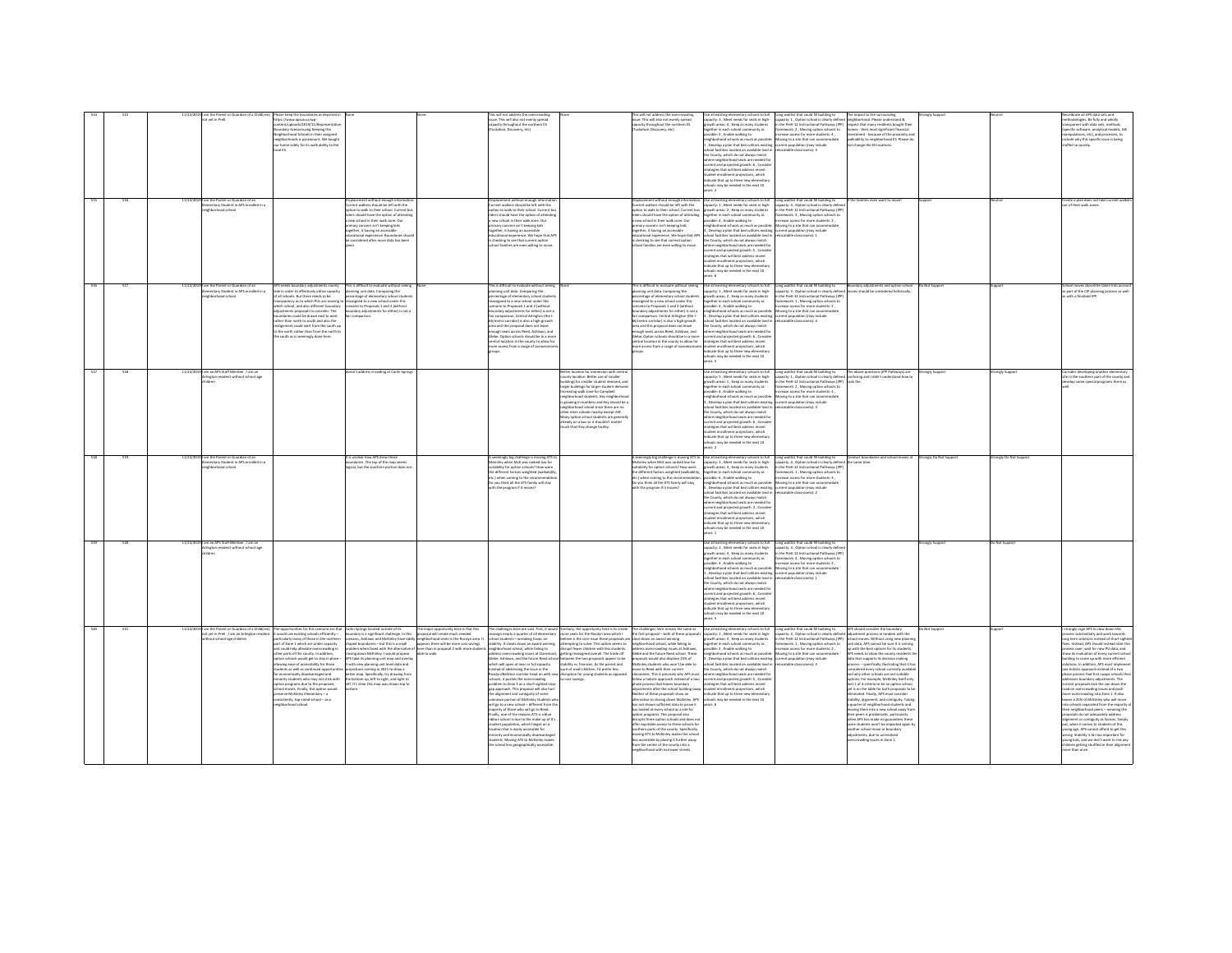|     | t yet in PreK<br>am the Parent or Guardian of an                                                                 | https://www.apsva.us/wp-<br>ontent/uploads/2019/11/Nepresentativ<br>Soundary-Scenario.png Keeping the<br>Seighborhood Schools in their assigned<br>eighborhoods is paramount. We bought<br>ome solely for its walk ability to the                                                                                                                                                                                                                                                                                                                                                                                                                                                             | acement without enough info                                                                                                                                                                                                                                                                                                                                                                                                                                                                                                                                                                                        |                                                                                                                                        | issue. This will also not evenly spread<br>capacity throughout the northern ES<br>uckahoe, Discovery, etc)<br>isplacement without enough infor                                                                                                                                                                                                                                                                                                                                                                                                                                                                                                                                                                                                                                                                                                                                                                     |                                                                                                                                                                                                                                                                                                                                                                                                                                                                                | ssue. This will also not evenly spreas<br>capacity throughout the northern ES<br>sckahoe, Discovery, etc)<br>slacement without enough info                                                                                                                                                                                                                                                                                                                                                                                                                                                                                                                                                                                                                                                                                                  | sacity: 3, Meet needs for seats in high-<br>owth areas: 4 . Keep as many students<br>ther in each school co<br>unity as<br>ible: 5, Enable walking to<br>ighborhood schools as much as poss<br>.<br>Nevelop a plan that best utilize:<br>I facilities located on available land<br>the County, which do not always match<br>ere neighborhood seats are needed for<br>rent and projected growth: 6 , Conside<br>ategies that will best address recent<br>dent enrollment projections, which<br>licate that up to three new elementa<br>hools may be needed in the next 10<br>$-2$<br>ie all existing elementary schools to full                                                        | Long waitlist that could fill building to The impact to the surrounding<br>capacity: 1, Option school is clearly defined meighborhood. Please understand &<br>n the PreK-12 Instructional Pathways (IPP) respect that many residents bought their<br>mework: 2 , Moving option schools to<br>rease access for more students: 4 ,<br>pvine to a site that can accommodate<br>ent population (may include<br>ratable classrooms): 3 | senes - their most significant financial<br>vestment - because of the proximity and<br>ralkability to neighborhood ES. Please do<br>change the ES locations<br>the families even want to move                                                                                                                                                                                                                                                                                                                                                                                                                                                                                                                                                                                                                                       |                   |                  | thodologies. Be fully and wholly<br>insparent with data sets, method<br>ecific software, analytical models, GIS<br>inipulations, etc), and processes, to<br>rclude why this specific issue is being<br>affed so quickly.<br>vate a plan does not take current wall                                                                                                                                                                                                                                                                                                                                                                                                                                                                                                                                                                                                                                       |
|-----|------------------------------------------------------------------------------------------------------------------|-----------------------------------------------------------------------------------------------------------------------------------------------------------------------------------------------------------------------------------------------------------------------------------------------------------------------------------------------------------------------------------------------------------------------------------------------------------------------------------------------------------------------------------------------------------------------------------------------------------------------------------------------------------------------------------------------|--------------------------------------------------------------------------------------------------------------------------------------------------------------------------------------------------------------------------------------------------------------------------------------------------------------------------------------------------------------------------------------------------------------------------------------------------------------------------------------------------------------------------------------------------------------------------------------------------------------------|----------------------------------------------------------------------------------------------------------------------------------------|--------------------------------------------------------------------------------------------------------------------------------------------------------------------------------------------------------------------------------------------------------------------------------------------------------------------------------------------------------------------------------------------------------------------------------------------------------------------------------------------------------------------------------------------------------------------------------------------------------------------------------------------------------------------------------------------------------------------------------------------------------------------------------------------------------------------------------------------------------------------------------------------------------------------|--------------------------------------------------------------------------------------------------------------------------------------------------------------------------------------------------------------------------------------------------------------------------------------------------------------------------------------------------------------------------------------------------------------------------------------------------------------------------------|---------------------------------------------------------------------------------------------------------------------------------------------------------------------------------------------------------------------------------------------------------------------------------------------------------------------------------------------------------------------------------------------------------------------------------------------------------------------------------------------------------------------------------------------------------------------------------------------------------------------------------------------------------------------------------------------------------------------------------------------------------------------------------------------------------------------------------------------|---------------------------------------------------------------------------------------------------------------------------------------------------------------------------------------------------------------------------------------------------------------------------------------------------------------------------------------------------------------------------------------------------------------------------------------------------------------------------------------------------------------------------------------------------------------------------------------------------------------------------------------------------------------------------------------|-----------------------------------------------------------------------------------------------------------------------------------------------------------------------------------------------------------------------------------------------------------------------------------------------------------------------------------------------------------------------------------------------------------------------------------|-------------------------------------------------------------------------------------------------------------------------------------------------------------------------------------------------------------------------------------------------------------------------------------------------------------------------------------------------------------------------------------------------------------------------------------------------------------------------------------------------------------------------------------------------------------------------------------------------------------------------------------------------------------------------------------------------------------------------------------------------------------------------------------------------------------------------------------|-------------------|------------------|----------------------------------------------------------------------------------------------------------------------------------------------------------------------------------------------------------------------------------------------------------------------------------------------------------------------------------------------------------------------------------------------------------------------------------------------------------------------------------------------------------------------------------------------------------------------------------------------------------------------------------------------------------------------------------------------------------------------------------------------------------------------------------------------------------------------------------------------------------------------------------------------------------|
|     | entary Student in APS enrolled in<br>hbarhood school                                                             |                                                                                                                                                                                                                                                                                                                                                                                                                                                                                                                                                                                                                                                                                               | rent walkers should be left with the<br>n to walk to their school. Current b<br>lers should have the option of attending<br>ew school in their walk zone. Our<br>ry concern isn't keeping kids<br>ether, it having an accessible<br>tional experience. Boundaries shot<br>sidered after more data has been                                                                                                                                                                                                                                                                                                         |                                                                                                                                        | urrent wallors should be left with the<br>on to walk to their school. Current but<br>riders should have the cotion of attending<br>new school in their walk zone. Our<br>ary concern isn't keeping kids<br>toeether, it having an accessible<br>tional experience. We hope that AP.<br>checking to see that current option<br>hool families are even willing to move                                                                                                                                                                                                                                                                                                                                                                                                                                                                                                                                               |                                                                                                                                                                                                                                                                                                                                                                                                                                                                                | urrent walkers should be left with the<br>tion to walk to their school. Current bus<br>iders should have the option of attending<br>new school in their walk zone. Our<br>ary concern isn't keeping kids<br>prether, it having an accessible<br>cational ex<br>ince. We hope that APS<br>checking to see that current option<br>hool families are even willing to move.                                                                                                                                                                                                                                                                                                                                                                                                                                                                     | acity: 1 . Meet needs for seats in high-<br>ath areas: 2, Keep as many students<br>prether in each school community as<br>sible: 4 . Enable walking to<br>hborhood schools as much as possible<br>Develop a plan that best utilizes existing<br>ool facilities located on available land in<br>County, which do not always match<br>where neighborhood seats are needed fo<br>rrent and projected erowth: 5 . Conside<br>tegies that will best address recent<br>dent enrollment projections, which<br>dicate that up to three new elementar<br>ols may be needed in the next 10                                                                                                      | Long waitlist that could fill building to<br>capacity: 4 , Option school is clearly define<br>n the PreK-12 Instructional Pathways (IP<br>framework: 3 . Moving option schools to<br>rease access for more students: 2.<br>loving to a site that can accomm<br>screent population (may include<br>ocatable classrooms): 1                                                                                                         |                                                                                                                                                                                                                                                                                                                                                                                                                                                                                                                                                                                                                                                                                                                                                                                                                                     |                   |                  | at of their walk zones                                                                                                                                                                                                                                                                                                                                                                                                                                                                                                                                                                                                                                                                                                                                                                                                                                                                                   |
|     | am the Parent or Guardian of an<br>Iementary Student in APS enrolled in a<br>Input boorhood                      | VPS needs boundary adjustments county<br>de in order to effectively utilize capacity<br>of all schools. But there needs to be<br>ansparency as to which PUs are moving to<br>hich school, and also different boundary<br>djustments proposals to consider. The<br>oundaries could be drawn east to west<br>rather than north to south and also the<br>alianment could start from the south u<br>o the north rather than from the north to<br>south as is seemingly done here.                                                                                                                                                                                                                 | is difficult to evaluate without<br>ming unit data. Comparing the<br>ntare of elementary school studes<br>signed to a new school under this<br>nario to Proposals 1 and 2 (without<br>oundary adjustments for either) is not a<br>comparison.                                                                                                                                                                                                                                                                                                                                                                      |                                                                                                                                        | his is difficult to evaluate without<br>nning unit data. Comparing the<br>intage of elementary school stude<br>ssigned to a new school under this<br>mario to Proposals 1 and 2 (without<br>boundary adjustments for either) is not<br>fair comparison. Central Arlington (the I<br>66/metro corridor) is also a high-growth<br>area and this proposal does not leave<br>ugh seats across Reed, Ashlawn. and<br>.<br>Glebe. Option schools should be in a mor<br>central location in the county to allow for<br>re access from a ranee of soci                                                                                                                                                                                                                                                                                                                                                                     |                                                                                                                                                                                                                                                                                                                                                                                                                                                                                | This is difficult to evaluate without seeing<br>planning unit data. Comparing the<br>entage of elementary school student<br>ssigned to a new school under this<br>mario to Proposals 1 and 2 (without<br>pundary adjustments for either) is not a<br>uir comparison. Central Arlington (the I-<br>6/metro corridor) is also a high-growth<br>rea and this proposal does not leave<br>ough seats across Reed, Ashlawn, and<br>Slebe. Option schools should be in a more<br>entral location in the county to allow for<br>ore access from a range of soci                                                                                                                                                                                                                                                                                     | Use all existing elementary schools to full<br>capacity: 1 , Meet needs for seats in high-<br>with areas: 2 . Keep as many students<br>ether in each school community as<br>isible: 4 , Enable walking to<br>eighborhood schools as much as possible<br>Develop a plan that best utilizes existing<br>si facilities located on available land in<br>e County, which do not always match<br>here neighborhood seats are needed for<br>rrent and projected growth: 6, Conside<br>ategies that will best address recent<br>nt nenjartines which<br>icate that up to three new elementar<br>ools may be needed in the next 10<br><b>Draw</b>                                              | Long waitlist that could fill building to<br>capacity: 3, Option school is clearly defin<br>n the PreK-12 Instructional Pathways (IP)<br>ework: 1, Moving option schools to<br>ease access for more students: 2,<br>Moving to a site that can accommodate<br>rant nonslation (may include<br>catable classrooms): 4                                                                                                               | Boundary adjustments and option school                                                                                                                                                                                                                                                                                                                                                                                                                                                                                                                                                                                                                                                                                                                                                                                              |                   |                  | .<br>Ichool moves should be taken into accor.<br>Is part of the CIP planning process as we<br>with a finalized IPP.                                                                                                                                                                                                                                                                                                                                                                                                                                                                                                                                                                                                                                                                                                                                                                                      |
| 518 | 11/22/20<br>am an APS Staff Member . I am an<br>resident without school an                                       |                                                                                                                                                                                                                                                                                                                                                                                                                                                                                                                                                                                                                                                                                               | sn't address crowding at Carlin Sorings                                                                                                                                                                                                                                                                                                                                                                                                                                                                                                                                                                            |                                                                                                                                        |                                                                                                                                                                                                                                                                                                                                                                                                                                                                                                                                                                                                                                                                                                                                                                                                                                                                                                                    | tter location for immersion with centri<br>runty location. Better use of smaller<br>ldings for smaller student demand, an<br>rger buildings for larger student deman<br>asing walk zone for Campbell<br>ghborhood students. Key neighbor<br>growing in numbers and Key should be<br>bookood school since there are no<br>er elem schools nearby except ASF<br>lany option school students are general<br>andy no a bus so it shouldn't matter<br>ch that they change facility. |                                                                                                                                                                                                                                                                                                                                                                                                                                                                                                                                                                                                                                                                                                                                                                                                                                             | lut of doctor vistments without act<br>acity: S., Meet needs for seats in high<br>wth areas: 1, Keep as many students<br>gether in each school community as<br>sible: 4 . Enable walking to<br>ighborhood schools as much as possible:<br>Develop a plan that best utilizes existing current population (may include<br>nel farilities located on available land is<br>the County, which do not always match<br>here neighborhood seats are needed fo<br>rent and projected growth: 6, Conside<br>rategies that will best address recent<br>dent enrollment projections, which<br>dicate that up to three new elementa<br>hools may be needed in the next 10<br>are 2                 | Long waitlist that could fill building to The above questions (PP Pathways) are capacity: 1, Option school is clearly defined confusing and I didn't understand how to in the PreK-12 Instructional Pathways (PP) rank the.<br>ramework: 2, Moving option schools to<br>pasa arrass for more students-4<br>Moving to a site that can accommodate<br>doratable classrooms): 3                                                      |                                                                                                                                                                                                                                                                                                                                                                                                                                                                                                                                                                                                                                                                                                                                                                                                                                     | onaly Support     | ongly Support    | sider developing another elementar<br>te in the southern part of the county a<br>rlop some special programs there as                                                                                                                                                                                                                                                                                                                                                                                                                                                                                                                                                                                                                                                                                                                                                                                     |
|     | m the Parent or Guardian of a<br>mentary Student in APS enrolled in a<br>photography in the column               |                                                                                                                                                                                                                                                                                                                                                                                                                                                                                                                                                                                                                                                                                               | unclear how APS drew thes<br>daries. The top of the map seems<br>cal, but the southern portion does no                                                                                                                                                                                                                                                                                                                                                                                                                                                                                                             |                                                                                                                                        | eemingly big challenge is moving AT:<br>fckinley when McK was ranked low for<br>uitability for option schools? How were<br>the different factors weighted (walkabili<br>etc.) when coming to the recommendat<br>by your think all the ATS family will stay<br>the program if it moves                                                                                                                                                                                                                                                                                                                                                                                                                                                                                                                                                                                                                              |                                                                                                                                                                                                                                                                                                                                                                                                                                                                                | mingly big challenge is moving A'<br>kinley when McK was ranked low for<br>stability for option schools? How were<br>e different factors weighted (walkabil<br>c.) when coming to the recommendat<br>very line visme? 2TA only lie drink une n<br>the program if it move                                                                                                                                                                                                                                                                                                                                                                                                                                                                                                                                                                    | pacity: 2, Meet needs for seats in high-<br>owth areas: 4 , Keep as many students<br>prther in each school community as<br>sible: 6, Enable walking to<br>abbashood schools as much as nossil<br>Nevelop a plan that best utilizes existing current population (may in<br>hool facilities located on available land is<br>the County, which do not always match<br>e neighborhood seats are needed fo<br>urrent and projected growth: 3 , Consider<br>trategies that will best address recent<br>ent enrollment projections, which<br>indicate that up to three new elementar<br>hools may be needed in the next 10<br>ere 1                                                          | Long waitlist that could fill building to<br>capacity: 4, Option school is clearly defined the same time.<br>n the Dreft, 17 Instructional Dathways (IDE<br>ework: 1, Moving option schools<br>ease access for more students: 3,<br>oving to a site that can accommodat<br>catable classrooms): 2                                                                                                                                 |                                                                                                                                                                                                                                                                                                                                                                                                                                                                                                                                                                                                                                                                                                                                                                                                                                     | angly Do Not Supp | ongly Do Not Sup |                                                                                                                                                                                                                                                                                                                                                                                                                                                                                                                                                                                                                                                                                                                                                                                                                                                                                                          |
|     | am an APS Staff Member . I am an<br>ington resident without school-age                                           |                                                                                                                                                                                                                                                                                                                                                                                                                                                                                                                                                                                                                                                                                               |                                                                                                                                                                                                                                                                                                                                                                                                                                                                                                                                                                                                                    |                                                                                                                                        |                                                                                                                                                                                                                                                                                                                                                                                                                                                                                                                                                                                                                                                                                                                                                                                                                                                                                                                    |                                                                                                                                                                                                                                                                                                                                                                                                                                                                                |                                                                                                                                                                                                                                                                                                                                                                                                                                                                                                                                                                                                                                                                                                                                                                                                                                             | se all existing elementary schools to full<br>acity: 2, Meet needs for seats in high-<br>growth areas: 4, Keep as many students<br>rether in each school community as<br>sible: 3 , Enable walking to<br>ighborhood schools as much as possible<br>Develop a plan that best utilizes existing current population (may include<br>.<br>hool facilities located on available land in<br>e County, which do not always match<br>there neighborhood seats are needed for<br>rent and projected growth: 6 , Conside<br>ategies that will best address recent<br>udent enrollment projections, which<br>dicate that up to three new element<br>hools may be needed in the next 10<br>ses: 5 | Long waitlist that could fill building to<br>capacity: 3, Option school is clearly defin<br>in the PreK-12 Instructional Pathways (IP<br>amework: 4 . Moving option schools to<br>increase access for more students: 2,<br>Moving to a site that can accommodat<br>catable classrooms): 2                                                                                                                                         |                                                                                                                                                                                                                                                                                                                                                                                                                                                                                                                                                                                                                                                                                                                                                                                                                                     | onaly Suppor      | Not Suppor       |                                                                                                                                                                                                                                                                                                                                                                                                                                                                                                                                                                                                                                                                                                                                                                                                                                                                                                          |
|     | am the Parent or Guardian of a Child (<br>ot vet in PreK . I am an Arlineton resident<br>out school-are children | The opportunities for this scenario are that Carlin Springs located outside of its<br>t would use existing schools efficiently -<br>cularly many of those in the northern<br>art of Zone 1 which are under capacity<br>and could help alleviate overcrowding in<br>ther narts of the county. In addition<br>in schools would get to stay in place -<br>lowing ease of accessibility for those<br>includes as well as continued opportuni<br>e economically disadvantaged and<br>inority students who may not stick with<br>stion programs due to the proposed<br>ol moves. Finally, this option would<br>serve McKinley Elementary - a<br>istentiv top rated school _ as a<br>hbarhoad school | oundary is a significant challenge. In this<br>narin, Ashlawn and MrKinley have nobly in<br>execution and material contracts of the second second section of the material state of the second section and appears there will be more cost sevings.<br>Apachon when faced with the alternative of There than in proposal 2 wit<br>ing down McKinkry. I would propose<br>I take its planning unit map and overla<br>bns sasb level tinu animals wen daw<br>Inns coming in 2021 to draw a<br>ter map. Specifically, try drawing from<br>the bottom up. left to right, and right to<br>dt It's clear this man was draw | The major opportunity here is that this<br>proposal will create much needed<br>ishborhood seats in the Rosslyn area. I<br>able to walk | The challenges here are vast. First, it would Similarly, the opportunity here is to create<br>reassign nearly a quarter of all elementary<br>school students - wreaking havoc on<br>stability. It closes down an award winning<br>neighborhood school, while failing to<br>ts marrrowfing itsues at Clara<br>lebe, Ashlawn, and the future Reed sch<br>which will open at near or full capacity.<br>tead of addressing the issue in the<br>slyn/Ballston corridor head on with<br>schools, it pushes the overcrowding<br>shiem to Zone 1 as a short-sighted sto-<br>ap approach. This proposal will also hur<br>the alignment and contiguity of some<br>sen nortion of McKieley students u<br>will go to a new school - different from the<br>majority of those who will go to Reed.<br>Finally, one of the reasons ATS is a blue<br>on school is due to the make up of it'<br>adent population, which hinges on a | more seats for the Rosslyn area which I<br>lieve is the core issue these proposals<br>mpting to solve. This option seems to<br>disrupt fewer children with less students<br>tting reassigned overall. The trade off<br>tween the two proposals appear to be<br>stability vs. finances. As the parent and<br>unt of small children. I'd reafer less<br>ruption for young students as oppos<br>o cost savines.                                                                   | The challenges here remain the same as<br>the first proposal - both of these proposals<br>thise down an award winning<br>heighborhood school, while failing to<br>ress overcrowding issues at Ashlawn.<br>the and the future Boart school. These<br>osals would also displace 25% of<br>inley students who won't be able to<br>on to Beart with their current<br>mates. This is precisely why APS must<br>llow a holistic approach instead of a two<br>ase process that leaves boundary<br>stments after the school building swa<br>ther of these proposals show an<br>204 volving Area Area animals of solitant<br>as not shown sufficient data to prove it<br>has looked at every school as a site for<br>option programs. This proposal also<br>disrupts three option schools and does no<br>offer equitable access to these schools for | Use all existing elementary schools to full<br>capacity: 1 . Meet needs for seats in high-<br>wth areas: 4 . Keep as many students<br>ether in each school community as<br>ssible: 2 . Enable walking to<br>abborhood schools as much as nossible<br>evelop a plan that best utilizes existing<br>ool facilities located on available land is<br>County, which do not always match<br>ere neighborhood seats are needed for<br>errent and projected growth: S , Consider<br>rategies that will best address recent<br>student enrollment projections, which<br>ndicate that up to three new elementar<br>Of type adt ni habean ad usin about<br>ars: 6                                | Long waitlist that could fill building to<br>capacity: 4 . Option school is clearly defined adjustment process in tandem with the<br>a the Dreft, 12 Instructional Dathways (IDD)<br>ework: 1, Moving option schools to<br>crease access for more students: 2.<br>Moving to a site that can accommodate<br>crent population (may include<br>ocatable classrooms): 3                                                               | APS should consider the boundary<br>hand moves. Without using new olar<br>unit data, APS cannot be sure it is coming<br>up with the best options for its students<br>APS needs to show the county residents<br>a that supports its decision making<br>ocess -- specifically illustrating that it has<br>ared every school currently availab<br>nd why other schools are not suitable<br>ations, for example, McKinley itself only<br>met 1 of 4 criteria to be an ontion school<br>t is on the table for both proposals to be<br>inated. Finally, APS must consider<br>tability allanmant and rootiauity Taking<br>a quarter of neighborhood students and<br>moving them into a new school away fro<br>hair nears is rentriematic marticularly<br>when APS has made no guarantees these<br>same students won't be impacted again by |                   |                  | strongly urge APS to slow down this<br>cess substantially and work towards<br>ne term solutions instead of short, sieht<br>us. Instead, APS should instead start this<br>rocess over, wait for new PU data, and<br>your its availables of avery current scho<br>Iding to come up with more efficient<br>dutions, In addition, APS must impleme<br>na holistic annouach instead of a two<br>hase process that first swaps schools the<br>eddresses boundary adjustments. The<br>ment nonnecals kirk the can down the<br>ad on overcrowding issues and push<br>ore overcrowding into Zone 1. It also<br>over a 25% of McKinlay who will move<br>to schools separated from the majority<br>teir neighborhood peers - meaning the<br>mosais do not adamsatab artificas<br>inoposition for state and granting abutess.<br>Highment or contiguity as factors. Simply<br>put, when it comes to students of this |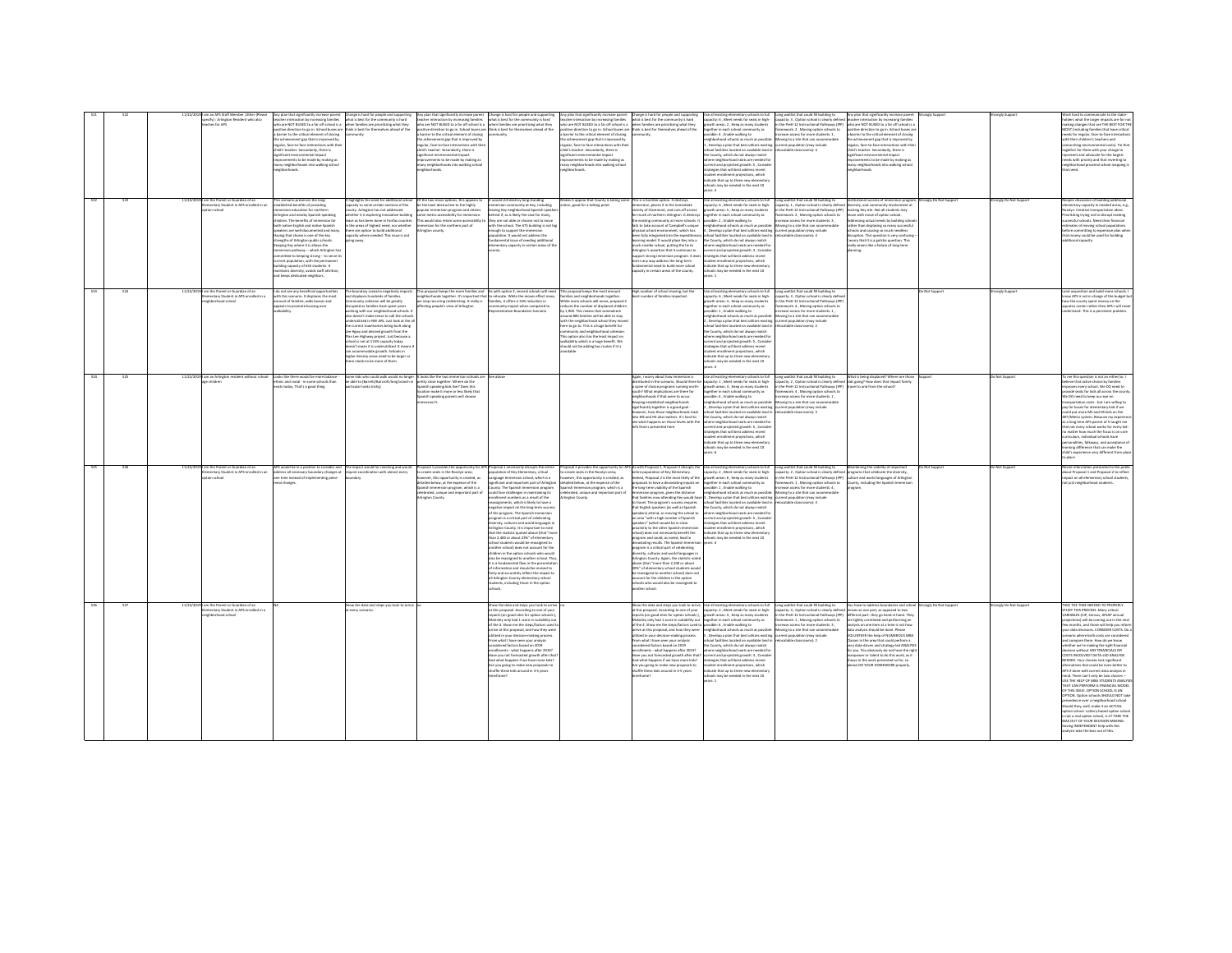| 522 | 523        | n 405 Staff Mar<br>secify) : Arlington Resident who also<br>aches for APS<br>11/22/2019 Lam the Parent or Guardian of an | acher interaction by increasing families<br>achievement eap that is improved by<br>egular, face-to-face interactions with their<br>hild's teacher. Secondarily, there is<br>rificant environmental impact<br>ovements to be made by making as<br>ny neistiborhoods into walking schoo<br>rives the los                                                                                                                                                                                                                                                                                                     | what is best for the community is hard<br>who are NOT BUSED to a far off school is a when families are prioritizing what they<br>the direction to go in. School buses are think is best for themselves ahead of the<br>arrier to the critical element of closing community.                                                                                                                                                                                                                                                                                                                                                                                                              | teacher interaction by increasing families what is best for the community is hard<br>who are NOT BUSED to a far off school is a when families are prioritizing what they<br>cositive direction to go in. School buses are think is best for themselves ahead of the<br>I barrier to the critical element of closing community.<br>he achievement gap that is improved by<br>egular, face-to-face interactions with the<br>hild's teacher. Secondarily, there is<br>enificant environmental impact<br>rovements to be made by making as<br>ny neiehborhoods into walking scho |                                                                                                                                                                                                                                                                                                                                                                                                                                                                                                                                                                                                                                                                                                                                                                                                                                                                                                                                                                                                                                                                                                                                                                                          | cher interaction by increasing families<br>who are NOT BUSED to a far off school is a when families are prioritizing what they<br>achievement eap that is improved by<br>gular, face-to-face interactions with their<br>Id's teacher. Secondarily, there is<br>nificant environmental impact<br>provements to be made by making as<br>ry neighborhoods into walking schoo                                                                                                           | what is best for the community is hard<br>itive direction to go in. School busies are think is best for themselves ahead of the<br>arrier to the critical element of closing community.                                                                                                                                                                                                                                                                                                                                                                                                                                                                                                                                                                                                                                                                                                                                                                                                                                                                                                                                                                                                                   | pacity: 6, Meet needs for seats in high-<br>with areas: 2 . Keep as many students<br>ether in each school comm.<br>ssible: 4 , Enable walking to<br>.<br>unity at<br>ishborhood schools as much as possibl<br>Develop a plan that best utilizes existing<br>gol facilities located on available land in<br>e County, which do not always match<br>here neighborhood seats are needed fo<br>rent and projected erowth: 5 . Conside<br>ategies that will best address recent<br>udent enrollment projections, which<br>dicate that up to three new elementa<br>ools may be needed in the next 10                                                                                                                                  | spacity: 3, Option school is clearly defined teacher interaction by increasing fami<br>mework: 2 , Moving option schools to<br>rease access for more students: 1 ,<br>vine to a site that can accommodate<br>rrent population (may include<br>ocatable classrooms): 4                                                                                                                                           | the PreK-12 Instructional Pathways (IPP) Inho are NOT BUSED to a far off school is a<br>positive direction to go in. School buses as<br>a barrier to the critical element of closing<br>he achievement eap that is improved by<br>egular, face-to-face interactions with the<br>hild's teacher. Secondarily, there is<br>iznificant environmental impact<br>rovements to be made by making as<br>any neighborhoods into walking school<br>utional success of immersion program                                                                              | tely Do Not Support  | ongly Do Not Suppor      | ders what the larger impacts are for not<br>aking changes that are THE BEST FOR TH<br>AOST (including families that have critical<br>eeds for regular, face-to-face interaction<br>ith their children's teachers and<br><br>verarching environmental costs). Tie that<br>ogether for them with your charge to<br>resent and advocate for the largest<br>eeds with priority and that reverting to<br>ishborhood proximal school mapping is<br>t need                                                                                                                                                                                                                                                                                                                                                                                                                                                                                                                                                                                                                     |
|-----|------------|--------------------------------------------------------------------------------------------------------------------------|------------------------------------------------------------------------------------------------------------------------------------------------------------------------------------------------------------------------------------------------------------------------------------------------------------------------------------------------------------------------------------------------------------------------------------------------------------------------------------------------------------------------------------------------------------------------------------------------------------|------------------------------------------------------------------------------------------------------------------------------------------------------------------------------------------------------------------------------------------------------------------------------------------------------------------------------------------------------------------------------------------------------------------------------------------------------------------------------------------------------------------------------------------------------------------------------------------------------------------------------------------------------------------------------------------|------------------------------------------------------------------------------------------------------------------------------------------------------------------------------------------------------------------------------------------------------------------------------------------------------------------------------------------------------------------------------------------------------------------------------------------------------------------------------------------------------------------------------------------------------------------------------|------------------------------------------------------------------------------------------------------------------------------------------------------------------------------------------------------------------------------------------------------------------------------------------------------------------------------------------------------------------------------------------------------------------------------------------------------------------------------------------------------------------------------------------------------------------------------------------------------------------------------------------------------------------------------------------------------------------------------------------------------------------------------------------------------------------------------------------------------------------------------------------------------------------------------------------------------------------------------------------------------------------------------------------------------------------------------------------------------------------------------------------------------------------------------------------|-------------------------------------------------------------------------------------------------------------------------------------------------------------------------------------------------------------------------------------------------------------------------------------------------------------------------------------------------------------------------------------------------------------------------------------------------------------------------------------|-----------------------------------------------------------------------------------------------------------------------------------------------------------------------------------------------------------------------------------------------------------------------------------------------------------------------------------------------------------------------------------------------------------------------------------------------------------------------------------------------------------------------------------------------------------------------------------------------------------------------------------------------------------------------------------------------------------------------------------------------------------------------------------------------------------------------------------------------------------------------------------------------------------------------------------------------------------------------------------------------------------------------------------------------------------------------------------------------------------------------------------------------------------------------------------------------------------|---------------------------------------------------------------------------------------------------------------------------------------------------------------------------------------------------------------------------------------------------------------------------------------------------------------------------------------------------------------------------------------------------------------------------------------------------------------------------------------------------------------------------------------------------------------------------------------------------------------------------------------------------------------------------------------------------------------------------------|-----------------------------------------------------------------------------------------------------------------------------------------------------------------------------------------------------------------------------------------------------------------------------------------------------------------------------------------------------------------------------------------------------------------|-------------------------------------------------------------------------------------------------------------------------------------------------------------------------------------------------------------------------------------------------------------------------------------------------------------------------------------------------------------------------------------------------------------------------------------------------------------------------------------------------------------------------------------------------------------|----------------------|--------------------------|-------------------------------------------------------------------------------------------------------------------------------------------------------------------------------------------------------------------------------------------------------------------------------------------------------------------------------------------------------------------------------------------------------------------------------------------------------------------------------------------------------------------------------------------------------------------------------------------------------------------------------------------------------------------------------------------------------------------------------------------------------------------------------------------------------------------------------------------------------------------------------------------------------------------------------------------------------------------------------------------------------------------------------------------------------------------------|
|     |            | ntary Student in APS en<br>tion school                                                                                   | centery present control.<br>Eshed benefits of providing<br>ersion education for northern<br>ngton and nearby Spanish-speaking<br>Idren. The benefits of immersion for<br>oth native English and native Spanish<br>akers are well-documented and many<br>vine that choice is one of the key<br>ingths of Arlington public schools.<br>eping Key where it is allows the<br>ion pathway -- which Arlinaton h<br>sitted to keeping strong -- to serve it<br>rent occulation, with the permanent<br>ding capacity of 653 students. It<br>intains diversity, avoids staff attrition<br>keeps dedicated neighbors | highlights the need for additional schoo<br>pacity to serve certain sections of the<br>unty. Arlinaton has not addressed<br>hether it is exploring innovative building<br>ase as has been done in Fairfax counties<br>the areas of highest need, nor whether<br>ere are option to build additional<br>apacity where needed. This issue is not<br>ing away.                                                                                                                                                                                                                                                                                                                               | Of the two move options, this appears to<br>be the least destructive to the highly<br>ular immersion program and retains<br>some metro accessibility for immersion.<br>This would also retain some accessibility<br>ersion for the northern part of<br>wton county.                                                                                                                                                                                                                                                                                                          | t would still destroy long-standing<br>immersion community at Key, including<br>wing Key neighborhood Spanish spea<br>ind if, as is likely the case for many,<br>they are not able or choose not to mov-<br>with the school. The ATS building is not bi-<br>ough to support the immersion<br>opulation. It would not address the<br>damental issue of needing addition<br>nentary capacity in certain areas of the                                                                                                                                                                                                                                                                                                                                                                                                                                                                                                                                                                                                                                                                                                                                                                       | .<br>Iakes it appear that County is taking s<br>ction, good for a talking point.                                                                                                                                                                                                                                                                                                                                                                                                    | .<br>This is a horrible option. It destroys<br>immersion, places it in the immediate<br>inity of Claremont, and cuts off access<br>nuch of northern Arlington. It destro<br>he existing community at more schools. It<br>alls to take account of Campbell's unique<br><b>shysical school environment, which has</b><br>seen fully integrated into the expeditionar<br>ming model. It would place Key into a<br>such smaller school, putting the lie to<br>finaton's assertion that it continues to<br>port strong immersion program. It does<br>oct in any way address the lone-term<br>mental need to build more school<br>spacity in certain areas of the county.                                                                                                                                                                                                                                                                                                                                                                                                                                                                                                                                       | .<br>Jse all existing elementary schools to full<br>:apacity: 6 , Meet needs for seats in high-<br>owth areas: S. Keep as many students<br>pether in each school community as<br>ssible: 2 , Enable walking to<br>ighborhood schools as much as nossible<br>Develop a plan that best utilizes existing current population (may include<br>gol facilities located on available land in<br>County, which do not always match<br>here neighborhood seats are needed fo<br>rent and projected growth: 3 , Conside<br>ategies that will best address recent<br>ent enrollment projections, which<br>cate that up to three new elementar<br>chools may be needed in the next 10                                                       | Long waitlist that could fill building to<br>capacity: 1 , Option school is clearly define<br>the PreK-12 Instructional Pathways (IPP)<br>nework: 2, Moving option schools to<br>ease access for more students: 3,<br>Moving to a site that can accommodate<br>ocatable classrooms): 4                                                                                                                          | sisting Key site. Not all students may<br>.<br>hove with move of option school.<br>kddressing actual needs by building sch<br>wher than displacing so many successful<br>hools and causing so much needless<br>sruption. This question is very confusing<br>pry that it is a gotcha question. This<br>really seems like a failure of long-term                                                                                                                                                                                                              |                      |                          | spen discussion of building additional<br>mentary capacity in needed areas, e.g.<br>islyn. Creative transportation ideas.<br>tizing trying not to disrupt existing<br>essful schools. Need clear financia<br>imates of moving school populations<br>ore committing to expensive plan when<br>at money could be used for building<br>mal capacity.                                                                                                                                                                                                                                                                                                                                                                                                                                                                                                                                                                                                                                                                                                                       |
| 523 |            | /22/2019 I am the Parent or Guardian of an<br>mentary Student in APS enrolled in a<br>hbarhood school                    | not see any beneficial opportunitie<br>with this scenario. It displaces the most<br>bunt of families, adds busses and<br>ears to promote bussing over<br>Looks like there would be more balance                                                                                                                                                                                                                                                                                                                                                                                                            | oundary scenario negatively impa<br>nd displaces hundreds of families.<br>.<br>snowity cohesion will be greatly<br>snopted as families have spent years<br>.<br>rking with our neighborhood schools<br>o doesn't make sense to call the scho<br>derutilized in NW ARL Just look at the<br>he current townhomes being built along<br>.ee Hgwy and desired growth from the<br>n Lee Highway project. Just because a<br>hool is not at 115% capacity today<br>in't mean it is underutilized. It means<br>mmodate growth. Schools in<br>isher density areas need to be larger or<br>eds to be more of then<br>Some kids who could walk would no longer It looks like the two immersion schoo | المستخدمات المستخدمات المستخدمة المستخدمة المستخدمة المستخدمة المستخدمة بالمستخدمة بالمستخدمة المستخدمة المستخ<br>The mean recurring redistricting, It really is the families, it offers a 15% reduction in<br>Intering people's vi                                                                                                                                                                                                                                                                                                                                          | his proposal keeps the more families and As with option 2, several schools will need<br>eighborhoods together. It's important that to relocate. While the moves effect many<br>nunity impact when compared to<br><b>Fathus Recordaries Scenario</b>                                                                                                                                                                                                                                                                                                                                                                                                                                                                                                                                                                                                                                                                                                                                                                                                                                                                                                                                      | s proposal keeps the most amoun<br>miles and neighborhoods together<br>ile more schools will move, proposal 2<br>uces the number of displaced childre<br>1.900. This means that somewhere<br>nd 800 families will be able to stay<br>th the neighborhood school they moy<br>re to go to. This is a huge benefit for<br>unity and neighborhood cohesio<br>is nexting also has the least impact on<br>dkability which is a huge benefit. We<br>ould not be adding bus routes if it is | tigh number of school moving, but the<br>st number of families impacted.                                                                                                                                                                                                                                                                                                                                                                                                                                                                                                                                                                                                                                                                                                                                                                                                                                                                                                                                                                                                                                                                                                                                  | all existing elementary schools to full<br>pacity: 6 . Meet needs for seats in high-<br>ath areas: 3, Keep as many students<br>(ether in each school community as<br>.<br>Issible: 1 , Enable walking to<br>iighborhood schools as much as possible<br>. Develop a plan that best utilizes existing current population (may include<br>.<br>chool facilities located on available land in<br>he County, which do not always match<br>re neighborhood seats are needed for<br>urrent and projected growth: S., Consider<br>trategies that will best address recent<br>t enrollment projections, which<br>ndicate that up to three new elementar<br>perfect in the next 10<br>ses: 4<br>Use all existing elementary schools to fu | ong waitlist that could fill building to<br>capacity: 3 . Option school is clearly define<br>the PreK-12 Instructional Pathways (IPF<br>ramework: 4 , Moving option schools to<br>ease access for more students: 1.<br>ving to a site that can accom<br>catable classrooms): 2<br>Long waitlist that could fill building to                                                                                     |                                                                                                                                                                                                                                                                                                                                                                                                                                                                                                                                                             |                      | ongly Suppo<br>Not Suppo | nd acquisition and build more schools<br>ow APS is not in charge of the budget by<br>w the county spent money on the<br>juatics center rather then APS I will new<br>erstand. This is a persistent problem<br>me this question is not an either/or                                                                                                                                                                                                                                                                                                                                                                                                                                                                                                                                                                                                                                                                                                                                                                                                                      |
|     |            | 11/22/2019 i am an Arlington resident without sch<br>rhibbran                                                            | hnic and racial - in some schools than<br>s today. That's a good thing                                                                                                                                                                                                                                                                                                                                                                                                                                                                                                                                     | be able to (Barrett/Barcroft/long branch in pretty close together. Where do the<br>ular looks tricky)                                                                                                                                                                                                                                                                                                                                                                                                                                                                                                                                                                                    | tish speaking kids live? Does this<br>cation make it more or less likely that<br>senish speaking parents will choose                                                                                                                                                                                                                                                                                                                                                                                                                                                         |                                                                                                                                                                                                                                                                                                                                                                                                                                                                                                                                                                                                                                                                                                                                                                                                                                                                                                                                                                                                                                                                                                                                                                                          |                                                                                                                                                                                                                                                                                                                                                                                                                                                                                     | Again, i worry about how immersion is<br>stributed in the scenario. Should there be<br>spine of choice programs running north-<br>outh? What implications are there for<br>eighborhoods if that were to occur.<br>eeping established neighborhoods<br>imiticantly together is a good goal -<br>however, how those neighborhoods track<br>into MS and HS also matters. It's hard to<br>e what happens on those levels with the<br>nfo that is presented here.                                                                                                                                                                                                                                                                                                                                                                                                                                                                                                                                                                                                                                                                                                                                              | apacity: 1, Meet needs for seats in high-<br>wth areas: 3, Keep as many students<br>gether in each school community as<br>.<br>siible: 4 , Enable walking to<br>ighborhood schools as much as possible<br>.<br>Develop a plan that best utilizes existing<br>I facilities located on available land in<br>he County, which do not always match<br>ere neighborhood seats are needed for<br>rent and projected growth: S , Conside<br>ategies that will best address recent<br>student enrollment projections, which<br>indicate that up to three new elementar<br>ools may be needed in the next 10<br>ears: 6                                                                                                                  | .<br>Long waitlist that could fill building to What is being displaced? Where are thos<br>capacity: 2 , Option school is clearly defined kids going? How does that impact family<br>the PreK-12 Instructional Pathways (IPP)<br>imework: 4, Moving option schools to<br>:<br>rease access for more students: 1<br>pving to a site that can accommodat<br>prent population (may include<br>atable classrooms): 3 | travel to and from the school?                                                                                                                                                                                                                                                                                                                                                                                                                                                                                                                              |                      |                          | lieve that active choice by families<br>ny school. We DO need to<br>vide seats for kids all across the count<br>.<br>Ne DO need to keep our eye on<br>ransportation costs - but I am willing to<br>iv for buses for elementary kids if we<br>ld put more MS and HS kids on the<br>IT/Metro system. Because my experie<br>a long time APS parent of 5 taught me<br>at not every school works for every kid<br>matter how much the focus is on core<br>culum, individual schools have<br>rsonalities, folkways, and acceptance o<br>ning difference that can make the<br>ild's experience very different from pla                                                                                                                                                                                                                                                                                                                                                                                                                                                         |
|     | 525<br>526 | 11/22/2019 I am the Parent or Guardian of an<br>ntary Student in APS<br>loorlas noit                                     | ess all ne<br>essary boundary changes at<br>time instead of implementing piece-<br><b>I</b> changes                                                                                                                                                                                                                                                                                                                                                                                                                                                                                                        | 'S would be in a position to consider and The impact would far-reaching and would<br>darv.                                                                                                                                                                                                                                                                                                                                                                                                                                                                                                                                                                                               | wiver, this opportunity is created, as<br>lailed below, at the expense of the<br>nish Immersion program, which is a<br>elebrated, unique and important part o<br>Insten County                                                                                                                                                                                                                                                                                                                                                                                               | .<br>Troposal 1 provides the opportunity for APS Proposal 1 necessarily disrupts the entire<br>o create seats in the Rosslyn-area;     population of Key Elementary, a Dual<br>ulation of Key Elementary, a Dual<br>Language Immersion school, which is a<br>cant and important part of Arlingto<br>inty. The Spanish Immersion program<br>could face challenees in maintaining its<br>Iment numbers as a result of the<br>issimments, which is likely to have a<br>negative impact on the long-term succ<br>of the program. The Spanish Immersio<br>program is a critical part of celebrating<br>diversity, cultures and world languages is<br>Arlington County. It is important to note<br>that the statistic quoted above (that "more<br>than 2,400 or about 23%" of elementary<br>ool students would be reassigned to<br>inother school) does not account for the<br>bilidean in the netion schools who would<br>so be reassigned to another school. Thus<br>it is a fundamental flaw in the presentatio<br>information and should be revised to<br>fairly and accurately reflect the impact to<br>all Arlington County elementary school<br>students, including those in the option | ever, this opportunity is created, as<br>alled below, at the expense of the<br>sish Immersion program, which is a<br>ebrated, unique and important part of<br>naton County                                                                                                                                                                                                                                                                                                          | oposial 2 provides the opportunity for APS As with Proposal 1, Proposal 2 disrupts the Close at existing elementary schools to full …Long waitlist that could fill building to Maintaining the viability of impo<br>create seats<br>leed. Proposal 2 is the most likely of the<br>osals to have a devastating impact on<br>e long-term viability of the Spanish<br>version program, given the distance<br>: families now attending Key would have<br>travel. The program's success requires<br>st English speakers (as well as Spanish<br>seakers) attend, so moving the school to<br>in area "with a high number of Snanich<br>eakers" (which would be in close<br>dmity to the other Spanish Immer<br>hool) does not necessarily benefit the<br>program and could, as noted, lead to<br>.<br>Jevastating results. The Spanish Immersic<br>program is a critical part of celebrating<br>insity nultures and world lanewages i<br>rlington County. Again, the statistic note<br>boye (that "more than 2.100 or about<br>1995" of elementary school students was<br>reassigned to another school) does not<br>runt for the children in the ordina<br>ools who would also be reassigned to<br>other school. | rowth areas: 6 . Keep as many students<br>ether in each school commu<br>ssible: 1 , Enable walking to<br>unity as<br>eighborhood schools as much as possible<br>Develop a plan that best utilizes existing current population (may include<br>ool facilities located on available land in<br>County, which do not always match<br>ere neighborhood seats are needed fo<br>rrent and projected erowth: 5 . Conside<br>tegies that will best address recent<br>dent enrollment projections, which<br>dicate that up to three new elementar<br>hools may be needed in the next 10<br>ure 4                                                                                                                                         | the PreK-12 Instructional Pathways (IPP) culture and world languages of Arlinetor<br>nework: 1, Moving option schools to<br>ease access for more students: 4,<br>Moving to a site that can accommodate<br>locatable classrooms): 3                                                                                                                                                                              | Maintaining the viability of important<br>County, including the Spanish Imn<br>roeram                                                                                                                                                                                                                                                                                                                                                                                                                                                                       | Not Support          | o Not Support            | ivise information presented to the publi<br>iout Proposal 1 and Proposal 2 to reflect<br>pact on all elementary school students<br>just neighborhood students                                                                                                                                                                                                                                                                                                                                                                                                                                                                                                                                                                                                                                                                                                                                                                                                                                                                                                           |
|     | 527<br>526 | 11/22/2019 I am the Parent or Guardian of an<br>entary Student in APS enrolled in<br>borhood school                      |                                                                                                                                                                                                                                                                                                                                                                                                                                                                                                                                                                                                            | how the data and steps you took to arriv                                                                                                                                                                                                                                                                                                                                                                                                                                                                                                                                                                                                                                                 |                                                                                                                                                                                                                                                                                                                                                                                                                                                                                                                                                                              | Show the data and steps you took to arriv<br>it this proposal. According to one of your<br>ports (on good sites for option schools)<br>fckinley only had 1 score in suitability out<br>of the 4. Show me the steps/factors used t<br>arrive at this proposal, and how they were<br>utilized in your decision-making process.<br>rom what I have seen your analysis<br>nsidered factors based on 2019<br>rollments - what happens after 2019?<br>Have you not forecasted arowth after that<br>And what happens if we have more kids?<br>Are you going to make new proposals to<br>huffle these kids around in 3-5 years<br>drame?                                                                                                                                                                                                                                                                                                                                                                                                                                                                                                                                                         |                                                                                                                                                                                                                                                                                                                                                                                                                                                                                     | how the data and steps you took to arrive<br>this proposal. According to one of your<br>orts (on good sites for option schools),<br>nley only had 1 score in suitability out<br>the 4. Show me the steps/factors used to<br>inhe at this proposal, and how they were<br>tilized in your decision-making process.<br>rom what I have seen your analysis<br>idered factors based on 2019<br>Ilments - what happens after 2019?<br>tave you not forecasted erowth after that<br>d what happens if we have more kids?<br>re you going to make new proposals to<br>huffle these kids around in 3-5 years<br>eframe?                                                                                                                                                                                                                                                                                                                                                                                                                                                                                                                                                                                            | Use all existing elementary schools to full<br>pacity: 2, Meet needs for seats in high-<br>rowth areas: 4, Keep as many students<br>parther in each school community as<br>ssible: 6, Enable walking to<br>wighborhood schools as much as possible.<br>Develop a plan that best utilizes existin<br>ool facilities located on available land i<br>County, which do not always match<br>re neighborhood seats are needed fo<br>ment and projected erowth: 3 . Conside<br>tegies that will best address recent<br>nt enrollment projections, which<br>icate that up to three new eleme<br>ools may be needed in the next 10<br>ears: 1                                                                                            | Long waitlist that could fill building to<br>capacity: 4, Option school is clearly defined<br>the PreK-12 Instructional Pathways (IPP)<br>mework: 1 . Moving option schools to<br>use access for more students: 3,<br>Moving to a site that can accommodate<br>rent population (may include<br>catable classrooms): 2                                                                                           | You have to address boundaries and schoo<br>oves as one part, as opposed to two<br>different part- they go hand in hand. Th<br>are tightly correlated and performing an<br>alysis on one item at a time is not how<br>data analysis should be done. Please<br><b>OLUNTEER the help of NUMEROUS MB.</b><br>sses in the area that could perform a<br>ry data-driven and strategy-led ANALY:<br>you. You obviously do not have the rip<br>power or talent to do this work, as it<br>.<br>ws in the work presented so far, so<br>ase DO YOUR HOMEWORK properly. | ently Do Not Support | onely Do Not Support     | AKE THE TIME NEEDED TO PROPERLY<br>UDY THIS PROCESS, Many critical<br><b>RIABLES (CIP, Census, AFSAP annual</b><br>iections) will be coming out in the next<br>months, and those will help you infor<br>our data decisions, CONSIDER COSTS, Do<br>ario where both costs are considere<br>d compare them. How do we know<br><b>hether we're making the right financial</b><br>Icision without ANY FINANCIALS OR<br>OSTS INVOLVED? DATA-LED ANALYSIS<br>EDED. Your choices lack significant<br>matives that could be even better to<br>PS if done with correct data analysis in<br>d. There can't only be two choices-<br>ISE THE HELP OF MBA STUDENTS ANALYSI<br>HAT CAN PERFORM A FINANCIAL MODEL<br>IF THIS ISSUE. OPTION SCHOOL IS AN<br><b>PTION, Option schools SHOULD NOT take</b><br>ecedence over a neighborhood school<br>ould they, well, make it an ACTUAL<br>ion school. Lottery-based option scho<br>not a real option school, is it? TAKE THE<br><b>SOUT OF YOUR DECISION-MAKING</b><br>laying INDEPENDENT help with this<br>wis take the bias out of this |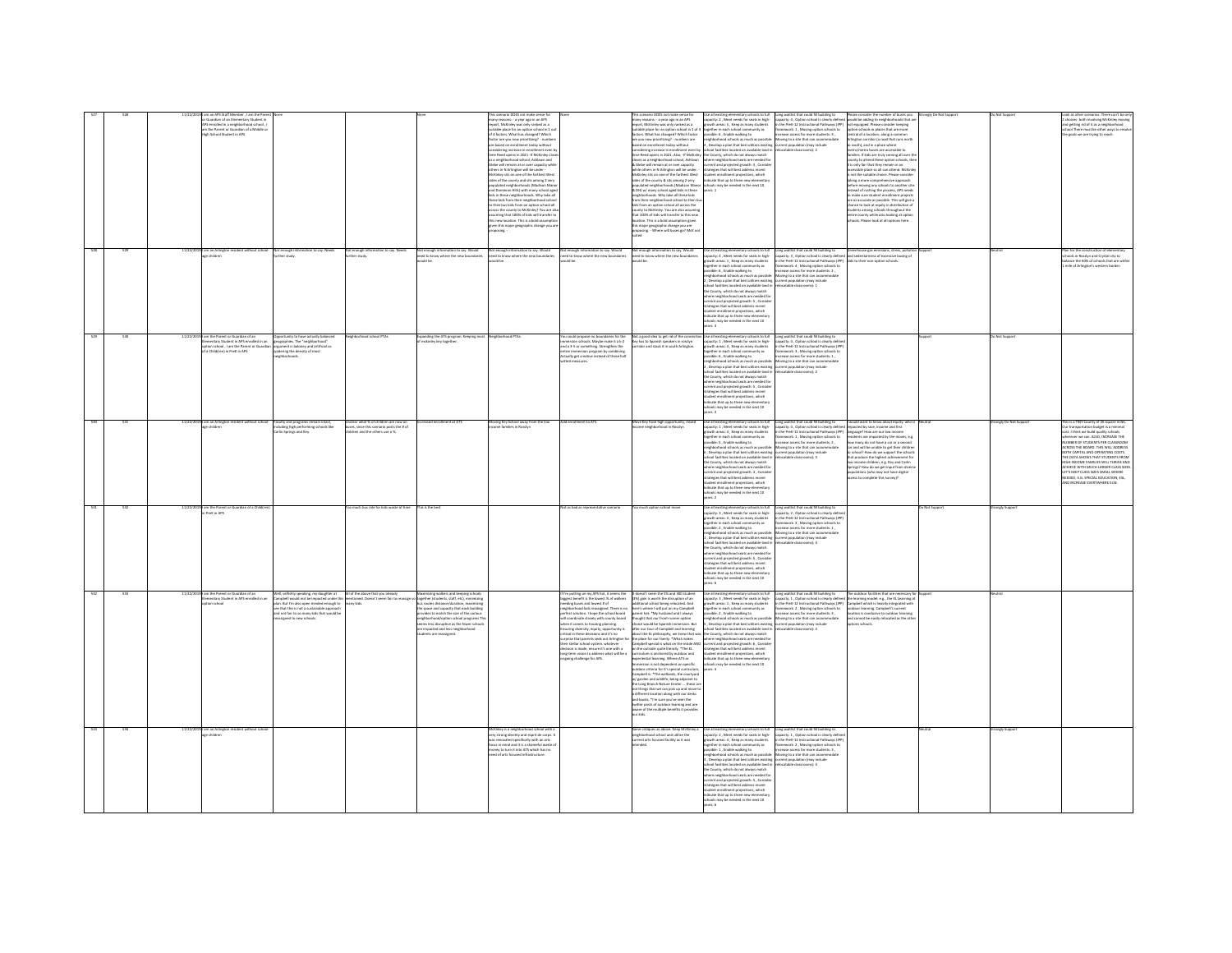|  |                                                                                                                              |                                                                                                                                                         |                                                                        |                                                                                 |                                                                                                                                                                                                                                               |                                                                                                                             |                                                                                                                                                                                                                         |                                                                                                                                                                                                                            |                                                                                                                                                                          | nber of buses you                                                                                                                                                                                  | tegly Do Not Supp |                      |                                                                                                                                                                                                                                               |
|--|------------------------------------------------------------------------------------------------------------------------------|---------------------------------------------------------------------------------------------------------------------------------------------------------|------------------------------------------------------------------------|---------------------------------------------------------------------------------|-----------------------------------------------------------------------------------------------------------------------------------------------------------------------------------------------------------------------------------------------|-----------------------------------------------------------------------------------------------------------------------------|-------------------------------------------------------------------------------------------------------------------------------------------------------------------------------------------------------------------------|----------------------------------------------------------------------------------------------------------------------------------------------------------------------------------------------------------------------------|--------------------------------------------------------------------------------------------------------------------------------------------------------------------------|----------------------------------------------------------------------------------------------------------------------------------------------------------------------------------------------------|-------------------|----------------------|-----------------------------------------------------------------------------------------------------------------------------------------------------------------------------------------------------------------------------------------------|
|  | am an APS Staff Member , I am the Pare<br>r Guardian of an Elementary Student in<br>PS enrolled in a neighborhood school , I |                                                                                                                                                         |                                                                        |                                                                                 | many reasons: - a year ago in an APS<br>report, McKinley was only ranked as a                                                                                                                                                                 |                                                                                                                             | sany reasons: - a year ago in an APS<br>sport, McKinley was only ranked as a                                                                                                                                            | Use all existing elementary schools to full<br>capacity: 2 , Meet needs for seats in high-<br>growth areas: 5 , Keep as many students                                                                                      | Long waitlist that could fill building to<br>capacity: 4 , Option school is clearly define<br>in the PreK-12 Instructional Pathways (IPP)                                | uid be adding to neighborhoods that a                                                                                                                                                              |                   |                      | choices- both involving McKinley movin<br>nd getting rid of it as a neighborhood                                                                                                                                                              |
|  |                                                                                                                              |                                                                                                                                                         |                                                                        |                                                                                 |                                                                                                                                                                                                                                               |                                                                                                                             |                                                                                                                                                                                                                         |                                                                                                                                                                                                                            | ramework: 1, Moving option schools to                                                                                                                                    | ot equipped. Please consider keeping<br>ption schools in places that are more                                                                                                                      |                   |                      | hool There must be other ways to resol                                                                                                                                                                                                        |
|  | m the Parent or Guardian of a Middle or<br>igh School Student in APS                                                         |                                                                                                                                                         |                                                                        |                                                                                 | suitable place for an option school in 1 out<br>of 4 factors. What has changed? Which                                                                                                                                                         |                                                                                                                             | uitable place for an option school in 1 of 4 together in each school community as<br>ictors. What has changed? Which factor possible: 6 , Enable walking to                                                             |                                                                                                                                                                                                                            | crease access for more students: 3,                                                                                                                                      | tral of a location, along a common                                                                                                                                                                 |                   |                      | the goals we are trying to reach                                                                                                                                                                                                              |
|  |                                                                                                                              |                                                                                                                                                         |                                                                        |                                                                                 | lactor are you now orioritizing? - number:                                                                                                                                                                                                    |                                                                                                                             | you now prioritizing? - numbers are                                                                                                                                                                                     | eighborhood schools as much as possible                                                                                                                                                                                    | Moving to a site that can accomm                                                                                                                                         | eton corridor (a road that runs nort                                                                                                                                                               |                   |                      |                                                                                                                                                                                                                                               |
|  |                                                                                                                              |                                                                                                                                                         |                                                                        |                                                                                 | accor are you now processing - names<br>considering increase in enrollment even b<br>time fleed opens in 2021 - if McKinkey close                                                                                                             |                                                                                                                             | you now priorituring r - massacres are:<br>ed on enrollment today without<br>sidering increase in enrollment even by                                                                                                    | ally contact a material processes of the processes<br>school facilities located on available land in<br>the County, which do not always match                                                                              | rrent population (may include<br>locatable classrooms): 2                                                                                                                | outh), and in a place where<br>tro/metro buses are accessible to<br>illes. If kids are truly coming all over t                                                                                     |                   |                      |                                                                                                                                                                                                                                               |
|  |                                                                                                                              |                                                                                                                                                         |                                                                        |                                                                                 |                                                                                                                                                                                                                                               |                                                                                                                             | sidering increase in enrollment even by<br>e Reed opens in 2021. Also, -If McKinley                                                                                                                                     |                                                                                                                                                                                                                            |                                                                                                                                                                          |                                                                                                                                                                                                    |                   |                      |                                                                                                                                                                                                                                               |
|  |                                                                                                                              |                                                                                                                                                         |                                                                        |                                                                                 |                                                                                                                                                                                                                                               |                                                                                                                             | sses as a neighborhood school, Ashlawn                                                                                                                                                                                  | where neighborhood seats are needed for                                                                                                                                                                                    |                                                                                                                                                                          | unty to attend these option schools, th                                                                                                                                                            |                   |                      |                                                                                                                                                                                                                                               |
|  |                                                                                                                              |                                                                                                                                                         |                                                                        |                                                                                 | as a neighborhood school, Ashlawn and<br>Glebe will remain at or over capacity while                                                                                                                                                          |                                                                                                                             | Glebe will remain at or over capacity                                                                                                                                                                                   | current and projected growth: 3, Conside                                                                                                                                                                                   |                                                                                                                                                                          | is only fair that they remain in an                                                                                                                                                                |                   |                      |                                                                                                                                                                                                                                               |
|  |                                                                                                                              |                                                                                                                                                         |                                                                        |                                                                                 | ers in N Arlinaton will be under                                                                                                                                                                                                              |                                                                                                                             | hile others in N Arlineton will be under.                                                                                                                                                                               |                                                                                                                                                                                                                            |                                                                                                                                                                          | sible place so all can attend. McKinl                                                                                                                                                              |                   |                      |                                                                                                                                                                                                                                               |
|  |                                                                                                                              |                                                                                                                                                         |                                                                        |                                                                                 |                                                                                                                                                                                                                                               |                                                                                                                             | textinley sits on one of the farthest West<br>des of the county & sits among 2 very                                                                                                                                     |                                                                                                                                                                                                                            |                                                                                                                                                                          |                                                                                                                                                                                                    |                   |                      |                                                                                                                                                                                                                                               |
|  |                                                                                                                              |                                                                                                                                                         |                                                                        |                                                                                 | ofthers in M Arlington will be under -<br>Metkinky sits on one of the farthest West<br>sides of the county and sits among 2 very<br>populated neighborhoods (Medison Manor<br>and Dominion Hills) with many school aged<br>kids in these neig |                                                                                                                             |                                                                                                                                                                                                                         | current and projected growth: 3, Lomac<br>strategies that will best address recent<br>student enrollment projections, which<br>indicate that up to three new elementar<br>schools may be needed in the next 10<br>years: 1 |                                                                                                                                                                          | consume parents are consumed in the suitable choice. Please consider<br>iking a more comprehensive approach<br>efore moving any schools to another site<br>stead of rushing the process, APS needs |                   |                      |                                                                                                                                                                                                                                               |
|  |                                                                                                                              |                                                                                                                                                         |                                                                        |                                                                                 |                                                                                                                                                                                                                                               |                                                                                                                             | spulated neighborhoods (Madison Manor<br>DH) w/ many school aged kids in these                                                                                                                                          |                                                                                                                                                                                                                            |                                                                                                                                                                          |                                                                                                                                                                                                    |                   |                      |                                                                                                                                                                                                                                               |
|  |                                                                                                                              |                                                                                                                                                         |                                                                        |                                                                                 |                                                                                                                                                                                                                                               |                                                                                                                             | eighborhoods. Why take all these kids                                                                                                                                                                                   |                                                                                                                                                                                                                            |                                                                                                                                                                          | make sure student enrollment project                                                                                                                                                               |                   |                      |                                                                                                                                                                                                                                               |
|  |                                                                                                                              |                                                                                                                                                         |                                                                        |                                                                                 | these kids from their neighborhood school<br>to then bus kids from an option school all                                                                                                                                                       |                                                                                                                             | .<br>In their neighborhood school to then b<br>ds from an option school all across the                                                                                                                                  |                                                                                                                                                                                                                            |                                                                                                                                                                          | as accurate as possible. This will give a<br>ance to look at equity in distribution of                                                                                                             |                   |                      |                                                                                                                                                                                                                                               |
|  |                                                                                                                              |                                                                                                                                                         |                                                                        |                                                                                 |                                                                                                                                                                                                                                               |                                                                                                                             |                                                                                                                                                                                                                         |                                                                                                                                                                                                                            |                                                                                                                                                                          |                                                                                                                                                                                                    |                   |                      |                                                                                                                                                                                                                                               |
|  |                                                                                                                              |                                                                                                                                                         |                                                                        |                                                                                 | count our hours in the phone school and<br>suming that 100% of kids will transfer to<br>s new location. This is a bold assumption                                                                                                             |                                                                                                                             | ourily to McKinley. You are also assuming<br>hat 100% of kids will transfer to this new<br>cation. This is a bold assumption given                                                                                      |                                                                                                                                                                                                                            |                                                                                                                                                                          | nce to now at equity in uncreased to<br>dents among schools throughout the<br>cols. Please look at all options here                                                                                |                   |                      |                                                                                                                                                                                                                                               |
|  |                                                                                                                              |                                                                                                                                                         |                                                                        |                                                                                 |                                                                                                                                                                                                                                               |                                                                                                                             |                                                                                                                                                                                                                         |                                                                                                                                                                                                                            |                                                                                                                                                                          |                                                                                                                                                                                                    |                   |                      |                                                                                                                                                                                                                                               |
|  |                                                                                                                              |                                                                                                                                                         |                                                                        |                                                                                 | ven this major geographic change you an<br>saine                                                                                                                                                                                              |                                                                                                                             | tis major geographic change you are<br>posing. - Where will buses go? McK n                                                                                                                                             |                                                                                                                                                                                                                            |                                                                                                                                                                          |                                                                                                                                                                                                    |                   |                      |                                                                                                                                                                                                                                               |
|  |                                                                                                                              |                                                                                                                                                         |                                                                        |                                                                                 |                                                                                                                                                                                                                                               |                                                                                                                             |                                                                                                                                                                                                                         |                                                                                                                                                                                                                            |                                                                                                                                                                          |                                                                                                                                                                                                    |                   |                      |                                                                                                                                                                                                                                               |
|  |                                                                                                                              |                                                                                                                                                         |                                                                        |                                                                                 |                                                                                                                                                                                                                                               |                                                                                                                             |                                                                                                                                                                                                                         |                                                                                                                                                                                                                            |                                                                                                                                                                          |                                                                                                                                                                                                    |                   |                      |                                                                                                                                                                                                                                               |
|  |                                                                                                                              |                                                                                                                                                         |                                                                        |                                                                                 |                                                                                                                                                                                                                                               |                                                                                                                             |                                                                                                                                                                                                                         |                                                                                                                                                                                                                            |                                                                                                                                                                          |                                                                                                                                                                                                    |                   |                      |                                                                                                                                                                                                                                               |
|  | am an Arlingto<br>e children                                                                                                 | to say. Need<br>xt enough<br>ther study.                                                                                                                | dguon<br>ter study.                                                    | Not enough information to say. Would<br>leed to know where the new boundaries   | Not enough information to say. Would<br>need to know where the new boundaries                                                                                                                                                                 | ation to say. Would<br>inough info<br>ed to know where the new boundaries                                                   | enough information to say. Would<br>ed to know where the new boundaries                                                                                                                                                 | Use all existing elementary schools to fu<br>capacity: 4, Meet needs for seats in high-                                                                                                                                    | Long waitlist that could fill building to                                                                                                                                | house gas emit<br>ions, stress, pol                                                                                                                                                                |                   |                      | hools in Rosslyn and Crystal city to                                                                                                                                                                                                          |
|  |                                                                                                                              |                                                                                                                                                         |                                                                        |                                                                                 | uld be.                                                                                                                                                                                                                                       | uld be.                                                                                                                     |                                                                                                                                                                                                                         | rowth areas: 1, Keep as many students                                                                                                                                                                                      | apacity: 3 , Option school is clearly define<br>n the PreK-12 Instructional Pathways (IPP)                                                                               | and sedentariness of excessive busing of<br>kids to their non-option schools.                                                                                                                      |                   |                      | lance the 60% of schools that are with                                                                                                                                                                                                        |
|  |                                                                                                                              |                                                                                                                                                         |                                                                        |                                                                                 |                                                                                                                                                                                                                                               |                                                                                                                             |                                                                                                                                                                                                                         | together in each school community as                                                                                                                                                                                       | ramework: 4 . Moving option schools to                                                                                                                                   |                                                                                                                                                                                                    |                   |                      | nile of Arlineton's western border                                                                                                                                                                                                            |
|  |                                                                                                                              |                                                                                                                                                         |                                                                        |                                                                                 |                                                                                                                                                                                                                                               |                                                                                                                             |                                                                                                                                                                                                                         | .<br>Issible: 6 , Enable walking to<br>Ishborhood schools as much as possible.                                                                                                                                             | announce.", month option school<br>oring to a site that can accommodate<br>urrent population (may include                                                                |                                                                                                                                                                                                    |                   |                      |                                                                                                                                                                                                                                               |
|  |                                                                                                                              |                                                                                                                                                         |                                                                        |                                                                                 |                                                                                                                                                                                                                                               |                                                                                                                             |                                                                                                                                                                                                                         | Develop a plan that best utilizes existing                                                                                                                                                                                 |                                                                                                                                                                          |                                                                                                                                                                                                    |                   |                      |                                                                                                                                                                                                                                               |
|  |                                                                                                                              |                                                                                                                                                         |                                                                        |                                                                                 |                                                                                                                                                                                                                                               |                                                                                                                             |                                                                                                                                                                                                                         | ool facilities located on available land in                                                                                                                                                                                | catable classrooms): 2                                                                                                                                                   |                                                                                                                                                                                                    |                   |                      |                                                                                                                                                                                                                                               |
|  |                                                                                                                              |                                                                                                                                                         |                                                                        |                                                                                 |                                                                                                                                                                                                                                               |                                                                                                                             |                                                                                                                                                                                                                         | he County, which do not always match                                                                                                                                                                                       |                                                                                                                                                                          |                                                                                                                                                                                                    |                   |                      |                                                                                                                                                                                                                                               |
|  |                                                                                                                              |                                                                                                                                                         |                                                                        |                                                                                 |                                                                                                                                                                                                                                               |                                                                                                                             |                                                                                                                                                                                                                         | here neighborhood seats are needed for                                                                                                                                                                                     |                                                                                                                                                                          |                                                                                                                                                                                                    |                   |                      |                                                                                                                                                                                                                                               |
|  |                                                                                                                              |                                                                                                                                                         |                                                                        |                                                                                 |                                                                                                                                                                                                                                               |                                                                                                                             |                                                                                                                                                                                                                         | exercit and projected growth: 5 , Consider<br>transgies that will best address recent<br>tudent enrollment projections, which<br>idicate that up to three new elementary                                                   |                                                                                                                                                                          |                                                                                                                                                                                                    |                   |                      |                                                                                                                                                                                                                                               |
|  |                                                                                                                              |                                                                                                                                                         |                                                                        |                                                                                 |                                                                                                                                                                                                                                               |                                                                                                                             |                                                                                                                                                                                                                         |                                                                                                                                                                                                                            |                                                                                                                                                                          |                                                                                                                                                                                                    |                   |                      |                                                                                                                                                                                                                                               |
|  |                                                                                                                              |                                                                                                                                                         |                                                                        |                                                                                 |                                                                                                                                                                                                                                               |                                                                                                                             |                                                                                                                                                                                                                         |                                                                                                                                                                                                                            |                                                                                                                                                                          |                                                                                                                                                                                                    |                   |                      |                                                                                                                                                                                                                                               |
|  |                                                                                                                              |                                                                                                                                                         |                                                                        |                                                                                 |                                                                                                                                                                                                                                               |                                                                                                                             |                                                                                                                                                                                                                         | chools may be needed in the next 10                                                                                                                                                                                        |                                                                                                                                                                          |                                                                                                                                                                                                    |                   |                      |                                                                                                                                                                                                                                               |
|  |                                                                                                                              |                                                                                                                                                         |                                                                        |                                                                                 |                                                                                                                                                                                                                                               |                                                                                                                             |                                                                                                                                                                                                                         | E anno                                                                                                                                                                                                                     |                                                                                                                                                                          |                                                                                                                                                                                                    |                   |                      |                                                                                                                                                                                                                                               |
|  | the Pasent or Guardian of an                                                                                                 | sity to have artisally had                                                                                                                              |                                                                        |                                                                                 |                                                                                                                                                                                                                                               | se no houndaries for t                                                                                                      |                                                                                                                                                                                                                         | réarv schnok to full                                                                                                                                                                                                       | alation that rould fill building to                                                                                                                                      |                                                                                                                                                                                                    |                   | Gré Sure             |                                                                                                                                                                                                                                               |
|  |                                                                                                                              |                                                                                                                                                         |                                                                        | inding the ATS program. Keeping most<br>ey lory togeth                          |                                                                                                                                                                                                                                               |                                                                                                                             | st a good idea to get rid of the connec<br>ry has to Spanish speakers in rosslyn<br>rridor and stack it in south Arlington.                                                                                             |                                                                                                                                                                                                                            | ong waitlist that could fill building to<br>apacity: 4 , Option school is clearly defin<br>1 the PreK-12 Instructional Pathways (IP                                      |                                                                                                                                                                                                    |                   |                      |                                                                                                                                                                                                                                               |
|  | am the Parent or Guardian or an<br>Hementary Student in APS enrolled in an<br>option school , I am the Parent or Guardia     | engraphies. The "neighborhood"<br>rgument is baloney and artificial co                                                                                  |                                                                        |                                                                                 |                                                                                                                                                                                                                                               | rou could propose no boundaries for the<br>immersion schools. Maybe make it a k-2<br>and a 3-5 or something. Strengthen the |                                                                                                                                                                                                                         | se as existing elementary schools to tuil<br>spacity: 1 , Meet needs for seats in high-<br>rowth areas: 4 , Keep as many students                                                                                          |                                                                                                                                                                          |                                                                                                                                                                                                    |                   |                      |                                                                                                                                                                                                                                               |
|  | a Child(ren) in PreK in APS                                                                                                  | dering the density of most                                                                                                                              |                                                                        |                                                                                 |                                                                                                                                                                                                                                               | ire immersion program by combining                                                                                          |                                                                                                                                                                                                                         | gether in each school community as                                                                                                                                                                                         | mework: 3, Moving option schools to                                                                                                                                      |                                                                                                                                                                                                    |                   |                      |                                                                                                                                                                                                                                               |
|  |                                                                                                                              | shborhoods.                                                                                                                                             |                                                                        |                                                                                 |                                                                                                                                                                                                                                               | Actually est creative instead of these half                                                                                 |                                                                                                                                                                                                                         | cossible: 6 . Enable walking to<br>eighborhood schools as much as possibl                                                                                                                                                  | rease access for more students: 1.<br>wing to a site that can accomm                                                                                                     |                                                                                                                                                                                                    |                   |                      |                                                                                                                                                                                                                                               |
|  |                                                                                                                              |                                                                                                                                                         |                                                                        |                                                                                 |                                                                                                                                                                                                                                               |                                                                                                                             |                                                                                                                                                                                                                         | . Develop a plan that best utilizes existing                                                                                                                                                                               |                                                                                                                                                                          |                                                                                                                                                                                                    |                   |                      |                                                                                                                                                                                                                                               |
|  |                                                                                                                              |                                                                                                                                                         |                                                                        |                                                                                 |                                                                                                                                                                                                                                               |                                                                                                                             |                                                                                                                                                                                                                         |                                                                                                                                                                                                                            | rent population (may include<br>ocatable classrooms): 2                                                                                                                  |                                                                                                                                                                                                    |                   |                      |                                                                                                                                                                                                                                               |
|  |                                                                                                                              |                                                                                                                                                         |                                                                        |                                                                                 |                                                                                                                                                                                                                                               |                                                                                                                             |                                                                                                                                                                                                                         |                                                                                                                                                                                                                            |                                                                                                                                                                          |                                                                                                                                                                                                    |                   |                      |                                                                                                                                                                                                                                               |
|  |                                                                                                                              |                                                                                                                                                         |                                                                        |                                                                                 |                                                                                                                                                                                                                                               |                                                                                                                             |                                                                                                                                                                                                                         | where neighborhood seats are needed for<br>current and projected growth: 5 , Consider                                                                                                                                      |                                                                                                                                                                          |                                                                                                                                                                                                    |                   |                      |                                                                                                                                                                                                                                               |
|  |                                                                                                                              |                                                                                                                                                         |                                                                        |                                                                                 |                                                                                                                                                                                                                                               |                                                                                                                             |                                                                                                                                                                                                                         | trategies that will best address recent                                                                                                                                                                                    |                                                                                                                                                                          |                                                                                                                                                                                                    |                   |                      |                                                                                                                                                                                                                                               |
|  |                                                                                                                              |                                                                                                                                                         |                                                                        |                                                                                 |                                                                                                                                                                                                                                               |                                                                                                                             |                                                                                                                                                                                                                         |                                                                                                                                                                                                                            |                                                                                                                                                                          |                                                                                                                                                                                                    |                   |                      |                                                                                                                                                                                                                                               |
|  |                                                                                                                              |                                                                                                                                                         |                                                                        |                                                                                 |                                                                                                                                                                                                                                               |                                                                                                                             |                                                                                                                                                                                                                         | studient enrollment projections, which<br>indicate that up to three new elementar<br>ichools may be needed in the next 10                                                                                                  |                                                                                                                                                                          |                                                                                                                                                                                                    |                   |                      |                                                                                                                                                                                                                                               |
|  |                                                                                                                              |                                                                                                                                                         |                                                                        |                                                                                 |                                                                                                                                                                                                                                               |                                                                                                                             |                                                                                                                                                                                                                         |                                                                                                                                                                                                                            |                                                                                                                                                                          |                                                                                                                                                                                                    |                   |                      |                                                                                                                                                                                                                                               |
|  |                                                                                                                              |                                                                                                                                                         |                                                                        |                                                                                 |                                                                                                                                                                                                                                               |                                                                                                                             |                                                                                                                                                                                                                         | ers 3                                                                                                                                                                                                                      |                                                                                                                                                                          |                                                                                                                                                                                                    |                   |                      |                                                                                                                                                                                                                                               |
|  | 11/22/2019   am an Arlineton resident without schop                                                                          |                                                                                                                                                         | :lear what % of children are now or                                    | <b>ZTA to hourellessed</b> box                                                  | Moving Key School away from the low                                                                                                                                                                                                           | Add anneliment to AT                                                                                                        | .<br>Towe Key from high opportunity, mixed                                                                                                                                                                              | Use all existing elementary schools to full                                                                                                                                                                                | Long waitlist that could fill building to                                                                                                                                | odid want to know about equity: who                                                                                                                                                                |                   | onely Do Not Support | his is a TINY County of 26 square miles                                                                                                                                                                                                       |
|  |                                                                                                                              | Faculty and programs remain intact,<br>including high performing schools like<br>Carlin Springs and Key.                                                | es, since this scenario posts the # of<br>dren and the others use a %. |                                                                                 | me families in Broche                                                                                                                                                                                                                         |                                                                                                                             | me neighborhood in Rosslw                                                                                                                                                                                               |                                                                                                                                                                                                                            | apacity: 4, Option school is clearly define<br>1 the PreK-12 Instructional Pathways (IPP)                                                                                | icted by race, income and first<br>uage? How are our low income                                                                                                                                    |                   |                      | This is a TINY County of 26 square miles.<br>Our transportation budget is a minimal<br>cost. I think we build quality schools<br>wherever we can. ALSO, INCREASE THE<br>NUMBER OF STUDENTS PER CLASSROOM<br>ACROSS THE BOARD. THIS WILL ADDRE |
|  |                                                                                                                              |                                                                                                                                                         |                                                                        |                                                                                 |                                                                                                                                                                                                                                               |                                                                                                                             |                                                                                                                                                                                                                         | spacity: 1 , Meet needs for seats in high-<br>powth areas: 4 , Keep as many students                                                                                                                                       |                                                                                                                                                                          |                                                                                                                                                                                                    |                   |                      |                                                                                                                                                                                                                                               |
|  |                                                                                                                              |                                                                                                                                                         |                                                                        |                                                                                 |                                                                                                                                                                                                                                               |                                                                                                                             |                                                                                                                                                                                                                         | together in each school community as<br>possible: 5 , Enable walking to                                                                                                                                                    | in the Prek-12 instructional Patriways (PP<br>framework: 1 , Moving option schools to<br>increase access for more students: 2 ,<br>Moving to a site that can accommodate | dents are impacted by the moves, e.g<br>r many do not have a car or a second                                                                                                                       |                   |                      |                                                                                                                                                                                                                                               |
|  |                                                                                                                              |                                                                                                                                                         |                                                                        |                                                                                 |                                                                                                                                                                                                                                               |                                                                                                                             |                                                                                                                                                                                                                         | neighborhood schools as much as possible                                                                                                                                                                                   |                                                                                                                                                                          | r and will be unable to get their childre                                                                                                                                                          |                   |                      |                                                                                                                                                                                                                                               |
|  |                                                                                                                              |                                                                                                                                                         |                                                                        |                                                                                 |                                                                                                                                                                                                                                               |                                                                                                                             |                                                                                                                                                                                                                         |                                                                                                                                                                                                                            |                                                                                                                                                                          |                                                                                                                                                                                                    |                   |                      |                                                                                                                                                                                                                                               |
|  |                                                                                                                              |                                                                                                                                                         |                                                                        |                                                                                 |                                                                                                                                                                                                                                               |                                                                                                                             |                                                                                                                                                                                                                         | , Develop a plan that best utilizes existing current population (may include<br>chool facilities located on available land in relocatable classrooms): 3                                                                   |                                                                                                                                                                          | school? How do we support the schools<br>at produce the highest achievement for                                                                                                                    |                   |                      | OTH CAPITAL AND OPERATING COSTS.<br>HE DATA SHOWS THAT STUDENTS FROM                                                                                                                                                                          |
|  |                                                                                                                              |                                                                                                                                                         |                                                                        |                                                                                 |                                                                                                                                                                                                                                               |                                                                                                                             |                                                                                                                                                                                                                         | he County, which do not always match                                                                                                                                                                                       |                                                                                                                                                                          | income children, e.g. Key and Carlin                                                                                                                                                               |                   |                      | GH INCOME FAMILIES WILL THRIVE AND                                                                                                                                                                                                            |
|  |                                                                                                                              |                                                                                                                                                         |                                                                        |                                                                                 |                                                                                                                                                                                                                                               |                                                                                                                             |                                                                                                                                                                                                                         |                                                                                                                                                                                                                            |                                                                                                                                                                          |                                                                                                                                                                                                    |                   |                      | .<br>HIEVE WITH MUCH LARGER CLASS SIZE<br>ITS KEEP CLASS SIZES SMALL WHERE                                                                                                                                                                    |
|  |                                                                                                                              |                                                                                                                                                         |                                                                        |                                                                                 |                                                                                                                                                                                                                                               |                                                                                                                             |                                                                                                                                                                                                                         | the county, which do not annoys match<br>there neighborhood seats are needed for<br>trategies that will best address recent                                                                                                |                                                                                                                                                                          | rings? How do we get input from dive<br>pulations (who may not have digital<br>cess to complete this survey)?                                                                                      |                   |                      | EDED, E.G. SPECIAL EDUCATION, ESL,                                                                                                                                                                                                            |
|  |                                                                                                                              |                                                                                                                                                         |                                                                        |                                                                                 |                                                                                                                                                                                                                                               |                                                                                                                             |                                                                                                                                                                                                                         |                                                                                                                                                                                                                            |                                                                                                                                                                          |                                                                                                                                                                                                    |                   |                      | ID INCREASE EVERYWHERE ELSE.                                                                                                                                                                                                                  |
|  |                                                                                                                              |                                                                                                                                                         |                                                                        |                                                                                 |                                                                                                                                                                                                                                               |                                                                                                                             |                                                                                                                                                                                                                         | itudent enrollment projections, which<br>ndicate that up to three new elementar                                                                                                                                            |                                                                                                                                                                          |                                                                                                                                                                                                    |                   |                      |                                                                                                                                                                                                                                               |
|  |                                                                                                                              |                                                                                                                                                         |                                                                        |                                                                                 |                                                                                                                                                                                                                                               |                                                                                                                             |                                                                                                                                                                                                                         | hools may be needed in the next 10                                                                                                                                                                                         |                                                                                                                                                                          |                                                                                                                                                                                                    |                   |                      |                                                                                                                                                                                                                                               |
|  |                                                                                                                              |                                                                                                                                                         |                                                                        |                                                                                 |                                                                                                                                                                                                                                               |                                                                                                                             |                                                                                                                                                                                                                         | are 2                                                                                                                                                                                                                      |                                                                                                                                                                          |                                                                                                                                                                                                    |                   |                      |                                                                                                                                                                                                                                               |
|  |                                                                                                                              |                                                                                                                                                         | much bus ride for kids waste of time                                   | is is the best                                                                  |                                                                                                                                                                                                                                               | ot as bad as repres                                                                                                         | much option schot                                                                                                                                                                                                       |                                                                                                                                                                                                                            |                                                                                                                                                                          |                                                                                                                                                                                                    | Not Suppor        | angly Suppo          |                                                                                                                                                                                                                                               |
|  | am the Parent or Guardian of a Ch<br>n PreK in APS                                                                           |                                                                                                                                                         |                                                                        |                                                                                 |                                                                                                                                                                                                                                               |                                                                                                                             |                                                                                                                                                                                                                         | Use all existing elementary schools to full<br>capacity: 3 , Meet needs for seats in high-                                                                                                                                 | Long waitlist that could fill building to<br>capacity: 2 , Option school is clearly defin                                                                                |                                                                                                                                                                                                    |                   |                      |                                                                                                                                                                                                                                               |
|  |                                                                                                                              |                                                                                                                                                         |                                                                        |                                                                                 |                                                                                                                                                                                                                                               |                                                                                                                             |                                                                                                                                                                                                                         | growth areas: 4, Keep as many students                                                                                                                                                                                     | n the PreK-12 Instructional Pathways (IPF                                                                                                                                |                                                                                                                                                                                                    |                   |                      |                                                                                                                                                                                                                                               |
|  |                                                                                                                              |                                                                                                                                                         |                                                                        |                                                                                 |                                                                                                                                                                                                                                               |                                                                                                                             |                                                                                                                                                                                                                         | .<br>together in each school community as<br>possible: 2 , Enable walking to                                                                                                                                               | ramework: 3 , Moving option schools to<br>screase access for more students: 1 ,                                                                                          |                                                                                                                                                                                                    |                   |                      |                                                                                                                                                                                                                                               |
|  |                                                                                                                              |                                                                                                                                                         |                                                                        |                                                                                 |                                                                                                                                                                                                                                               |                                                                                                                             |                                                                                                                                                                                                                         | eighborhood schools as much as possible:<br>Develop a plan that best utilizes existing<br>thool facilities located on available land in                                                                                    | wing to a site that can acco                                                                                                                                             |                                                                                                                                                                                                    |                   |                      |                                                                                                                                                                                                                                               |
|  |                                                                                                                              |                                                                                                                                                         |                                                                        |                                                                                 |                                                                                                                                                                                                                                               |                                                                                                                             |                                                                                                                                                                                                                         |                                                                                                                                                                                                                            | ent population (may include                                                                                                                                              |                                                                                                                                                                                                    |                   |                      |                                                                                                                                                                                                                                               |
|  |                                                                                                                              |                                                                                                                                                         |                                                                        |                                                                                 |                                                                                                                                                                                                                                               |                                                                                                                             |                                                                                                                                                                                                                         |                                                                                                                                                                                                                            |                                                                                                                                                                          |                                                                                                                                                                                                    |                   |                      |                                                                                                                                                                                                                                               |
|  |                                                                                                                              |                                                                                                                                                         |                                                                        |                                                                                 |                                                                                                                                                                                                                                               |                                                                                                                             |                                                                                                                                                                                                                         | he County, which do not always match                                                                                                                                                                                       |                                                                                                                                                                          |                                                                                                                                                                                                    |                   |                      |                                                                                                                                                                                                                                               |
|  |                                                                                                                              |                                                                                                                                                         |                                                                        |                                                                                 |                                                                                                                                                                                                                                               |                                                                                                                             |                                                                                                                                                                                                                         | here neighborhood seats are needed for<br>urrent and projected growth: S , Consider                                                                                                                                        |                                                                                                                                                                          |                                                                                                                                                                                                    |                   |                      |                                                                                                                                                                                                                                               |
|  |                                                                                                                              |                                                                                                                                                         |                                                                        |                                                                                 |                                                                                                                                                                                                                                               |                                                                                                                             |                                                                                                                                                                                                                         |                                                                                                                                                                                                                            |                                                                                                                                                                          |                                                                                                                                                                                                    |                   |                      |                                                                                                                                                                                                                                               |
|  |                                                                                                                              |                                                                                                                                                         |                                                                        |                                                                                 |                                                                                                                                                                                                                                               |                                                                                                                             |                                                                                                                                                                                                                         | strategies that will best address recent<br>student enrollment projections, which<br>indicate that up to three new elementary                                                                                              |                                                                                                                                                                          |                                                                                                                                                                                                    |                   |                      |                                                                                                                                                                                                                                               |
|  |                                                                                                                              |                                                                                                                                                         |                                                                        |                                                                                 |                                                                                                                                                                                                                                               |                                                                                                                             |                                                                                                                                                                                                                         |                                                                                                                                                                                                                            |                                                                                                                                                                          |                                                                                                                                                                                                    |                   |                      |                                                                                                                                                                                                                                               |
|  |                                                                                                                              |                                                                                                                                                         |                                                                        |                                                                                 |                                                                                                                                                                                                                                               |                                                                                                                             |                                                                                                                                                                                                                         | schools may be needed in the next 10<br>ears: 6                                                                                                                                                                            |                                                                                                                                                                          |                                                                                                                                                                                                    |                   |                      |                                                                                                                                                                                                                                               |
|  |                                                                                                                              |                                                                                                                                                         |                                                                        |                                                                                 |                                                                                                                                                                                                                                               |                                                                                                                             |                                                                                                                                                                                                                         |                                                                                                                                                                                                                            |                                                                                                                                                                          |                                                                                                                                                                                                    |                   |                      |                                                                                                                                                                                                                                               |
|  | l am the Parent or Guardian of an<br>Elementary Student in APS enrolled in an<br>option school                               | ell, selfishly speaking, my daughter at All of the above that you already<br>Impbell would not be impacted under this mentioned. Doesn't seem fair to r |                                                                        | mizing walkers and keeping sch<br>her (students, staff, etc), minim             |                                                                                                                                                                                                                                               | If I'm putting on my APS hat, it seems the<br>biggest benefit is the lowest % of walkers<br>needing buses and lowest # of   | doesn't seem the 5% and 300 student<br>%) gain is worth the disruption of an<br>ditional school being relocated. And                                                                                                    | Use all exit<br>e all existing elementary schools to full<br>pacity: 3 , Meet needs for seats in high-<br>path areas: 1 , Keep as many students                                                                            | Long waitlist that could fill building to<br>capacity: 1, Option school is clearly defined<br>in the PreK-12 Instructional Pathways (IPP)                                |                                                                                                                                                                                                    |                   |                      |                                                                                                                                                                                                                                               |
|  |                                                                                                                              | npoen would not be impacted under th<br>n. But I'm also open minded enough to                                                                           |                                                                        | utes distance/duration, ma                                                      |                                                                                                                                                                                                                                               |                                                                                                                             |                                                                                                                                                                                                                         |                                                                                                                                                                                                                            |                                                                                                                                                                          | The outdoor facilities that are necessary<br>d the learning model: e.g., the EL Learning<br>Campbell which is heavily integrated with                                                              |                   |                      |                                                                                                                                                                                                                                               |
|  |                                                                                                                              |                                                                                                                                                         |                                                                        | the space and capacity that each building                                       |                                                                                                                                                                                                                                               | neighborhood kids reassigned. There is n                                                                                    | re's where I will put on my Campbell                                                                                                                                                                                    |                                                                                                                                                                                                                            | ramework: 2, Moving option schools to                                                                                                                                    | tdoor learning. Campbell's current                                                                                                                                                                 |                   |                      |                                                                                                                                                                                                                                               |
|  |                                                                                                                              | e that this is not a sustainable approach<br>d not fair to so many kids that would be                                                                   |                                                                        | les to match the size of the various                                            |                                                                                                                                                                                                                                               | fect solution. I hope the school board                                                                                      | ent hat: *My husband and I always                                                                                                                                                                                       | together in each school community as<br>possible: 2 , Enable walking to                                                                                                                                                    | rease access for more students: 3,                                                                                                                                       | cation is conducive to outdoor learning                                                                                                                                                            |                   |                      |                                                                                                                                                                                                                                               |
|  |                                                                                                                              | signed to new schools.                                                                                                                                  |                                                                        | eighborhood/option school programs TI<br>ms less disruptive as the fewer school |                                                                                                                                                                                                                                               | will coordinate closely with county board<br>when it comes to housing planning.                                             | pught that our front-runner option<br>tice would be Spanish immersion. But                                                                                                                                              | eighborhood schools as much as possibly<br>, Develop a plan that best utilizes existing                                                                                                                                    | wing to a site that can accommodate<br>sent population (may include                                                                                                      | nd cannot be easily relocated as the otl                                                                                                                                                           |                   |                      |                                                                                                                                                                                                                                               |
|  |                                                                                                                              |                                                                                                                                                         |                                                                        | impacted and less neighborhood                                                  |                                                                                                                                                                                                                                               |                                                                                                                             |                                                                                                                                                                                                                         |                                                                                                                                                                                                                            | stable classrooms): 4                                                                                                                                                    |                                                                                                                                                                                                    |                   |                      |                                                                                                                                                                                                                                               |
|  |                                                                                                                              |                                                                                                                                                         |                                                                        | nts are reassigned                                                              |                                                                                                                                                                                                                                               | suring diversity, equity, opportunity is<br>itical in these decisions and it's no<br>rprise that parents seek out Arlington | been would be spaces and learning<br>sout the EL philosophy, we knew that was<br>e place for our family. "What makes                                                                                                    | school facilities located on available land in<br>the County, which do not always match<br>where neighborhood seats are needed for<br>where neighborhood seats are needed for                                              |                                                                                                                                                                          |                                                                                                                                                                                                    |                   |                      |                                                                                                                                                                                                                                               |
|  |                                                                                                                              |                                                                                                                                                         |                                                                        |                                                                                 |                                                                                                                                                                                                                                               |                                                                                                                             |                                                                                                                                                                                                                         |                                                                                                                                                                                                                            |                                                                                                                                                                          |                                                                                                                                                                                                    |                   |                      |                                                                                                                                                                                                                                               |
|  |                                                                                                                              |                                                                                                                                                         |                                                                        |                                                                                 |                                                                                                                                                                                                                                               | their stellar school system. whatever<br>cision is made, ensure it's one with a                                             | mpbell special is what on the inside AND<br>the outside: quite literally. *The EL                                                                                                                                       | current and projected growth: 6, Conside<br>strategies that will best address recent                                                                                                                                       |                                                                                                                                                                          |                                                                                                                                                                                                    |                   |                      |                                                                                                                                                                                                                                               |
|  |                                                                                                                              |                                                                                                                                                         |                                                                        |                                                                                 |                                                                                                                                                                                                                                               | long-term vision to address what will be                                                                                    | iculum is anchored by outdoor and                                                                                                                                                                                       |                                                                                                                                                                                                                            |                                                                                                                                                                          |                                                                                                                                                                                                    |                   |                      |                                                                                                                                                                                                                                               |
|  |                                                                                                                              |                                                                                                                                                         |                                                                        |                                                                                 |                                                                                                                                                                                                                                               | going challenge for APS.                                                                                                    | onnounce is announced by business and<br>remersion is not dependent on specific<br>utdoor criteria for it's special curriculum,<br>ampbell is. *The wetlands, the courtyard<br>ampbell is. *The wetlands, the courtyard |                                                                                                                                                                                                                            |                                                                                                                                                                          |                                                                                                                                                                                                    |                   |                      |                                                                                                                                                                                                                                               |
|  |                                                                                                                              |                                                                                                                                                         |                                                                        |                                                                                 |                                                                                                                                                                                                                                               |                                                                                                                             |                                                                                                                                                                                                                         |                                                                                                                                                                                                                            |                                                                                                                                                                          |                                                                                                                                                                                                    |                   |                      |                                                                                                                                                                                                                                               |
|  |                                                                                                                              |                                                                                                                                                         |                                                                        |                                                                                 |                                                                                                                                                                                                                                               |                                                                                                                             |                                                                                                                                                                                                                         |                                                                                                                                                                                                                            |                                                                                                                                                                          |                                                                                                                                                                                                    |                   |                      |                                                                                                                                                                                                                                               |
|  |                                                                                                                              |                                                                                                                                                         |                                                                        |                                                                                 |                                                                                                                                                                                                                                               |                                                                                                                             | garden and wildlife, being adjacent to                                                                                                                                                                                  |                                                                                                                                                                                                                            |                                                                                                                                                                          |                                                                                                                                                                                                    |                   |                      |                                                                                                                                                                                                                                               |
|  |                                                                                                                              |                                                                                                                                                         |                                                                        |                                                                                 |                                                                                                                                                                                                                                               |                                                                                                                             | Long Branch Nature Center  these a                                                                                                                                                                                      |                                                                                                                                                                                                                            |                                                                                                                                                                          |                                                                                                                                                                                                    |                   |                      |                                                                                                                                                                                                                                               |
|  |                                                                                                                              |                                                                                                                                                         |                                                                        |                                                                                 |                                                                                                                                                                                                                                               |                                                                                                                             | of things that we can pick up and move to<br>different location along with our desks<br>nd books. "I'm sure you've seen the                                                                                             |                                                                                                                                                                                                                            |                                                                                                                                                                          |                                                                                                                                                                                                    |                   |                      |                                                                                                                                                                                                                                               |
|  |                                                                                                                              |                                                                                                                                                         |                                                                        |                                                                                 |                                                                                                                                                                                                                                               |                                                                                                                             |                                                                                                                                                                                                                         |                                                                                                                                                                                                                            |                                                                                                                                                                          |                                                                                                                                                                                                    |                   |                      |                                                                                                                                                                                                                                               |
|  |                                                                                                                              |                                                                                                                                                         |                                                                        |                                                                                 |                                                                                                                                                                                                                                               |                                                                                                                             |                                                                                                                                                                                                                         |                                                                                                                                                                                                                            |                                                                                                                                                                          |                                                                                                                                                                                                    |                   |                      |                                                                                                                                                                                                                                               |
|  |                                                                                                                              |                                                                                                                                                         |                                                                        |                                                                                 |                                                                                                                                                                                                                                               |                                                                                                                             | witter posts of outdoor learning and are<br>ware of the multiple benefits it provides                                                                                                                                   |                                                                                                                                                                                                                            |                                                                                                                                                                          |                                                                                                                                                                                                    |                   |                      |                                                                                                                                                                                                                                               |
|  |                                                                                                                              |                                                                                                                                                         |                                                                        |                                                                                 |                                                                                                                                                                                                                                               |                                                                                                                             | r kids.                                                                                                                                                                                                                 |                                                                                                                                                                                                                            |                                                                                                                                                                          |                                                                                                                                                                                                    |                   |                      |                                                                                                                                                                                                                                               |
|  |                                                                                                                              |                                                                                                                                                         |                                                                        |                                                                                 |                                                                                                                                                                                                                                               |                                                                                                                             |                                                                                                                                                                                                                         |                                                                                                                                                                                                                            |                                                                                                                                                                          |                                                                                                                                                                                                    |                   |                      |                                                                                                                                                                                                                                               |
|  | I am an Arlington resident without                                                                                           |                                                                                                                                                         |                                                                        |                                                                                 | ckinley is a neighborhood school with                                                                                                                                                                                                         |                                                                                                                             | ame critiques as above. Keep McKinley                                                                                                                                                                                   | Use all existing elementary schools to fu                                                                                                                                                                                  | Long waitlist that could fill building to                                                                                                                                |                                                                                                                                                                                                    |                   | angly Sup            |                                                                                                                                                                                                                                               |
|  |                                                                                                                              |                                                                                                                                                         |                                                                        |                                                                                 |                                                                                                                                                                                                                                               |                                                                                                                             |                                                                                                                                                                                                                         |                                                                                                                                                                                                                            | apacity: 1, Option school is clearly defin                                                                                                                               |                                                                                                                                                                                                    |                   |                      |                                                                                                                                                                                                                                               |
|  |                                                                                                                              |                                                                                                                                                         |                                                                        |                                                                                 | very strong identity and esprit de corps. It<br>was renovated specifically with an arts                                                                                                                                                       |                                                                                                                             | ighborhood school and utilize the<br>rrent arts focused facility as it was                                                                                                                                              | capacity: 2 , Meet needs for seats in high-<br>growth areas: 4 , Keep as many students                                                                                                                                     | the PreK-12 Instructional Pathways (IP                                                                                                                                   |                                                                                                                                                                                                    |                   |                      |                                                                                                                                                                                                                                               |
|  |                                                                                                                              |                                                                                                                                                         |                                                                        |                                                                                 | cus in mind and it is a shameful waste of                                                                                                                                                                                                     |                                                                                                                             | <b>Index</b>                                                                                                                                                                                                            | parther in each school community as                                                                                                                                                                                        | ramework: 2 . Moving option schools to                                                                                                                                   |                                                                                                                                                                                                    |                   |                      |                                                                                                                                                                                                                                               |
|  |                                                                                                                              |                                                                                                                                                         |                                                                        |                                                                                 |                                                                                                                                                                                                                                               |                                                                                                                             |                                                                                                                                                                                                                         |                                                                                                                                                                                                                            |                                                                                                                                                                          |                                                                                                                                                                                                    |                   |                      |                                                                                                                                                                                                                                               |
|  |                                                                                                                              |                                                                                                                                                         |                                                                        |                                                                                 |                                                                                                                                                                                                                                               |                                                                                                                             |                                                                                                                                                                                                                         |                                                                                                                                                                                                                            | Forest arrest for more students to                                                                                                                                       |                                                                                                                                                                                                    |                   |                      |                                                                                                                                                                                                                                               |
|  |                                                                                                                              |                                                                                                                                                         |                                                                        |                                                                                 | oney to turn it into ATS which has no<br>ed of arts focused infrastructure.                                                                                                                                                                   |                                                                                                                             |                                                                                                                                                                                                                         | .<br>Issible: 1 , Enable walking to<br>Ishborhood schools as much as possible                                                                                                                                              |                                                                                                                                                                          |                                                                                                                                                                                                    |                   |                      |                                                                                                                                                                                                                                               |
|  |                                                                                                                              |                                                                                                                                                         |                                                                        |                                                                                 |                                                                                                                                                                                                                                               |                                                                                                                             |                                                                                                                                                                                                                         |                                                                                                                                                                                                                            |                                                                                                                                                                          |                                                                                                                                                                                                    |                   |                      |                                                                                                                                                                                                                                               |
|  |                                                                                                                              |                                                                                                                                                         |                                                                        |                                                                                 |                                                                                                                                                                                                                                               |                                                                                                                             |                                                                                                                                                                                                                         |                                                                                                                                                                                                                            | crease access for more students<br>loving to a site that can accomm<br>arrent population (may include<br>locatable classrooms): 4                                        |                                                                                                                                                                                                    |                   |                      |                                                                                                                                                                                                                                               |
|  |                                                                                                                              |                                                                                                                                                         |                                                                        |                                                                                 |                                                                                                                                                                                                                                               |                                                                                                                             |                                                                                                                                                                                                                         | prosesses - , , states was an up to<br>this interface is a much as possible:<br>3 , Develop a plan that best utilizes existing<br>school facilities located on available land in<br>the County, which do not always match  |                                                                                                                                                                          |                                                                                                                                                                                                    |                   |                      |                                                                                                                                                                                                                                               |
|  |                                                                                                                              |                                                                                                                                                         |                                                                        |                                                                                 |                                                                                                                                                                                                                                               |                                                                                                                             |                                                                                                                                                                                                                         | where neighborhood seats are needed for<br>current and projected growth: S , Consider                                                                                                                                      |                                                                                                                                                                          |                                                                                                                                                                                                    |                   |                      |                                                                                                                                                                                                                                               |
|  |                                                                                                                              |                                                                                                                                                         |                                                                        |                                                                                 |                                                                                                                                                                                                                                               |                                                                                                                             |                                                                                                                                                                                                                         | atesies that will best address recent                                                                                                                                                                                      |                                                                                                                                                                          |                                                                                                                                                                                                    |                   |                      |                                                                                                                                                                                                                                               |
|  |                                                                                                                              |                                                                                                                                                         |                                                                        |                                                                                 |                                                                                                                                                                                                                                               |                                                                                                                             |                                                                                                                                                                                                                         |                                                                                                                                                                                                                            |                                                                                                                                                                          |                                                                                                                                                                                                    |                   |                      |                                                                                                                                                                                                                                               |
|  |                                                                                                                              |                                                                                                                                                         |                                                                        |                                                                                 |                                                                                                                                                                                                                                               |                                                                                                                             |                                                                                                                                                                                                                         | trateges triat will best address recent<br>tudent enrollment projections, which<br>idicate that up to three new elementar<br>hools may be needed in the next 10<br>wars: 6                                                 |                                                                                                                                                                          |                                                                                                                                                                                                    |                   |                      |                                                                                                                                                                                                                                               |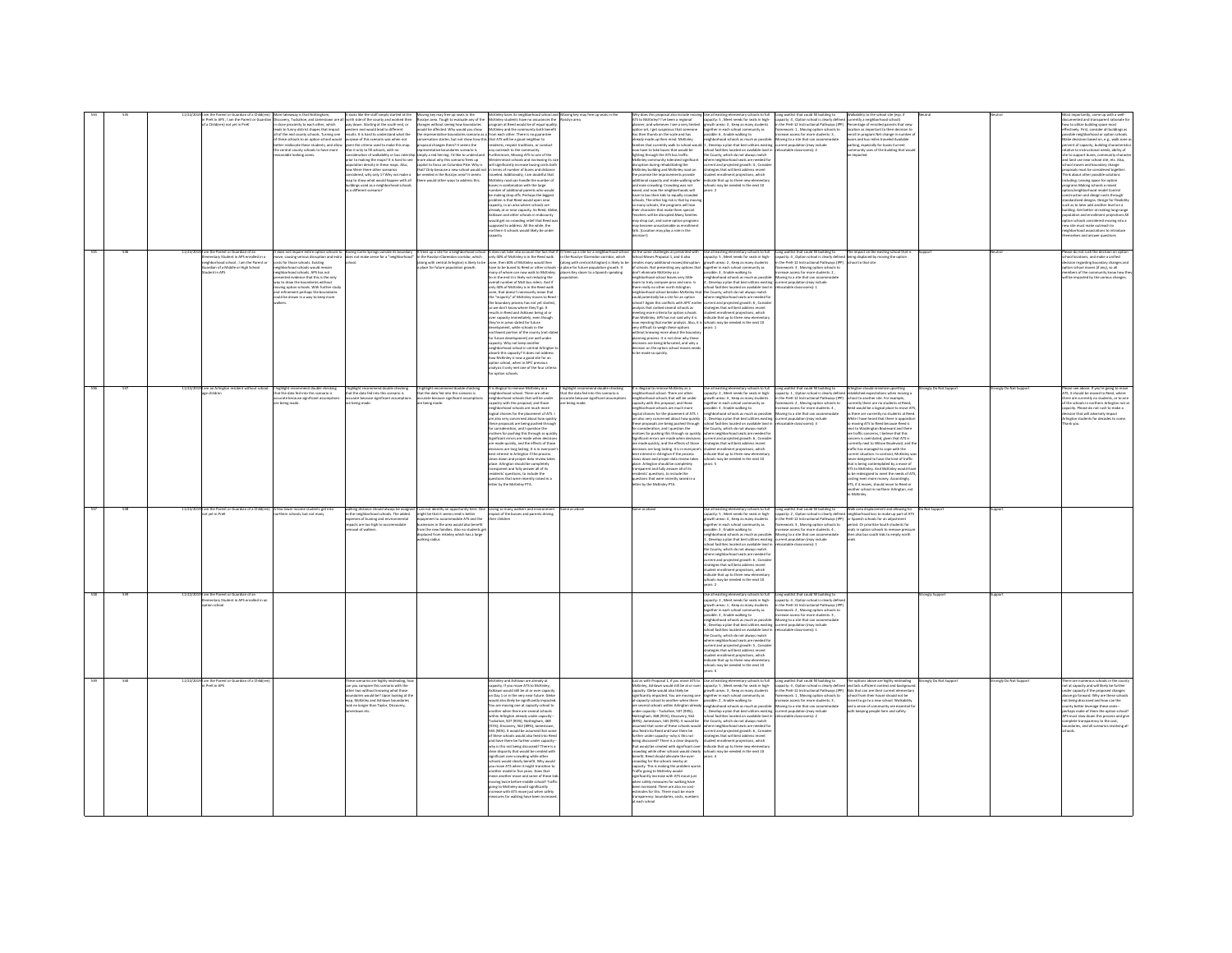|        | 536 |            | t or Guardian of a Child<br>PreK in APS, I am the Parent or Guardian<br>a Childfren) not yet in PreK<br>n the Parent or Guardian of an<br>mentary Student in APS enrolled in a    | vay is that Nottingham,<br>ads to funny district shapes that impact<br>I of the mid county schools. Turning one<br>has a chock to an option school would<br>ter reallocate these students, and allow<br>central county schools to have more<br>nable looking zones.                                                                         | ks like the staff simply started at the<br>Discovery, Tuckahoe, and Jamestown are all north side of the county and worked their<br>in close proximity to each other, which way down. Starting at the south end, or<br>.<br>restern end would lead to different<br>esults. It is hard to understand what the<br>ena. It is more to under some wine the<br>len the criteria used to make this map.<br>is it only to fill schools, with no<br>ideration of walkability or bus ride<br>se Were there other crenaring<br>ow were there other scenarios<br>onsidered, why only 1? Why not make a<br>sip to show what would happen with all<br>ldings used as a neighborhood school<br>a different scenario? | oving key may free up seats in the<br>Rosslyn area. Tough to evaluate any of the McKinley students have no assurances the<br>changes without seeing how boundaries<br>would be affected. Why would you show<br>the representative boundaries scenario as a<br>versation starter, but not show how this<br>posal changes them? It seems the<br>resentative boundaries scenario is<br>imply a red herring. I'd like to understar<br>ior to making the maps? It is hard to see more about why this scenario frees up<br>spulation density in these maps. Also, capital to focus on Columbia Pike. Why is<br>an? Only herause a new srived would a<br>tr Uniy because a new school would i<br>needed in the Rosslyn area? It seems<br>re would other ways to address this.<br>oes not require entire option schools to Maving Carlin Springs outside its boundary TE frees up a site for a neighborhood school<br>w, causing serious disruption and extra Tdoes not make sense for a "neighborhood" in the Ross | rley loses its neighborhood school and<br>program at Reed would be of equal quality<br>Kinley and the community both benef<br>n each other. There is no euerante<br>start was considered and the start of the ATS will be a good neighbor to<br>residents, respect traditions, or conduct<br>any outreach to the community.<br>Furthermore, Moving ATS to one of the<br>ernmost schools and increasing its siz<br>significantly increase busing costs both<br>me of number of huses and distanc-<br>arms or numeer or puses and ossesses<br>weled. Additionally, I am doubtful that<br>Sinley road can handle the number of<br>ies in combination with the large<br>mber of additional parents who would<br>be making drop offs. Perhaps the biggest<br>blem is that Reed would open near<br>pacity, in an area where schools are<br>pacity, in an area winner actions are<br>thawn and other schools in midcounty<br>ould get no crowding relief that Reed wa<br>ould get no crowding relief that Reed wa<br>posed to address. All the while, the<br>them 4 schools would likely be under<br>It does not take into account the fact that if<br>only 40% of McKinley is in the Reed walk | wing key may free up seats in the<br>slyn area<br>.<br>Irees up a site for a neighborhood scho<br>1 the Rosslyn-Clarendon corridor, which                                                 | does this proposal also include<br>langian a need svi fyelinksh of STA<br>lanner, and whenever I see a very limited<br>iption set, I get suspicious that someone<br>ias their thumb on the scale and has<br>eady made up their mind. McKinley<br>families that currently walk to school w<br>now have to take buses that would be<br>fighting through the ATS bus traffic.<br>Ackinley community tolerated significant<br>isruption during rehabilitating the<br>Kinlay huibling and McKinlay road on<br>MeSnitey building and MoKhhy road on<br>the promise the improvements provide<br>additional capacity and make walking safer<br>and ease crowding. Crowding was not<br>eased, and now the neighborhoods will<br>have to bus their kids to equal<br>chools. The other big risk is that by movi-<br>counter to work the programs will lose<br>bair character that make them special.<br>Yeachers will be disrupted Many families<br>nay drop out, and some option programs<br>nay become unsustainable as enrollmer<br>falls. (Location may play a role in the<br>.<br>I the same challenges as presented with<br>chool Moves Proposal 1, and it also | Use all existing elementary schools to ful<br>capacity: S , Meet needs for seats in high-<br>growth areas: 3, Keep as many student<br>together in each school community as<br>sible: 6 . Enable walking to<br>hborhood schools as much as possibly<br>wighterhood schools as much as possible<br>L, Develop a plan that best utilizes existing<br>ichool facilities located on available land in<br>the County, which do not always match<br>where neighborhood seats are needed for<br>current and projected erowth: 4. Consid-<br>strategies that will best address recent<br>student enrollment projections, which<br>indicate that up to three new elementar<br>schools may be needed in the next 10<br>years: 2<br>Use all existing elementary schools to full<br>capacity: 5 , Meet needs for seats in high-                                     | Long waitlist that could fill building to<br>the PreK-12 Instructional Pathways (IPP)<br>mework: 1 , Moving option schools to<br>rease access for more students: 3 ,<br>oving to a site that can accomm<br>nt population (may include<br>atable classrooms): 2<br>.<br>Long waitlist that could fill building to The impact on the existing school that is<br>capacity: 4, Option school is clearly defined being displaced by moving the option | sility to the school site (esp. i<br>acity: 4 , Option school is clearly defined currently a neighborhood school)<br>he PreK-12 Instructional Pathways (IPP) - Percentage of enrolled parents that view<br>location as important to their decision to<br>troll in program Net change in number o<br>ases and bus-miles traveled Available<br>parking, especially for buses Current<br>community uses of the building that                                                                                                                                                                                                                                                                                                                                                                                                                                                                                                                                                                                 |                      |                               | tantly, come up with a well-<br>cumented and transparent rationale for<br>how to utilize building space most<br>effectively. First, consider all buildings as<br>possible neighborhood or option schools.<br>Make decisions based on, e.g., walk zone<br>percent of capacity, building characteristic<br>relative to instructional needs, ability of<br>ite to support buses, community charact<br>and land use near school site, etc. Also.<br>tool moves and boundary change<br>posals must be considered tog<br>the about other possible solutions<br>cluding: Leasing space for option<br>rograms Making schools a mixed<br>ption/neighborhood model Contro<br>onstruction and design costs through<br>tandardized designs. Design for flexibility<br>uch as to later add another level on a<br>iding. Get better at making long-range<br>pulation and enrollment projections A<br>red moving into a<br>of dosentuo saken faum site wer<br>eighborhood associations to introduce<br>where and answer questions<br>lease do not rush the decision on option<br>:hool locations, and make a unified |
|--------|-----|------------|-----------------------------------------------------------------------------------------------------------------------------------------------------------------------------------|---------------------------------------------------------------------------------------------------------------------------------------------------------------------------------------------------------------------------------------------------------------------------------------------------------------------------------------------|-------------------------------------------------------------------------------------------------------------------------------------------------------------------------------------------------------------------------------------------------------------------------------------------------------------------------------------------------------------------------------------------------------------------------------------------------------------------------------------------------------------------------------------------------------------------------------------------------------------------------------------------------------------------------------------------------------|-------------------------------------------------------------------------------------------------------------------------------------------------------------------------------------------------------------------------------------------------------------------------------------------------------------------------------------------------------------------------------------------------------------------------------------------------------------------------------------------------------------------------------------------------------------------------------------------------------------------------------------------------------------------------------------------------------------------------------------------------------------------------------------------------------------------------------------------------------------------------------------------------------------------------------------------------------------------------------------------------------------|------------------------------------------------------------------------------------------------------------------------------------------------------------------------------------------------------------------------------------------------------------------------------------------------------------------------------------------------------------------------------------------------------------------------------------------------------------------------------------------------------------------------------------------------------------------------------------------------------------------------------------------------------------------------------------------------------------------------------------------------------------------------------------------------------------------------------------------------------------------------------------------------------------------------------------------------------------------------------------------------------------------------------------------------------------------------------------------------------------------------------------------------------------------------------------------|-------------------------------------------------------------------------------------------------------------------------------------------------------------------------------------------|------------------------------------------------------------------------------------------------------------------------------------------------------------------------------------------------------------------------------------------------------------------------------------------------------------------------------------------------------------------------------------------------------------------------------------------------------------------------------------------------------------------------------------------------------------------------------------------------------------------------------------------------------------------------------------------------------------------------------------------------------------------------------------------------------------------------------------------------------------------------------------------------------------------------------------------------------------------------------------------------------------------------------------------------------------------------------------------------------------------------------------------------------------|--------------------------------------------------------------------------------------------------------------------------------------------------------------------------------------------------------------------------------------------------------------------------------------------------------------------------------------------------------------------------------------------------------------------------------------------------------------------------------------------------------------------------------------------------------------------------------------------------------------------------------------------------------------------------------------------------------------------------------------------------------------------------------------------------------------------------------------------------------|--------------------------------------------------------------------------------------------------------------------------------------------------------------------------------------------------------------------------------------------------------------------------------------------------------------------------------------------------------------------------------------------------------------------------------------------------|-----------------------------------------------------------------------------------------------------------------------------------------------------------------------------------------------------------------------------------------------------------------------------------------------------------------------------------------------------------------------------------------------------------------------------------------------------------------------------------------------------------------------------------------------------------------------------------------------------------------------------------------------------------------------------------------------------------------------------------------------------------------------------------------------------------------------------------------------------------------------------------------------------------------------------------------------------------------------------------------------------------|----------------------|-------------------------------|-------------------------------------------------------------------------------------------------------------------------------------------------------------------------------------------------------------------------------------------------------------------------------------------------------------------------------------------------------------------------------------------------------------------------------------------------------------------------------------------------------------------------------------------------------------------------------------------------------------------------------------------------------------------------------------------------------------------------------------------------------------------------------------------------------------------------------------------------------------------------------------------------------------------------------------------------------------------------------------------------------------------------------------------------------------------------------------------------------|
| 508    |     |            | horhood school , I am the Parent or<br>hborhood school , I am the Parent or<br>rdian of a Middle or High School<br>nt in APS<br>11/22/2019 am an Arlington resident without scho- | ts for those schools. Existing<br>hborhood schools would remain<br>hborhood schools. APS has not<br>nted evidence that this is the only<br>ay to draw the boundaries without<br>ing option schools. With further stud<br>.<br>Infinement perhaps the boundaries<br>Id be drawn in a way to keep more<br>highlight recommend double checking | highlight recommend double checking                                                                                                                                                                                                                                                                                                                                                                                                                                                                                                                                                                                                                                                                   | along with central Arlington) is likely to be<br>place for future population growth.<br>highlight recommend double checking                                                                                                                                                                                                                                                                                                                                                                                                                                                                                                                                                                                                                                                                                                                                                                                                                                                                                 | the state of McKinley would then<br>the to be bused to Reed or other schools<br>any of whom can now walk to McKinley.<br>So in the end it is likely not reducing the<br>verall number of McK bus riders. And if<br>only 40% of McKinley is in the Reed wall<br>.<br>ne, that doesn't necessarily mean that<br>e "majority" of McKinley moves to Ree<br>the "majority" of McKinley moves to Reed<br>the boundary process has not yet started,<br>so we don't know where they'll go. It<br>results in Reed and Ashlawn being at or<br>over capacity immediately, even though<br>they're in areas slated for future<br>popment, while schools in the<br>west portion of the county<br>r future development) are well under<br>pacity. Why not keep another<br>ighborhood school in central Arlingtor<br>orb this capacity? It does not addre<br>ow McKinley is now a rood site for an<br>ion school, when in APS' previous<br>lysis it only met one of the four cr<br>t is illogical to remove McKinley as a                                                                                                                                                                                | (along with central Arlington) is likely to be<br>a place for future population growth. It<br>places Key closer to a Spanish speaking<br>lation.<br>I highlight recommend double checking | eates many additional m<br>schools. Not presenting any options that<br>n't eliminate McKinley as a<br>eighborhood school leaves very little<br>om to truly compare pros and cons. Is<br>here really no other north Arlinator<br>analysis that ranked several schools as<br>han McKinley. APS has not said why it is<br>ow rejecting that earlier analysis. Also, it is schools may be needed in the next 10<br>ery difficult to weigh these options years: 1<br>thout knowing more about the boundar<br>inning process. It is not clear why these<br>cisions are being bifurcated, and why a<br>ecision on the option school moves ner<br>be made so quickly.<br>is illogical to remove McKinley as a                                                                                                                                                                                                                                                                                                                                                                                                                                                      | growth areas: 2, Keep as many students<br>together in each school community as<br>possible: 3, Enable walking to<br>neighborhood schools as much as possible<br>4. Develop a plan that best utilizes existing<br>ool facilities located on available land in<br>here exally no other north Arizagion<br>$\sim$ and the County, which the north arizagion in the state of the state of the state of the state of the state of<br>could Apple that the state of the state complex model sets are needed<br>indicate that up to three new elementary<br>Use all existing elementary schools to full                                                                                                                                                                                                                                                       | the PreK-12 Instructional Pathways (IPF<br>ne vrek-12 instructional vatiways (or)<br>mework: 3 , Moving option schools to<br>rease access for more students: 2 ,<br>toving to a site that can accommodat<br>urrent population (may include<br>catable classrooms): 2<br>Long waitlist that could fill building to                                                                                                                                | tol to that site                                                                                                                                                                                                                                                                                                                                                                                                                                                                                                                                                                                                                                                                                                                                                                                                                                                                                                                                                                                          | onely Do Not Support | <b>Ironely Do Not Support</b> | sion regarding bour<br>cision regarding boundary changes an<br>tion school moves (if any), so all<br>imbers of the community know how t<br>be impacted by the various changes.<br>lease see above. If you're going to mov-                                                                                                                                                                                                                                                                                                                                                                                                                                                                                                                                                                                                                                                                                                                                                                                                                                                                            |
|        |     |            |                                                                                                                                                                                   | t the data fed into this scenario is<br>rate because significant assur<br>eing made.                                                                                                                                                                                                                                                        | hat the data fed into this scenario is<br>ccurate because significant assumptions<br>being made.                                                                                                                                                                                                                                                                                                                                                                                                                                                                                                                                                                                                      | that the data fed into this scenario is<br>urate because significant assumption<br>being made.                                                                                                                                                                                                                                                                                                                                                                                                                                                                                                                                                                                                                                                                                                                                                                                                                                                                                                              | thborhood school. There are other<br>hborhood schools that will be under<br>represented actions that will be distributed<br>highborhood schools are much more<br>gical choices for the placement of ATS.<br>am also very concerned about how quickl<br>these proposals are being pushed through<br>consideration, and I question the<br>tives for pushing this through so quick<br>nificant errors are made when decision<br>made quickly, and the effects of those<br>decisions are long lasting. It is in everyon<br>best interest in Arlington if the process<br>slows down and proper data review take<br>slows down and proper data review take<br>place. Arlington should be completely<br>transparent and fully answer all of its<br>residents' questions, to include the<br>questions that were recently raised in a<br>letter by the McKinley PTA.                                                                                                                                                                                                                                                                                                                              | that the data fed into this scenario is<br>accurate because significant assumpti<br>e being made.                                                                                         | shborhood school. There are other<br>shborhood schools that will be under<br>acity with this proposal, and those<br>ighborhood schools are much more<br>gical choices for the placement of ATS. I<br>m also very concerned about how quickly<br>hese proposals are being pushed through<br>r consideration, and I question the<br>tives for pushing this through so quickly.<br>nificant errors are made when decisions<br>e made quickly, and the effects of those<br>lows down and proper data review takes<br>lace. Arlington should be completely<br>ransparent and fully answer all of its<br>idents' questions, to include the<br>estions that were recently raised<br>ter by the McKinley PTA.                                                                                                                                                                                                                                                                                                                                                                                                                                                      | :<br>spacity: 2 , Meet needs for seats in high-<br>powth areas: 4 , Keep as many students<br>together in each school community as<br>possible: 3 , Enable walking to<br>neighborhood schools as much as possible<br>meighborhood schools as much as possible<br>1, Develop a plan that best utilizes existing<br>hool facilities located on available land i<br>the County, which do not always match<br>where neighborhood seats are needed for<br>current and projected growth: $6$ , Conside<br>strategies that will best address recent<br>ecisions are long lasting. It is in everyone's student enrollment projections, which<br>est interest in Arlington if the process indicate that up to three new elementary<br>schools may be needed in the next 10<br>mers: S                                                                            | .<br>pacity: 1 , Option school is clearly defined<br>the PreK-12 Instructional Pathways (IPP)<br>amework: 2 , Moving option schools to<br>screase access for more students: 4 ,<br>toving to a site that can accommodate<br>rrent population (may include<br>locatable classrooms): 3                                                                                                                                                            | Arlington should minimize upsetting<br>blished expectations when m<br>school to another site. For example<br>conto antium are no students at Reed;<br>rently there are no students at Reed;<br>ed would be a logical place to move ATS,<br>there are currently no students at Reed.<br>While I have heard that there is oppositic<br>to moving ATS to Reed because Reed is<br>next to Washington Boulevard and there<br>tra traffic concerns I hallasa that this<br>cern is overstated, given that ATS is<br>tently next to Wilson Boulevard, and t<br>currently next to winson warm.<br>traffic has managed to cope with the<br>current situation. In contrast, McKinley wa<br>current situation. In contrast, McKinley wa<br>that is being contemplated by a move of<br>ATS to McKinley. And McKinley would hav<br>to be redesigned to meet the needs of ATS<br>costing even more money. Accordingly,<br>ATS, if it moves, should move to Reed or<br>ather school in northern Arlington, no<br>AcKinley |                      |                               | <b>ATS.</b> it should be moved to Reed, where<br>re are currently no students, or to on<br>the schools in northern Arlington not a<br>upacity. Please do not rush to make a<br>lecision that will adversely impact<br>Arlington students for decades to come                                                                                                                                                                                                                                                                                                                                                                                                                                                                                                                                                                                                                                                                                                                                                                                                                                          |
| $-117$ | 538 |            | 11/32/2019 Lam the Parent or Gua<br>ian of a Chil-<br>yet in Prek                                                                                                                 | .<br>A few lower income students gr<br>northern schools, but not many                                                                                                                                                                                                                                                                       | iking assance snould aways be assign<br>the neighborhood schools. The added<br>penses of bussing and environmental<br>pacts are too high to accommodate<br>noval of walkers.                                                                                                                                                                                                                                                                                                                                                                                                                                                                                                                          | I can not identify an opportunity here. One<br>might be that it seems reed is better<br>equipment to accommodate ATS and the<br>businesses in the area would also benefit<br>from the new families. Also no students e<br>isplaced from mkinley which has a larg<br>lking radius                                                                                                                                                                                                                                                                                                                                                                                                                                                                                                                                                                                                                                                                                                                            | Losing so many walkers and environmen<br>impact of the busses and parents driving<br>ir children                                                                                                                                                                                                                                                                                                                                                                                                                                                                                                                                                                                                                                                                                                                                                                                                                                                                                                                                                                                                                                                                                         | ne as abov                                                                                                                                                                                | me as aboy                                                                                                                                                                                                                                                                                                                                                                                                                                                                                                                                                                                                                                                                                                                                                                                                                                                                                                                                                                                                                                                                                                                                                 | Use all existing elementary schools to full<br>capacity: 5 , Meet needs for seats in high-<br>growth areas: 4 , Keep as many students<br>together in each school community as<br>sossible: 3 . Enable walking to<br>eighborhood schools as much as possible<br>Develop a plan that best utilize<br>,<br>chool facilities located on available land i<br>te County, which do not always match<br>re neighborhood seats are needed fo<br>urrent and projected growth: 6 , Conside<br>trategies that will best address recent<br>tudent enrollment projections, which<br>dicate that up to three new ele<br>eded in the next 10                                                                                                                                                                                                                           | ng waitlist that could fill building to<br>pacity: 2 , Option school is clearly defin<br>s the PreK-12 Instructional Pathways (IPP) or Spanish schools for an adjustment<br>ramework: 3 , Moving option schools to period. Or prioritive South students for<br>ncrease access for more students: 4 , seats in option schools<br>oving to a site that can accommodate<br>rrent population (may include<br>catable classrooms): 2                  | Walk area displacement and allowin<br>eighborhood loss to make up part of ATS<br>then also bus south kids to empty north                                                                                                                                                                                                                                                                                                                                                                                                                                                                                                                                                                                                                                                                                                                                                                                                                                                                                  |                      |                               |                                                                                                                                                                                                                                                                                                                                                                                                                                                                                                                                                                                                                                                                                                                                                                                                                                                                                                                                                                                                                                                                                                       |
| 538    | 539 |            | im the Parent or Guardian of an<br>mentary Student in APS enrolled in a<br>on school                                                                                              |                                                                                                                                                                                                                                                                                                                                             |                                                                                                                                                                                                                                                                                                                                                                                                                                                                                                                                                                                                                                                                                                       |                                                                                                                                                                                                                                                                                                                                                                                                                                                                                                                                                                                                                                                                                                                                                                                                                                                                                                                                                                                                             |                                                                                                                                                                                                                                                                                                                                                                                                                                                                                                                                                                                                                                                                                                                                                                                                                                                                                                                                                                                                                                                                                                                                                                                          |                                                                                                                                                                                           |                                                                                                                                                                                                                                                                                                                                                                                                                                                                                                                                                                                                                                                                                                                                                                                                                                                                                                                                                                                                                                                                                                                                                            | apacity: 2 . Meet needs for seats in high-<br>owth areas: 1, Keep as many student<br>arether in each school community as<br>ossible: 3 , Enable walking to<br>eighborhood schools as much as possible:<br>, Develop a plan that best utilizes existing<br>ool facilities located on available land i<br>the County, which do not always match<br>ere neighborhood seats are needed for<br>erent and projected growth: S , Conside<br>ategies that will best address recent<br>ident enrollment projections, which<br>indicate that up to three new elementary<br>schools may be needed in the next 10<br>ears: 4                                                                                                                                                                                                                                       | Long waitlist that could fill building to<br>pacity: 4 . Option school is clearly defin<br>the PreK-12 Instructional Pathways (IPF<br>ework: 2. Moving option schools to<br>students: 3<br>ease access for more stud<br>ving to a site that can acce<br>nt population (may include<br>catable classrooms): 1                                                                                                                                     |                                                                                                                                                                                                                                                                                                                                                                                                                                                                                                                                                                                                                                                                                                                                                                                                                                                                                                                                                                                                           | enely Support        |                               |                                                                                                                                                                                                                                                                                                                                                                                                                                                                                                                                                                                                                                                                                                                                                                                                                                                                                                                                                                                                                                                                                                       |
| 530    | san | 11/22/2019 | im the Parent or Guardian of a Child<br>Tek in APS                                                                                                                                |                                                                                                                                                                                                                                                                                                                                             | se scenarios are highly misleading, h<br>you compare this scenario with the<br>ir two without knowing what those<br>indiries would be? Upon looking at the<br>nap, McKinley and Ashlawn boundaries<br>ok no longer than Taylor, Discovery                                                                                                                                                                                                                                                                                                                                                                                                                                                             |                                                                                                                                                                                                                                                                                                                                                                                                                                                                                                                                                                                                                                                                                                                                                                                                                                                                                                                                                                                                             | nley and Ashlawn are already at<br>corresponding to the second of the second painting of the second still be at or over capacity<br>this would still be at or over capacity<br>the Day 1 or in the very near future. Glebe<br>suld also likely be significantly impactes<br>You are moving one at capacity school to<br>other when there are several schools<br>another when there are several schools<br>within Arlington already under capacity-<br>Tuckahoe, 507 (93%); Nottingham, 468<br>(93%); Discovery, 562 (89%); Jamestown,<br>565 (94%); It would be assumed that some<br>of these schools would a<br>and have them be further under capacity<br>why is this not being discussed? There is a<br>lear disparity that would be created with<br>expansive crowding while other<br>hook would clearly benefit. Why would<br>u move ATS when it might transition to<br>ther model in five years. Does that<br>an another move and some of these kid<br>ving twice before middle school? Traffis<br>ng to McKinley would significantly<br>rease with ATS move just when safet<br>ures for walking have be-                                                                          |                                                                                                                                                                                           | ust as with Proposal 1. if you move ATS to<br>cKinley, Ashlawn would still be at or over<br>pacity. Ashlawn would still be at or over<br>pacity. Glebe would also likely be<br>prificantly impacted. You are moving one<br>der capacity-Tuckahoe, 507 (93%);<br>lottingham, 468 (91%); Discovery, 562<br>89%); Jamestown, 565 (94%). It would be<br>007h); ramestown, 505 (149h). It would be<br>issumed that some of these schools would<br>liso feed into Reed and have them be<br>urther under capacity--why is this not<br>rowding while other schools would clearly schools may be needed in the next 10<br>enefit. Reed should alleviels the over-<br>revealing for the schools nearby at<br>spacing for the schools nearby at<br>apacity. This is making the probl<br>raffic going to McKinley would<br>ignificantly increase with ATS move just<br>hen safety measures for walking have<br>en increased. There are also no cost<br>nates for this There<br>nsparency: boundaries, costs, nun<br>each school                                                                                                                                        | Use all existing elementary schools to full<br>capacity: 5 , Meet needs for seats in high-<br>growth areas: 3 , Keep as many students<br>together in each school community as<br>t-capacity school to another when there possible: 2 , Enable walking to<br>re several schools within Arlington already meighborhood schools as much as possible:<br>1. Develop a plan that best utilizes existing<br>school facilities located on available land in<br>the County, which do not always match<br>the county, which as not always match<br>where neighborhood seats are needed for<br>current and projected growth: 6 , Conside<br>strategies that will best address recent<br>veing discussed? There is a clear disparity student enrollment projections, which<br>hat would be created with significant over-indicate that up to three new elementary | ong waitlist that could fill building to<br>pacity: 4, Option school is clearly defined<br>the PreK-12 Instructional Pathways (IPP)<br>imework: 1, Moving option schools to<br>ease access for more students: 3,<br>foving to a site that can accommodate<br>sent population (may include<br>ocatable classrooms): 2                                                                                                                             | The options above are highly misleading<br>and lack sufficient context and background<br>(1) Kids that can see their current elements<br>(1) Kids that can see their current elements<br>(1) from their house should not be<br>forced to go to a new school. Walkability<br>and a sense of community are essential fo<br>keeping people here and safety.                                                                                                                                                                                                                                                                                                                                                                                                                                                                                                                                                                                                                                                  | onaly Do Not Support | <b>Irongly Do Not Support</b> | aus schools in the co<br>here are ni<br>et at capacity and will likely be further<br>mder capacity if the proposed changes<br>bove go forward. Why are these schools<br>ot being discussed and how can the<br>unty better leverage these seats<br>rhaps make of them the option school<br>PS must slow down this process and give<br>cy to the cor<br>laries, and all scenarios involving all                                                                                                                                                                                                                                                                                                                                                                                                                                                                                                                                                                                                                                                                                                         |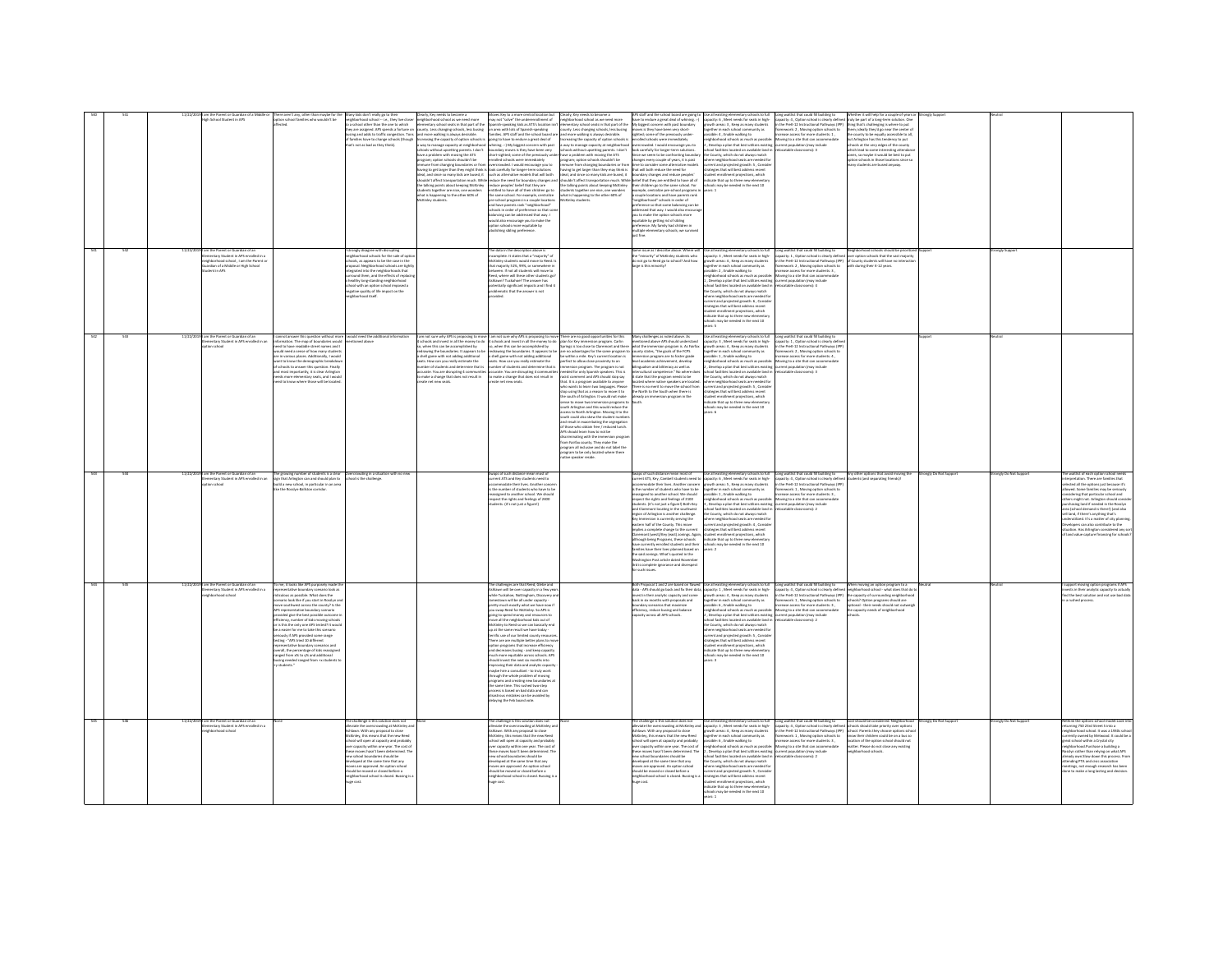|     |                         |        | m the Parent or Guardian of a Middle<br>ich School Student in APS                                                                                                | There aren't any, other than maybe for the Many kids don't really go to their<br>ad f'nbluow orlw zeilims) loorloz noitog<br>Terrart                                                                                                                                                                                                                                                                                                                                                                                                                                                                                                                       | a school other than the one to which<br>at's not as bad as they think).                                                                                                                                                                                                                                                                                                                                                                                                                                                 | Clearly, Key needs to become a<br>eighborhood school -- i.e., they live closer neighborhood school as we need more<br>elementary school seats in that part of the<br>is nurous course in an unit of the state of county. Less changing schools, less busing<br>sing and adds to traffic congestion. Tons and more walking is always desirable.<br>families have to change schools (though increasing the<br>a way to manage capacity at neighborhoor<br>chools without upsetting parents. I don't<br>have a problem with moving the ATS<br>program; option schools shouldn't be<br>immune from changing boundaries or from<br>having to get larger than they might think is<br>the talking points about keeping McKinley<br>students together are nice, one wonders<br>what is happening to the other 60% of<br>inley students | res Key to a more central location but<br>may not "solve" the underenrollment of<br>enish-speaking kids as ATS's location isn't<br>s area with lots of Spanish-speaking<br>imilies. APS staff and the school board are<br>ing to have to endure a great deal of<br>ining. :- ) My biggest concern with past<br>dary moves is they have been very<br>short-sighted: some of the previously und<br>olled schools were immediately<br>rcrowded. I would encourage you to<br>k carefully for longer-term solutions<br>ideal, and since so many kids are bused, it such as alternative models that will both<br>shouldn't affect transportation much. While reduce the need for boundary changes and<br>educe peoples' belief that they are<br>intitled to have all of their children go to<br>same school. For example, centralize<br>e-school programs in a couple locations<br>d have parents rank "neighborhood"<br>ools in order of preference so that som<br>ncing can be addressed that way.<br>usancing can be addressed that way.<br>vould also encourage you to make the<br>ption schools more equitable by<br>lishing sibling preference | learly, Key needs to become a<br>neighborhood school as we need more<br>ounty. Less changing schools, less busing<br>nd more walking is always desirable.<br>creasing the capacity of option schools is<br>way to manage capacity at neighborhood<br>hools without upsetting parents. I don't<br>ave a problem with moving the ATS<br>rogram; option schools shouldn't be<br>renare from changing boundaries or from<br>aving to get larger than they may think is<br>inley students                                                                                                                                                                                                                                                                                                                                                                                                                                                                                                                                                                                                                                                                                                                                                                                                                      | APS staff and the school board are going to Use all existing elementary schools to ful<br>ghborhood school as we need more have to endure a great deal of whining. :-)<br>mentary school seats in that part of the My biggest concern with past boundary<br>noves is they have been very short-<br>jiehted: some of the previously under-<br>olled schools were immediately<br>overcrowded. I would encourage you to<br>look carefully for longer-term solutions.<br>Since we seem to be confrontine boundar<br>changes every couple of years, it is past<br>time to consider some alternative models<br>that will both reduce the need for<br>ideal, and since so many kids are bused, it boundary changes and reduce peoples'<br>shouldn't affect transportation much. While belief that they are entitled to have all of<br>e talking points about keeping McKinley their children go to the same school. For<br>udents together are nice, one wonders example, centralize pre-school programs in<br>hat is happening to the other 60% of a couple locations and<br>eighborhood" schools in order of<br>rence so that some balancing can be<br>dressed that way. I would also encours<br>to to make the ontion schools more<br>su to make the opson scribbs more<br>quitable by getting rid of sibling<br>reference. My family had children in<br>nultiple elementary schools; we survive | capacity: 6 , Meet needs for seats in high-<br>growth areas: 3 , Keep as many students<br>eather in each school cor<br>ssible: 4 , Enable walking to<br>ighborhood schools as much as possibl<br>, Develop a plan that best utilizes existing current population (may include<br>pol facilities located on available land i<br>the County, which do not always match<br>there neighborhood seats are needed for<br>urrent and projected growth: 5 , Consider<br>trategies that will best address recent<br>tudent enrollment projections, which<br>dicate that up to three new elementary<br>hools may be needed in the next 10<br>$-200$                                                                                                                                                                                                                                                  | Long waitlist that could fill building to<br>capacity: 4 , Option school is clearly defined truly be part of a long-term solution. One<br>in the PreK-12 Instructional Pathways (IPP) thing that's challenging is where to put<br>Nework: 2, Moving option schools to<br>ease access for more students: 1.<br>foving to a site that can acco<br>atable classrooms): 3 | ether it will help for a couple of years o<br>.<br>m; ideally they'd go near the center of<br>county to be equally accessible to all.<br>Lelington has this tendency to put<br>ools at the very edges of the county<br>ch lead to some interesting attenda<br>nes, so maybe it would be best to out<br>inn schneds in thosa Incations since :<br>students are bused among |                        |                           |                                                                                                                                                                                                                                                                                                                                                                                                                                                                                                                                                                                                                    |
|-----|-------------------------|--------|------------------------------------------------------------------------------------------------------------------------------------------------------------------|------------------------------------------------------------------------------------------------------------------------------------------------------------------------------------------------------------------------------------------------------------------------------------------------------------------------------------------------------------------------------------------------------------------------------------------------------------------------------------------------------------------------------------------------------------------------------------------------------------------------------------------------------------|-------------------------------------------------------------------------------------------------------------------------------------------------------------------------------------------------------------------------------------------------------------------------------------------------------------------------------------------------------------------------------------------------------------------------------------------------------------------------------------------------------------------------|--------------------------------------------------------------------------------------------------------------------------------------------------------------------------------------------------------------------------------------------------------------------------------------------------------------------------------------------------------------------------------------------------------------------------------------------------------------------------------------------------------------------------------------------------------------------------------------------------------------------------------------------------------------------------------------------------------------------------------------------------------------------------------------------------------------------------------|------------------------------------------------------------------------------------------------------------------------------------------------------------------------------------------------------------------------------------------------------------------------------------------------------------------------------------------------------------------------------------------------------------------------------------------------------------------------------------------------------------------------------------------------------------------------------------------------------------------------------------------------------------------------------------------------------------------------------------------------------------------------------------------------------------------------------------------------------------------------------------------------------------------------------------------------------------------------------------------------------------------------------------------------------------------------------------------------------------------------------------------------|-----------------------------------------------------------------------------------------------------------------------------------------------------------------------------------------------------------------------------------------------------------------------------------------------------------------------------------------------------------------------------------------------------------------------------------------------------------------------------------------------------------------------------------------------------------------------------------------------------------------------------------------------------------------------------------------------------------------------------------------------------------------------------------------------------------------------------------------------------------------------------------------------------------------------------------------------------------------------------------------------------------------------------------------------------------------------------------------------------------------------------------------------------------------------------------------------------------------------------------------------------------------------------------------------------------|----------------------------------------------------------------------------------------------------------------------------------------------------------------------------------------------------------------------------------------------------------------------------------------------------------------------------------------------------------------------------------------------------------------------------------------------------------------------------------------------------------------------------------------------------------------------------------------------------------------------------------------------------------------------------------------------------------------------------------------------------------------------------------------------------------------------------------------------------------------------------------------------------------------------------------------------------------------------------------------------------------------------------------------------------------------------------------------------------------------------------------------------------------------------------------------------------------------------------------------------------------------------------------------------------------------------------------------------------------------------------------------------|--------------------------------------------------------------------------------------------------------------------------------------------------------------------------------------------------------------------------------------------------------------------------------------------------------------------------------------------------------------------------------------------------------------------------------------------------------------------------------------------------------------------------------------------------------------------------------------------------------------------------------------------------------------------------------------------------------------------------------------------------------------------------------------------------------------------------------------------------------------------------------------------|-----------------------------------------------------------------------------------------------------------------------------------------------------------------------------------------------------------------------------------------------------------------------------------------------------------------------------------------------------------------------|---------------------------------------------------------------------------------------------------------------------------------------------------------------------------------------------------------------------------------------------------------------------------------------------------------------------------------------------------------------------------|------------------------|---------------------------|--------------------------------------------------------------------------------------------------------------------------------------------------------------------------------------------------------------------------------------------------------------------------------------------------------------------------------------------------------------------------------------------------------------------------------------------------------------------------------------------------------------------------------------------------------------------------------------------------------------------|
|     |                         |        | the Parent or Guardian of an<br>sentary Student in APS enrolled in a<br>hborhood school , I am the Parent or<br>ardian of a Middle or High School<br>Sent in APS |                                                                                                                                                                                                                                                                                                                                                                                                                                                                                                                                                                                                                                                            | Arongly disagree with disrupting<br>highborhood schools for the sale of opti<br>hools, as appears to be the case in the<br>sosal. Neighborhood schools are tight<br>grated into the neighborhoods that<br>und them, and the effects of repla-<br>ealthy long-standing neighborhood<br>hool with an option school imposed a<br>igative quality of life impact on the<br>ishborhood itself.                                                                                                                               |                                                                                                                                                                                                                                                                                                                                                                                                                                                                                                                                                                                                                                                                                                                                                                                                                                | The data in the description above is<br>incomplete: It states that a "majority" of<br>McKinley students would move to Reed. I<br>hat majority 51%, 99%, or somewhere in<br>een. If not all students will move to<br>eed, where will these other students ap<br>awn? Tuckahoe? The answer ha<br>entially significant impacts and I find it<br>slematic that the answer is not<br><b>Hall</b>                                                                                                                                                                                                                                                                                                                                                                                                                                                                                                                                                                                                                                                                                                                                                    |                                                                                                                                                                                                                                                                                                                                                                                                                                                                                                                                                                                                                                                                                                                                                                                                                                                                                                                                                                                                                                                                                                                                                                                                                                                                                                           | me issue as I describe above. Where will<br>same nose as I describe above, where will<br>the "minority" of McKinley students who<br>do not go to Reed go to school? And how<br>arge is this minority?                                                                                                                                                                                                                                                                                                                                                                                                                                                                                                                                                                                                                                                                                                                                                                                                                                                                                                                                                                                                                                                                                                                                                                                        | Use all existing elementary schools to full<br>capacity: 3 , Meet needs for seats in high-<br>growth areas: 4 , Keep as many students<br>ogether in each school community as<br>ssible: 2 . Enable walking to<br>eighborhood schools as much as possible<br>, Develop a plan that best utilizes existing current population (may include<br>chool facilities located on available land in refocatable classrooms): 4<br>school facilities located on available land in<br>the County, which do not always match<br>there neighborhood seats are needed for<br>rrent and projected growth: 6 , Conside<br>rategies that will best address recent<br>dent enrollment projections, which<br>dicate that up to three new elementar<br>ools may be needed in the next 10<br>ars: S                                                                                                              | Long waitlist that could fill building to<br>capacity: 1 , Option school is clearly defines<br>in the PreK-12 Instructional Pathways (IPP)<br>framework: 2, Moving option schools to<br>crease access for more students: 3 .<br>Moving to a site that can accom                                                                                                       | r option schools that the vast majority<br>unty students will have no intera<br>with during their K-12 years.                                                                                                                                                                                                                                                             |                        | ngly Suppor               |                                                                                                                                                                                                                                                                                                                                                                                                                                                                                                                                                                                                                    |
| 542 | $\overline{\mathbf{u}}$ |        | im the Parent or Guardian of an<br>n une racent ut duandam ut am<br>mentary Student in APS enrolled in an<br>ion school                                          | cannot answer this question without mo.<br>formation. The map of boundaries woul<br>red to have readable street names and I<br>uld need a sense of how many studen<br>in various places. Additionally, I would<br>nt to know the demographic breakdow<br>chools to answer this question. Finally<br>  most importantly, it is clear Arlington<br>s more elementary seats, and I wou<br>ed to know where those will be located                                                                                                                                                                                                                              | would need the additio<br>nentioned above                                                                                                                                                                                                                                                                                                                                                                                                                                                                               | I am not sure why APS is proposing to move<br>4 schools and invest in all the money to do<br>so, when this can be accomplished by<br>redrawing the boundaries. It appears to be<br>shell game with not adding additional<br>leats. How can you really estimate the<br>ther of students and determine that<br>accurate. You are disrupting 4 communitie:<br>to make a change that does not result in<br>eate net new seats.                                                                                                                                                                                                                                                                                                                                                                                                     | shell game with not adding additional<br>leats. How can you really estimate the<br>ther of students and determine that is<br>curate. You are disrupting 4 communitie<br>make a change that does not result in<br>ate net new seats.                                                                                                                                                                                                                                                                                                                                                                                                                                                                                                                                                                                                                                                                                                                                                                                                                                                                                                            | i am not sure why APS is proposing to move There are no good opportunities for this Marry challenges as noted above. As<br>A schools and invest in all the money to do plun for Kny immersion program. Carlin – mentioned above A<br>redrawing the boundaries. It appears to be are no advantages for the same program to county states, "the goals of the FO'S<br>be within a mile. Key's current location is<br>perfect to allow close proximity to an<br>mes to anow custo proteinty to an<br>interaction program. The program is not<br>interaction and APS should stop say<br>hat. It is a program available to anyone<br>ho wants to learn two languages. Please<br>to wins to main view angustave the south of the south of Arlington. It would not make<br>the south of Arlington. It would not make<br>ense to move two immersion programs to<br>outh Arlington and this would reduce the<br>cess to North Arlington. Moving it to the<br>uth could also skew the student number<br>not could also seem the statent number<br>of result in exacerbating the segregation<br>of result hearn how to not be<br>scriminating with the immersion progr<br>om Fairfax county. They make the<br>aram all inclusive and do not label the<br>ogram to be only located where there<br>tive speaker reside. | mmersion program are to foster grade<br>evel academic achievement, develop<br>lingualism and bilteracy as well as<br>tercultural competence." No where doe<br>state that the program needs to be<br>ocated where native speakers are located<br>here is no merit to move the school from<br>the North to the South when there is<br>ready an immersion program in the                                                                                                                                                                                                                                                                                                                                                                                                                                                                                                                                                                                                                                                                                                                                                                                                                                                                                                                                                                                                                        | Use all existing elementary schools to full<br>capacity: 3 , Meet needs for seats in high-<br>growth areas: 4 , Keep as many students<br>together in each school community as<br>.<br>isible: 1 , Enable walking to<br>ishborhood schools as much as possible:<br>Develop a plan that best utilizes existing<br>school facilities located on available land is<br>the County, which do not always match<br>here neighborhood seats are needed for<br>rrent and projected erowth: 5 . Conside<br>testes that will best address recent<br>acegos crac will best asserts receiving<br>dent enrollment projections, which<br>dicate that up to three new elementary<br>hools may be needed in the next 10<br>are 6                                                                                                                                                                             | Long waitlist that could fill building to<br>capacity: 1 , Option school is clearly define<br>in the PreK-12 Instructional Pathways (IPP<br>framework: 2, Moving option schools to<br>wase access for more students: 4 .<br>Moving to a site that can accom<br>ent population (may include<br>catable classrooms): 3                                                  |                                                                                                                                                                                                                                                                                                                                                                           |                        |                           |                                                                                                                                                                                                                                                                                                                                                                                                                                                                                                                                                                                                                    |
| 543 |                         | 11/22/ | I am the Parent or Guardian of an<br>mentary Student in APS enrolled in an<br>on school                                                                          | The growing number of students is a clear<br>ign that Arlington can and should plan to<br>ild a new school, in particular in an are<br>a the Brooker, Ballston corrido.                                                                                                                                                                                                                                                                                                                                                                                                                                                                                    | crowding in a situation with no new<br>col is the challenge                                                                                                                                                                                                                                                                                                                                                                                                                                                             |                                                                                                                                                                                                                                                                                                                                                                                                                                                                                                                                                                                                                                                                                                                                                                                                                                | waps of such distance mean most o<br>rrent ATS and Key students need to<br>modate their lives. Another cor<br>the number of students who have to be<br>ne number or scudents who neve to<br>issigned to another school. We shou<br>spect the rights and feelings of 2400<br>dents. (it's not just a figure!)                                                                                                                                                                                                                                                                                                                                                                                                                                                                                                                                                                                                                                                                                                                                                                                                                                   |                                                                                                                                                                                                                                                                                                                                                                                                                                                                                                                                                                                                                                                                                                                                                                                                                                                                                                                                                                                                                                                                                                                                                                                                                                                                                                           | Swaps of such distance mean most of<br>current ATS. Key, Cambell students need to<br>mmodate their lives. Another concern<br>s the number of students who have to be<br>s the number or souperits who new to be<br>vassigned to another school. We should<br>vispect the rights and feelings of 2100<br>tudents. (it's not just a figure!) Both Key<br>and Claremont locating in the southwest<br>rezion of Arlinaton is another challenge.<br>ley Immersion is currently serving the<br>astern half of the County. This move<br>rplies a complete change to the current<br>Claremont (west)/Key (east) zonings. Again, student enrollment projections, which<br>although being Programs, these schools indicate that up to three new elementary<br>are currently enrolled students and their<br>ies have their lives nlanned hased no<br>he said zonings. What's quoted in the<br>Washington Post article dated Novembe<br>3rd is complete ignorance and disrespector such issues.                                                                                                                                                                                                                                                                                                                                                                                                          | Use all existing elementary schools to full<br>capacity: 6 , Meet needs for seats in high-<br>growth areas: S. Keep as many students<br>$\label{cor:main} \begin{minipage}{0.9\textwidth} \begin{minipage}{0.9\textwidth} \begin{minipage}{0.9\textwidth} \begin{minipage}{0.9\textwidth} \begin{minipage}{0.9\textwidth} \begin{minipage}{0.9\textwidth} \begin{minipage}{0.9\textwidth} \begin{minipage}{0.9\textwidth} \begin{minipage}{0.9\textwidth} \begin{minipage}{0.9\textwidth} \begin{minipage}{0.9\textwidth} \begin{minipage}{0.9\textwidth} \begin{minipage}{0.9\textwidth} \begin{minipage}{0.9\textwidth} \begin{minipage}{0.9\textwidth} \begin{$<br>the County, which do not always match<br>we county, which do not annoys match<br>there neighborhood seats are needed for<br>trategies that will best address recent<br>cheeds may be needed in the next 10.<br>are 2 | Long waitlist that could fill building to<br>capacity: 4 , Option school is clearly define<br>in the PreK-12 Instructional Pathways (IPF<br>-<br>framework: 1, Moving option schools to<br>increase access for more students: 3.                                                                                                                                      | Any other options that avoid moving the<br>ents (and separating friends)                                                                                                                                                                                                                                                                                                  | Strongly Do Not Suppor | onely Do Not Support      | he waitlist of each option school needs<br>sterpretation. There are families that<br>ected all the options just because it's<br>ed. Some families may be seriousl<br>wea. some ramines may be senous:<br>sidering that particular school and<br>ers might not. Arlington should com<br>chasing land if needed in the Rosslyn<br>ea (school demand is there!) (and also<br>ell land. if there's anything that's<br>us, in some a anyoning site a<br>utilized. It's a matter of city planni<br>opers can also contribute to the<br>ation. Has Arlington considered any so<br>land value capture financing for school |
|     |                         |        | am the Parent or Guardian of an<br>ventary Student in APS enrolled in a<br>borhood school                                                                        | a me, it looks like APS purposely made<br>sentative boundary scenario look as<br>lous as possible. What does the<br>nario look like if you start in Rosslyn ar<br>southwest across the county? Is the<br>epresentative boundary scenario<br>.<br>rided give the best possible outcome i<br>sency, number of kids moving schools<br>is this the only one APS tested? It would<br>a pacier for me to take this scenario<br>ously if APS provided some range<br>ting - "APS tried 10 different<br>entative boundary scenarios and<br>verall, the percentage of kids reassigned<br>lengtibbs bns 2V of 25 and additional<br>g needed ranged from +x students t |                                                                                                                                                                                                                                                                                                                                                                                                                                                                                                                         |                                                                                                                                                                                                                                                                                                                                                                                                                                                                                                                                                                                                                                                                                                                                                                                                                                | he challenges are that Reed, Glebe and<br>hlawn will be over capacity in a few year<br>ile Tuckahoe, Nottingham, Discovery an<br>estown will be all under capacity-<br>etty much exactly what we have now if<br>wap Reed for McKinley. So APS is<br>going to spend money and resources to<br>move all the neighborhood kids out of<br>tcKinley to Reed so we can basically end<br>up at the same result we have today<br>terrific use of our limited county reso<br>ere are are multiple better plans to m<br>tion programs that increase efficiency<br>d decreases busing - and keep capacity<br>such more equitable across schools. APS<br>taid insect the next six months into<br>ouio invest the next six months into<br>proving their data and analytic capaci<br>aybe hire a consultant - to truly work<br>rough the whole problem of moving<br>rograms and creating new boundaries<br>he same time. This rushed two-step<br>cess is based on bad data and car<br>sastrous mistakes can be avoid<br>laying the fieb board vote.                                                                                                          |                                                                                                                                                                                                                                                                                                                                                                                                                                                                                                                                                                                                                                                                                                                                                                                                                                                                                                                                                                                                                                                                                                                                                                                                                                                                                                           | data - APS should go back and fix their data, capacity: 1 , Meet needs for seats in high-<br>nvest in their analytic capacity and come<br>back in six months with proposals and<br>lary scenarios that maxi<br>ficiency, reduce busing and balance<br>acity across all APS schools                                                                                                                                                                                                                                                                                                                                                                                                                                                                                                                                                                                                                                                                                                                                                                                                                                                                                                                                                                                                                                                                                                           | Use all existing elementary schools to full<br>owth areas: 4, Keep as many students<br>together in each school community as<br>sible: 6 . Enable walking to<br>ussions. Us cancer was much as possible: Moving to a site that can accommunicate of the site that can accommunicate the state of the site of the site of the site of the site of the site of the site of the site of the site<br>he County, which do not always match<br>there neighborhood seats are needed for<br>urrent and projected growth: 5 , Consider<br>trategies that will best address recent<br>udent enrollment projections, which<br>dicate that up to three new elementary<br>ocls may be needed in the next 10<br>in t                                                                                                                                                                                      | Long waitlist that could fill building to<br>capacity: 4, Option school is clearly defined<br>in the PreK-12 Instructional Pathways (IPP)<br>framework: 1, Moving option schools to<br>ease access for more students: 3 .                                                                                                                                             | hen moving an option program to a<br>eighborhood school - what does that do<br>capacity of surrounding neighborhoo<br>ana bluorit amanena noitoO Saloon<br>ional - their needs should not ou<br>capacity needs of neighborhood                                                                                                                                            |                        |                           | ort moving option programs if AP!<br>ests in their analytic capacity to actual<br>nd the best solution and not use bad dat<br>rushed process                                                                                                                                                                                                                                                                                                                                                                                                                                                                       |
|     | $\overline{\mathbf{u}}$ |        | am the Parent or Guardian of an<br>ventary Student in APS enrolled in a                                                                                          |                                                                                                                                                                                                                                                                                                                                                                                                                                                                                                                                                                                                                                                            | hallenge is this solution does not<br>criamings is ons soution does not<br>viate the overcrowding at McKinky and<br>lawn. With any proposal to close<br>Kinky, this means that the new Reed<br>hool will open at capacity and probably<br>er capacity within one year. The cost of<br>mmuns hasn't haan rister<br>school boundaries should be<br>aloped at the same time that any<br>wes are approved. An option school<br>suld be moved or closed before a<br>rhborhood school is closed. Bussing is<br>m <sub>0</sub> |                                                                                                                                                                                                                                                                                                                                                                                                                                                                                                                                                                                                                                                                                                                                                                                                                                | challenge is this solution does no<br>existe the overcrowding at McKinky and<br>hlawn. With any proposal to close<br>:Kinky, this means that the new Reed<br>chool will open at capacity and probably<br>er capacity within one year. The cost of<br>e mmuss hasn't hean deter<br>w school boundaries should be<br>veloped at the same time that any<br>oves are approved. An option schoo<br>ould be moved or closed before a<br>ishborhood school is closed. Bussine is<br>cost.                                                                                                                                                                                                                                                                                                                                                                                                                                                                                                                                                                                                                                                             |                                                                                                                                                                                                                                                                                                                                                                                                                                                                                                                                                                                                                                                                                                                                                                                                                                                                                                                                                                                                                                                                                                                                                                                                                                                                                                           | ine community is one analysis such as<br>Ashlawn: With any proposal to close<br>McKinley, this means that the new Reed<br>chool will open at capacity and probably<br>ver capacity within one year. The cost of<br>ese moves hasn't been determined. The<br>new school boundaries should be<br>developed at the same time that any<br>toves are approved. An option school<br>hould be moved or closed before a<br>eighborhood school is closed. Bussing is<br>ge cost.                                                                                                                                                                                                                                                                                                                                                                                                                                                                                                                                                                                                                                                                                                                                                                                                                                                                                                                      | Ne all existing plamantary schools to full<br>Low an existing elementary schools to full<br>capacity: 3 , Meet needs for seats in high-<br>growth areas: 4 , Keep as many students<br>together in each school community as<br>possible: 6 . Enable walking to<br>neighborhood schools as much as possible<br>registerious sensors as much as pussions.<br>Chevelop a plan that best utilizes existing<br>thool facilities located on available land in<br>the County, which do not always match<br>ere neighborhood seats are needed fo<br>urrent and projected erowth: 5 . Conside<br>rategies that will best address recent<br>dent enrollment projections, which<br>source that up to three new elementary<br>chools may be needed in the next 10<br>ears: 1                                                                                                                            | Long waitlist that could fill building to<br>capacity: 4 , Option school is clearly define<br>in the PreK-12 Instructional Pathways (IPP)<br>framework: 1 , Moving option schools to<br>ncrease access for more students: 3 .<br>Moving to a site that can accommodate<br>rrent population (may include<br>locatable classrooms): 2                                   | net should he roosidered Neighbo<br>hools should take priority over option<br>hool. Parents they choose options sch<br>w their children could be on a bus so<br>ocation of the option school should not<br>atter. Please do not close any existing<br>Northeast schools                                                                                                   | meely Do Not Sunnot    | <b>Ingly Do Net Sunne</b> | nink the options scribol model.cook i<br>urning 750 23rd Street S into a<br>phborhood school. It was a 1930s sch<br>.<br>rently owned by Melwood. It could be a<br>ereat school within a Crystal city<br>eighborhood.Purchase a building a<br>m rather than relying on what APS<br>ady own.Slow down this process. Fri<br>nding PTA and civic association<br>etings, not enough research has been<br>one to make a long lasting and decision.                                                                                                                                                                      |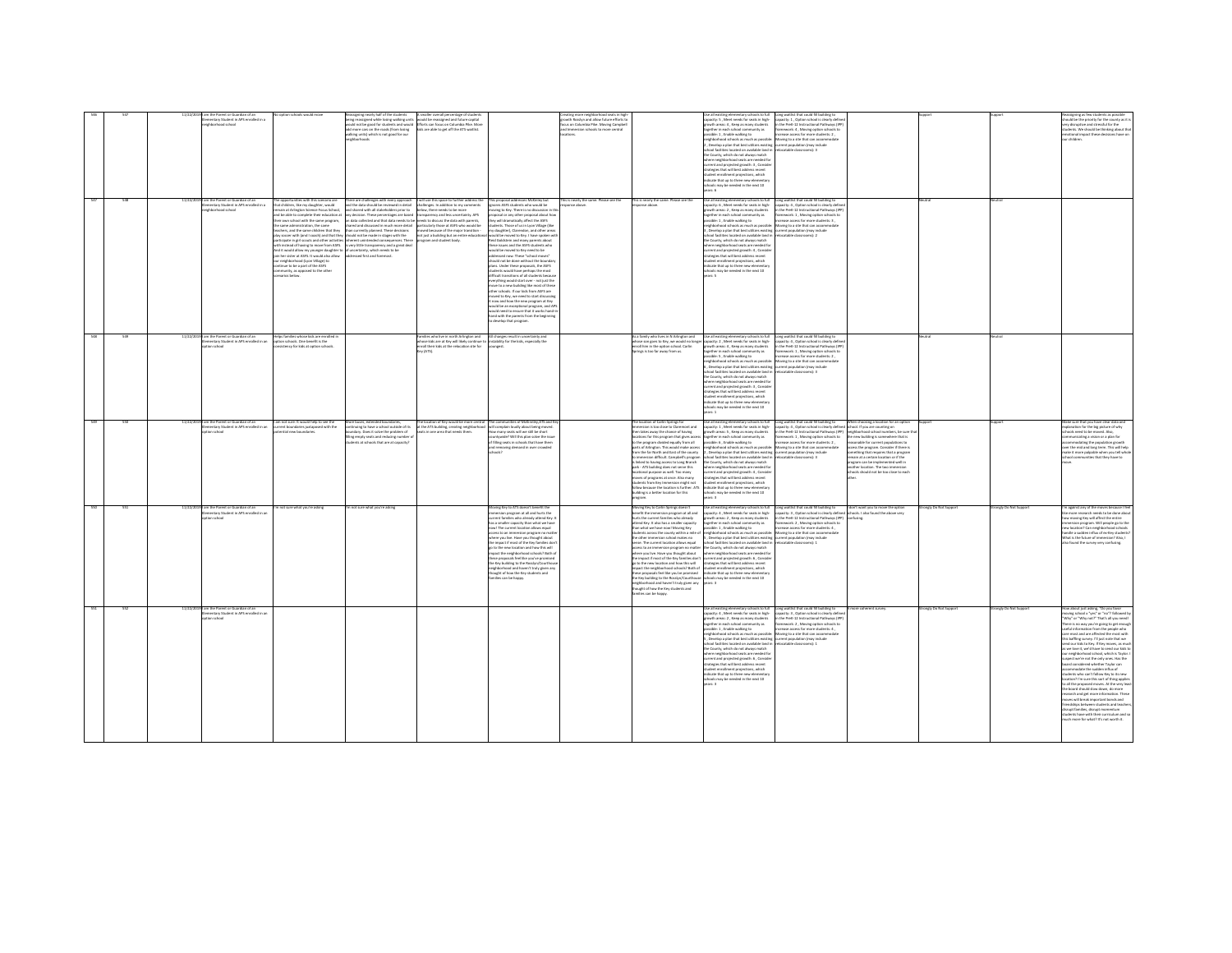|     |     | mentary Student in APS enrolled in a<br>ishborhood school                                              |                                                                                                                                                                                                                                                                                                                                                                                                                                                                                                                                                                                                                                                                                                                                                                           | igning nearly half of the st<br>eing reassigned while losing walking units vevold be reassigned and future capital<br>vould not be good for students and would efforts can focus on Columbia Pike. More<br>more cars on the roads (from losing<br>iking units) which is not good for our<br>orhoods                                                                                                                         | kids are able to get off the ATS waitlist.                                                                                                                                                                                                                                                                                                                                                                                    |                                                                                                                                                                                                                                                                                                                                                                                                                                                                                                                                                                                                                                                                                                                                                                                                                                                                                                                                                                               | with Rossiyn and allow future efforts to<br>ocus on Columbia Pike, Movine Campbell<br>Immersion schools to more central |                                                                                                                                                                                                                                                                                                                                                                                                                                                                                                                                                                                                                                                                                                                                                               | apacity: S. Meet needs for seats in high-<br>rowth areas: 4, Keep as many students<br>.<br>together in each school community as<br>possible: 1 , Enable walking to<br>.<br>Ighborhood schools as much as possible<br>Develop a plan that best utilizes existing current population (may include<br>hool facilities located on available land in relocatable classrooms): 3<br>e County, which do not always match<br>where neighborhood seats are needed for<br>turrent and projected growth: 3 , Consider<br>trategies that will best address recent<br>student enrollment projections, which<br>indicate that up to three new elementa<br>ools may be needed in the next 10<br>we 6                                                                                                              | capacity: 1. Option school is clearly define<br>the PreK-12 Instructional Pathways (IPF<br>amework: 4, Moving option schools to<br>rease access for more students: 2,<br>wing to a site that can accommodate                                                                              |                                                                                                                                                                                                                                                                                                                                                                                                                            |                        |                      | signing as few<br>ould be the priority for the county as it is<br>ery disruptive and stressful for the<br>dents. We should be thinking about that<br>stional impact these decisions have o<br>r children.                                                                                                                                                                                                                                                                                                                                                                                                                                                                                                                                                                                                                                                                                                                                                                                             |
|-----|-----|--------------------------------------------------------------------------------------------------------|---------------------------------------------------------------------------------------------------------------------------------------------------------------------------------------------------------------------------------------------------------------------------------------------------------------------------------------------------------------------------------------------------------------------------------------------------------------------------------------------------------------------------------------------------------------------------------------------------------------------------------------------------------------------------------------------------------------------------------------------------------------------------|-----------------------------------------------------------------------------------------------------------------------------------------------------------------------------------------------------------------------------------------------------------------------------------------------------------------------------------------------------------------------------------------------------------------------------|-------------------------------------------------------------------------------------------------------------------------------------------------------------------------------------------------------------------------------------------------------------------------------------------------------------------------------------------------------------------------------------------------------------------------------|-------------------------------------------------------------------------------------------------------------------------------------------------------------------------------------------------------------------------------------------------------------------------------------------------------------------------------------------------------------------------------------------------------------------------------------------------------------------------------------------------------------------------------------------------------------------------------------------------------------------------------------------------------------------------------------------------------------------------------------------------------------------------------------------------------------------------------------------------------------------------------------------------------------------------------------------------------------------------------|-------------------------------------------------------------------------------------------------------------------------|---------------------------------------------------------------------------------------------------------------------------------------------------------------------------------------------------------------------------------------------------------------------------------------------------------------------------------------------------------------------------------------------------------------------------------------------------------------------------------------------------------------------------------------------------------------------------------------------------------------------------------------------------------------------------------------------------------------------------------------------------------------|----------------------------------------------------------------------------------------------------------------------------------------------------------------------------------------------------------------------------------------------------------------------------------------------------------------------------------------------------------------------------------------------------------------------------------------------------------------------------------------------------------------------------------------------------------------------------------------------------------------------------------------------------------------------------------------------------------------------------------------------------------------------------------------------------|-------------------------------------------------------------------------------------------------------------------------------------------------------------------------------------------------------------------------------------------------------------------------------------------|----------------------------------------------------------------------------------------------------------------------------------------------------------------------------------------------------------------------------------------------------------------------------------------------------------------------------------------------------------------------------------------------------------------------------|------------------------|----------------------|-------------------------------------------------------------------------------------------------------------------------------------------------------------------------------------------------------------------------------------------------------------------------------------------------------------------------------------------------------------------------------------------------------------------------------------------------------------------------------------------------------------------------------------------------------------------------------------------------------------------------------------------------------------------------------------------------------------------------------------------------------------------------------------------------------------------------------------------------------------------------------------------------------------------------------------------------------------------------------------------------------|
|     | 548 | 11/22/2019 I am the Parent or Guardian of an<br>entary Student in APS enrolled in a<br>hbarhoad school | w opportunities with this scenario are<br>it children, like my daughter, would<br>nain at Arlington Science Focus School,<br>be able to complete their education a<br>r own school with the same program,<br>he same administration, the same<br>achers, and the same children that they than currently planned. These decisions<br>ay soccer with (and I coach) and that they should not be made in stages with the<br>.<br>with instead of having to move from ASPS. Is very little transparency and a great deal<br>And it would allow my younger daughter to Jof uncertainty, which needs to be<br>in her sister at ASFS. It would also allow<br>neighborhood (Lyon Village) to<br>tinue to be a part of the ASFS<br>nunity, as opposed to the other<br>sarios below. | d shared with all stakeholders prior to<br>any decision. These percentages are based transparency and less uncertainty. APS<br>on data collected and that data needs to be meeds to discuss the data with parents,<br>hared and discussed in much more detail particularly those at ASFS who would be<br>irinate in oirl screets and other artisties enherent unintended consensemes. Then<br>addressed first and foremost. | .<br>There are challenges with every approach " will use this space to further address the " This proposal addresses McKinley but"<br>In and the data should be reviewed in detail - challenges: In addition to my comments " ignor<br>challenges. In addition to my co<br>below, there needs to be more<br>moved because of the major transition<br>not just a building but an entire educatio<br>wheel teatrol and stresses | ving to Key. There is no discussion in t<br>roposal or any other proposal about how<br>sey will dramatically affect the ASFS<br>tudents. Those of us in Lyon Village (like<br>my daughter), Clarendon, and other areas<br>would be moved to Key. I have spoken with<br>book chronica und many naromis about<br>hese issues and the ASFS students who<br>ed of bean yed to key maid bluow<br>ddressed now. These "school moves"<br>hould not be done without the boundary<br>slans, Under these proposals, the ASFS<br>.<br>students would have perhaps the most<br>difficult transitions of all students because<br>erything would start over - not just the<br>nove to a new building like most of these<br>sther schools. If our kids from ASFS are<br>ved to Key, we need to start discussing<br>t now and how the new program at Key<br>suld be an exceptional program, and APS<br>would need to ensure that it works hand-in<br>hand with the parents from the beginning | This is nearly the same. Please see the                                                                                 | his is nearly the same. Please see the                                                                                                                                                                                                                                                                                                                                                                                                                                                                                                                                                                                                                                                                                                                        | Use all existing elementary schools to full<br>pacity: 6, Meet needs for seats in high-<br>rowth areas: 2, Keep as many students<br>ogether in each school commu<br>ossible: 1 , Enable walking to<br>anity as<br>neighborhood schools as much as possible<br>, Develop a plan that best utilizes existing current population (may include<br>chool facilities located on available land in refocatable classrooms): 2<br>the County which do not always match<br>where neighborhood seats are needed for<br>current and projected growth: 4, Consider<br>ategies that will best address recent<br>adent enrollment projections, which<br>ndicate that up to three new elementary<br>schools may be needed in the next 10<br>years: 5                                                              | Long waitlist that could fill building to<br>capacity: 4 , Option school is clearly define<br>the PreK-12 Instructional Pathways (IP<br>amework: 1 , Moving option schools to<br>crease access for more students: 3 ,<br>Moving to a site that can accommodate                            |                                                                                                                                                                                                                                                                                                                                                                                                                            | <b>Index</b>           |                      |                                                                                                                                                                                                                                                                                                                                                                                                                                                                                                                                                                                                                                                                                                                                                                                                                                                                                                                                                                                                       |
|     |     | am the Parent or Guardian of an<br>nentary Student in APS enrolled in an<br>ion school                 | i families whose kids are en<br>stion schools. One benefit is the<br>incy for kids at cotion schools                                                                                                                                                                                                                                                                                                                                                                                                                                                                                                                                                                                                                                                                      |                                                                                                                                                                                                                                                                                                                                                                                                                             | lies who live in north Arlington and<br>hose kids are at Key will likely continue to instability for the kids, especially the<br>roll their kids at the relocation site for<br>iv (ATS).                                                                                                                                                                                                                                      | All changes result in uncertainty and                                                                                                                                                                                                                                                                                                                                                                                                                                                                                                                                                                                                                                                                                                                                                                                                                                                                                                                                         |                                                                                                                         | a family who lives in N Arlington and<br>prings is too far away from us.                                                                                                                                                                                                                                                                                                                                                                                                                                                                                                                                                                                                                                                                                      | Use all existing elementary schools to full<br>hose son goes to Key, we would no longer capacity: 2 , Meet needs for seats in high-<br>nroll him in the option school. Carlin growth areas: 4 , Keep as many students<br>together in each school community as<br>.<br>aossible: 5 , Enable walking to<br>wighborhood schools as much as possible<br>. Develop a plan that best utilizes existing exprent population (may include<br>school facilities located on available land in<br>the County, which do not always match<br>where neighborhood seats are needed for<br>urrent and projected growth: 3 , Conside<br>trategies that will best address recent<br>tudent enrollment projections, which<br>idicate that up to three new elementar<br>schools may be needed in the next 10<br>ears: 1 | Long waitlist that could fill building to<br>apacity: 4 . Option school is clearly define<br>the PreK-12 Instructional Pathways (IPF<br>amework: 1, Moving option schools to<br>ncrease access for more students: 2 ,<br>Moving to a site that can accommodat<br>catable classrooms): 3   |                                                                                                                                                                                                                                                                                                                                                                                                                            |                        |                      |                                                                                                                                                                                                                                                                                                                                                                                                                                                                                                                                                                                                                                                                                                                                                                                                                                                                                                                                                                                                       |
|     |     | im the Parent or Guardian of an<br>nentary Student in APS enrolled in an<br>stion school               | not sure. It would help to see the<br>urrent boundaries justaposed with the<br>ential new boundaries.                                                                                                                                                                                                                                                                                                                                                                                                                                                                                                                                                                                                                                                                     | inuing to have a school outside of its<br>indany. Does it solve the problem of<br>ing empty seats and reducing number of<br>idents at schools that are at capacity?                                                                                                                                                                                                                                                         | location of Key would be more c<br>at the ATS building, creating neighborhood will complain loudly about being moved.<br>seats in one area that needs them.                                                                                                                                                                                                                                                                   | tow many seats will we still be short<br>countywide? Will this plan solve the issue<br>of filling seats in schools that have them<br>d removing demand in over crowded                                                                                                                                                                                                                                                                                                                                                                                                                                                                                                                                                                                                                                                                                                                                                                                                        |                                                                                                                         | e location of Carlin Springs for<br>hen takes away the chance of having<br>scations for this program that gives access<br>a the program divided equally from all<br>arts of Arlineton. This would make access<br>m the far North and East of the county<br>immersion difficult. Campbell's program<br>inked to having access to Long Branch<br>park - ATS building does not serve this<br>cational purpose as well. Too many<br>ves of programs at once. Also many<br>udents from Key Immersion might not<br>low because the location is further. ATS<br>ilding is a better location for this                                                                                                                                                                 | e location of Carlin Springs for Use all existing elementary schools to full<br>Imersion is too close to Claremont and Uspacity: 1, Meet needs for seats in high-<br>growth areas: S. Keep as many students<br>together in each school community as<br>possible: 6 , Enable walking to<br>elethood schools as much as possible<br>, Develop a plan that best utilizes existing current population (may include<br>chool facilities located on available land in<br>he County, which do not always match<br>here neighborhood seats are needed for<br>urrent and projected erowth: 4. Conside<br>tegies that will best address recent<br>tudent enrollment projections, which<br>ndicate that up to three new eler<br>ools may be needed in the next 10<br>Frees                                    | ong waitlist that could fill building to<br>capacity: 4, Option school is clearly defined<br>in the PreK-12 Instructional Pathways (IPP)<br>imework: 1, Moving option schools to<br>crease access for more students: 2,<br>oving to a site that can accommodate<br>catable classrooms): 3 | sing a location for an $\sim$<br>school. If you are counting on<br>neighborhood school numbers, be sure the<br>new building is somewhere that is<br>nable for current populations to<br>ess the program. Consider if there is<br>thing that requires that a program<br>main at a certain location or if the<br>gram can be implemented well in<br>ther location. The two immersion<br>pols should not be too close to each |                        |                      | sure that you have clear data<br>planation for the big picture of why<br>hools need to be moved. Also.<br>municating a vision or a plan for<br>modating the population growth<br>rer the mid and long term. This will help<br>ake it more palpable when you tell whole<br>hool communities that they have to                                                                                                                                                                                                                                                                                                                                                                                                                                                                                                                                                                                                                                                                                          |
| 550 | 551 | 11/22/2019 am the Parent or Guardian of an<br>entary Student in APS enrolled in an<br>loorlar noite    | n not sure what you're asking                                                                                                                                                                                                                                                                                                                                                                                                                                                                                                                                                                                                                                                                                                                                             | m not sure what you're asking                                                                                                                                                                                                                                                                                                                                                                                               |                                                                                                                                                                                                                                                                                                                                                                                                                               | Moving Key to ATS doesn't benefit the<br>.<br>version program at all and hurts the<br>vent families who already attend Key. It<br>has a smaller capacity than what we have<br>w! The current location allows equal<br>access to an immersion program no matti<br>where you live. Have you thought about<br>the impact if most of the Key families don<br>lliw ciff wed bns notscol wen edt of on<br>.<br>Impact the neighborhood schools? Both of<br>these proposals feel like you've promised<br>the Key holding to the Rossland'ourthru<br>d and haven't truly given any<br>thought of how the Key students and                                                                                                                                                                                                                                                                                                                                                             |                                                                                                                         | toving Key to Carlin Springs doesn't<br>enefit the immersion program at all and<br>urts the current families who already<br>tend Key. It also has a smaller capacity<br>an what we have now! Moving Key<br>.<br>he other immersion school makes no<br>ense. The current location allows equal<br>cess to an immersion program no matter the County, which do not always match<br>there you live. Have you thought about<br>he impact if most of the Key families don't<br>o to the new location and how this will<br>mpact the neighborhood schools? Both of<br>the improve w/uou adil lee's depoper eas<br>he Key building to the Rosslyn/Courthouse<br>reighborhood and haven't truly given any<br>hought of how the Key students and<br>lies can be happy. | Use all existing elementary schools to full<br>spacity: 4 , Meet needs for seats in high-<br>powth areas: 2 , Keep as many students<br>together in each school community as<br>ssible: 1, Enable walking to<br>udents across the county within a mile of neighborhood schools as much as possible<br>s<br>, Develop a plan that best utilizes existing current population (may include<br>ichool facilities located on available land in relocatable classrooms): 1<br>where neighborhood seats are needed for<br>current and projected growth: 6, Consider<br>strategies that will best address recent<br>ent projections, which<br>ndicate that up to three new elementar<br>ools may be needed in the next 10<br>ears: 3                                                                        | Long waitlist that could fill building to<br>capacity: 3 . Option school is clearly defined<br>the PreK-12 Instructional Pathways (IPP)<br>ramework: 2 . Moving option schools to<br>rease access for more students: 4<br>Moving to a site that can accommodat                            | don't want you to move the option<br>tools. I also found the above very<br>usine.                                                                                                                                                                                                                                                                                                                                          | ronely Do Not Support  | onely Do Not Support | I'm against any of the moves because I fee<br>more research needs to be done about<br>w moving Key will affect the entire<br>ersion program. Will people go to the<br>w location? Can neighbo<br>andle a sudden influx of ex-Key students<br>What is the future of immersion? Also, I<br>also found the survey very confusing.                                                                                                                                                                                                                                                                                                                                                                                                                                                                                                                                                                                                                                                                        |
|     | 552 | 11/22/2019 I am the Parent or Guardian of an<br>mentary Student in APS enrolled in an<br>loofise noite |                                                                                                                                                                                                                                                                                                                                                                                                                                                                                                                                                                                                                                                                                                                                                                           |                                                                                                                                                                                                                                                                                                                                                                                                                             |                                                                                                                                                                                                                                                                                                                                                                                                                               |                                                                                                                                                                                                                                                                                                                                                                                                                                                                                                                                                                                                                                                                                                                                                                                                                                                                                                                                                                               |                                                                                                                         |                                                                                                                                                                                                                                                                                                                                                                                                                                                                                                                                                                                                                                                                                                                                                               | Use all existing elementary schools to full<br>capacity: 4, Meet needs for seats in high-<br>powth areas: 2, Keep as many students<br>together in each school community as<br>scolder 1 Frable walking to<br>.<br>neighborhood schools as much as possible<br>. Develop a plan that best utilizes existing exprent population (may include<br>ool facilities located on available land in<br>the County, which do not always match<br>here neighborhood seats are needed for<br>urrent and projected growth: 6, Consider<br>strategies that will best address recent<br>itudent enrollment projections, which<br>ndicate that up to three new elementar<br>hools may be needed in the next 10<br>ars: 3                                                                                            | Long waitlist that could fill building to<br>capacity: 3 . Option school is clearly define<br>the PreK-12 Instructional Pathways (IPF<br>imework: 2, Moving option schools to<br>Teach arrest for more students-4<br>Moving to a site that can accommodate<br>ocatable classrooms): 1     | ore coherent survey.                                                                                                                                                                                                                                                                                                                                                                                                       | trongly Do Not Support | ongly Do Not Support | How about just asking, "Do you favor<br>moving school x "yes" or "no"? followed by<br>Why" or "Why not?" That's all you need!<br>here is no way you're going to get enoug<br>seful information from the people who<br>care most and are affected the most with<br>this baffling survey. I'll just note that we<br>ind our kids to Key. If Key moves, as much<br>s we love it, we'd have to send our kids to<br>r neighborhood school, which is Taylor. I<br>spect we're not the only ones. Has the<br>board considered whether Taylor can<br>ho xullni mabbus arti atabomm<br>dents who can't follow Key to its new<br>cation? I'm sure this sort of thing applies<br>all the proposed moves. At the very leas<br>the board should slow down, do more<br>search and get more information. These<br>wes will break important bonds and<br>indulties hatware students and teacher<br>upt families, disrupt momentum<br>dents have with their curriculum and so<br>uch more for what? It's not worth it. |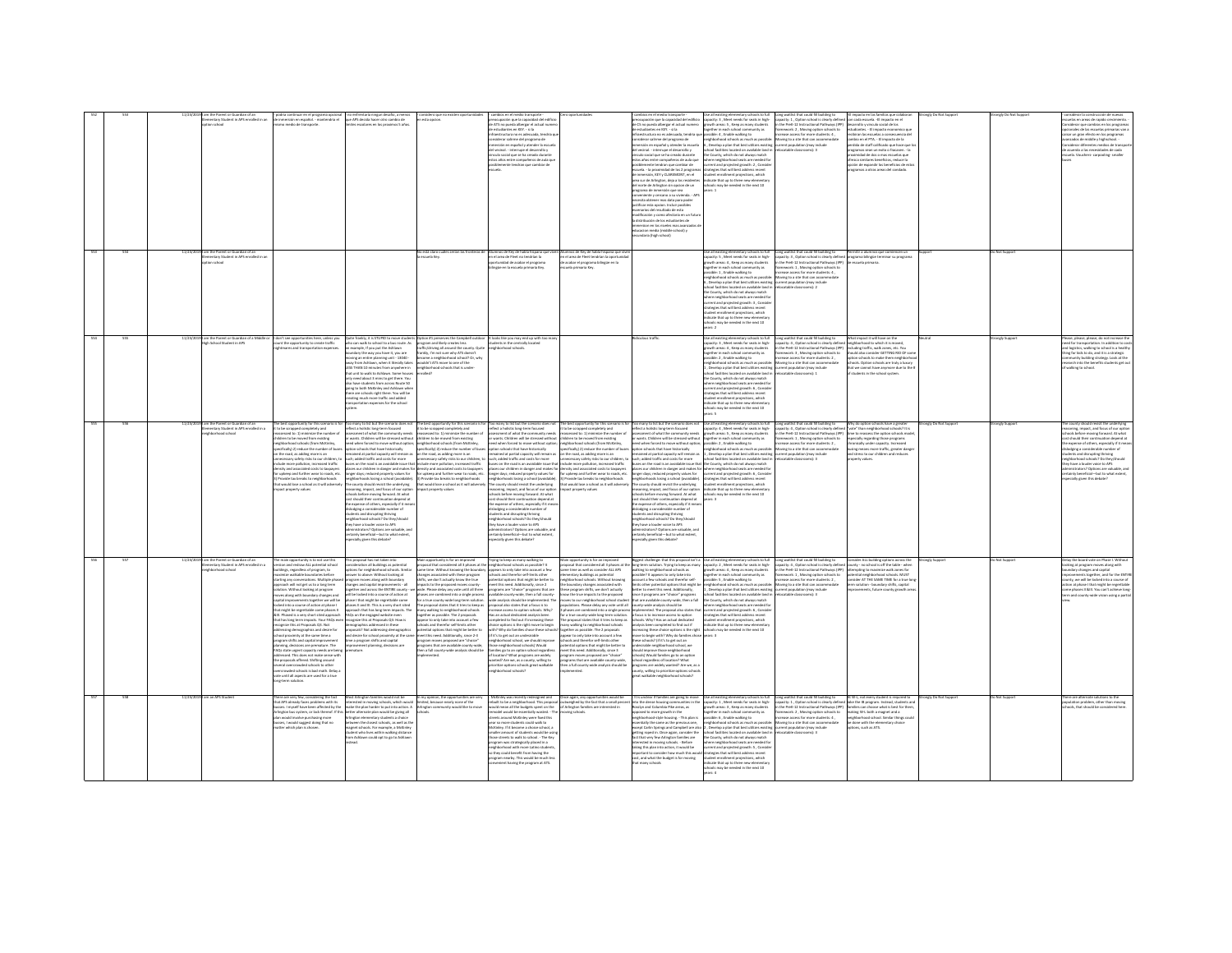|             |     | lementary Student in APS enrolled in an<br>tion school                                                | dria continuar en el programa opcio<br>staria ningun desafio, a me<br>e inmersión en español. - mantendria el<br>que APS decida hacer otro cambio de<br>mo medio de transporte.<br>ites escolares en los proximos 5 años.                                                                                                                                                                                                                                                                                                                                                                                                                                                                                                                                                                                                                                                                                                                                                                                                                                                                                                                                                                                                                                                                                                                                                                                                                                                                                                                                                                                                                                                                                                                                                                                                                        | esta opcion.<br>.<br>Habita<br>está claro cuáles:                                                                                                                                                                                                                                                                                                                                                                                                                                                                                                                                                                                                                                                                                                                                                                                                                                                                                                                                | cupación que la capacidad del edificio<br>le ATS no pueda albergar el actual num<br>derar salirme del programa de<br>ersión en español y atender la escue<br>Il vecinal. - interrupe el desarrollo v<br>ulo social que se ha creado durante<br>is años entre compañeros de aula qui<br>blemente tendran que cambiar de                                                                                                                                                                                                                                                                                                                                                                                                                                                                                                                                                                                                                                                                                                                                                                                                                                                                                                                                                                                                                                                                                                                                                                                                                                                                                                                                                                                                                                                                                                                                   | ocupación que la capacidad del edificio<br>de CS no pueda albergar el actual numero<br>estudiantes en KEY, - si la<br>.<br>Harta tanziria n<br>ructura no es adec<br>derar salirme del programa de<br>ersión en español y atender la escuela<br>vecinal. - interrupe el desarrollo y<br>culo social que se ha creado durante<br>tos años entre compañeros de aula que<br>siblemente tendran que cambiar de<br>cuela. - la proximidad de los 2 programas<br>inmersión, KEY y CLAREMONT, en el<br>ra sur de Arlington, deja a los residente<br>norte de Arlington sin opcion de un<br>cograma de inmersión que sea<br>niente y cercano a su vivienda. - APS<br>.<br>cesita obtener mas data para pode<br>tificar esta opcion. Incluir posibles<br>cenarios del resultado de esta<br>dificación y como afectaria en un futu<br>listribución de los estudiantes de<br>ersion en los niveles mas avanza<br>educacion media (middle school) v<br>(loodaria (high school)                                                                                                                                                                                                                                           | capacity: 3, Meet needs for seats in high-<br>growth areas: S , Keep as many students<br>author in each school community as<br>sible: 4, Enable walking to<br>ghborhood schools as much as possib<br>Develop a plan that best utilizes existing<br>ool facilities located on available land i<br>County, which do not always match<br>are neighborhood seats are needed fc<br>rent and projected growth: 2 , Consid<br>rategies that will best address recent<br><b>Sent enrollment projections, which</b><br>cate that up to three new elementa<br>tols may be needed in the next 10                                                                                                                      | ong waitlist that could fill building to<br>tilias que o<br>capacity: 1, Option school is clearly defined con cada escuela. -El impacto en el<br>n the PreK-12 Instructional Pathways (IPP)<br>esarrollo y vinculo social de los<br>mework: 2, Moving option schools to<br>rease access for more students: 4.<br>studiantes. - El impacto economico que<br>nbio en el PTA. - El impacto de la<br>oving to a site that can accommodate<br>screent oppulation (may include<br>erdida de staff calificado que hace que lo<br>elocatable classrooms): 3<br>peramas sean un exito o fracasen. - la<br>midad de dos o mas escuelas que<br>rezca similares beneficios, reduce la<br>sción de expandir los beneficios de esto<br>peramas a otras areas del condado. |                               | Not Suppe      | tión de nueva<br>uelas en areas de rapido crecimiento.<br>nsiderar que cambios en los programa<br>pcionales de las escuelas primarias van a<br>aisar un gran efecto en los programas<br>vanzados de middle y highschool. -<br>nsiderar diferentes medios de transc<br>de acuerdo a las necesidades de cada<br>ela. Vouchers- carpooling- smaller                                                                                                                               |
|-------------|-----|-------------------------------------------------------------------------------------------------------|--------------------------------------------------------------------------------------------------------------------------------------------------------------------------------------------------------------------------------------------------------------------------------------------------------------------------------------------------------------------------------------------------------------------------------------------------------------------------------------------------------------------------------------------------------------------------------------------------------------------------------------------------------------------------------------------------------------------------------------------------------------------------------------------------------------------------------------------------------------------------------------------------------------------------------------------------------------------------------------------------------------------------------------------------------------------------------------------------------------------------------------------------------------------------------------------------------------------------------------------------------------------------------------------------------------------------------------------------------------------------------------------------------------------------------------------------------------------------------------------------------------------------------------------------------------------------------------------------------------------------------------------------------------------------------------------------------------------------------------------------------------------------------------------------------------------------------------------------|----------------------------------------------------------------------------------------------------------------------------------------------------------------------------------------------------------------------------------------------------------------------------------------------------------------------------------------------------------------------------------------------------------------------------------------------------------------------------------------------------------------------------------------------------------------------------------------------------------------------------------------------------------------------------------------------------------------------------------------------------------------------------------------------------------------------------------------------------------------------------------------------------------------------------------------------------------------------------------|----------------------------------------------------------------------------------------------------------------------------------------------------------------------------------------------------------------------------------------------------------------------------------------------------------------------------------------------------------------------------------------------------------------------------------------------------------------------------------------------------------------------------------------------------------------------------------------------------------------------------------------------------------------------------------------------------------------------------------------------------------------------------------------------------------------------------------------------------------------------------------------------------------------------------------------------------------------------------------------------------------------------------------------------------------------------------------------------------------------------------------------------------------------------------------------------------------------------------------------------------------------------------------------------------------------------------------------------------------------------------------------------------------------------------------------------------------------------------------------------------------------------------------------------------------------------------------------------------------------------------------------------------------------------------------------------------------------------------------------------------------------------------------------------------------------------------------------------------------|--------------------------------------------------------------------------------------------------------------------------------------------------------------------------------------------------------------------------------------------------------------------------------------------------------------------------------------------------------------------------------------------------------------------------------------------------------------------------------------------------------------------------------------------------------------------------------------------------------------------------------------------------------------------------------------------------------------------------------------------------------------------------------------------------------------------------------------------------------------------------------------------------------------------------------------------------------------------------------------------------------------------------------------------------------------------------------------------------------------------------------------------------------------------------------------------------------------|------------------------------------------------------------------------------------------------------------------------------------------------------------------------------------------------------------------------------------------------------------------------------------------------------------------------------------------------------------------------------------------------------------------------------------------------------------------------------------------------------------------------------------------------------------------------------------------------------------------------------------------------------------------------------------------------------------|-------------------------------------------------------------------------------------------------------------------------------------------------------------------------------------------------------------------------------------------------------------------------------------------------------------------------------------------------------------------------------------------------------------------------------------------------------------------------------------------------------------------------------------------------------------------------------------------------------------------------------------------------------------------------------------------------------------------------------------------------------------|-------------------------------|----------------|--------------------------------------------------------------------------------------------------------------------------------------------------------------------------------------------------------------------------------------------------------------------------------------------------------------------------------------------------------------------------------------------------------------------------------------------------------------------------------|
|             |     | l am the Parent or Guardian of an<br>Elementary Student in APS enrolled in a<br>loorlas nai           |                                                                                                                                                                                                                                                                                                                                                                                                                                                                                                                                                                                                                                                                                                                                                                                                                                                                                                                                                                                                                                                                                                                                                                                                                                                                                                                                                                                                                                                                                                                                                                                                                                                                                                                                                                                                                                                  | zela Key                                                                                                                                                                                                                                                                                                                                                                                                                                                                                                                                                                                                                                                                                                                                                                                                                                                                                                                                                                         | mnos de Key de habla hispana q.<br>el area de Fleet no tendrían la<br>Jumnos de Key de habla hispana que vive<br>n el area de Fleet tendrían la oportunida<br>rtunidad de acabar el programa<br>e acabar el programa bilingüe en la<br>la nrimaria Kev                                                                                                                                                                                                                                                                                                                                                                                                                                                                                                                                                                                                                                                                                                                                                                                                                                                                                                                                                                                                                                                                                                                                                                                                                                                                                                                                                                                                                                                                                                                                                                                                   |                                                                                                                                                                                                                                                                                                                                                                                                                                                                                                                                                                                                                                                                                                                                                                                                                                                                                                                                                                                                                                                                                                                                                                                                              | se all existing elementary schools to full<br>spacity: 5 , Meet needs for seats in high-<br>owth areas: 4, Keep as many students<br>ether in each school community as<br>sible: 1, Enable walking to<br>ighborhood schools as much as possible<br>Develop a plan that best utilizes existing current population (may include<br>rool facilities located on available land in relocatable classrooms): 2<br>County, which do not always match<br>rent and projected growth: 3, Conside<br>ategies that will best address recent<br>lent enrollment projections, which<br>icate that up to three new eler<br>ools may be needed in the next 10<br>are 2                                                      | Long waitlist that could fill building to Permitir a alumnos que comiencen un<br>capacity: 3, Option school is clearly defined programa bilingüe terminar su programa<br>the PreK-12 Instructional Pathways (IPP)<br>iscuela primaria.<br>nework: 1 . Moving option schools to<br>ase arress for more students-4<br>Moving to a site that can accome                                                                                                                                                                                                                                                                                                                                                                                                        |                               |                |                                                                                                                                                                                                                                                                                                                                                                                                                                                                                |
|             |     | 19 I am the Parent or Guardian of a Middle o                                                          | I don't see opportunities here, unless you<br>count the opportunity to create traffic<br>mares and transportation expenses<br>xample, if you put the Ashlawn<br>ate cost the seasons have it was are<br>unsary one way you nave it, you are<br>oving an entire planning unit - 13040 -<br>ray from Ashlawn, when it literally takes<br>SS THAN 10 minutes from anywhere in<br>at unit to walk to Ashlawn. Some houses<br>ly need about 3 mins to get there. You<br>o have students from across Route 50<br>oing to both McKinley and Ashlawn who<br>ere are schools right there. You will be<br>ating much more traffic and added<br>ortation expenses for the school                                                                                                                                                                                                                                                                                                                                                                                                                                                                                                                                                                                                                                                                                                                                                                                                                                                                                                                                                                                                                                                                                                                                                                            | Quite frankly, it is STUPID to move students. Option #1 preserves the Campbell outdoor<br>who can walk to school to a bus route. As grogram and likely creates less<br>traffic/driving all around the county. Quite<br>eighborhood schools.<br>Coanach 27A unhar sansa ton m <sup>2</sup> uldingal<br>ney, i m not sure wity AIS does<br>come a neighborhood school? C<br>uldn't ATS move to one of the<br>school? Or who<br>neighborhood schools that is un                                                                                                                                                                                                                                                                                                                                                                                                                                                                                                                     | It looks like you may end up with too ma                                                                                                                                                                                                                                                                                                                                                                                                                                                                                                                                                                                                                                                                                                                                                                                                                                                                                                                                                                                                                                                                                                                                                                                                                                                                                                                                                                                                                                                                                                                                                                                                                                                                                                                                                                                                                 |                                                                                                                                                                                                                                                                                                                                                                                                                                                                                                                                                                                                                                                                                                                                                                                                                                                                                                                                                                                                                                                                                                                                                                                                              | .<br>Jse all existing elementary schools to full<br>tapacity: 3 , Meet needs for seats in high-<br>suth areas: 4, Keep as many students<br>ather in each school community as<br>sible: 2 . Enable walking to<br>.<br>highborhood schools as much as possible: Moving to a site that can accomme<br>, Develop a plan that best utilizes existing current population (may include<br>hool facilities located on available land in relocatable classrooms): 1<br>e County, which do not always match<br>rent and projected growth: 6, Conside<br>ategies that will best address recent<br>dent enrollment projections, which<br>icate that up to three new elem<br>ools may be needed in the next 10<br>es: S | Long waitlist that could fill building to<br>capacity: 4 , Option school is clearly defined<br>What impact it will have on the<br>neighborhood to which it is moved,<br>including traffic, walk zones, etc. You<br>n the PreK-12 Instructional Pathways (IPP)<br>meson's 1. Moving notion schools to<br>heald also consider GFTTMG RID OF see<br>pasa arress for more students-2<br>tion schools to make them neig<br>loving to a site that can accommodate<br>schools. Option schools are truly a luxury<br>that we cannot have anymore due to the #<br>students in the school system.                                                                                                                                                                     |                               | trongly Suppo  | lease, please, please, do not increase the<br>eed for transportation. In addition to cos<br>nd logistics, walking to school is a health<br>hing for kids to do, and it is a strategic<br>extending strategy. Look at the<br>terrarity building strategy. Look at the<br>arch into the benefits students get ou<br>walking to school                                                                                                                                            |
| $rac{1}{2}$ | 556 | 11/33/2019 Lam the Parent or Guardian of an<br>entary Student in APS enrolled in a<br>hbarhoad school | w best opportunity for this scena<br>many to list hot the scenario does a<br>t to be scrapped completely and<br>ect a holistic long-term focused<br>sessed to: 1) minimize the number<br>ssment of what the community need<br>children to be moved from existing<br>wants. Children will be stressed without<br>Nheebned schools (from McKink<br>d when forced to move without option<br>ea when roccea to move without option<br>tion schools that have historically<br>mained at partial capacity will remain as<br>specifically) 2) reduce the number of buse<br>on the road, as adding more is an<br>nnecessary safety risks to our children, to<br>uch: added traffic and costs for more<br>ger days; reduced property values for<br>upkeep and further wear to roads, etc<br>Provide tax breaks to neighborhoods<br>hborhoods losing a school (avoidable)<br>hat would lose a school as it will adversely<br>county should revisit the underlying<br>soning, impact, and focus of our option<br>ools before moving forward. At what<br>act property values<br>It should their continuation depend at<br>expense of others, especially if it me<br>lodging a considerable number of<br>dents and disrupting thriving<br>ighborhood schools? Do they/should<br>ry have a louder voice to APS<br>inistrators? Ontinus are valuable and<br>tainly beneficial-but to what extent,<br>secially given this debate?                                                                                                                                                                                                                                                                                                                                                                                                                                | he best opportunity for this scenario is fo<br>to be scrapped completely and<br>reassessed to: 1) minimize the number of<br>hildren to be moved from existing<br>imecessary safety risks to our children, to such: added traffic and costs for more<br>$\omega$ n, anano un ma anno 100 minuto e de la contra esse y menos de la contrato.<br>ses on the road is an avoidable issue that include more pollution, increased traffic<br>aces our children in danger and makes for density and ass<br>or upkeep and further wear to roads, etc.<br>Provide tax breaks to neighborhoods<br>wherever live it as loorlas is will adversely<br>act property values<br>ey have a louder voice to APS                                                                                                                                                                                                                                                                                     | on many to list heit the scenario does not<br>he best opportunity for this scen-<br><b>Rect a holistic long-term focused</b><br>it to be scrapped completely and<br>assessment of what the community needs reassessed to: 1) minimize the number of<br>or wants. Children will be stressed without children to be moved from existing<br>onable to the matter of the matter of the state of the matter of the matter of the matter of the matter of the<br>state of the matter of the matter of the matter of the matter of the matter of the matter of the matter of the<br><br>suureurus paraust Laping was terment as . on the trous, as accords matches that is an interesting started that the started started in the control of the started started in the control of the started started in the control<br>hborhoods losing a school (avoidable).<br>3) Provide tax breaks to neighborhoods<br>te county should revisit the underlying that would lose a school as it will adversely<br>easoning, impact, and focus of our option<br>chools before moving forward. At what<br>cost should their continuation depend at<br>act property values<br>e expense of others, especially if it me<br>slodging a considerable number of<br>udents and disrupting thriving<br>eighborhood schools? Do they/should<br>strategy? Ontines are valuable an<br>tainly beneficial—but to what extent,<br>tainly beneficial—but to what extent,<br>secially given this debate?                                                                                                                                                                                                                                                                                                                                                                                     | to many to list hut the scenario does<br>lect a holistic long-term focused<br>assessment of what the community needs<br>r wants. Children will be stressed without<br>ed when forced to move without gotion<br>need when forced to move without option;<br>option schools that have historically<br>remained at partial capacity will remain as<br>such: added traffic and costs for more<br>successions and the country which do not always match<br>places our children in danger and makes for where neighborhood seats are needed fo<br>speer days; reduced property values for where neighborhood seats are needed fo<br>longer<br>ghborhoods losing a school (avoidable)<br>The county should revisit the underlying<br>soning, impact, and focus of our option<br>ooks before moving forward. At what<br>cost should their continuation depend at<br>the expense of others, especially if it means<br>lodging a considerable number of<br>idents and disrupting thriving<br>eighborhood schools? Do they/should<br>ey have a louder voice to APS<br>istrators? Ontions are valuable an<br>tainly beneficial—but to what extent<br>tainly beneficial—but to what extent<br>recially given this debate? | se all'avistina plam<br>stroisebeck to fell<br>acity: 4, Meet needs for seats in high-<br>suth areas: S., Keep as many students<br>together in each school community as<br>sible: 2 . Enable walking to<br>eighborhood schools as much as possible: Moving to a site that can accomn<br>, Develop a plan that best utilizes existing , current population (may include<br>school facilities located on available land in relocatable classrooms): 3<br>rent and projected growth: 6 , Conside<br>ategies that will best address recent<br>udent enrollment projections, which<br>icate that up to three new el-<br>ses: 3                                                                                  | cong waitlist that could fill building to<br>Why do option schools have a greater<br>apacity: 4, Option school is clearly defined<br>ote" than neighborhood schools? It is<br>n the PreK-12 Instructional Pathways (IPP) time to reassess the option schools mod-<br>ramework: 1 . Moving option schools to<br>especially regarding those programs<br>oase arress for more students- 2<br>hronically under capacity. Increased<br>using means more traffic, greater dange<br>nd stress to our children and reduces<br>loving to a site that can accommodate<br>coerty values.                                                                                                                                                                               | Frankly Da Nat Sunnar         | rongly Support | county should revisit the underlyin<br>ning, impact, and focus of our optic<br>tools before moving forward. At what<br>st should their contin<br>uation depend at<br>expense of others, especially if it me<br>lodging a considerable number of<br>idents and disrupting thriving<br>eighborhood schools? Do they'should<br>.<br>ly have a louder voice to APS<br>ministrators? Options are valuable, an<br>tainly beneficial-but to what extent,<br>ecially eiven this debate |
|             |     | am the Parent or Guardian of an<br>nentary Student in APS enrolled in a<br>hborhood school            | e main opportunity is to not use this<br>rsion and redraw ALL potential school<br>This proposal has not taken into<br>ideration all buildings as potential<br>dines, repardless of program, to<br>ions for neighborhood schools. Similar<br>maximize walkable boundaries before<br>starting any conversations. Multiple pl<br>nswer to above: Without looking at<br>rogram moves along with boundary<br>changes and capital improvements - all<br>approach will not get us to a long term<br>olution. Without looking at program<br>noves along with boundary changes and<br>ether and across the ENTIRE county - y<br>be locked into a course of action at<br>and the province of action at the settlement of the settlement of the settlement of the settlement of the set<br>In the set of action at phase I<br>se I that might be regrettable come<br>ses II and III. This is a very short site<br>that might be regrettable come phases II<br>pach that has long term impacts. The<br>(III) Phasad is a vary short sited announced<br>.<br>Qs on the engaged website even<br>ognize this at Proposals Q3: How is<br>hat has long term impacts. Your FAQs of<br>ecognize this at Proposals Q3. Not<br>ographics addressed in these<br>addressing demographics and desire for<br>cosals? Not addressing demographics<br>chool proximity at the same time a<br>desire for school proximity at the sam<br>rogram shifts and capital improvemen<br>e a program shifts and capital<br>ming, decisions are premature. The<br>ovement planning, decisions are<br>AQs state urgent capacity needs are being<br>dressed. This does not make sense wit<br>the proposals offered. Shifting around<br>several overcrowded schools to other<br>overcrowded schools is bad math. Delay a<br>vote until all aspects are used for a true<br>e-term solution. | fain opportunity is for an improved<br>roposal that considered all 3 phases at the<br>me time. Without knowing the boundary<br>hanges associated with these program<br>hifts, we don't actually know the true<br>pacts to the proposed moves county-<br>wide. Please delay any yote until all three<br>hases are combined into a single proces-<br>nasses are compressed litto a singar process<br>or a true county-wide long-term solution.<br>he proposal states that it tries to keep as<br>many walking to neighborhood schools<br>peether as possible. The 2 proposals<br>ar to only take into account a few<br>ols and therefor self-limits other<br>potential options that might be better to<br>meet this need. Additionally, since 2-3<br>of it's to get out an undesirable<br>gram moves proposed are "choice"<br>grammoves proposed are: "cruck"<br>grams that are available county-wide,<br>m a full county-wide analysis should be<br>mented.<br>ghborhood schools? | Trying to keep as many walking to<br>neighborhood schools as possible? It<br>pears to only take into account a few<br>same time as well as consider ALL APS<br>chools and therefor self-limits other<br>otential options that might be better to<br>elementary buildings as potential<br>neighborhood schools. Without knowing<br>seet this need. Additionally, since 2<br>the boundary changes associated with<br>rograms are "choice" programs that are<br>vailable county-wide, then a full county-<br>these program shifts, we don't actually<br>know the true impacts to the proposed<br>vide analysis should be implemented. Th<br>proposal also states that a focus is to<br>nows to our neighborhood school studen<br>ropulations. Please delay any vote until all<br>populations. >>>>>>>>>>>>>>> a single process<br>3 phases are combined into a single process<br>crease access to option schools. Why?<br>as an artual dedicated analysis hean<br>for a true county-wide long-term solution.<br>The proposal states that it tries to keep as<br>many walking to neighborhood schools<br>pleted to find out if increasing these<br>ice options is the right move to begin<br>with? Why do families chose these schools? together as possible. The 2 proposals<br>appear to only take into account a few<br>hborhood school, we should improve<br>schools and therefor self-limits other<br>.<br>se neighborhood schools) Would<br>ilies go to an option school regardless<br>ential options that might be better to<br>vest this need. Additionally, since 3<br><b>flocation?</b> What programs are widely<br>roaram moves proposed are "choice"<br>ented? Are we, as a county, willing to<br>ioritize options schools great walkable<br>programs that are available county-wide,<br>then a full county-wide analysis should be<br>lemented. | Main opportunity is for an improved large that length that this proposal isn't a like all existing elementary schools to full<br>proposal that considered all 3 phases at the long-term solution. Trying to keep as many capacity<br>walking to neighborhood schools as<br>ssible? It appears to only take into<br>count a few schools and therefor self-<br>rits other potential options that might be<br>etter to meet this need. Additionally,<br>ince 3 programs are "choice" programs<br>hat are available county-wide, then a full<br>curity-wide analysis should be<br>plemented. The proposal also states that<br>focus is to increase access to option<br>hools. Why? Has an actual dedicated<br>nalysis been completed to find out if<br>ncreasing these choice options is the right<br>nove to begin with? Why do families chose<br>ese schools? (if it's to get out an<br>esirable neighborhood school, w<br>uld improve those neighborhood<br>ools) Would families ao to an option<br>hook regardless of location? What<br>hook regardless of location? What<br>agrams are widely wanted? Are we, as<br>unty, willing to prioritiee options schoo<br>eat walkable neighborhood schools?         | owth areas: 4 . Keep as many students<br>prther in each school community as<br>ssible: 5 , Enable walking to<br>eighborhood schools as much as possibl<br>Develop a plan that best utilizes existing<br>tool facilities located on available land is<br>County, which do not always match<br>e neighborhood seats are needed<br>rrent and projected growth: 6, Conside<br>heates that will hast address renew<br>dent enrollment projections, which<br>licate that up to three new elementary<br>(17 type adt ni habaan ad vam zlon)                                                                                                                                                                       | Long waitlist that could fill building to<br>capacity: 4 , Option school is clearly defined<br>Consider ALL building options across the<br>county - no school is off the table - when<br>the PreK-12 Instructional Pathways (IPP)<br>empting to maximize walk zones for<br>mework: 1 , Moving option schools to<br>rease access for more students: 2 ,<br>itential neighborhood schools. MUST<br>nsider AT THE SAME TIME for a true lor<br>Moving to a site that can accommodate<br>rm solution - boundary shifts, capital<br>current population (may include<br>wiments, future county erowth are<br>ocatable classrooms): 3                                                                                                                               |                               |                | y the board vote on Phase I. With:<br>sking at program moves along with<br>dary changes and capital<br>or<br>overnents together, and for the ENTI<br>inty, we will be locked into a course of<br>ion at phase I that might be regrettabl-<br>me phases II &III. You can't achieve lone<br>n and county-wide vision using a parti                                                                                                                                               |
|             | 558 | am an APS Studen<br>11/23/2                                                                           | here are very few, considering the fact<br>Mast Arlington families would not be<br>interested in moving schools, which would<br>that APS already faces problems with its<br>usses. I muself have been affected by the make the plan harder to put into action. A<br>lington bus system, or lack thereof. If this<br>an would involve purchasing more<br>tter alternate plan would be giving all<br>ington elementary students a choice<br>ies, I would suggest doing that no<br>een the closest schools, as well as th<br>ter which plan is cho<br>gnet schools. For example, a McKinley<br>dent who lives within walking distanc<br>n Ashlawn could opt to go to Ashlaw                                                                                                                                                                                                                                                                                                                                                                                                                                                                                                                                                                                                                                                                                                                                                                                                                                                                                                                                                                                                                                                                                                                                                                         |                                                                                                                                                                                                                                                                                                                                                                                                                                                                                                                                                                                                                                                                                                                                                                                                                                                                                                                                                                                  | m my apinion, the opportunities are very - - McKinley was recently redesigned and - Once again, any opportunities would be<br>Amthed, because meanly none of the - - rebuilt to be a neighborhood. This proposal outworkly day th<br>model would be essentially wasted. - The moving schools.<br>reets around McKinley were food this<br>ear so more students could walk to<br>Griey. If it become a choice school, a<br>naller amount of students would be usi-<br>hose streets to walk to school. - The Key<br>rogram was strategically placed in a<br>eighborhood with more Latino student<br>they could benefit from having the<br>gram nearby. This would be mwh let<br>ient having the program at AT:                                                                                                                                                                                                                                                                                                                                                                                                                                                                                                                                                                                                                                                                                                                                                                                                                                                                                                                                                                                                                                                                                                                                              | - It is unclear if families are going to move Use all existing elementary schools to full<br>into the dense housing communities in the capacity: 1, Meet needs for seats in high-<br>tosslyn and Columbia Pike areas, as<br>osed to more growth in the<br>phochood-style housing. - This plan is<br>vertially the same as the previous one,<br>cept Carlin Springs and Campbell are also<br>tting roped in. Once again, consider the<br>ct that very few Arlington families are<br>terested in moving schools. - Before<br>taking this plan into action, it would be<br>chant to consider how much this would<br>sartam. We consider the budget is for moving<br>nany schools                                                                                                                                                                                                                                                                                                                                                                                                                                                                                                                                | owth areas: 3 . Keep as many students<br>ether in each school community as<br>sible: 6 , Enable walking to<br>hborhood schools as much as possibl<br>bevelop a plan that best utilizes existing current population (may include<br>ool facilities located on available land in<br>sool facilities rocates on avenues<br>a County, which do not always match<br>sere neighborhood seats are needed fo<br>rrent and projected growth: S, Consid-<br>heates that will hast address renew<br>tions which<br>cate that up to three new elementar<br>ools may be needed in the next 10<br>we a                                                                                                                   | Long waitlist that could fill building to At W-L, not every student is required to<br>capacity: 1, Option school is clearly defined take the 18 program. Instead, students and<br>in the PreK-12 Instructional Pathways (IPP) 6<br>milies can choose what is best for them<br>mework: 2 , Moving option schools to<br>rease access for more students: 4 ,<br>sking W-L both a magnet and a<br>eighborhood school. Similar things coul<br>Moving to a site that can accommodate<br>done with the elementary choice<br>ZTA as duck and<br>locatable classrooms): 3                                                                                                                                                                                            | <b>Itrangly Do Not Suppor</b> | Not Suppor     | here are alternate solutions to the<br>spulation problem, other than moving<br>ools, that should be considered here                                                                                                                                                                                                                                                                                                                                                            |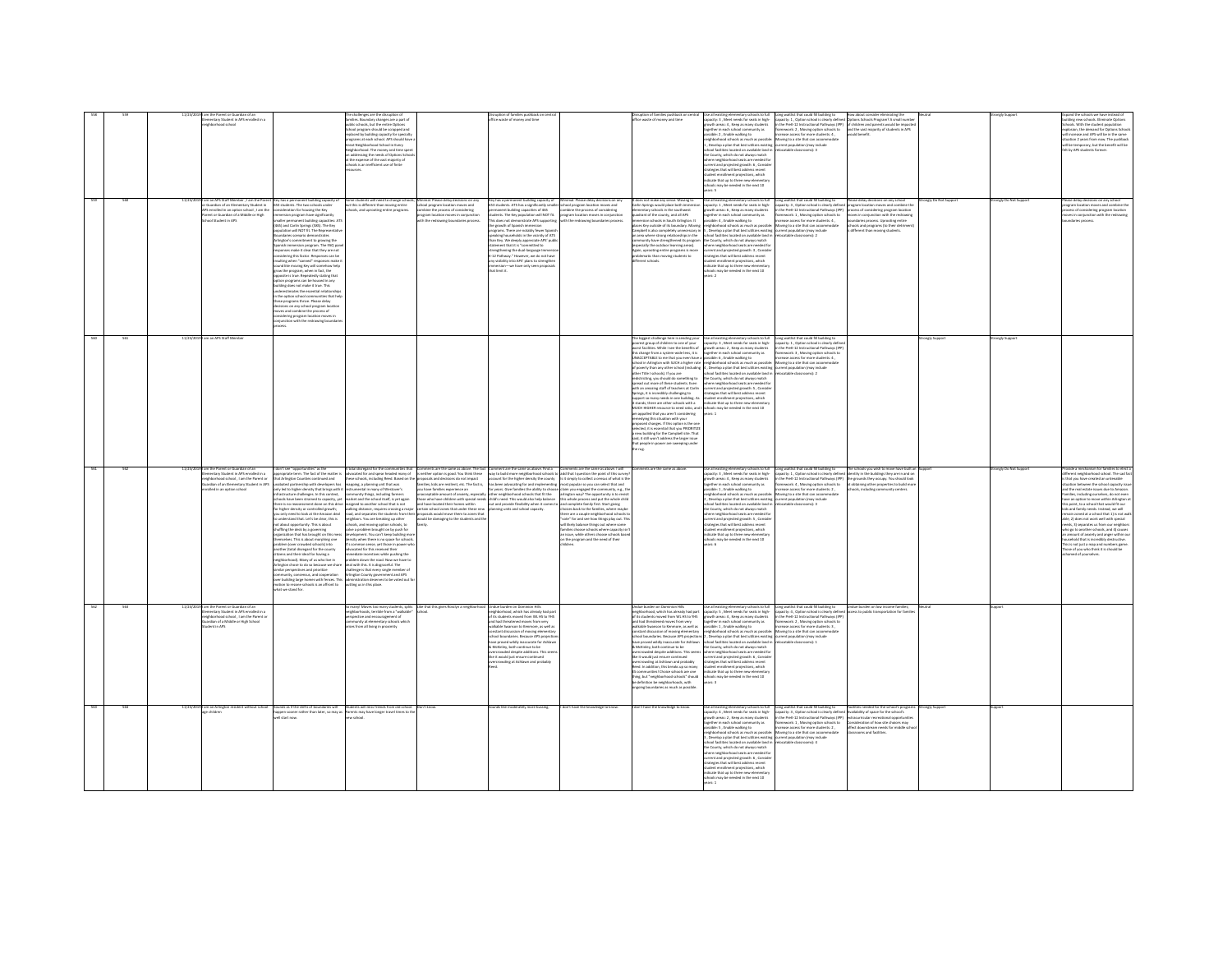|     | n the Parent or Guardian of an<br>mentary Student in APS enrolled in a<br>inborhood school                                                                                                      |                                                                                                                                                                                                                                                                                                                                                                                                                                                                                                                                                                                                                                                                                                                                                                                                                                                                                                                                                                                  | challenges are the disruption of<br>milies. Boundary changes are a part of<br>ablic schools, but the entire Options<br>thool program should be scrapped and<br>placed by building capacity for specialt<br>agrams at each school. APS should have<br>at Neishborhood School in Every<br>thood. The money and time one<br>ddressing the needs of Options Schr                                                                                                                                                                                                                                                                                                                                                                                                                                                                                                                                                                                            |                                                                                                                                                                                                                                                                                                                                                                                                                                                                                                                                                                                                                                    | ffice waste of money and time                                                                                                                                                                                                                                                                                                                                                                                                                                                                                                                                                                                                                                                                                                                                                               |                                                                                                                                                                                                                                                                                                                                                                                                                                                                    | ruption of families pushback on centr<br>ffice waste of money and time                                                                                                                                                                                                                                                                                                                                                                                                                                                                                                                                                                                                                                                                                                                                                                                                                                                                                                                                 | Use all existing elementary schools to full<br>capacity: 3 , Meet needs for seats in high-<br>growth areas: 4 , Keep as many students<br>together in each school community as<br>possible: 2 , Enable walking to<br>eighborhood schools as much as possibli<br>Develop a plan that best utilizes existing<br>oratori no available land in<br>ol far<br>County, which do not always match                                                                                                                                                                                                                                                                                                                                                                                                                 | Long waitlist that could fill building to<br>mework: 2 , Moving option schools to<br>rease access for more students: 4 ,<br>Moving to a site that can accommodate<br>urrent population (may include<br>Premenosci driverante                                                                                                                                                               | How about consider eliminating the<br>capacity: 1, Option school is clearly defined Options Schools Program? A small number<br>in the PreK-12 Instructional Pathways (IPP) of children and parents would be impacted<br>and the vast majority of students in APS<br>would benefit. |               | ongly Suppor        | pand the schools we have instead of<br>uilding new schools, Eliminate Options<br>hools. With the student occulation<br>losion, the demand for Options Schoo<br>increase and APS will be in the same<br>tuation 2 years from now. The pushback<br>il be temporary, but the benefit will be<br>ilt by APS students forever.                                                                                                                                                                                                                                                                                                                                                                                                                                                              |
|-----|-------------------------------------------------------------------------------------------------------------------------------------------------------------------------------------------------|----------------------------------------------------------------------------------------------------------------------------------------------------------------------------------------------------------------------------------------------------------------------------------------------------------------------------------------------------------------------------------------------------------------------------------------------------------------------------------------------------------------------------------------------------------------------------------------------------------------------------------------------------------------------------------------------------------------------------------------------------------------------------------------------------------------------------------------------------------------------------------------------------------------------------------------------------------------------------------|---------------------------------------------------------------------------------------------------------------------------------------------------------------------------------------------------------------------------------------------------------------------------------------------------------------------------------------------------------------------------------------------------------------------------------------------------------------------------------------------------------------------------------------------------------------------------------------------------------------------------------------------------------------------------------------------------------------------------------------------------------------------------------------------------------------------------------------------------------------------------------------------------------------------------------------------------------|------------------------------------------------------------------------------------------------------------------------------------------------------------------------------------------------------------------------------------------------------------------------------------------------------------------------------------------------------------------------------------------------------------------------------------------------------------------------------------------------------------------------------------------------------------------------------------------------------------------------------------|---------------------------------------------------------------------------------------------------------------------------------------------------------------------------------------------------------------------------------------------------------------------------------------------------------------------------------------------------------------------------------------------------------------------------------------------------------------------------------------------------------------------------------------------------------------------------------------------------------------------------------------------------------------------------------------------------------------------------------------------------------------------------------------------|--------------------------------------------------------------------------------------------------------------------------------------------------------------------------------------------------------------------------------------------------------------------------------------------------------------------------------------------------------------------------------------------------------------------------------------------------------------------|--------------------------------------------------------------------------------------------------------------------------------------------------------------------------------------------------------------------------------------------------------------------------------------------------------------------------------------------------------------------------------------------------------------------------------------------------------------------------------------------------------------------------------------------------------------------------------------------------------------------------------------------------------------------------------------------------------------------------------------------------------------------------------------------------------------------------------------------------------------------------------------------------------------------------------------------------------------------------------------------------------|----------------------------------------------------------------------------------------------------------------------------------------------------------------------------------------------------------------------------------------------------------------------------------------------------------------------------------------------------------------------------------------------------------------------------------------------------------------------------------------------------------------------------------------------------------------------------------------------------------------------------------------------------------------------------------------------------------------------------------------------------------------------------------------------------------|--------------------------------------------------------------------------------------------------------------------------------------------------------------------------------------------------------------------------------------------------------------------------------------------------------------------------------------------------------------------------------------------|------------------------------------------------------------------------------------------------------------------------------------------------------------------------------------------------------------------------------------------------------------------------------------|---------------|---------------------|----------------------------------------------------------------------------------------------------------------------------------------------------------------------------------------------------------------------------------------------------------------------------------------------------------------------------------------------------------------------------------------------------------------------------------------------------------------------------------------------------------------------------------------------------------------------------------------------------------------------------------------------------------------------------------------------------------------------------------------------------------------------------------------|
|     | am an APS Stat                                                                                                                                                                                  |                                                                                                                                                                                                                                                                                                                                                                                                                                                                                                                                                                                                                                                                                                                                                                                                                                                                                                                                                                                  | it the expense of the vast majority of<br>chools is an inefficient use of finite                                                                                                                                                                                                                                                                                                                                                                                                                                                                                                                                                                                                                                                                                                                                                                                                                                                                        | mal. Please delay decisions on an                                                                                                                                                                                                                                                                                                                                                                                                                                                                                                                                                                                                  |                                                                                                                                                                                                                                                                                                                                                                                                                                                                                                                                                                                                                                                                                                                                                                                             |                                                                                                                                                                                                                                                                                                                                                                                                                                                                    |                                                                                                                                                                                                                                                                                                                                                                                                                                                                                                                                                                                                                                                                                                                                                                                                                                                                                                                                                                                                        | where neighborhood seats are needed for<br>urrent and projected growth: 6, Conside<br>testes that will hast artricess rerent<br>states and will will be a more that it is a state of the state of the state of the state of the state of the state of the state of the state of the state of the state of the state of the state of the state of the state of<br>ools may be needed in the next 10                                                                                                                                                                                                                                                                                                                                                                                                       |                                                                                                                                                                                                                                                                                                                                                                                            |                                                                                                                                                                                                                                                                                    |               | angly Do Not Sup    | se delay decisions on any schoo                                                                                                                                                                                                                                                                                                                                                                                                                                                                                                                                                                                                                                                                                                                                                        |
|     | n an APS Staff Member , I am the Pare<br>Guardian of an Elementary Student in<br>VS enrolled in an ootion school . I am the<br>rent or Guardian of a Middle or High<br>hool Student in APS      | iy has a permanent building capacity o<br>3 students. The two schools under<br>sideration for housing the Key<br>mession program have significantly<br>saller permanent building capacities: A<br>55) and Carlin Springs (585). The Key<br>dation will NOT fit. The Representa<br>daries scenario demonstrates<br>gton's commitment to growing the<br>nish immersion program. The FAQ par<br>ponses make it clear that they are not<br>sidering this factor. Responses can be<br>iting when "canned" responses make<br>d like moving Key will somehow help<br>w the program, when in fact, the<br>site is true. Repeatedly stating that<br>on programs can be housed in any<br>ing does not make it true. This<br>the option school communities that hel<br>ese programs thrive. Please delay<br>cisions on any school program location<br>oves and combine the process of<br>idering program location moves i<br>junction with the redrawing boundari                           | Some students will need to change scho<br>but this is different than moving entire<br>hools, and uprooting entire programs.                                                                                                                                                                                                                                                                                                                                                                                                                                                                                                                                                                                                                                                                                                                                                                                                                             | chool program location moves and<br>combine the process of considering<br>rogram location moves in conjunctio<br>ith the redrawing boundaries proces                                                                                                                                                                                                                                                                                                                                                                                                                                                                               | Key has a permanent building capacity of <b>Minimal. Please delay decisions on any</b><br>653 students. ATS has a significantly smaller school program location moves and<br>nanent building capacities of 465<br>dents. The Key population will NOT fit.<br>s does not demonstrate APS supporting<br>he growth of Spanish immersion<br>programs. There are notably fewer Spani<br>aking households in the vicinity of ATS<br>than Key. We deeply appreciate APS' publisherment that it is "committed to<br>statement that it is "committed to<br>strengthening the dual-language Immersion<br>K-12 Pathway." However, we do not have<br>any visibility into APS' plans to strengthen<br>the community mode of a powers 00 straing<br>terrorision-was have only seen prope<br>tat limit it. | ombine the process of considering<br>aram Incation moves in conju<br>the redrawing boundaries proc                                                                                                                                                                                                                                                                                                                                                                 | t does not make any sense. Moving to<br>:arlin Springs would place both immersi<br>mentary schools in the southwest<br>entricary schools in the sourcests<br>adrant of the county, and all APS<br>innersion schools in South Arlington. It<br>aces Key outside of its boundary. Moving<br>impbell is also completely unnecessary i<br>area where strong relationships in the<br>munity have strengthened its program<br>(especially the outdoor learning areas).<br>Again, uprooting entire programs is more<br>oroblematic than moving students to<br>different schools.                                                                                                                                                                                                                                                                                                                                                                                                                              | ise all existing elementary schools to full<br>apacity: 1 , Meet needs for seats in high-<br>rowth areas: 6 . Keep as many students<br>ether in each school community as<br>sible: 4 , Enable walking to<br>phborhood schools as much as po<br>Develop a plan that best utilizes existing exprent population (may include<br>col facilities located on available land in<br>County, which do not always match<br>where neighborhood seats are needed for<br>current and projected growth: 3 , Consider<br>trategies that will best address recent<br>dent enrollment projections, which<br><b>Scate that up to three new eleme</b><br>ools may be needed in the next 10<br>arec                                                                                                                          | Long waitlist that could fill building to Please delay decisions on any school<br>capacity: 3 , Option school is clearly defined program location moves and combine the<br>in the PreK-12 Instructional Pathways (IPP) process of co<br>Famework: 1, Moving option schools to<br>ncrease access for more students: 4,<br>Moving to a site that can accommodate<br>locatable classrooms): 2 | noves in commenting program nocessing<br>condaries process. Uprooting entire<br>chools and programs (to their detriment)<br>different than moving students.                                                                                                                        |               |                     | ogram location moves and combine the<br>poess of considering program location<br>wes in conjunction with the redrawing<br>undaries process.                                                                                                                                                                                                                                                                                                                                                                                                                                                                                                                                                                                                                                            |
| 561 | 11/23/2019 I am an APS Staff Member                                                                                                                                                             |                                                                                                                                                                                                                                                                                                                                                                                                                                                                                                                                                                                                                                                                                                                                                                                                                                                                                                                                                                                  |                                                                                                                                                                                                                                                                                                                                                                                                                                                                                                                                                                                                                                                                                                                                                                                                                                                                                                                                                         |                                                                                                                                                                                                                                                                                                                                                                                                                                                                                                                                                                                                                                    |                                                                                                                                                                                                                                                                                                                                                                                                                                                                                                                                                                                                                                                                                                                                                                                             |                                                                                                                                                                                                                                                                                                                                                                                                                                                                    | The biggest challenge here is sending your<br>poorest group of children to one of your<br>orst facilities. While I see the benefits of<br>his change from a system-wide lens, it is<br>NACCEPTABLE to me that you even have<br>chool in Arlington with SUCH a higher rate<br>If powerty than any other school (including<br>other Title I schools). If you are<br>edistricting, you should do something to<br>pread out more of these students. Even<br>th an amazing staff of teachers at Carlin<br>prings, it is incredibly challenging to<br>pport so many needs in one building. As<br>stands there are other schools with a<br>.<br>MUCH HIGHER resource to need ratio, and I<br>im appalled that you aren't considering<br>emedying this situation with your<br>proposed changes. If this option is the one<br>ected, it is essential that you PRIORITI<br>a new building for the Campbell site. That<br>said, it still won't address the larger issue<br>hat people in power are sweeping under | Use all existing elementary schools to full<br>capacity: 3 , Meet needs for seats in high-<br>rowth areas: 2, Keep as many students<br>prether in each school community as<br>sible: 6 . Enable walking to<br>prosumer. v , curawe women to a possible: Moving to a site that can accommodificate in the second schools as much as possible: Moving to a site that can accommodificate in that best utilizes existing current population (ma<br>the County, which do not always match<br>harp naighborhood seats are needed for<br>where neignborhood seats are needed to<br>current and projected growth: 5 , Conside<br>strategies that will best address recent<br>student enrollment projections, which<br>vicate that un to three new elementar<br>schools may be needed in the next 10<br>years: 1 | Long waitlist that could fill building to<br>capacity: 1 , Option school is clearly define<br>in the PreK-12 Instructional Pathways (IP<br>framework: 3 . Moving option schools to<br>rease access for more students: 4                                                                                                                                                                    |                                                                                                                                                                                                                                                                                    | angly Support | ongly Suppor        |                                                                                                                                                                                                                                                                                                                                                                                                                                                                                                                                                                                                                                                                                                                                                                                        |
| 562 | 11/23/2019 I am the Parent or Guardian of an<br>tary Student in APS enrolled in a<br>hborhood school , I am the Parent or<br>rdian of an Elementary Student in APS<br>loorka notion ns ri bello | on t see "opportunities" as the<br>priate term. The fact of the matter is<br>t Arlington Counties continued and<br>bated partnership with developers has<br>ily led to higher density that brings with it and<br>tructure challeness, in this context.<br>ols have been strained to capacity, yet<br>or higher density or controlled growth;<br>only need to look at the Amazon deal<br>understand that, tar's be clear, this is<br>t about opportunity. This is about<br>uffling the deck by a governing<br>ation that has brought on this me<br>meeting. This is about morphing one<br>blem (over crowded schools) into<br>ther (total disregard for the county<br>tizens and their ideal for having a<br>ighborhood). Many of us who live in<br>eton chose to do so because we shar<br>ilar perspectives and prioritize<br>unity, consensus, and cooperation<br>ver building large homes with fences. The<br>schools is an affront to<br>stion to rezones<br>rat we stand for | napping, a planning unit that was<br>mental in many of Westover's<br>community things, including farmers<br>market and the school itself, is yet again<br>ere is no reassessment done on this drive assigned to another school that is not<br>r higher density or controlled growth; walking distance, requires crossing a major<br>-<br>neighbors. You are breaking up other<br>schools, and moving option schools, to<br>olve a problem brought on by push fo<br>ilooment. You can't keep building n<br>ensity when there is no space for scho<br>'s common sense, yet those in power wh<br>dvocated for this received their<br>mmediate incentives while pushing the<br>whitem down the road. Now we have to<br>proceen oown me road: now we nave<br>deal with this. It is disgraceful. The<br>challenge is that every single member<br>Arlington County government and APS<br>administration deserves to be voted out f<br>putting us in this place | A total disregard for the communities that Commercial re the lame as bown. The fact the same as above. The fact the same as above. I will<br>aboutsed for adjugate header may of a heather golds the bown business way to uld mor<br>is neither option is good. You think these<br>proposals and decisions do not impact<br>families; kids are resilient, etc. The fact is,<br>you have families experience an<br>and have located their homes within<br>certain school zones that under these new<br>road, and separates the students from their proposals would move them to zones that<br>rould be damaging to the students and | has been advocating for and implementing most popular so you can select that and<br>for years. Give families the ability to choose<br>other neighborhood<br>ou use summer as specially other neighborhood schools that fit the<br>insceptable amount of anxiety, especially other neighborhood schools that fit the<br>insie who have children with special needs. child's need. This would also                                                                                                                                                                                                                                                                                                                                                                                            | claim you engaged the community, e.g., th<br>insten way? The opportunity is to<br>whole process and put the whole child<br>d complete family first. Start giving<br>oices back to the families, where mayb<br>re are a couple neighborhood schools<br>ote" for and see how things play out. Th<br>Il likely balance things out where some<br>lies choose schools where capacity is<br>issue, while others choose schools base<br>the program and the need of their | ments are the same as above.                                                                                                                                                                                                                                                                                                                                                                                                                                                                                                                                                                                                                                                                                                                                                                                                                                                                                                                                                                           | lut of doctor elementary schools to full<br>scity: 3 , Meet needs for seats in high-<br>wth areas: 4 , Keep as many students<br>gether in each school community as<br>sible: 1 . Enable walking to<br>hborhood schools as much as possibly<br>.<br>Develop a plan that best utilizes existing current population (may include<br>col facilities located on available land in refocatable classrooms): 3<br>chool facilities located on available land in<br>he County, which do not always match<br>ere neighborhood seats are needed fo<br>rent and projected growth: S , Conside<br>stegies that will best address recent<br>sent enrolment projections, which<br>icate that up to three new elementar<br>Is may be needed in the next 10<br>ars: 6                                                    | Long waitlist that could fill building to<br>capacity: 1 , Option school is clearly defined id<br>in the PreK-12 Instructional Pathways (IPP) - th<br>framework: 4 , Moving option schools to - at<br>crease access for more students: 2.<br>loving to a site that can accome                                                                                                              | The schools you wish to move have built an<br>.<br>Sentity in the buildings they are in and on<br>he grounds they occupy. You should look<br>t obtaining other properties to build mo<br>ools, including community centers.                                                        |               | ronely Do Not Suppo | vide a mechanism for families to elect<br><b>Ifferent neighborhood school. The sad fi</b><br>that you have created an untenable<br>uation between the school capacity iss<br>and the real estate issues due to Amazon<br>ilies, including ourselves, do not even<br>ave an option to move within Arlington<br>is point, to a school that would fit our<br>ids and family needs. Instead, we will<br>main zoned at a school that 1) is not wa<br>able, 2) does not work well with special<br>seeds, 3) separates us from our neighbors<br>who go to another schools, and 4) causes<br>amount of anxiety and anger within o<br>usehold that is incredibly destructive.<br>.<br>This is not just a map and numbers game<br>Those of you who think it is should be<br>hamed of vourselves. |
|     | 19 I am the Parent or Guardian of an<br>mentary Student in APS enrolled in a<br>philosophonet school 1 am the Darent a<br>rdian of a Middle or High School<br>dent in APS                       |                                                                                                                                                                                                                                                                                                                                                                                                                                                                                                                                                                                                                                                                                                                                                                                                                                                                                                                                                                                  | o manyl Moves too many students, splits Like that this gives Rosslyn a neighbor<br>inborhoods, terrible from a "walkable"<br>ective and encouragement of<br>sunity at elementary schools which<br>es from all living in proximity                                                                                                                                                                                                                                                                                                                                                                                                                                                                                                                                                                                                                                                                                                                       |                                                                                                                                                                                                                                                                                                                                                                                                                                                                                                                                                                                                                                    | Undue burden on Dominion Hills<br>ahborhood, which has already had par<br>its students moved from WI HS to YH<br>and had threatened moves from very<br>walkable Swanson to Kenmore, as well as<br>onstant discussion of moving elementar<br>ool boundaries, Because APS project<br>noor oounoanes, because Airs project<br>twi proved wildly inaccurate for Ashla<br>McKinley, both continue to be<br>overcrowded despite additions. This s<br>like it would just ensure continued<br>wding at Ashlawn and probably                                                                                                                                                                                                                                                                         |                                                                                                                                                                                                                                                                                                                                                                                                                                                                    | <b>Jndue burden on Dominion Hills</b><br>eighborhood, which has already had part<br>if its students moved from WL HS to YHS<br>d had threatened moves from very<br>ealkable Swanson to Kenmore, as well as<br>onstant discussion of moving elementary<br>hool boundaries, Because APS projection<br>noor oounaaries, because APS projection<br>ave proved wildly inaccurate for Ashlawn<br>McKinley, both continue to be<br>rcrowded despite additions. This seem<br>ke it would just ensure continued<br>rowding at Ashlawn and probably<br>Seed. In addition, this breaks up so many<br>Beed. In addition, this breaks up so many<br>ES communities! Choice schools are one<br>hing, but "neighborhood schools" should<br>definition be neighborhoods, with<br>Igoing boundaries as much as possible                                                                                                                                                                                                 | Use all existing elementary schools to full<br>apacity: S , Meet needs for seats in high-<br>rowth areas: 4 , Keep as many students<br>ogether in each school community as<br>possible: 1, Enable walking to<br>eighborhood schools as much as possible<br>, Develop a plan that best utilizes existing<br>hool facilities located on available land is<br>hool facilities located on available land is<br>e County, which do not always match<br>where neighborhood seats are needed for<br>urrent and projected erowth: 6. Conside<br>desies that will best address recent<br>udent enrollment projections, which<br>dicate that up to three new elementary<br>chools may be needed in the next 10<br>se t                                                                                             | Long waitlist that could fill building to<br>apacity: 4, Option school is clearly define<br>n the PreK-12 Instructional Pathways (IPP<br>ramework: 2, Moving option schools to<br>ncrease access for more students: 3,<br>Moving to a site that can accomn<br>.<br>rrent population (may include<br>focatable classrooms): 1                                                               | Undue burden on low income families;<br>ess to public transportation for familie                                                                                                                                                                                                   |               |                     |                                                                                                                                                                                                                                                                                                                                                                                                                                                                                                                                                                                                                                                                                                                                                                                        |
|     | .<br>Si am an Arlington resident without sch<br>age children                                                                                                                                    | nds as if the shifts of boundaries will<br>aen sooner rather than later, so may as<br>start now.                                                                                                                                                                                                                                                                                                                                                                                                                                                                                                                                                                                                                                                                                                                                                                                                                                                                                 | Students will miss friends from old schoo<br>Parents may have longer travel times to t<br>school.                                                                                                                                                                                                                                                                                                                                                                                                                                                                                                                                                                                                                                                                                                                                                                                                                                                       |                                                                                                                                                                                                                                                                                                                                                                                                                                                                                                                                                                                                                                    |                                                                                                                                                                                                                                                                                                                                                                                                                                                                                                                                                                                                                                                                                                                                                                                             | t have the knowledge to know                                                                                                                                                                                                                                                                                                                                                                                                                                       |                                                                                                                                                                                                                                                                                                                                                                                                                                                                                                                                                                                                                                                                                                                                                                                                                                                                                                                                                                                                        | ise all existing elementary schools to full<br>apacity: 4 , Meet needs for seats in high-<br>growth areas: 2, Keep as many students<br>prether in each school community as<br>sible: 5 . Enable walking to<br>borhood schools as much as possible<br>.<br>Develop a plan that best utilizes existing exerent population (may include<br>hool facilities located on available land in refocatable classrooms): 4<br>e County, which do not always match<br>nere neighborhood seats are needed for<br>rrent and projected growth: 6, Conside<br>trategies that will best address recent<br>dent enrollment projections, which<br>Scate that up to three new elementa<br>ols may be needed in the next 10                                                                                                   | Long waitlist that could fill building to <b>Facilities needed for the school's program</b><br>capacity: 3 , Option school is clearly defined. Availability of space for the school's<br>in the PreK-12 Instructional Pathways (PP) antra<br>ramework: 1 . Moving option schools to<br>rease access for more students: 2.<br>Moving to a site that can accomm                              | Consideration of how site choices may<br>affect downstream needs for middle sch<br>srooms and facilities.                                                                                                                                                                          |               |                     |                                                                                                                                                                                                                                                                                                                                                                                                                                                                                                                                                                                                                                                                                                                                                                                        |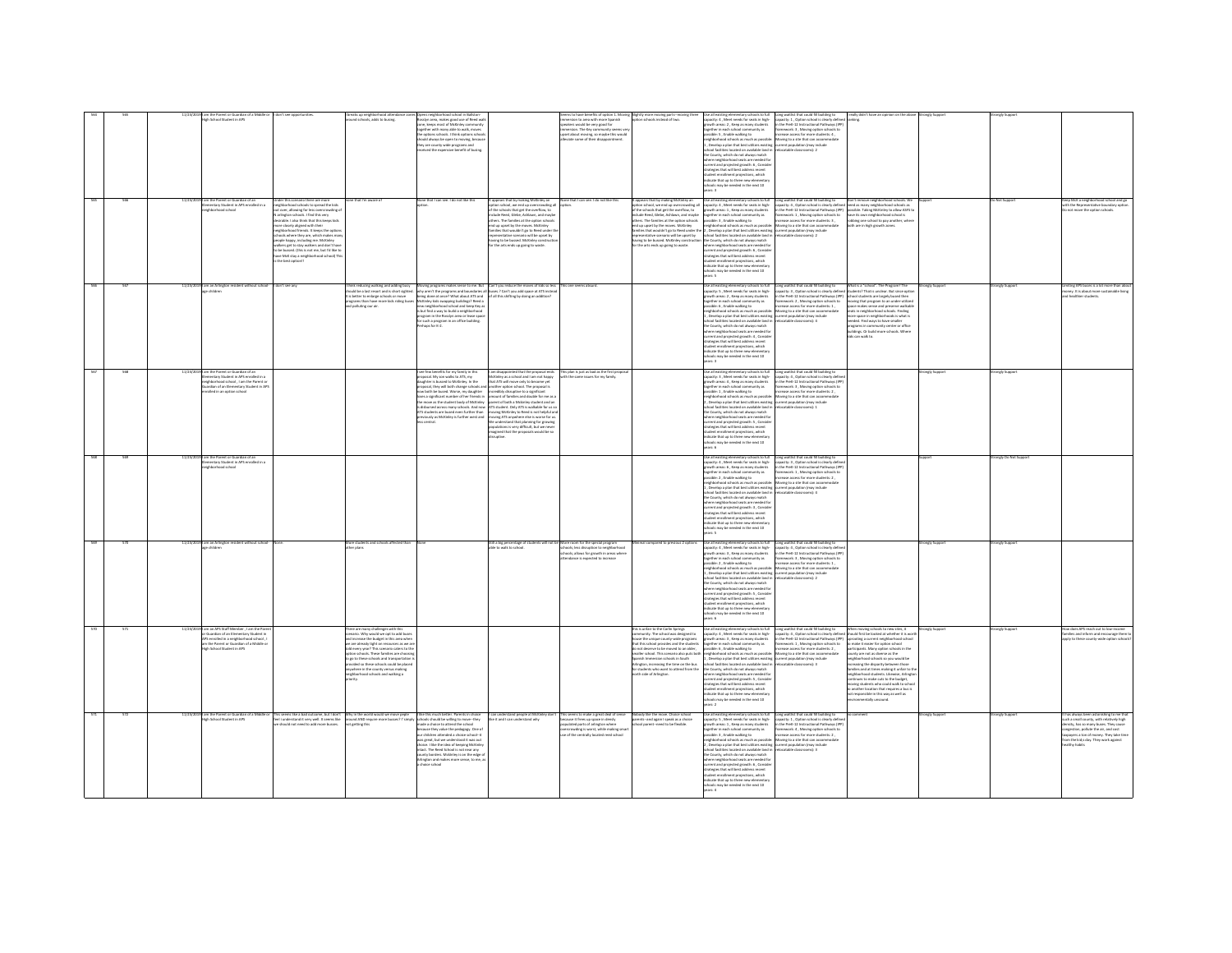|     |          | gh School Student in APS                                                                                                                                                                  |                                                                                                                                                                                                                                                                                                                                                                                                                                                                                                                              | reaks up neigh<br>and schools, adds to busing.                                                                                                                                                                                                                                                                                                                                                                   | tosslyn area, makes good use of Reed wa<br>zone, keeps most of McKinley communit<br>opether with many able to walk, move<br>e options schools. I think options schr<br>uld always be open to moving, bec<br>ey are county wide programs and<br>ceived the expensive benefit of busing                                                                                                                                                                                             |                                                                                                                                                                                                                                                                                                                                                                                                                                                                                                                                                                 | is to have benefits of option 1. Mo<br>mersion to area with more Spanish<br>akers would be very good for<br>nenesion. The Key community seems ver<br>pset about moving, so maybe this would<br>leviate some of their disappointment. | g Slightly more moving parts-<br>moving the<br>ion schools instead of two.                                                                                                                                                                                                                                                                                                                                     | Use all existing elementary schools to ful<br>capacity: 4 , Meet needs for seats in high-<br>growth areas: 2 , Keep as many students<br>together in each school community as<br>ssible: 5 . Enable walking to<br>hood schools as much as possibl<br>, Develop a plan that best utilizes existing<br>ool facilities located on available land i<br>the County, which do not always match<br>where neighborhood seats are needed for<br>current and projected growth: 6, Conside<br>strategies that will best address recent<br>itudent enrollment projections, which<br>ndicate that up to three new elementary<br>make make his meaning in the most 10                                                                                                                                                                                                                                                                                                                                                                                                                                                                                                                           | Long waitlist that could fill building to<br>capacity: 1, Option school is clearly defined<br>in the PreK-12 Instructional Pathways (IPP)<br>amework: 3, Moving option schools to<br>ease access for more students: 4<br>wing to a site that can accor<br>ent population (may include<br>icatable classrooms): 2                                                                                                                                                 | nkine.                                                                                                                                                                                                                                                                                                                                                                                                                                                                                                                                                                                                         |                 |                      |                                                                                                                                                                                                                            |
|-----|----------|-------------------------------------------------------------------------------------------------------------------------------------------------------------------------------------------|------------------------------------------------------------------------------------------------------------------------------------------------------------------------------------------------------------------------------------------------------------------------------------------------------------------------------------------------------------------------------------------------------------------------------------------------------------------------------------------------------------------------------|------------------------------------------------------------------------------------------------------------------------------------------------------------------------------------------------------------------------------------------------------------------------------------------------------------------------------------------------------------------------------------------------------------------|-----------------------------------------------------------------------------------------------------------------------------------------------------------------------------------------------------------------------------------------------------------------------------------------------------------------------------------------------------------------------------------------------------------------------------------------------------------------------------------|-----------------------------------------------------------------------------------------------------------------------------------------------------------------------------------------------------------------------------------------------------------------------------------------------------------------------------------------------------------------------------------------------------------------------------------------------------------------------------------------------------------------------------------------------------------------|--------------------------------------------------------------------------------------------------------------------------------------------------------------------------------------------------------------------------------------|----------------------------------------------------------------------------------------------------------------------------------------------------------------------------------------------------------------------------------------------------------------------------------------------------------------------------------------------------------------------------------------------------------------|----------------------------------------------------------------------------------------------------------------------------------------------------------------------------------------------------------------------------------------------------------------------------------------------------------------------------------------------------------------------------------------------------------------------------------------------------------------------------------------------------------------------------------------------------------------------------------------------------------------------------------------------------------------------------------------------------------------------------------------------------------------------------------------------------------------------------------------------------------------------------------------------------------------------------------------------------------------------------------------------------------------------------------------------------------------------------------------------------------------------------------------------------------------------------------|------------------------------------------------------------------------------------------------------------------------------------------------------------------------------------------------------------------------------------------------------------------------------------------------------------------------------------------------------------------------------------------------------------------------------------------------------------------|----------------------------------------------------------------------------------------------------------------------------------------------------------------------------------------------------------------------------------------------------------------------------------------------------------------------------------------------------------------------------------------------------------------------------------------------------------------------------------------------------------------------------------------------------------------------------------------------------------------|-----------------|----------------------|----------------------------------------------------------------------------------------------------------------------------------------------------------------------------------------------------------------------------|
|     |          | I am the Parent or Guardian of an<br>mentary Student in APS enrolled in a<br>borhood school                                                                                               | nder this scenario there are more<br>ighborhood schools to spread the kids<br>t over, allowing for less overcrowding or<br>trington schools. I find this very<br>sirable. I also think that this keeps kids<br>nore closely aligned with their<br>irhborhood friends. It keeps the option<br>n'is where they are which makes ma<br>ple happy, including me. McKinley<br>lloers get to stay walkers and don't have<br>be bussed. (this is not me, but I'd like to<br>e McK stay a neighborhood school) Thi<br>he best option! | e that i'm aware o                                                                                                                                                                                                                                                                                                                                                                                               | None that I can see. I do not like this                                                                                                                                                                                                                                                                                                                                                                                                                                           | t appears that by making McKirley an<br>tion school, we end up overcrowding all<br>the schools that get the overlowing a<br>clude Reed, Glebe, Ashlawn, and maybe<br>thers. The families at the option schools<br>end up upset by the moves. McKinley<br>miles that wouldn't go to Reed under th<br>antative scenario will be unset by<br>aving to be bussed. McKinley co<br>r the arts ends up going to waste.                                                                                                                                                 | None that I can see. I do not like this                                                                                                                                                                                              | It appears that by making McKinley an<br>tion school, we end up overcrowding all<br>f the schools that get the overflow, to<br>r the schools that get we wernere, we<br>rclude Reed, Glebe, Ashlawn, and maybe<br>thers. The families at the option schools<br>end up upset by the moves. McKinley                                                                                                             | Use all existing elementary schools to full<br>capacity: 4 . Meet needs for seats in high-<br>growth areas: 1, Keep as many students<br>together in each school community as<br>possible: 3, Enable walking to<br>neighborhood schools as much as possible:<br>among uppart of real moves, notazoney . The procedure and the state of the state of the state of the state of the state of the state of the state of the state of the state of the state of the state of the Control of the C<br>strategies that will best address recent<br>student enrollment projections, which<br>dicate that up to three new el<br>ools may be needed in the next 10<br>ears: 5                                                                                                                                                                                                                                                                                                                                                                                                                                                                                                              | Long waitlist that could fill building to Don't remove neighborhood schools. We<br>capacity: 4, Option school is clearly defined need as many neighborhood schools as<br>Lapacity, 4, Uption school is unary derived<br>In the PreK-12 Instructional Pathways (IPP)<br>framework: 1, Moving option schools to<br>increase access for more students: 3,<br>Moving to a site that can accommodate<br>current population (may include<br>relocatable classrooms): 2 | Don't remove neighborhood schools. We<br>sible. Taking McKinley to allow ASFS to<br>sistere. Taleing McKinley to allow Asir's t<br>we its own neighborhood school is<br>bbing one school to pay another, wher<br>oth are in high growth zones.                                                                                                                                                                                                                                                                                                                                                                 |                 | Not Suppor           | leep McK a neighborhood school and go<br>th the Representative boundary opti-<br><b>I move the nation school</b>                                                                                                           |
|     |          | l am an Arlington resident without school<br>see children                                                                                                                                 | don't see any                                                                                                                                                                                                                                                                                                                                                                                                                                                                                                                | think reducing walking and adding busy<br>hould be a last resort and is short sighted.<br>I is better to enlarge schools or move<br>perams than have more kids riding buse<br>polluting our air.                                                                                                                                                                                                                 | Moving programs makes sense to me. But<br>Levity aren't the programs and boundaries all buses.? Can't you add space at ATS instead and the programs and boundaries all buses. Can't you add space at ATS instead<br>being done at on<br>tew neighborhood school and keep Key a<br>is but find a way to build a neighborhood<br>program in the Rosslyn area or lease space<br>for such a program in an office building.<br>erhaps for K-2.                                         |                                                                                                                                                                                                                                                                                                                                                                                                                                                                                                                                                                 | This plan is just as bad as the first prop                                                                                                                                                                                           |                                                                                                                                                                                                                                                                                                                                                                                                                | se all existing elementary schools to full<br>spacity: S , Meet needs for seats in high-<br>rowth areas: 2 , Keep as many students<br>together in each school community as<br>sible: 6 . Enable walking to<br>eighborhood schools as much as possible:<br>, Develop a plan that best utilizes existing<br>chool facilities located on available land in<br>the County, which do not always match<br>where neighborhood seats are needed for<br>surrent and projected growth: 4, Consider<br>trategies that will best address recent<br>tholent enrollment projections, which<br>ndicate that up to three new elementary<br>ools may be needed in the next 10<br>$2 - 4$                                                                                                                                                                                                                                                                                                                                                                                                                                                                                                          | Long waitlist that could fill building to<br>capacity: 3 , Option school is clearly defined<br>in the PreK-12 Instructional Pathways (IPP)<br>ramework: 2 . Moving option schools to<br>ease access for more students: 1.<br>crease access to: more successive. 2,<br>prent population (may include<br>focatable classrooms): 4                                                                                                                                  | What is a "school". The Program? The<br>students? That is unclear. But since opti<br>school students are largely bused then<br>moving that program to an under-utilize<br>e makes sense and preserve walkabl<br>ate makes arrive and preserve wasted<br>ats in neighborhood schools. Finding<br>revealed. Find ways to have smaller<br>programs in community center or office<br>buildings. Or build more schools. Where<br>ik ran walk to.                                                                                                                                                                    | eigly Suppor    | ngly Suppor          | iting APS buses is a lot more than abo<br>ney. It is about more sustainable livin<br>althier students.                                                                                                                     |
| 568 | 11/23/20 | 9 I am the Parent or Guardian of an<br>entary Student in APS enrolled in a<br>irhborhood school . I am the Parent of<br>erdian of an Elementary Student in AP:<br>led in an option school |                                                                                                                                                                                                                                                                                                                                                                                                                                                                                                                              |                                                                                                                                                                                                                                                                                                                                                                                                                  | see few benefits for my family in this<br>proposal. My son walks to ATS, my<br>aughter is bussed to McKinley, In the<br>posal, they will both change schools a<br>v both be bused. Worse, my daughter<br>ses a significant number of her friends in<br>te move as the student body of McKinley<br>disbursed across many schools. And now<br>.<br>TS students are bused even further than<br>reviously as McKinley is further west and<br>central                                  | am disappointed that the proposal ends<br>AcKinley as a school and I am not happy<br>that ATS will move only to become ve<br>ther cotion school. The proposal is<br>redbly disruptive to a significant<br>ount of families and double for me as a<br>ent of both a Mckinley student and an<br>ATS student. Only ATS is walkable for us so<br>wing McKinley to Reed is not helpful and<br>wing ATS anywhere else is worse for us.<br>understand that planning for growing<br>pulations is very difficult, but we never<br>sagined that the proposals would be se |                                                                                                                                                                                                                                      |                                                                                                                                                                                                                                                                                                                                                                                                                | Use all existing elementary schools to full<br>capacity: 3 , Meet needs for seats in high-<br>owth areas: 4, Keep as many students<br>parther in each school cor<br>as vinume<br>sible: 1, Enable walking to<br>eighborhood schools as much as possible:<br>!, Develop a plan that best utilizes existing<br>ool facilities located on available land in<br>he County, which do not always match<br>here neighborhood seats are needed fo<br>rrent and projected growth: 5 , Conside<br>strategies that will best address recent<br>udent enrollment projections, which<br>dicate that up to three new element<br>hools may be needed in the next 10<br>urs: 6                                                                                                                                                                                                                                                                                                                                                                                                                                                                                                                   | Long waitlist that could fill building to<br>apacity: 4, Option school is clearly defin<br>the PreK-12 Instructional Pathways (IP)<br>sework: 3, Moving option schools to<br>se access for more students: 2,<br>loving to a site that can accommodat<br>rrent population (may include<br>ocatable classrooms): 1                                                                                                                                                 |                                                                                                                                                                                                                                                                                                                                                                                                                                                                                                                                                                                                                | ongly Suppor    | <b>Ingly Support</b> |                                                                                                                                                                                                                            |
|     |          | am the Parent or Guardian of an<br>entary Student in APS enrolled in a<br>hood school                                                                                                     |                                                                                                                                                                                                                                                                                                                                                                                                                                                                                                                              |                                                                                                                                                                                                                                                                                                                                                                                                                  |                                                                                                                                                                                                                                                                                                                                                                                                                                                                                   |                                                                                                                                                                                                                                                                                                                                                                                                                                                                                                                                                                 |                                                                                                                                                                                                                                      |                                                                                                                                                                                                                                                                                                                                                                                                                | 2se all existing elementary schools to full<br>capacity: 4 , Meet needs for seats in high-<br>growth areas: 6 , Keep as many students<br>together in each school community as<br>ossible: 2, Enable walking to<br>eighborhood schools as much as possible<br>elignoomood schools as much as possible:<br>, Develop a plan that best utilizes existing<br>chool facilities located on available land in<br>the County, which do not always match<br>here neighborhood seats are needed fo<br>rrent and projected growth: 3 , Conside<br>rategies that will best address recent<br>during the time term on the material receiver<br>indicate that up to three new elementary<br>ichools may be needed in the next 10<br>ears: 5                                                                                                                                                                                                                                                                                                                                                                                                                                                    | Long waitlist that could fill building to<br>apacity: 3 . Option school is clearly defin<br>capacity: 3 , Option school is clearly detri<br>in the PreK-12 Instructional Pathways (IP<br>framework: 1 , Moving option schools to<br>rease access for more students: 2,<br>loving to a site that can accommodat<br>rrent population (may include<br>locatable classrooms): 4                                                                                      |                                                                                                                                                                                                                                                                                                                                                                                                                                                                                                                                                                                                                |                 | onely Do Not Suppe   |                                                                                                                                                                                                                            |
|     |          | am an Arlington<br><b>Sildren</b>                                                                                                                                                         |                                                                                                                                                                                                                                                                                                                                                                                                                                                                                                                              | students and schools affected than<br>r plans                                                                                                                                                                                                                                                                                                                                                                    |                                                                                                                                                                                                                                                                                                                                                                                                                                                                                   | Still a big percentage of students will not be<br>e to walk to schoo                                                                                                                                                                                                                                                                                                                                                                                                                                                                                            | More room for the special program<br>ools; less disruption to neighbor<br>hools: allows for growth in areas where<br>arted to increase<br>anne is awn                                                                                | compared to previous 2 opt                                                                                                                                                                                                                                                                                                                                                                                     | se all existing elementary schools to full<br>pacity: 4, Meet needs for seats in high-<br>wth areas: 3 . Keep as many students<br>together in each school community as<br>$\begin{tabular}{p{0.85\textwidth}} \hline \textbf{as} & \textbf{invariant} \\ \textbf{as} & \textbf{invariant} \\ \textbf{as} & \textbf{invariant} \\ \textbf{invariant} \\ \textbf{invariant} \\ \textbf{invariant} \\ \textbf{invariant} \\ \textbf{invariant} \\ \textbf{invariant} \\ \textbf{invariant} \\ \textbf{invariant} \\ \textbf{invariant} \\ \textbf{invariant} \\ \textbf{invariant} \\ \textbf{invariant} \\ \textbf{invariant} \\ \textbf{invariant} \\ \textbf{invariant} \\ \textbf{invariant} \\ \textbf{invariant} \\ \textbf{invariant} \\ \textbf{invariant} \\ \textbf{$<br>chool facilities located on available land in<br>the County, which do not always match<br>are naidhhorboot seats are needed for<br>where neignoomood seats are needed i<br>current and projected growth: S , Consic<br>strategies that will best address recent<br>tudent enrollment projections, which<br>ndicate that un to three new elementar<br>only may he needed in the next 10<br>ars: 6 | Long waitlist that could fill building to<br>capacity: 4, Option school is clearly def<br>in the PreK-12 Instructional Pathways (IPF<br>ramework: 3 . Moving option schools to<br>:rease access for more students: 1 ,<br>oving to a site that can accommoda<br>relocatable classrooms): 2                                                                                                                                                                       |                                                                                                                                                                                                                                                                                                                                                                                                                                                                                                                                                                                                                |                 |                      |                                                                                                                                                                                                                            |
| 571 | 11/23/20 | I am an APS Staff Member , I am the Pa<br>Guardian of an Elementary Student in<br>enrolled in a neighborhood school.<br>the Parent or Guardian of a Middle<br>th School Student in APS    |                                                                                                                                                                                                                                                                                                                                                                                                                                                                                                                              | here are many challenges with this<br>nario. Why would we opt to add buses<br>d increase the budget in this area when<br>are already tight on resources as we<br>old every year? This scenario caters to th<br>n schools. These families are choosi<br>eo to these schools and transportati<br>puted so these schools could be placed<br>hydree in the county versus making<br>eighborhood schools and walking a |                                                                                                                                                                                                                                                                                                                                                                                                                                                                                   |                                                                                                                                                                                                                                                                                                                                                                                                                                                                                                                                                                 |                                                                                                                                                                                                                                      | his is unfair to the Carlin Springs<br>mmunity. The school was designed to<br>ouse the unique county-wide program<br>hat this school provides and the studen<br>lo not deserve to be moved to an older,<br>maller school. This scenario also puts both<br>panish Immersion schools in South<br>clington, increasing the time on the bus<br>or students who want to attend from the<br>sorth side of Arlington. | Jse all existing elementary schools to full<br>apacity: 4 , Meet needs for seats in high-<br>rowth areas: 3 , Keep as many students<br>ogether in each school community as<br>possible: 6 , Enable walking to<br>neighborhood schools as much as possible<br>1. Develop a plan that best utilizes existing<br>ichool facilities located on available land is<br>the County, which do not always match<br>where neighborhood seats are needed fo<br>current and projected growth: S , Conside<br>strategies that will best address recent<br>strugges one will be a state is received<br>dicate that up to three new elementar<br>hools may be needed in the next 10<br>are 2                                                                                                                                                                                                                                                                                                                                                                                                                                                                                                     | Long waitlist that could fill building to<br>pacity: 4 , Option school is clearly defined<br>the PreK-12 Instructional Pathways (IPP)<br>ework: 1, Moving option schools to<br>ease access for more students: 2,<br>loving to a site that can accommodate<br>rrent population (may include<br>catable classrooms): 3                                                                                                                                             | hen moving schools to new sites, it<br>ould first be looked at whether it is wort<br>ooting a current neighborhood so<br>nake it easier for option school<br>articipants. Many option schools in the<br>sunty are not as diverse as the<br>hborhood schools so you would be<br>proornook acrosses as you would be<br>easing the disparity between those<br>illes and at times making it unfair to t<br>righborhood students. Likewise, Arlingt<br>tinues to make cuts to the budget.<br>ving students who could walk to scho<br>another location that requires a bus is<br>tresponsible in this way as well as | trongly Support | rongly Support       | aw does APS reach out to low-income<br>silies and inform and encourage them t                                                                                                                                              |
|     |          | I am the Parent or Guardian of a Middle<br>th School Student in APS                                                                                                                       | his seems like a had outcome. but I don't<br>i understand it very well. It seems like<br>Should not need to add more busses.                                                                                                                                                                                                                                                                                                                                                                                                 | Why in the world would we move paple $\begin{array}{ l } \hline \text{I} & \text{I} \text{I} & \text{I} \text{I} \text{I} & \text{I} \text{I} \text{I} & \text{I} \text{I} \text{I} & \text{I} \text{I} \text{I} & \text{I} \text{I} \text{I} & \text{I} \text{I} \text{I} & \text{I} \text{I} \text{I} \text{I} & \text{I} \text{I} \text{I} & \text{I} \text{I} \text{I} \text{I} \$                           | like this much hetter. Darents in choice<br>use this much better. Parents in choice<br>ichools should be willing to move--they<br>made a choice to attend the school<br>because they value the pedagogy. One of<br>.<br>bur children attended a choice school-it<br>was great, but we understood it was out<br>ice. I like the idea of loreping McKini<br>ntact. The Reed School is not near any<br>nty borders. Mckinley is on the edge<br>rlington and makes more sense, to me, | can understand people at McKinley don't<br>like it and I can understand why                                                                                                                                                                                                                                                                                                                                                                                                                                                                                     | This seems to make a great deal of se<br>s seems to make a great bear ors<br>ause it frees up space in densly<br>solated parts of arlington where<br>ercrowding is worst, while making sma<br>e of the centrally located reed school | shocks like the move Choice sche<br>arents-and again I speak as a choice<br>chool parent-need to be flexible.                                                                                                                                                                                                                                                                                                  | Jse all existing elementary schools to full<br>apacity: S , Meet needs for seats in high-<br>rowth areas: 1 , Keep as many students<br>together in each school community as<br>.<br>Issible: 3 , Enable walking to<br>Ishborhood schools as much as possible<br>Develop a plan that best utilizes existing<br>ool facilities located on available land i<br>the County, which do not always match<br>ere neighborhood seats are needed fo<br>rent and projected erowth: 6. Consid-<br>rategies that will best address recent<br>itudent enrollment projections, which<br>ndicate that up to three new elementary<br>chools may be needed in the next 10<br>are a                                                                                                                                                                                                                                                                                                                                                                                                                                                                                                                 | ong waitlist that could fill building to<br>capacity: 1, Option school is clearly define<br>in the PreK-12 Instructional Pathways (IPF<br>amework: 4, Moving option schools to<br>pasa arress for more students-2<br>oving to a site that can accom<br>ent population (may include<br>catable classrooms): 3                                                                                                                                                     |                                                                                                                                                                                                                                                                                                                                                                                                                                                                                                                                                                                                                |                 |                      | uch a small county, with relatively high<br>lensity, has so many buses. They cause<br>congestion, pollute the air, and cost<br>xpayers a ton of money. They take time<br>om the kid;s day. They work against<br>thy habits |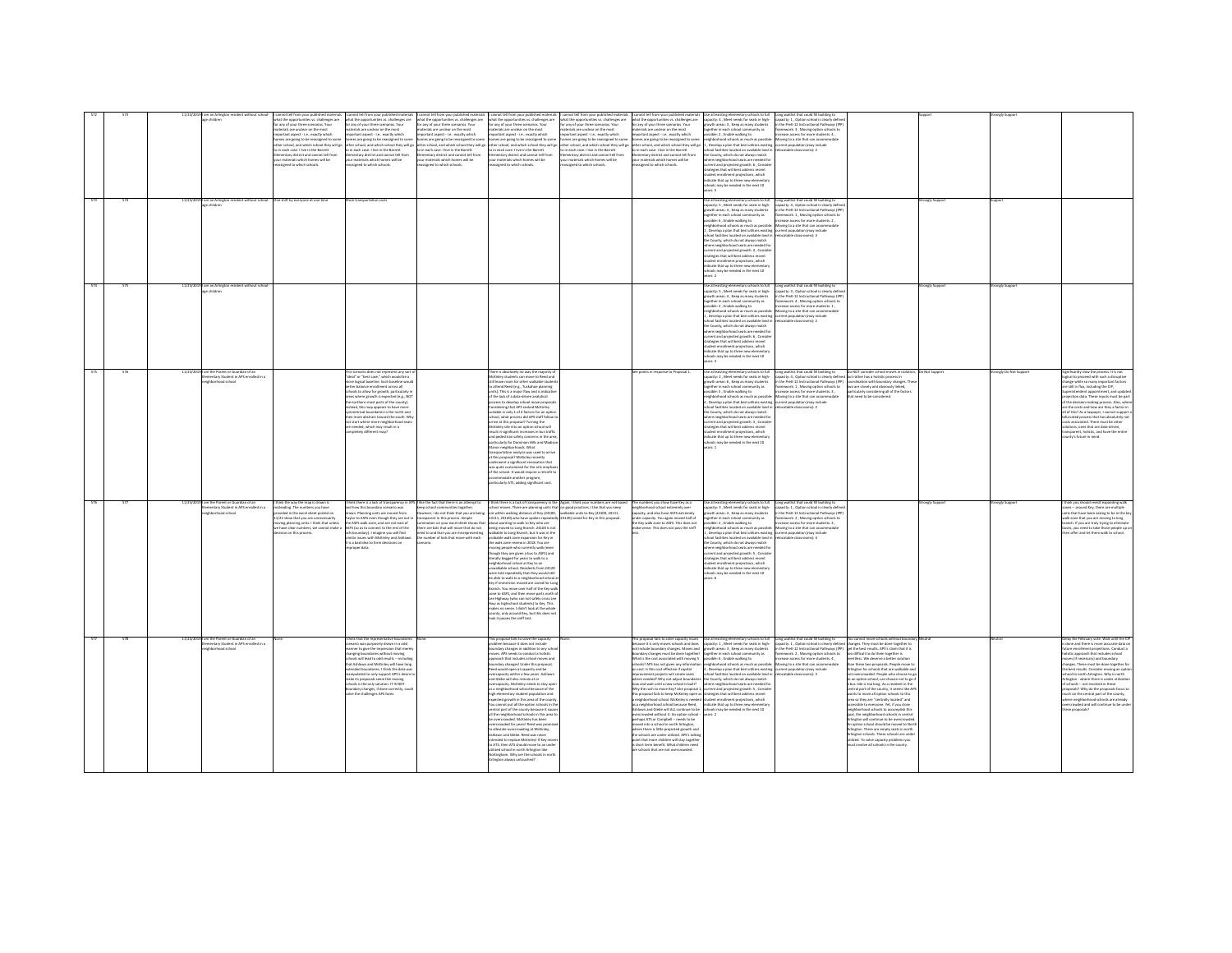|     |     |          |                                                       | im an Arlington resident without school- I cannot tell from your published material:                                           | cannot tell from your published materials                                                                               | cannot tell from your published materials                                                           | cannot tell from your published materials                                                                                   | annot tell from your published material                                                  | cannot tell from your published material:                                                                                                                                          | Use all existing elementary schools to full                                                                                                                                                                                             | Long waitlist that could fill building to                                                        |                                                                                                                                   |                       |                                                                                    |
|-----|-----|----------|-------------------------------------------------------|--------------------------------------------------------------------------------------------------------------------------------|-------------------------------------------------------------------------------------------------------------------------|-----------------------------------------------------------------------------------------------------|-----------------------------------------------------------------------------------------------------------------------------|------------------------------------------------------------------------------------------|------------------------------------------------------------------------------------------------------------------------------------------------------------------------------------|-----------------------------------------------------------------------------------------------------------------------------------------------------------------------------------------------------------------------------------------|--------------------------------------------------------------------------------------------------|-----------------------------------------------------------------------------------------------------------------------------------|-----------------------|------------------------------------------------------------------------------------|
|     |     |          |                                                       |                                                                                                                                |                                                                                                                         |                                                                                                     |                                                                                                                             |                                                                                          |                                                                                                                                                                                    |                                                                                                                                                                                                                                         |                                                                                                  |                                                                                                                                   |                       |                                                                                    |
|     |     |          |                                                       | what the opportunities vs. challenges are<br>for any of your three scenarios. Your                                             | hat the opportunities vs. challenges are<br>r any of your three scenarios. Your                                         | what the opportunities vs. challenges are<br>for any of your three scenarios. Your                  | what the opportunities vs. challenges are<br>for any of your three scenarios. Your                                          | hat the opportunities vs. challenges are<br>ir any of your three scenarios. Your         | what the opportunities vs. challenges are<br>for any of your three scenarios. Your                                                                                                 | capacity: 4 , Meet needs for seats in high-<br>growth areas: 3 , Keep as many students                                                                                                                                                  | .<br>Lapacity: 1 , Option school is clearly define<br>In the PreK-12 Instructional Pathways (IPF |                                                                                                                                   |                       |                                                                                    |
|     |     |          |                                                       | terials are unclear on the most                                                                                                | trials are unclear on the most                                                                                          | erials are unclear on the most                                                                      | mials are unclear on the most                                                                                               | erials are unclear on the most                                                           | terials are unclear on the most                                                                                                                                                    | gether in each school community as                                                                                                                                                                                                      | framework: 3, Moving option schools to                                                           |                                                                                                                                   |                       |                                                                                    |
|     |     |          |                                                       | portant aspect - i.e., exactly which                                                                                           | rtant aspect - i.e., exactly which                                                                                      | ortant aspect - i.e., exactly which                                                                 | rtant aspect - i.e., exactly which                                                                                          | ortant aspect - i.e., exactly which                                                      | ortant aspect - i.e., exactly which                                                                                                                                                | sible: 2, Enable walking to                                                                                                                                                                                                             | ease access for more students: 4                                                                 |                                                                                                                                   |                       |                                                                                    |
|     |     |          |                                                       | to<br>mes are going to be reassigned to some<br>other school, and which school they will g                                     | es are going to be reassigned to some<br>ir school, and which school they will go                                       | homes are going to be reassigned to some<br>other school, and which school they will go             | es are going to be reassigned to som                                                                                        | .<br>mes are going to be reassigned to some<br>her school, and which school they will go | .<br>omes are going to be reassigned to some<br>ther school, and which school they will go                                                                                         | abborbood schools as much as nossibl                                                                                                                                                                                                    | Moving to a site that can accommodate                                                            |                                                                                                                                   |                       |                                                                                    |
|     |     |          |                                                       |                                                                                                                                |                                                                                                                         |                                                                                                     | er school, and which school they will go                                                                                    |                                                                                          |                                                                                                                                                                                    | : ,<br>Develop a plan that best utilizes existing current population (may include<br>chool facilities located on available land in refocatable classrooms): 2                                                                           |                                                                                                  |                                                                                                                                   |                       |                                                                                    |
|     |     |          |                                                       | o in each case. I live in the Barrett                                                                                          | each case. I live in the Barrett                                                                                        | to in each case. I live in the Barrett                                                              | in each case. I live in the Barrett                                                                                         | in each case. I live in the Barrett                                                      | to in each case. I live in the Barrett                                                                                                                                             |                                                                                                                                                                                                                                         |                                                                                                  |                                                                                                                                   |                       |                                                                                    |
|     |     |          |                                                       | mentary district and cannot tell from                                                                                          | entary district and cannot tell from                                                                                    | Elementary district and cannot tell from                                                            | mentary district and cannot tell from                                                                                       | mentary district and cannot tell from                                                    | Elementary district and cannot tell from                                                                                                                                           | the County, which do not always match                                                                                                                                                                                                   |                                                                                                  |                                                                                                                                   |                       |                                                                                    |
|     |     |          |                                                       | ar materials which homes will be<br>ssigned to which schools.                                                                  | materials which homes will be<br>signed to which schools.                                                               | www.w.y www.s. and cannot test in<br>ur materials which homes will be<br>issigned to which schools. | r materials which homes will be<br>signed to which schools.                                                                 | or materials which homes will be<br>issigned to which schools.                           | your materials which homes will be<br>your materials which homes will be<br>eassigned to which schools.                                                                            | here neighborhood seats are needed for<br>rrent and projected growth: 6, Conside                                                                                                                                                        |                                                                                                  |                                                                                                                                   |                       |                                                                                    |
|     |     |          |                                                       |                                                                                                                                |                                                                                                                         |                                                                                                     |                                                                                                                             |                                                                                          |                                                                                                                                                                                    | atesies that will best address recent                                                                                                                                                                                                   |                                                                                                  |                                                                                                                                   |                       |                                                                                    |
|     |     |          |                                                       |                                                                                                                                |                                                                                                                         |                                                                                                     |                                                                                                                             |                                                                                          |                                                                                                                                                                                    |                                                                                                                                                                                                                                         |                                                                                                  |                                                                                                                                   |                       |                                                                                    |
|     |     |          |                                                       |                                                                                                                                |                                                                                                                         |                                                                                                     |                                                                                                                             |                                                                                          |                                                                                                                                                                                    | udent enrollment projections, which<br>dicate that up to three new elementary                                                                                                                                                           |                                                                                                  |                                                                                                                                   |                       |                                                                                    |
|     |     |          |                                                       |                                                                                                                                |                                                                                                                         |                                                                                                     |                                                                                                                             |                                                                                          |                                                                                                                                                                                    | hools may be needed in the next 10                                                                                                                                                                                                      |                                                                                                  |                                                                                                                                   |                       |                                                                                    |
|     |     |          |                                                       |                                                                                                                                |                                                                                                                         |                                                                                                     |                                                                                                                             |                                                                                          |                                                                                                                                                                                    | are 6                                                                                                                                                                                                                                   |                                                                                                  |                                                                                                                                   |                       |                                                                                    |
|     |     |          |                                                       |                                                                                                                                |                                                                                                                         |                                                                                                     |                                                                                                                             |                                                                                          |                                                                                                                                                                                    |                                                                                                                                                                                                                                         |                                                                                                  |                                                                                                                                   |                       |                                                                                    |
| 573 | 574 |          | 11/23/2019 I am an Arlington resident without school- | One shift by everyone at one time                                                                                              | ore transportation cost                                                                                                 |                                                                                                     |                                                                                                                             |                                                                                          |                                                                                                                                                                                    | Use all existing elementary schools to full<br>capacity: 5 , Meet needs for seats in high-                                                                                                                                              | Long waitlist that could fill building to<br>capacity: 4 , Option school is clearly defin        | rangly Suppor                                                                                                                     |                       |                                                                                    |
|     |     |          |                                                       |                                                                                                                                |                                                                                                                         |                                                                                                     |                                                                                                                             |                                                                                          |                                                                                                                                                                                    |                                                                                                                                                                                                                                         |                                                                                                  |                                                                                                                                   |                       |                                                                                    |
|     |     |          |                                                       |                                                                                                                                |                                                                                                                         |                                                                                                     |                                                                                                                             |                                                                                          |                                                                                                                                                                                    | owth areas: 4, Keep as many student                                                                                                                                                                                                     | in the PreK-12 Instructional Pathways (IP                                                        |                                                                                                                                   |                       |                                                                                    |
|     |     |          |                                                       |                                                                                                                                |                                                                                                                         |                                                                                                     |                                                                                                                             |                                                                                          |                                                                                                                                                                                    | together in each school community as<br>ssible: 6, Enable walking to                                                                                                                                                                    | framework: 1, Moving option schools to<br>ncrease access for more students: 2,                   |                                                                                                                                   |                       |                                                                                    |
|     |     |          |                                                       |                                                                                                                                |                                                                                                                         |                                                                                                     |                                                                                                                             |                                                                                          |                                                                                                                                                                                    | therhood schools as much as nossible                                                                                                                                                                                                    | Moving to a site that can accom                                                                  |                                                                                                                                   |                       |                                                                                    |
|     |     |          |                                                       |                                                                                                                                |                                                                                                                         |                                                                                                     |                                                                                                                             |                                                                                          |                                                                                                                                                                                    | , Develop a plan that best utilizes existing                                                                                                                                                                                            | current population (may include                                                                  |                                                                                                                                   |                       |                                                                                    |
|     |     |          |                                                       |                                                                                                                                |                                                                                                                         |                                                                                                     |                                                                                                                             |                                                                                          |                                                                                                                                                                                    | ool facilities located on available land is                                                                                                                                                                                             | catable classrooms): 3                                                                           |                                                                                                                                   |                       |                                                                                    |
|     |     |          |                                                       |                                                                                                                                |                                                                                                                         |                                                                                                     |                                                                                                                             |                                                                                          |                                                                                                                                                                                    | he County, which do not always match                                                                                                                                                                                                    |                                                                                                  |                                                                                                                                   |                       |                                                                                    |
|     |     |          |                                                       |                                                                                                                                |                                                                                                                         |                                                                                                     |                                                                                                                             |                                                                                          |                                                                                                                                                                                    | here neighborhood seats are needed for<br>rrent and projected growth: 3, Conside                                                                                                                                                        |                                                                                                  |                                                                                                                                   |                       |                                                                                    |
|     |     |          |                                                       |                                                                                                                                |                                                                                                                         |                                                                                                     |                                                                                                                             |                                                                                          |                                                                                                                                                                                    |                                                                                                                                                                                                                                         |                                                                                                  |                                                                                                                                   |                       |                                                                                    |
|     |     |          |                                                       |                                                                                                                                |                                                                                                                         |                                                                                                     |                                                                                                                             |                                                                                          |                                                                                                                                                                                    | trategies that will best address recent                                                                                                                                                                                                 |                                                                                                  |                                                                                                                                   |                       |                                                                                    |
|     |     |          |                                                       |                                                                                                                                |                                                                                                                         |                                                                                                     |                                                                                                                             |                                                                                          |                                                                                                                                                                                    | ant noniartinos which                                                                                                                                                                                                                   |                                                                                                  |                                                                                                                                   |                       |                                                                                    |
|     |     |          |                                                       |                                                                                                                                |                                                                                                                         |                                                                                                     |                                                                                                                             |                                                                                          |                                                                                                                                                                                    | <b>Scate that up to three new elementa</b>                                                                                                                                                                                              |                                                                                                  |                                                                                                                                   |                       |                                                                                    |
|     |     |          |                                                       |                                                                                                                                |                                                                                                                         |                                                                                                     |                                                                                                                             |                                                                                          |                                                                                                                                                                                    | 02 tools may be needed in the next<br>are 2                                                                                                                                                                                             |                                                                                                  |                                                                                                                                   |                       |                                                                                    |
|     |     |          |                                                       |                                                                                                                                |                                                                                                                         |                                                                                                     |                                                                                                                             |                                                                                          |                                                                                                                                                                                    |                                                                                                                                                                                                                                         |                                                                                                  |                                                                                                                                   |                       |                                                                                    |
|     |     | 11/23/20 | 31 am an Arlington resident without scho              |                                                                                                                                |                                                                                                                         |                                                                                                     |                                                                                                                             |                                                                                          |                                                                                                                                                                                    | all existing elementary schools to full                                                                                                                                                                                                 |                                                                                                  | rangly Suppor                                                                                                                     | ongly Support         |                                                                                    |
|     |     |          |                                                       |                                                                                                                                |                                                                                                                         |                                                                                                     |                                                                                                                             |                                                                                          |                                                                                                                                                                                    | apacity: S. Meet needs for seats in high-                                                                                                                                                                                               | Long waitlist that could fill building to<br>capacity: 3 , Option school is clearly defin        |                                                                                                                                   |                       |                                                                                    |
|     |     |          |                                                       |                                                                                                                                |                                                                                                                         |                                                                                                     |                                                                                                                             |                                                                                          |                                                                                                                                                                                    | wth areas: 4, Keep as many students                                                                                                                                                                                                     | n the PreK-12 Instructional Pathways (IP)                                                        |                                                                                                                                   |                       |                                                                                    |
|     |     |          |                                                       |                                                                                                                                |                                                                                                                         |                                                                                                     |                                                                                                                             |                                                                                          |                                                                                                                                                                                    | together in each school community as                                                                                                                                                                                                    | framework: 4, Moving option schools to                                                           |                                                                                                                                   |                       |                                                                                    |
|     |     |          |                                                       |                                                                                                                                |                                                                                                                         |                                                                                                     |                                                                                                                             |                                                                                          |                                                                                                                                                                                    | ssible: 2 . Enable walking to                                                                                                                                                                                                           | wase access for more students: 1.                                                                |                                                                                                                                   |                       |                                                                                    |
|     |     |          |                                                       |                                                                                                                                |                                                                                                                         |                                                                                                     |                                                                                                                             |                                                                                          |                                                                                                                                                                                    |                                                                                                                                                                                                                                         |                                                                                                  |                                                                                                                                   |                       |                                                                                    |
|     |     |          |                                                       |                                                                                                                                |                                                                                                                         |                                                                                                     |                                                                                                                             |                                                                                          |                                                                                                                                                                                    |                                                                                                                                                                                                                                         |                                                                                                  |                                                                                                                                   |                       |                                                                                    |
|     |     |          |                                                       |                                                                                                                                |                                                                                                                         |                                                                                                     |                                                                                                                             |                                                                                          |                                                                                                                                                                                    | essence. 2, cases was much as possible: Moving to a site that can accomm<br>(b) borhood schools as much as possible: Moving to a site that can accomm<br>hool facilities located on available land in _relocatable classrooms): 2<br>ho |                                                                                                  |                                                                                                                                   |                       |                                                                                    |
|     |     |          |                                                       |                                                                                                                                |                                                                                                                         |                                                                                                     |                                                                                                                             |                                                                                          |                                                                                                                                                                                    | the County, which do not always match<br>where neighborhood seats are needed fo                                                                                                                                                         |                                                                                                  |                                                                                                                                   |                       |                                                                                    |
|     |     |          |                                                       |                                                                                                                                |                                                                                                                         |                                                                                                     |                                                                                                                             |                                                                                          |                                                                                                                                                                                    |                                                                                                                                                                                                                                         |                                                                                                  |                                                                                                                                   |                       |                                                                                    |
|     |     |          |                                                       |                                                                                                                                |                                                                                                                         |                                                                                                     |                                                                                                                             |                                                                                          |                                                                                                                                                                                    | rrent and projected growth: 6, Conside                                                                                                                                                                                                  |                                                                                                  |                                                                                                                                   |                       |                                                                                    |
|     |     |          |                                                       |                                                                                                                                |                                                                                                                         |                                                                                                     |                                                                                                                             |                                                                                          |                                                                                                                                                                                    | trategies that will best address recent                                                                                                                                                                                                 |                                                                                                  |                                                                                                                                   |                       |                                                                                    |
|     |     |          |                                                       |                                                                                                                                |                                                                                                                         |                                                                                                     |                                                                                                                             |                                                                                          |                                                                                                                                                                                    | tudent enrollment projections, which<br>ndicate that up to three new elementary                                                                                                                                                         |                                                                                                  |                                                                                                                                   |                       |                                                                                    |
|     |     |          |                                                       |                                                                                                                                |                                                                                                                         |                                                                                                     |                                                                                                                             |                                                                                          |                                                                                                                                                                                    | chools may be needed in the next 10                                                                                                                                                                                                     |                                                                                                  |                                                                                                                                   |                       |                                                                                    |
|     |     |          |                                                       |                                                                                                                                |                                                                                                                         |                                                                                                     |                                                                                                                             |                                                                                          |                                                                                                                                                                                    | $k$ and                                                                                                                                                                                                                                 |                                                                                                  |                                                                                                                                   |                       |                                                                                    |
|     |     |          |                                                       |                                                                                                                                |                                                                                                                         |                                                                                                     |                                                                                                                             |                                                                                          |                                                                                                                                                                                    |                                                                                                                                                                                                                                         |                                                                                                  |                                                                                                                                   |                       |                                                                                    |
| 575 | 576 |          | 11/23/2019 I am the Parent or Guardian of an          |                                                                                                                                | is scenario does not represent any sort o                                                                               |                                                                                                     | There is absolutely no way the majority of                                                                                  |                                                                                          | See points in response to Proposal 1.                                                                                                                                              | Use all existing elementary schools to full                                                                                                                                                                                             | Long waitlist that could fill building to                                                        | Do NOT consider school moves in isolatio<br>lo Not Support                                                                        | ronely Do Not Support | Simificantly slow the process. It is not                                           |
|     |     |          | mentary Student in APS enrolled in a                  |                                                                                                                                | deal" or "best case." which would be a                                                                                  |                                                                                                     | Kinley students can move to Reed and                                                                                        |                                                                                          |                                                                                                                                                                                    | pacity: 2 . Meet needs for seats in high-                                                                                                                                                                                               | capacity: 4 . Option school is clearly defined but rather has a holistic process in              |                                                                                                                                   |                       | eical to proceed with such a disruptive                                            |
|     |     |          | corbood school                                        |                                                                                                                                | e logical baseline. Such baseline wo.                                                                                   |                                                                                                     |                                                                                                                             |                                                                                          |                                                                                                                                                                                    | outh areas: 6, Keep as many students                                                                                                                                                                                                    |                                                                                                  |                                                                                                                                   |                       | .<br>ange while so many important factors<br>e still in flux, including the CIP,   |
|     |     |          |                                                       |                                                                                                                                | r balance enrollment across all                                                                                         |                                                                                                     | il leave room for other walkable studen<br>attend Reed (e.g., Tuckahoe planning                                             |                                                                                          |                                                                                                                                                                                    | ogether in each school community as                                                                                                                                                                                                     | in the PreK-12 Instructional Pathways (IPP)<br>framework: 1, Moving option schools to            | ordination with boundary changes. T<br>o are closely and obviously linked,                                                        |                       |                                                                                    |
|     |     |          |                                                       |                                                                                                                                | hools to allow for erowth, particularly i                                                                               |                                                                                                     | nits). This is a major flaw and is indicat                                                                                  |                                                                                          |                                                                                                                                                                                    | ssible: 5 . Enable walking to                                                                                                                                                                                                           | crease access for more students: 3 .                                                             | ticularly considering all of the factor<br>need to be considered                                                                  |                       | erintendent appointment, and update                                                |
|     |     |          |                                                       |                                                                                                                                | as where growth is expected (e.g., NOT<br>northern-most parts of the county).                                           |                                                                                                     | of the lack of a data-driven analytical<br>process to develop school move propo                                             |                                                                                          |                                                                                                                                                                                    | ighborhood schools as much as possible:<br>Develop a plan that best utilizes existing                                                                                                                                                   | Moving to a site that can accomm<br>current population (may include                              |                                                                                                                                   |                       | ection data. These inputs must be part<br>ne decision-making process. Also, whe    |
|     |     |          |                                                       |                                                                                                                                | tead, this map appears to have more                                                                                     |                                                                                                     | sidering that APS ranked McKinley                                                                                           |                                                                                          |                                                                                                                                                                                    | hool facilities located on available land in                                                                                                                                                                                            | catable classrooms): 2                                                                           |                                                                                                                                   |                       | re the costs and how are they a factor in                                          |
|     |     |          |                                                       |                                                                                                                                | matrical hourstaries in the north and                                                                                   |                                                                                                     | Itable in redu 1 of 4 factors for an notic                                                                                  |                                                                                          |                                                                                                                                                                                    | he County, which do not always match                                                                                                                                                                                                    |                                                                                                  |                                                                                                                                   |                       | I of this? As a taxnaver, I rannot suppo                                           |
|     |     |          |                                                       |                                                                                                                                | more abstract toward the south.                                                                                         |                                                                                                     | ool, what process did APS staff follow                                                                                      |                                                                                          |                                                                                                                                                                                    |                                                                                                                                                                                                                                         |                                                                                                  |                                                                                                                                   |                       | that has absolut                                                                   |
|     |     |          |                                                       |                                                                                                                                | It start where more neighborhood sea                                                                                    |                                                                                                     | trive at this proposal? Turning the                                                                                         |                                                                                          |                                                                                                                                                                                    | rrent and projected growth: 3, Conside                                                                                                                                                                                                  |                                                                                                  |                                                                                                                                   |                       | its associated. There must be other                                                |
|     |     |          |                                                       |                                                                                                                                |                                                                                                                         |                                                                                                     | Einfey site into an option school will                                                                                      |                                                                                          |                                                                                                                                                                                    | trategies that will best address recent                                                                                                                                                                                                 |                                                                                                  |                                                                                                                                   |                       | plutions, ones that are data-driven.                                               |
|     |     |          |                                                       |                                                                                                                                | needed, which may result in a<br>noietely different map?                                                                |                                                                                                     | esult in significant increases in bus traff                                                                                 |                                                                                          |                                                                                                                                                                                    | subject one will be a sources receive<br>dicate that up to three new elementary<br>hools may be needed in the next 10                                                                                                                   |                                                                                                  |                                                                                                                                   |                       | arent, holistic, and have the entir                                                |
|     |     |          |                                                       |                                                                                                                                |                                                                                                                         |                                                                                                     |                                                                                                                             |                                                                                          |                                                                                                                                                                                    |                                                                                                                                                                                                                                         |                                                                                                  |                                                                                                                                   |                       | nty's future in mind.                                                              |
|     |     |          |                                                       |                                                                                                                                |                                                                                                                         |                                                                                                     | d pedestrian safety concerns in the area<br>rticularly for Dominion Hills and Madiso                                        |                                                                                          |                                                                                                                                                                                    |                                                                                                                                                                                                                                         |                                                                                                  |                                                                                                                                   |                       |                                                                                    |
|     |     |          |                                                       |                                                                                                                                |                                                                                                                         |                                                                                                     | nor neighborhoods. What                                                                                                     |                                                                                          |                                                                                                                                                                                    | ers: 1                                                                                                                                                                                                                                  |                                                                                                  |                                                                                                                                   |                       |                                                                                    |
|     |     |          |                                                       |                                                                                                                                |                                                                                                                         |                                                                                                     | .<br>Iransportation analysis was used to arrive<br>It this proposal? McKinley recently                                      |                                                                                          |                                                                                                                                                                                    |                                                                                                                                                                                                                                         |                                                                                                  |                                                                                                                                   |                       |                                                                                    |
|     |     |          |                                                       |                                                                                                                                |                                                                                                                         |                                                                                                     |                                                                                                                             |                                                                                          |                                                                                                                                                                                    |                                                                                                                                                                                                                                         |                                                                                                  |                                                                                                                                   |                       |                                                                                    |
|     |     |          |                                                       |                                                                                                                                |                                                                                                                         |                                                                                                     | derwent a significant renovation that                                                                                       |                                                                                          |                                                                                                                                                                                    |                                                                                                                                                                                                                                         |                                                                                                  |                                                                                                                                   |                       |                                                                                    |
|     |     |          |                                                       |                                                                                                                                |                                                                                                                         |                                                                                                     | .<br>Wis quite customized for the arts emphase<br>f the school. It would require a retrofit t                               |                                                                                          |                                                                                                                                                                                    |                                                                                                                                                                                                                                         |                                                                                                  |                                                                                                                                   |                       |                                                                                    |
|     |     |          |                                                       |                                                                                                                                |                                                                                                                         |                                                                                                     | mmodate another program.                                                                                                    |                                                                                          |                                                                                                                                                                                    |                                                                                                                                                                                                                                         |                                                                                                  |                                                                                                                                   |                       |                                                                                    |
|     |     |          |                                                       |                                                                                                                                |                                                                                                                         |                                                                                                     | ticularly ATS, adding significant cost.                                                                                     |                                                                                          |                                                                                                                                                                                    |                                                                                                                                                                                                                                         |                                                                                                  |                                                                                                                                   |                       |                                                                                    |
|     |     |          |                                                       |                                                                                                                                |                                                                                                                         |                                                                                                     |                                                                                                                             |                                                                                          |                                                                                                                                                                                    |                                                                                                                                                                                                                                         |                                                                                                  |                                                                                                                                   |                       |                                                                                    |
|     |     |          |                                                       |                                                                                                                                |                                                                                                                         |                                                                                                     |                                                                                                                             |                                                                                          |                                                                                                                                                                                    |                                                                                                                                                                                                                                         |                                                                                                  |                                                                                                                                   |                       |                                                                                    |
|     |     |          |                                                       |                                                                                                                                |                                                                                                                         |                                                                                                     |                                                                                                                             |                                                                                          |                                                                                                                                                                                    |                                                                                                                                                                                                                                         |                                                                                                  |                                                                                                                                   |                       |                                                                                    |
| 576 |     |          | n the Parent or Guardian of an                        | ink the way the map is drawn                                                                                                   |                                                                                                                         | hink there is a lack of transparency in APS. If like the fact that there is an attempt to           | think there is a lack of transparency in the Again, I think your numbers are not bar                                        |                                                                                          | e numbers you show have Key as a                                                                                                                                                   | ie all existing elementary schools to full                                                                                                                                                                                              | Long waitlist that could fill building to                                                        | rongly Support                                                                                                                    | ongly Support         | k you should revisit expanding wal                                                 |
|     |     |          | nentary Student in APS enrolled in a                  | leading. The numbers you have                                                                                                  | how this boundary scenario was                                                                                          | eep school communities together.<br>Iowever, I do not think that you are being                      | ool moves. There are planning units that on good practices. I like that you keep                                            |                                                                                          | ighborhood school extremely over<br>aacity, and also have ASFS extremely                                                                                                           | pacity: 3, Meet needs for seats in high-                                                                                                                                                                                                | capacity: 1, Option school is clearly define<br>in the PreK-12 Instructional Pathways (IPF       |                                                                                                                                   |                       | es -- around Key, there are multiple                                               |
|     |     |          | hbarhoad school                                       | vided in the excel sheet posted on                                                                                             | wn. Planning units are moved from<br>for to ASFS even though they are not                                               |                                                                                                     | are within walking distance of Key (24100,<br>24111, 24120) who have spoken repea                                           | lkable units to Key (24100, 24111,<br>1205 younged fire May in this nonnous              |                                                                                                                                                                                    | wth areas: 4, Keep as many students<br>ther in each school community as                                                                                                                                                                 | <b>framework: 2</b> , Moving option schools to                                                   |                                                                                                                                   |                       | nits that have been asking to be in the k                                          |
|     |     |          |                                                       | 11/22 show that you are unnecessarily<br>moving planning units: I think that unless<br>we have clear numbers, we cannot make a | ASFS walk zone, and are not east of                                                                                     | sparent in this process. Simple<br>mation on your excel sheet shows that                            | out wanting to walk to Key who are                                                                                          |                                                                                          | .<br>Inder capacity. You again moved half of<br>the Key walk zone to ASFS. This does not                                                                                           |                                                                                                                                                                                                                                         |                                                                                                  |                                                                                                                                   |                       | alk zone that you are moving to long<br>ranch. If you are truly trying to eliminat |
|     |     |          |                                                       |                                                                                                                                | SFS (so as to connect to the rest of the                                                                                | there are kids that will move that do not                                                           | being moved to Long Branch. 24100 is not                                                                                    |                                                                                          | take sense. This does not pass the sniff                                                                                                                                           | ssible: 2, Enable walking to pressure increase access for more students: 3,<br>ighborhood schools as much as possible: Moving to a site that can accommodate                                                                            |                                                                                                  |                                                                                                                                   |                       | buses, you need to take those people up                                            |
|     |     |          |                                                       | sion on this process.                                                                                                          |                                                                                                                         | spat to and that you are micronresenting                                                            |                                                                                                                             |                                                                                          |                                                                                                                                                                                    | Develop a plan that best utilizes existing exprent population (may include                                                                                                                                                              |                                                                                                  |                                                                                                                                   |                       | air offer and let them walk to school.                                             |
|     |     |          |                                                       |                                                                                                                                |                                                                                                                         | the number of kids that move with each                                                              |                                                                                                                             |                                                                                          |                                                                                                                                                                                    |                                                                                                                                                                                                                                         | catable classrooms): 4                                                                           |                                                                                                                                   |                       |                                                                                    |
|     |     |          |                                                       |                                                                                                                                | sfs boundary). I imagine you will find<br>imilar issues with McKinley and Ashlawn<br>is a bad idea to form decisions on |                                                                                                     | ulkable to Long Branch, but it was in the<br>robable walk zone expansion for Key in<br>re walk zone review in 2018. You are |                                                                                          |                                                                                                                                                                                    | hool facilities located on available land is<br>hool facilities located on available land is<br>e County, which do not always match                                                                                                     |                                                                                                  |                                                                                                                                   |                       |                                                                                    |
|     |     |          |                                                       |                                                                                                                                | oper data.                                                                                                              |                                                                                                     | wing people who currently walk (eye                                                                                         |                                                                                          |                                                                                                                                                                                    | ere neighborhood seats are needed for                                                                                                                                                                                                   |                                                                                                  |                                                                                                                                   |                       |                                                                                    |
|     |     |          |                                                       |                                                                                                                                |                                                                                                                         |                                                                                                     | ough they are given a bus to ASFS) and<br>terally begged for years to walk to a                                             |                                                                                          |                                                                                                                                                                                    | rrent and projected growth: S , Conside<br>ategies that will best address recent                                                                                                                                                        |                                                                                                  |                                                                                                                                   |                       |                                                                                    |
|     |     |          |                                                       |                                                                                                                                |                                                                                                                         |                                                                                                     |                                                                                                                             |                                                                                          |                                                                                                                                                                                    |                                                                                                                                                                                                                                         |                                                                                                  |                                                                                                                                   |                       |                                                                                    |
|     |     |          |                                                       |                                                                                                                                |                                                                                                                         |                                                                                                     | neighborhood school at Key to an<br>valkable school, Residents from 24120                                                   |                                                                                          |                                                                                                                                                                                    | udent enrollment projections, which<br>dicate that up to three new elementar                                                                                                                                                            |                                                                                                  |                                                                                                                                   |                       |                                                                                    |
|     |     |          |                                                       |                                                                                                                                |                                                                                                                         |                                                                                                     |                                                                                                                             |                                                                                          |                                                                                                                                                                                    | is may be needed in the next 10                                                                                                                                                                                                         |                                                                                                  |                                                                                                                                   |                       |                                                                                    |
|     |     |          |                                                       |                                                                                                                                |                                                                                                                         |                                                                                                     | re told repeatedly that they would stil<br>e able to walk to a neighborhood school                                          |                                                                                          |                                                                                                                                                                                    | rs: 6                                                                                                                                                                                                                                   |                                                                                                  |                                                                                                                                   |                       |                                                                                    |
|     |     |          |                                                       |                                                                                                                                |                                                                                                                         |                                                                                                     | ion moved are zoned for Lon                                                                                                 |                                                                                          |                                                                                                                                                                                    |                                                                                                                                                                                                                                         |                                                                                                  |                                                                                                                                   |                       |                                                                                    |
|     |     |          |                                                       |                                                                                                                                |                                                                                                                         |                                                                                                     | .<br>Inch. You move over half of the Key wal                                                                                |                                                                                          |                                                                                                                                                                                    |                                                                                                                                                                                                                                         |                                                                                                  |                                                                                                                                   |                       |                                                                                    |
|     |     |          |                                                       |                                                                                                                                |                                                                                                                         |                                                                                                     | tone to ASFS, and then move parts north o                                                                                   |                                                                                          |                                                                                                                                                                                    |                                                                                                                                                                                                                                         |                                                                                                  |                                                                                                                                   |                       |                                                                                    |
|     |     |          |                                                       |                                                                                                                                |                                                                                                                         |                                                                                                     | ee Highway (who can not safely cross Le                                                                                     |                                                                                          |                                                                                                                                                                                    |                                                                                                                                                                                                                                         |                                                                                                  |                                                                                                                                   |                       |                                                                                    |
|     |     |          |                                                       |                                                                                                                                |                                                                                                                         |                                                                                                     | vy as highschool students) to Key. This                                                                                     |                                                                                          |                                                                                                                                                                                    |                                                                                                                                                                                                                                         |                                                                                                  |                                                                                                                                   |                       |                                                                                    |
|     |     |          |                                                       |                                                                                                                                |                                                                                                                         |                                                                                                     | kes no sense. I didn't look at the whole                                                                                    |                                                                                          |                                                                                                                                                                                    |                                                                                                                                                                                                                                         |                                                                                                  |                                                                                                                                   |                       |                                                                                    |
|     |     |          |                                                       |                                                                                                                                |                                                                                                                         |                                                                                                     | bunty, only around Key, but this does no                                                                                    |                                                                                          |                                                                                                                                                                                    |                                                                                                                                                                                                                                         |                                                                                                  |                                                                                                                                   |                       |                                                                                    |
|     |     |          |                                                       |                                                                                                                                |                                                                                                                         |                                                                                                     | tref Hinz art zeron ti do                                                                                                   |                                                                                          |                                                                                                                                                                                    |                                                                                                                                                                                                                                         |                                                                                                  |                                                                                                                                   |                       |                                                                                    |
|     |     |          |                                                       |                                                                                                                                |                                                                                                                         |                                                                                                     |                                                                                                                             |                                                                                          |                                                                                                                                                                                    |                                                                                                                                                                                                                                         |                                                                                                  |                                                                                                                                   |                       |                                                                                    |
|     |     |          |                                                       |                                                                                                                                |                                                                                                                         |                                                                                                     |                                                                                                                             |                                                                                          |                                                                                                                                                                                    |                                                                                                                                                                                                                                         |                                                                                                  |                                                                                                                                   |                       |                                                                                    |
|     | 578 |          | the Parent or Guardian of an                          |                                                                                                                                | that the row                                                                                                            |                                                                                                     |                                                                                                                             |                                                                                          |                                                                                                                                                                                    |                                                                                                                                                                                                                                         |                                                                                                  |                                                                                                                                   |                       | whe Wait until the                                                                 |
|     |     |          | entary Student in APS enrolled in a                   |                                                                                                                                | ario was purposely drawn in a odd                                                                                       |                                                                                                     | his proposal fails to solve the capaci<br>roblem because it does not include                                                |                                                                                          | cause it is only moves schools and does                                                                                                                                            | Use all existing elementary schools to full<br>capacity: 1 , Meet needs for seats in high-                                                                                                                                              | Long waitlist that could fill building to<br>capacity: 1 , Option school is clearly defin        | anges. They must be done together t                                                                                               |                       | lone and there is more accurate data or                                            |
|     |     |          | hborhood school                                       |                                                                                                                                | nner to give the impression that mere                                                                                   |                                                                                                     | indary changes in addition to any scho                                                                                      |                                                                                          | not include boundary changes. Moves and reporth areas: 3 . Keep as many students                                                                                                   |                                                                                                                                                                                                                                         | in the PreK-12 Instructional Pathways (IPP)                                                      | eet the best results. APS's claim that it is                                                                                      |                       | ure enrollment projections. Conduct a                                              |
|     |     |          |                                                       |                                                                                                                                | nging boundaries without moving<br>ools will lead to odd results -- includin                                            |                                                                                                     | wes. APS needs to conduct a holistic                                                                                        |                                                                                          | undary changes must be done together                                                                                                                                               | together in each school community as<br>possible: 6 , Enable walking to                                                                                                                                                                 | nework: 2, Moving option schools to                                                              | oo difficult to do them together is                                                                                               |                       | tic approach that includes school                                                  |
|     |     |          |                                                       |                                                                                                                                |                                                                                                                         |                                                                                                     | pach that includes school moves and                                                                                         |                                                                                          | What is the cost associated with moving 5                                                                                                                                          |                                                                                                                                                                                                                                         | ease access for more students: 4,                                                                | less. We deserve a better solution                                                                                                |                       | es (if necessary) and boundary                                                     |
|     |     |          |                                                       |                                                                                                                                | hat Ashlawn and McKinley will have long                                                                                 |                                                                                                     |                                                                                                                             |                                                                                          |                                                                                                                                                                                    | schools? APS has not aliven any information ineighborhood schools as much as possible: Moving to a site that can accommodate                                                                                                            |                                                                                                  | than these two proposals. People move to                                                                                          |                       | changes. These must be done together fo                                            |
|     |     |          |                                                       |                                                                                                                                | ended boundaries. I think the data wa                                                                                   |                                                                                                     | oundary changes! Under this proposal,<br>leed would open at capacity and be                                                 |                                                                                          | on cost, is this cost effective if capital                                                                                                                                         | 4. Develop a plan that best utilizes existing current population (may include                                                                                                                                                           |                                                                                                  | neton for schools that are walkable an                                                                                            |                       | he best results. Consider movine an ooti                                           |
|     |     |          |                                                       |                                                                                                                                | ipulated to only support APS's desire                                                                                   |                                                                                                     | apacity within a few years. Ashlar                                                                                          |                                                                                          | ovement projects will create seats                                                                                                                                                 | school facilities located on available land in                                                                                                                                                                                          | catable classrooms): 3                                                                           | crowded. People who choose to g                                                                                                   |                       | ool to north Arlington. Why is north                                               |
|     |     |          |                                                       |                                                                                                                                | ake its proposals seem like moving<br>hools is the only solution. IT IS NOT.                                            |                                                                                                     | and Glebe will also remain at or                                                                                            |                                                                                          | where needed? Why not adjust boundaries the County, which do not always match                                                                                                      |                                                                                                                                                                                                                                         |                                                                                                  | an option school, can choose not to go i                                                                                          |                       | lington - where there is under utilizatio                                          |
|     |     |          |                                                       |                                                                                                                                |                                                                                                                         |                                                                                                     | rcapacity. McKinley needs to stay or                                                                                        |                                                                                          | Stiud ai loorita wen a litru tiew bra won                                                                                                                                          | where neighborhood seats are needed for                                                                                                                                                                                                 |                                                                                                  | a bus ride is too long. As a resident in the                                                                                      |                       | schools -- not involved in these                                                   |
|     |     |          |                                                       |                                                                                                                                | undary changes, if done cor<br>ve the challenges APS faces                                                              |                                                                                                     | s a neighborhood school because of the<br>ligh elementary student population and                                            |                                                                                          | .<br>Why the rush to move Key? Like proposal 1, current and projected growth: 5 , Conside<br>this proposal fails to keep McKinley open as strategies that will best address recent |                                                                                                                                                                                                                                         |                                                                                                  | ntral part of the county, it seems like AP:<br>ints to move all option schools to this                                            |                       | posals? Why do the proposals focus<br>ich on the central part of the county,       |
|     |     |          |                                                       |                                                                                                                                |                                                                                                                         |                                                                                                     |                                                                                                                             |                                                                                          |                                                                                                                                                                                    |                                                                                                                                                                                                                                         |                                                                                                  |                                                                                                                                   |                       |                                                                                    |
|     |     |          |                                                       |                                                                                                                                |                                                                                                                         |                                                                                                     | pected growth in this area of the coun                                                                                      |                                                                                          | neighborhood school. McKinley is needed student enrollment projections, which                                                                                                      | indicate that up to three new elem                                                                                                                                                                                                      |                                                                                                  | area so they are "centrally located" and                                                                                          |                       |                                                                                    |
|     |     |          |                                                       |                                                                                                                                |                                                                                                                         |                                                                                                     |                                                                                                                             |                                                                                          |                                                                                                                                                                                    |                                                                                                                                                                                                                                         |                                                                                                  |                                                                                                                                   |                       | where neighborhood schools are already                                             |
|     |     |          |                                                       |                                                                                                                                |                                                                                                                         |                                                                                                     |                                                                                                                             |                                                                                          |                                                                                                                                                                                    |                                                                                                                                                                                                                                         |                                                                                                  |                                                                                                                                   |                       |                                                                                    |
|     |     |          |                                                       |                                                                                                                                |                                                                                                                         |                                                                                                     | u cannot put all the option schools in th<br>stral part of the county because it cause                                      |                                                                                          | is a neighborhood school because Reed,<br>Ashlawn and Glebe will ALL continue to be                                                                                                | ded in the next 10                                                                                                                                                                                                                      |                                                                                                  |                                                                                                                                   |                       | ecrowded and will continue to be und<br>se proposals?                              |
|     |     |          |                                                       |                                                                                                                                |                                                                                                                         |                                                                                                     | all the neighborhood schools in this area t                                                                                 |                                                                                          | crowded without it. An option school                                                                                                                                               | ears: 2                                                                                                                                                                                                                                 |                                                                                                  | accessible to everyone. Yet, if you close<br>neighborhood schools to accomplish this<br>goal, the neighborhood schools in central |                       |                                                                                    |
|     |     |          |                                                       |                                                                                                                                |                                                                                                                         |                                                                                                     | overcrowded. McKinley has been                                                                                              |                                                                                          | erhaps ATS or Campbell -- needs to be                                                                                                                                              |                                                                                                                                                                                                                                         |                                                                                                  | neton will continue to be overcrowder<br>to school should be moved to North                                                       |                       |                                                                                    |
|     |     |          |                                                       |                                                                                                                                |                                                                                                                         |                                                                                                     | rowded for years! Reed was pr                                                                                               |                                                                                          | wed into a school in north Arlingto                                                                                                                                                |                                                                                                                                                                                                                                         |                                                                                                  |                                                                                                                                   |                       |                                                                                    |
|     |     |          |                                                       |                                                                                                                                |                                                                                                                         |                                                                                                     | alleviate overcrowding at McKinley,<br>hlawn and Glebe, Reed was never                                                      |                                                                                          | here there is little projected growth and<br>the schools are under utilized. APS's talkin                                                                                          |                                                                                                                                                                                                                                         |                                                                                                  | Arlington. There are empty seats in north                                                                                         |                       |                                                                                    |
|     |     |          |                                                       |                                                                                                                                |                                                                                                                         |                                                                                                     | eded to renlace McKinley! If Key a                                                                                          |                                                                                          | pint that more children will stay togethe                                                                                                                                          |                                                                                                                                                                                                                                         |                                                                                                  | Arlington schools. These schools are unde<br>utilized. To solve capacity problems you                                             |                       |                                                                                    |
|     |     |          |                                                       |                                                                                                                                |                                                                                                                         |                                                                                                     |                                                                                                                             |                                                                                          |                                                                                                                                                                                    |                                                                                                                                                                                                                                         |                                                                                                  | it involve all schools in the county.                                                                                             |                       |                                                                                    |
|     |     |          |                                                       |                                                                                                                                |                                                                                                                         |                                                                                                     | sensed to repute incompy in tey mo<br>a ATS, then ATS should move to an und<br>tilized school in north Arlington like       |                                                                                          | short term benefit. What children need<br>schools that are not overcrowded                                                                                                         |                                                                                                                                                                                                                                         |                                                                                                  |                                                                                                                                   |                       |                                                                                    |
|     |     |          |                                                       |                                                                                                                                |                                                                                                                         |                                                                                                     | ttingham. Why are the schools in north                                                                                      |                                                                                          |                                                                                                                                                                                    |                                                                                                                                                                                                                                         |                                                                                                  |                                                                                                                                   |                       |                                                                                    |
|     |     |          |                                                       |                                                                                                                                |                                                                                                                         |                                                                                                     |                                                                                                                             |                                                                                          |                                                                                                                                                                                    |                                                                                                                                                                                                                                         |                                                                                                  |                                                                                                                                   |                       |                                                                                    |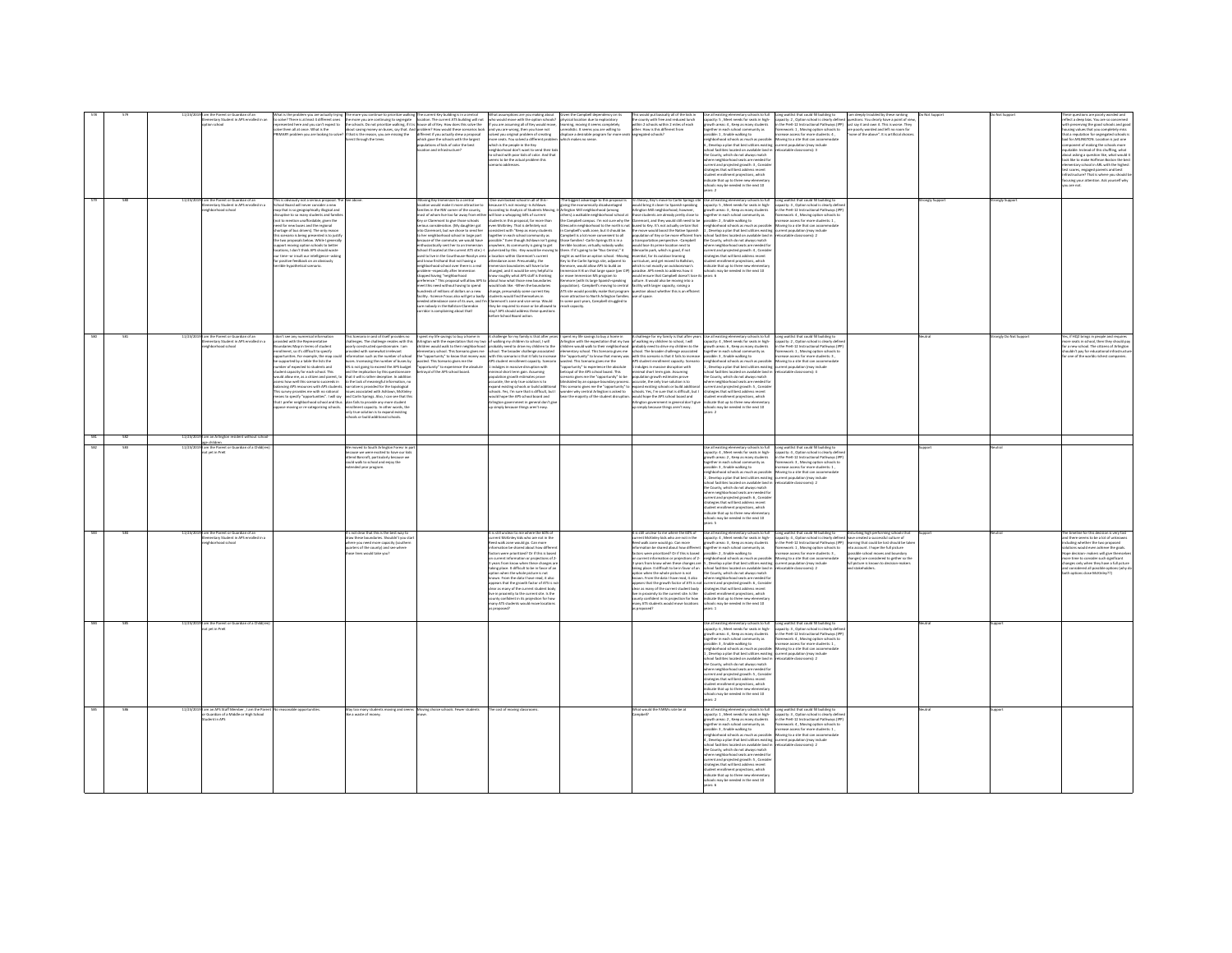|     | the Parent or Guardian of an                                            | That is the problem you are actually trying                                                                                                                               | .<br>The more you continue to prioritize walking The current Key building is in a central                                        |                                                                                                                                                                                                                                      | Mhat assumptions are you making about                                                                                                                                                                                             | ven the Campbell dependency on its                                                                                                                                     | is would put basically all of the kids in                                                                                           | se all existing elementary schools to full                                                                                                                                                                                                | Long waitlist that could fill building to<br>I am deeply troubled by these ranking                                                                                                                                                                                                                                        |          | Not Suppor            | ese questions are poorly worded and                                                                                                   |
|-----|-------------------------------------------------------------------------|---------------------------------------------------------------------------------------------------------------------------------------------------------------------------|----------------------------------------------------------------------------------------------------------------------------------|--------------------------------------------------------------------------------------------------------------------------------------------------------------------------------------------------------------------------------------|-----------------------------------------------------------------------------------------------------------------------------------------------------------------------------------------------------------------------------------|------------------------------------------------------------------------------------------------------------------------------------------------------------------------|-------------------------------------------------------------------------------------------------------------------------------------|-------------------------------------------------------------------------------------------------------------------------------------------------------------------------------------------------------------------------------------------|---------------------------------------------------------------------------------------------------------------------------------------------------------------------------------------------------------------------------------------------------------------------------------------------------------------------------|----------|-----------------------|---------------------------------------------------------------------------------------------------------------------------------------|
|     |                                                                         | nentary Student in APS enrolled in an to solve? There is at least 4 different ones<br>on school en school represented here and you can't expect to                        |                                                                                                                                  |                                                                                                                                                                                                                                      | to sub-The rust such a company of the context progress. The company of the company of the company of the company of the company of the company of the company of the company of the company of the company of the company of t    |                                                                                                                                                                        | the county with free and reduced lunch                                                                                              | pacity: 5, Meet needs for seats in high-                                                                                                                                                                                                  | capacity: 2, Option school is clearly defined questions. You clearly have a point of view,<br>in the PreK-12 Instructional Pathways (IPP) [just say it and own it. This is worse. They                                                                                                                                    |          |                       | effect a deep bias. You are so concerned                                                                                              |
|     | tion school                                                             |                                                                                                                                                                           |                                                                                                                                  |                                                                                                                                                                                                                                      |                                                                                                                                                                                                                                   |                                                                                                                                                                        | ithin 2 schools within 2 miles of each                                                                                              | wth areas: 4, Keep as many students                                                                                                                                                                                                       |                                                                                                                                                                                                                                                                                                                           |          |                       | with preserving the good schools and good<br>cousing values that you completely miss<br>hat a reputation for segregated schools is    |
|     |                                                                         |                                                                                                                                                                           |                                                                                                                                  |                                                                                                                                                                                                                                      |                                                                                                                                                                                                                                   |                                                                                                                                                                        | sther. How is this different from<br>regregated schools?                                                                            | ther in each school community as<br>sible: 1 , Enable walking to                                                                                                                                                                          | Nework: 1, Moving option schools to<br>ease access for more students: 4,<br>are poorly worded and left no room for<br>"none of the above". It is artificial chois                                                                                                                                                         |          |                       |                                                                                                                                       |
|     |                                                                         |                                                                                                                                                                           | st through the trees.                                                                                                            | which gave the schools with the largest                                                                                                                                                                                              | more seats. You solved a different proble                                                                                                                                                                                         | ich makes no sense.                                                                                                                                                    |                                                                                                                                     | hborhood schools as much as po                                                                                                                                                                                                            | Moving to a site that can accommodate                                                                                                                                                                                                                                                                                     |          |                       | ad for ARLINGTON. Location is just one                                                                                                |
|     |                                                                         |                                                                                                                                                                           |                                                                                                                                  | populations of kids of color the best                                                                                                                                                                                                | which is the people in the Key                                                                                                                                                                                                    |                                                                                                                                                                        |                                                                                                                                     | .<br>Develop a plan that best utilizes existing                                                                                                                                                                                           | ebut present redaktion                                                                                                                                                                                                                                                                                                    |          |                       | noonent of making the schools more                                                                                                    |
|     |                                                                         |                                                                                                                                                                           |                                                                                                                                  | ation and infrastructural                                                                                                                                                                                                            | ishborhood don't want to send their kit                                                                                                                                                                                           |                                                                                                                                                                        |                                                                                                                                     | ocated on available land is                                                                                                                                                                                                               | postable classrooms): 3                                                                                                                                                                                                                                                                                                   |          |                       | itable, Instead of this shuffling, what                                                                                               |
|     |                                                                         |                                                                                                                                                                           |                                                                                                                                  |                                                                                                                                                                                                                                      | school with poor kids of color. And that                                                                                                                                                                                          |                                                                                                                                                                        |                                                                                                                                     | County, which do not always match                                                                                                                                                                                                         |                                                                                                                                                                                                                                                                                                                           |          |                       |                                                                                                                                       |
|     |                                                                         |                                                                                                                                                                           |                                                                                                                                  |                                                                                                                                                                                                                                      | seems to be the actual problem this<br>ario addresses.                                                                                                                                                                            |                                                                                                                                                                        |                                                                                                                                     | where neighborhood seats are needed for<br>urrent and projected growth: 3, Conside                                                                                                                                                        |                                                                                                                                                                                                                                                                                                                           |          |                       | about asking a question like, what would it<br>look like to make Hoffman Boston the best<br>elementary school in ARL with the highest |
|     |                                                                         |                                                                                                                                                                           |                                                                                                                                  |                                                                                                                                                                                                                                      |                                                                                                                                                                                                                                   |                                                                                                                                                                        |                                                                                                                                     | desies that will best address recent                                                                                                                                                                                                      |                                                                                                                                                                                                                                                                                                                           |          |                       | ist scores, engaged parents and best                                                                                                  |
|     |                                                                         |                                                                                                                                                                           |                                                                                                                                  |                                                                                                                                                                                                                                      |                                                                                                                                                                                                                                   |                                                                                                                                                                        |                                                                                                                                     |                                                                                                                                                                                                                                           |                                                                                                                                                                                                                                                                                                                           |          |                       | n nones, engageo parents and best<br>frastructure? That is where you should b<br>tusing your attention. Ask yourself why              |
|     |                                                                         |                                                                                                                                                                           |                                                                                                                                  |                                                                                                                                                                                                                                      |                                                                                                                                                                                                                                   |                                                                                                                                                                        |                                                                                                                                     | dent enrollment projections, which<br>licate that up to three new elementa<br>asis may be needed in the next 10                                                                                                                           |                                                                                                                                                                                                                                                                                                                           |          |                       | su are not.                                                                                                                           |
|     |                                                                         |                                                                                                                                                                           |                                                                                                                                  |                                                                                                                                                                                                                                      |                                                                                                                                                                                                                                   |                                                                                                                                                                        |                                                                                                                                     |                                                                                                                                                                                                                                           |                                                                                                                                                                                                                                                                                                                           |          |                       |                                                                                                                                       |
|     |                                                                         |                                                                                                                                                                           |                                                                                                                                  |                                                                                                                                                                                                                                      |                                                                                                                                                                                                                                   |                                                                                                                                                                        |                                                                                                                                     |                                                                                                                                                                                                                                           |                                                                                                                                                                                                                                                                                                                           |          |                       |                                                                                                                                       |
|     | m the Parent or Guardian of an<br>ementary Student in APS enrolled in a | vis is obviously not a serious proposal.<br>:hool Board will never consider a new                                                                                         |                                                                                                                                  | Aoving Key Immersion to a central<br>cation would make it more attractive to                                                                                                                                                         | -One overlooked school in all of this-<br>because it's not moving-is Ashlawn.                                                                                                                                                     | he biggest advantage to this proposa<br>ving the economically disadvantaged                                                                                            | n theory, Key's move to Carlin Springs site<br>ould bring it closer to Spanish-speaking                                             | se all existing elementary schools to full<br>spacity: S , Meet needs for seats in high-                                                                                                                                                  | Long waitlist that could fill building to<br>capacity: 3 , Option school is clearly defi                                                                                                                                                                                                                                  | mgly Sup | ongly Supp            |                                                                                                                                       |
|     | phborhood school                                                        | map that is so geographically illogical and                                                                                                                               |                                                                                                                                  | ilies in the NW corner of the county,                                                                                                                                                                                                | According to Analysis of Students Moving, it Arlington Mill neighborhood (among                                                                                                                                                   |                                                                                                                                                                        | rlington Mill neighborhood; however,                                                                                                | owth areas: 3, Keep as many students                                                                                                                                                                                                      | in the PreK-12 Instructional Pathways (IP                                                                                                                                                                                                                                                                                 |          |                       |                                                                                                                                       |
|     |                                                                         | .<br>Isruptive to so many students and familie<br>not to mention unaffordable, given the                                                                                  |                                                                                                                                  | most of whom live too far away from either will lose a whopping 44% of current<br>Key or Claremont to give those schools students in this proposal, far more than<br>serious consideration. (My daughter got wwen McKinley: That is  |                                                                                                                                                                                                                                   | others) a walkable neighborhood school at<br>the Campbell campus. I'm not sure why the<br>Glencarin neighborhood to the north is not                                   | se students are already pretty close to                                                                                             | rether in each school community as                                                                                                                                                                                                        | ramework: 4 . Moving option schools to                                                                                                                                                                                                                                                                                    |          |                       |                                                                                                                                       |
|     |                                                                         |                                                                                                                                                                           |                                                                                                                                  |                                                                                                                                                                                                                                      |                                                                                                                                                                                                                                   |                                                                                                                                                                        | an of hasn't be blurry which the thorney                                                                                            | sible: 2 . Enable walking to                                                                                                                                                                                                              | pasa arress for more students: 1                                                                                                                                                                                                                                                                                          |          |                       |                                                                                                                                       |
|     |                                                                         | eed for new buses and the regional<br>hortage of bus drivers). The only reasor                                                                                            |                                                                                                                                  | nto Claremont, but we chose to send her                                                                                                                                                                                              | consistent with "Keep as many students                                                                                                                                                                                            | Campbell's walk zone, but it should be.                                                                                                                                | ed to Key. It's not actually certain that<br>e move would boost the Native Spanish                                                  | ghborhood schools as much as possible<br>Develop a plan that best utilizes existing current population (may include                                                                                                                       | toving to a site that can accor                                                                                                                                                                                                                                                                                           |          |                       |                                                                                                                                       |
|     |                                                                         | this scenario is being presented is to justif                                                                                                                             |                                                                                                                                  | o her neighborhood school in large part                                                                                                                                                                                              | together in each school community as                                                                                                                                                                                              | mpbell is a lot more convenient to all                                                                                                                                 | ulation of Key or be more efficient fro                                                                                             | ool facilities located on available land is                                                                                                                                                                                               | ocatable classrooms): 2                                                                                                                                                                                                                                                                                                   |          |                       |                                                                                                                                       |
|     |                                                                         | a han nennoak halna: While I eanerall                                                                                                                                     |                                                                                                                                  | anta of the commute: we would have                                                                                                                                                                                                   | sible." Even though Ashlawn isn't goin                                                                                                                                                                                            | se families! "Carlin Serinas PS is in a                                                                                                                                | sportation perspective. -Campbell                                                                                                   | a County, which do not always match                                                                                                                                                                                                       |                                                                                                                                                                                                                                                                                                                           |          |                       |                                                                                                                                       |
|     |                                                                         | port moving option schools to better<br>stions, I don't think APS should waste                                                                                            |                                                                                                                                  | thusiastically sent her to an Immersion<br>hool if located at the current ATS site.) -l                                                                                                                                              | anywhere, its community is going to get<br>pulverized by this. -Key would be moving to                                                                                                                                            | rible location; virtually nobody walks<br>re. If it's going to be "Bus Central," it                                                                                    | ensportation perspective. -Camps<br>ild lose its prime location next to<br>icarlin park, which is good, if not                      | there neighborhood seats are needed fo<br>urrent and projected growth: 4 , Conside<br>urrent and projected growth: 4 , Conside                                                                                                            |                                                                                                                                                                                                                                                                                                                           |          |                       |                                                                                                                                       |
|     |                                                                         | our time-or insult our intelligence-asking                                                                                                                                |                                                                                                                                  |                                                                                                                                                                                                                                      |                                                                                                                                                                                                                                   | might as well be an option school. - Moving                                                                                                                            |                                                                                                                                     | strategies that will best address recent                                                                                                                                                                                                  |                                                                                                                                                                                                                                                                                                                           |          |                       |                                                                                                                                       |
|     |                                                                         | or positive feedback on an obviously                                                                                                                                      |                                                                                                                                  | used to live in the Courthouse-Rosslyn area a location within Claremont's current<br>and know firsthand that not having a attendance zone. Presumably, the                                                                           |                                                                                                                                                                                                                                   | Key to the Carlin Springs site, adjacent to                                                                                                                            | iential, for its outdoor learning<br>riculum, and get moved to Ballston,                                                            | lent enrollment projections, which                                                                                                                                                                                                        |                                                                                                                                                                                                                                                                                                                           |          |                       |                                                                                                                                       |
|     |                                                                         | this humbbatical scenario.                                                                                                                                                |                                                                                                                                  | ighborhood school over there is a real                                                                                                                                                                                               | marcine houndaries will have to be                                                                                                                                                                                                | no blind of 255 wells blows aren't                                                                                                                                     | hich is not exactly an outdoorsman's<br>aradise. APS needs to address how it<br>rould ensure that Campbell doesn't lose             | <b>Erate that un to three new elementar</b>                                                                                                                                                                                               |                                                                                                                                                                                                                                                                                                                           |          |                       |                                                                                                                                       |
|     |                                                                         |                                                                                                                                                                           |                                                                                                                                  |                                                                                                                                                                                                                                      |                                                                                                                                                                                                                                   | vnore, would allow APS to build an<br>mersion K-8 on that large space (per CIP)<br>move Immersion MS program to                                                        |                                                                                                                                     | ts may be needed in the next 10                                                                                                                                                                                                           |                                                                                                                                                                                                                                                                                                                           |          |                       |                                                                                                                                       |
|     |                                                                         |                                                                                                                                                                           |                                                                                                                                  | neugmonmood school over theme as new remembers occurrent to weak of the set of the set of the set of the set of the set of the set of the set of the set of the set of the set of the set of the set of the set of the set of        |                                                                                                                                                                                                                                   | nmore (with its large Spanish speaking                                                                                                                                 | sulture. It would also be moving into a                                                                                             |                                                                                                                                                                                                                                           |                                                                                                                                                                                                                                                                                                                           |          |                       |                                                                                                                                       |
|     |                                                                         |                                                                                                                                                                           |                                                                                                                                  |                                                                                                                                                                                                                                      |                                                                                                                                                                                                                                   |                                                                                                                                                                        | .<br>Lilty with larger capacity, raising a<br>estion about whether this is an efficie                                               |                                                                                                                                                                                                                                           |                                                                                                                                                                                                                                                                                                                           |          |                       |                                                                                                                                       |
|     |                                                                         |                                                                                                                                                                           |                                                                                                                                  | meet this need without having to spend would look like. -When the boundaries<br>hundreds of millions of dollars on a new change, presumably some current Key<br>lacilty. -Science focus also will get a badly students would find th |                                                                                                                                                                                                                                   | pulation). -Campbell's moving to central<br>IS site would possibly make that program<br>ore attractive to North Arlington families.                                    | use of space.                                                                                                                       |                                                                                                                                                                                                                                           |                                                                                                                                                                                                                                                                                                                           |          |                       |                                                                                                                                       |
|     |                                                                         |                                                                                                                                                                           |                                                                                                                                  | reeded attendance zone of its own, and I'm Claremont's zone and vice versa. Would                                                                                                                                                    |                                                                                                                                                                                                                                   | In some past years, Campbell struggled to                                                                                                                              |                                                                                                                                     |                                                                                                                                                                                                                                           |                                                                                                                                                                                                                                                                                                                           |          |                       |                                                                                                                                       |
|     |                                                                         |                                                                                                                                                                           |                                                                                                                                  | ure nobody in the Ballston-Clarendon                                                                                                                                                                                                 |                                                                                                                                                                                                                                   | each capacity.                                                                                                                                                         |                                                                                                                                     |                                                                                                                                                                                                                                           |                                                                                                                                                                                                                                                                                                                           |          |                       |                                                                                                                                       |
|     |                                                                         |                                                                                                                                                                           |                                                                                                                                  | tridor is complaining about that!                                                                                                                                                                                                    | they be required to move or be allowed to<br>stay? APS should address these questions<br>before School Board action.                                                                                                              |                                                                                                                                                                        |                                                                                                                                     |                                                                                                                                                                                                                                           |                                                                                                                                                                                                                                                                                                                           |          |                       |                                                                                                                                       |
|     |                                                                         |                                                                                                                                                                           |                                                                                                                                  |                                                                                                                                                                                                                                      |                                                                                                                                                                                                                                   |                                                                                                                                                                        |                                                                                                                                     |                                                                                                                                                                                                                                           |                                                                                                                                                                                                                                                                                                                           |          |                       |                                                                                                                                       |
|     |                                                                         |                                                                                                                                                                           |                                                                                                                                  |                                                                                                                                                                                                                                      |                                                                                                                                                                                                                                   |                                                                                                                                                                        |                                                                                                                                     |                                                                                                                                                                                                                                           |                                                                                                                                                                                                                                                                                                                           |          |                       |                                                                                                                                       |
|     | am the Parent or Guardian of an                                         |                                                                                                                                                                           |                                                                                                                                  |                                                                                                                                                                                                                                      |                                                                                                                                                                                                                                   |                                                                                                                                                                        |                                                                                                                                     |                                                                                                                                                                                                                                           |                                                                                                                                                                                                                                                                                                                           |          |                       |                                                                                                                                       |
|     | entary Student in APS enrolled in a                                     | don't see any numerical information<br>trovided with the Representative<br>toundaries Map in terms of student                                                             |                                                                                                                                  |                                                                                                                                                                                                                                      | his kowa in ad mile posito is specified as in the company of the specific material property in the specific the specific three property in the specific specific specific specific specific specific specific specific specifi    |                                                                                                                                                                        |                                                                                                                                     |                                                                                                                                                                                                                                           | ong waitlist that could fill building to                                                                                                                                                                                                                                                                                  |          | rongly Do Not Support | res, if HQ2 brings in people and req                                                                                                  |
|     | ghbarhoad schoa                                                         |                                                                                                                                                                           |                                                                                                                                  |                                                                                                                                                                                                                                      |                                                                                                                                                                                                                                   |                                                                                                                                                                        |                                                                                                                                     |                                                                                                                                                                                                                                           | capacity: 2, Option school is clearly define<br>in the PreK-12 Instructional Pathways (IPF                                                                                                                                                                                                                                |          |                       | nore seats in school, then they should pa<br>for a new school. The citizens of Arlington                                              |
|     |                                                                         | rollment, so it's difficult to specify                                                                                                                                    |                                                                                                                                  |                                                                                                                                                                                                                                      |                                                                                                                                                                                                                                   |                                                                                                                                                                        |                                                                                                                                     |                                                                                                                                                                                                                                           | framework: 1 . Moving option schools to                                                                                                                                                                                                                                                                                   |          |                       | houldn't pay for educational infrastruct                                                                                              |
|     |                                                                         | ortunities. For example, the map co<br>upported by a table the lists the                                                                                                  | information such as the number of school<br>buses. Increasing the number of buses by<br>6% is not going to exceed the APS budget |                                                                                                                                                                                                                                      |                                                                                                                                                                                                                                   |                                                                                                                                                                        |                                                                                                                                     | .<br>Issible: 3 , Enable walking to<br>Ishborhood schools as much as possible                                                                                                                                                             | crease access for more students: 3 ,<br>toving to a site that can accommodat                                                                                                                                                                                                                                              |          |                       | r one of the worlds richest companie                                                                                                  |
|     |                                                                         | mber of expected to students and                                                                                                                                          |                                                                                                                                  |                                                                                                                                                                                                                                      |                                                                                                                                                                                                                                   |                                                                                                                                                                        |                                                                                                                                     |                                                                                                                                                                                                                                           |                                                                                                                                                                                                                                                                                                                           |          |                       |                                                                                                                                       |
|     |                                                                         | tudent capacity for each school. This                                                                                                                                     | the implication by this questionnaire                                                                                            |                                                                                                                                                                                                                                      | $\frac{1}{2}$ - construction and the construction of the construction of the complete of the construction of the construction of the construction of the construction of the construction of the construction of the construction |                                                                                                                                                                        |                                                                                                                                     | siighbornaas scraats as meer ee peesisting   current population (may include<br>Develop a plan that best utilizes existing   current population (may include<br>ichool facilities located on available land in   relocatable cla          |                                                                                                                                                                                                                                                                                                                           |          |                       |                                                                                                                                       |
|     |                                                                         | ould allow me, as a citizen and parent, to                                                                                                                                | that it will is rather deceptive. In addition                                                                                    |                                                                                                                                                                                                                                      | oulation arowth estimates prove                                                                                                                                                                                                   | mario aives me the "opportunity" to be                                                                                                                                 | pulation erowth estimates prove                                                                                                     | the County, which do not always match                                                                                                                                                                                                     |                                                                                                                                                                                                                                                                                                                           |          |                       |                                                                                                                                       |
|     |                                                                         | iess how well this scenario succeeds in<br>lancing APS resources with APS students                                                                                        | in the lack of meaningful information in                                                                                         |                                                                                                                                                                                                                                      | presente the notic true solution is to                                                                                                                                                                                            | nancy gives rin one opportunity to be<br>indided by an opaque boundary process<br>is scenario gives me the "opportunity" to<br>inder why central Arlington is asked to | wate the only true solution is to                                                                                                   | there neighborhood seats are needed for<br>irrent and projected growth: 5 , Consider<br>rategies that will best address recent                                                                                                            |                                                                                                                                                                                                                                                                                                                           |          |                       |                                                                                                                                       |
|     |                                                                         | is survey provides me with no rational                                                                                                                                    | s the lack or meaningnal information, no<br>arrative is provided for the topological<br>sues associated with Ashlawn, McKinley   |                                                                                                                                                                                                                                      | pand existing schools or build additiona<br>hools. Yes, I'm sure that is difficult, but I                                                                                                                                         |                                                                                                                                                                        | curate, the only true solution is to<br>pand existing schools or build additional<br>hools. Yes, I'm sure that is difficult, but I  |                                                                                                                                                                                                                                           |                                                                                                                                                                                                                                                                                                                           |          |                       |                                                                                                                                       |
|     |                                                                         | means to specify "opportunities". I will say and Carlin Springs. Also, I can see that<br>hat I prefer neighborhood school and thus alan fails to provide any more student | and Carlin Springs, Also, I can see that the                                                                                     |                                                                                                                                                                                                                                      | would hope the APS school board and                                                                                                                                                                                               | ar the majority of the student disruption. would hope the APS school board and                                                                                         |                                                                                                                                     | udent enrollment projections, which                                                                                                                                                                                                       |                                                                                                                                                                                                                                                                                                                           |          |                       |                                                                                                                                       |
|     |                                                                         |                                                                                                                                                                           |                                                                                                                                  |                                                                                                                                                                                                                                      | Arlineton equennent in experal don't aive                                                                                                                                                                                         |                                                                                                                                                                        | rlinaton apvernment in eeneral don't eive<br>imply because things aren't easy.                                                      | dicate that up to three new elementar<br>tols may be needed in the next 10                                                                                                                                                                |                                                                                                                                                                                                                                                                                                                           |          |                       |                                                                                                                                       |
|     |                                                                         | e moving or re-categorizing schools.                                                                                                                                      |                                                                                                                                  |                                                                                                                                                                                                                                      | simply because things aren't easy.                                                                                                                                                                                                |                                                                                                                                                                        |                                                                                                                                     |                                                                                                                                                                                                                                           |                                                                                                                                                                                                                                                                                                                           |          |                       |                                                                                                                                       |
|     |                                                                         |                                                                                                                                                                           | an rank to provide any more subsets.<br>Intellment capacity. In other words, the<br>hools or build additional schools.           |                                                                                                                                                                                                                                      |                                                                                                                                                                                                                                   |                                                                                                                                                                        |                                                                                                                                     |                                                                                                                                                                                                                                           |                                                                                                                                                                                                                                                                                                                           |          |                       |                                                                                                                                       |
|     |                                                                         |                                                                                                                                                                           |                                                                                                                                  |                                                                                                                                                                                                                                      |                                                                                                                                                                                                                                   |                                                                                                                                                                        |                                                                                                                                     |                                                                                                                                                                                                                                           |                                                                                                                                                                                                                                                                                                                           |          |                       |                                                                                                                                       |
|     |                                                                         |                                                                                                                                                                           |                                                                                                                                  |                                                                                                                                                                                                                                      |                                                                                                                                                                                                                                   |                                                                                                                                                                        |                                                                                                                                     |                                                                                                                                                                                                                                           |                                                                                                                                                                                                                                                                                                                           |          |                       |                                                                                                                                       |
|     | am an Arlington resident without scho<br>11/23/                         |                                                                                                                                                                           |                                                                                                                                  |                                                                                                                                                                                                                                      |                                                                                                                                                                                                                                   |                                                                                                                                                                        |                                                                                                                                     |                                                                                                                                                                                                                                           |                                                                                                                                                                                                                                                                                                                           |          |                       |                                                                                                                                       |
| 88  | y children<br>m the Parent or Guardian of a Child(ren<br>11/33/20       |                                                                                                                                                                           | noved to South Arlington Foresr in pa                                                                                            |                                                                                                                                                                                                                                      |                                                                                                                                                                                                                                   |                                                                                                                                                                        |                                                                                                                                     | se all existing elementary schools to full                                                                                                                                                                                                | Long waitlist that could fill building to                                                                                                                                                                                                                                                                                 |          |                       |                                                                                                                                       |
|     | <b>Cust in Drex</b>                                                     |                                                                                                                                                                           | use we were excited to have our kids<br>nd Barcroft, particularly because we                                                     |                                                                                                                                                                                                                                      |                                                                                                                                                                                                                                   |                                                                                                                                                                        |                                                                                                                                     | iacity: 4 , Meet needs for seats in high-<br>wth areas: 2 , Keep as many students                                                                                                                                                         | .<br>Lapacity: 4 , Option school is clearly define<br>in the PreK-12 Instructional Pathways (IPF                                                                                                                                                                                                                          |          |                       |                                                                                                                                       |
|     |                                                                         |                                                                                                                                                                           | d walk to school and enjoy the                                                                                                   |                                                                                                                                                                                                                                      |                                                                                                                                                                                                                                   |                                                                                                                                                                        |                                                                                                                                     | ether in each school community as                                                                                                                                                                                                         | ramework: 3, Moving option schools to                                                                                                                                                                                                                                                                                     |          |                       |                                                                                                                                       |
|     |                                                                         |                                                                                                                                                                           | nded vear program.                                                                                                               |                                                                                                                                                                                                                                      |                                                                                                                                                                                                                                   |                                                                                                                                                                        |                                                                                                                                     | sible: 3 . Enable walking to                                                                                                                                                                                                              | rease access for more students: 1.                                                                                                                                                                                                                                                                                        |          |                       |                                                                                                                                       |
|     |                                                                         |                                                                                                                                                                           |                                                                                                                                  |                                                                                                                                                                                                                                      |                                                                                                                                                                                                                                   |                                                                                                                                                                        |                                                                                                                                     | ishborhood schools as much as possible                                                                                                                                                                                                    | Movine to a site that can accomm                                                                                                                                                                                                                                                                                          |          |                       |                                                                                                                                       |
|     |                                                                         |                                                                                                                                                                           |                                                                                                                                  |                                                                                                                                                                                                                                      |                                                                                                                                                                                                                                   |                                                                                                                                                                        |                                                                                                                                     | <br>Develop a plan that best utilizes existing current population (may include                                                                                                                                                            | catable classrooms): 2                                                                                                                                                                                                                                                                                                    |          |                       |                                                                                                                                       |
|     |                                                                         |                                                                                                                                                                           |                                                                                                                                  |                                                                                                                                                                                                                                      |                                                                                                                                                                                                                                   |                                                                                                                                                                        |                                                                                                                                     | school facilities located on available land is<br>the County, which do not always match                                                                                                                                                   |                                                                                                                                                                                                                                                                                                                           |          |                       |                                                                                                                                       |
|     |                                                                         |                                                                                                                                                                           |                                                                                                                                  |                                                                                                                                                                                                                                      |                                                                                                                                                                                                                                   |                                                                                                                                                                        |                                                                                                                                     | there neighborhood seats are needed for                                                                                                                                                                                                   |                                                                                                                                                                                                                                                                                                                           |          |                       |                                                                                                                                       |
|     |                                                                         |                                                                                                                                                                           |                                                                                                                                  |                                                                                                                                                                                                                                      |                                                                                                                                                                                                                                   |                                                                                                                                                                        |                                                                                                                                     | errent and projected growth: 6 , Conside<br>rategies that will best address recent                                                                                                                                                        |                                                                                                                                                                                                                                                                                                                           |          |                       |                                                                                                                                       |
|     |                                                                         |                                                                                                                                                                           |                                                                                                                                  |                                                                                                                                                                                                                                      |                                                                                                                                                                                                                                   |                                                                                                                                                                        |                                                                                                                                     |                                                                                                                                                                                                                                           |                                                                                                                                                                                                                                                                                                                           |          |                       |                                                                                                                                       |
|     |                                                                         |                                                                                                                                                                           |                                                                                                                                  |                                                                                                                                                                                                                                      |                                                                                                                                                                                                                                   |                                                                                                                                                                        |                                                                                                                                     |                                                                                                                                                                                                                                           |                                                                                                                                                                                                                                                                                                                           |          |                       |                                                                                                                                       |
|     |                                                                         |                                                                                                                                                                           |                                                                                                                                  |                                                                                                                                                                                                                                      |                                                                                                                                                                                                                                   |                                                                                                                                                                        |                                                                                                                                     | udent enrollment projections, which<br>dicate that up to three new elementary                                                                                                                                                             |                                                                                                                                                                                                                                                                                                                           |          |                       |                                                                                                                                       |
|     |                                                                         |                                                                                                                                                                           |                                                                                                                                  |                                                                                                                                                                                                                                      |                                                                                                                                                                                                                                   |                                                                                                                                                                        |                                                                                                                                     | ools may be needed in the next 10                                                                                                                                                                                                         |                                                                                                                                                                                                                                                                                                                           |          |                       |                                                                                                                                       |
| 584 |                                                                         |                                                                                                                                                                           |                                                                                                                                  |                                                                                                                                                                                                                                      |                                                                                                                                                                                                                                   |                                                                                                                                                                        |                                                                                                                                     | es: S                                                                                                                                                                                                                                     |                                                                                                                                                                                                                                                                                                                           |          |                       |                                                                                                                                       |
|     | m the Parent or Guardian of an<br>11/23/                                |                                                                                                                                                                           | not clear that this is the best way to                                                                                           |                                                                                                                                                                                                                                      | It is still unclear to me where the 60% of                                                                                                                                                                                        |                                                                                                                                                                        | t is still unclear to me where the 60% of                                                                                           | Use all existing elementary schools to full                                                                                                                                                                                               | Disturbing high performing schools that                                                                                                                                                                                                                                                                                   |          | utral                 | he timeline for this decision is very fast                                                                                            |
|     | nentary Student in APS enrolled in a<br>corbe bood school               |                                                                                                                                                                           | aw these boundaries. Shouldn't you sta-<br>re you need more capacity (souther)                                                   |                                                                                                                                                                                                                                      | urrent McKinley kids who are not in the<br>eed walk zone would eo. Can more                                                                                                                                                       |                                                                                                                                                                        | arrent McKinkey kids who are not in the<br>red walk zone would eo. Can more                                                         |                                                                                                                                                                                                                                           |                                                                                                                                                                                                                                                                                                                           |          |                       | nd there seems to be a lot of unknown<br>cluding whether the two proposed                                                             |
|     |                                                                         |                                                                                                                                                                           | rters of the county) and see where                                                                                               |                                                                                                                                                                                                                                      |                                                                                                                                                                                                                                   |                                                                                                                                                                        |                                                                                                                                     |                                                                                                                                                                                                                                           | Long waitlist that could fill building to Disturbing high performing schools the<br>capacity: 4, Option school is clearly defined have created a successful culture of<br>in the PreK-12 Instructional Pathways (PP) learning that c<br>learning that could be lost should be take<br>to account. I hope the full picture |          |                       | tions would even achieve the goals.                                                                                                   |
|     |                                                                         |                                                                                                                                                                           | Ines would take you?                                                                                                             |                                                                                                                                                                                                                                      | information be shared about how differer<br>factors were prioritized? Or if this is based                                                                                                                                         |                                                                                                                                                                        | ormation be shared about how different<br>tors were prioritized? Or if this is based                                                |                                                                                                                                                                                                                                           | .<br>ramework: 1 , Moving option schools to<br>ncrease access for more students: 3 ,<br>sible school moves and boundary                                                                                                                                                                                                   |          |                       | e decision- makers will give thems                                                                                                    |
|     |                                                                         |                                                                                                                                                                           |                                                                                                                                  |                                                                                                                                                                                                                                      | current information or projections of 2                                                                                                                                                                                           |                                                                                                                                                                        | urrent information or projections of 2-                                                                                             | Coar as waxing elementary scribons to run<br>capacity: 4, Meet needs for seats in high-growth areas: 3, Keep as many students<br>together in each school community as<br>possible: 2, Enable walking to<br>religiblochood schools as much | Moving to a site that can accommodate<br>changes) are considered to gether so the                                                                                                                                                                                                                                         |          |                       | e time to consider such significant                                                                                                   |
|     |                                                                         |                                                                                                                                                                           |                                                                                                                                  |                                                                                                                                                                                                                                      | 3 years from know when these changes are<br>king place. It difficult to be in favor of an                                                                                                                                         |                                                                                                                                                                        | years from know when these changes are<br>king place. It difficult to be in favor of an                                             | . Develop a plan that best utilizes existing<br>hool facilities located on available land is                                                                                                                                              | rrent population (may include<br>full picture is known to decision-makers<br>pratable classrooms): 2                                                                                                                                                                                                                      |          |                       | aness only when they have a full octure<br>pnsidered all possible opti                                                                |
|     |                                                                         |                                                                                                                                                                           |                                                                                                                                  |                                                                                                                                                                                                                                      | option when the whole picture is not                                                                                                                                                                                              |                                                                                                                                                                        | sption when the whole picture is not                                                                                                | he County, which do not always match                                                                                                                                                                                                      |                                                                                                                                                                                                                                                                                                                           |          |                       | options close McKinley??)                                                                                                             |
|     |                                                                         |                                                                                                                                                                           |                                                                                                                                  |                                                                                                                                                                                                                                      | known. From the data I have read, it also                                                                                                                                                                                         |                                                                                                                                                                        |                                                                                                                                     |                                                                                                                                                                                                                                           |                                                                                                                                                                                                                                                                                                                           |          |                       |                                                                                                                                       |
|     |                                                                         |                                                                                                                                                                           |                                                                                                                                  |                                                                                                                                                                                                                                      | appears that the growth factor of ATS is n<br>dear as many of the current student body                                                                                                                                            |                                                                                                                                                                        | nown. From the data I have read, it also<br>ppears that the growth factor of ATS is not<br>lear as many of the current student body | where neighborhood seats are needed for<br>current and projected growth: 6, Conside<br>trategies that will best address recent                                                                                                            |                                                                                                                                                                                                                                                                                                                           |          |                       |                                                                                                                                       |
|     |                                                                         |                                                                                                                                                                           |                                                                                                                                  |                                                                                                                                                                                                                                      |                                                                                                                                                                                                                                   |                                                                                                                                                                        |                                                                                                                                     |                                                                                                                                                                                                                                           |                                                                                                                                                                                                                                                                                                                           |          |                       |                                                                                                                                       |
|     |                                                                         |                                                                                                                                                                           |                                                                                                                                  |                                                                                                                                                                                                                                      | e in proximity to the current site. Is the<br>e in proximity to the current site. Is the<br>unty confident in its projection for how                                                                                              |                                                                                                                                                                        | e in proximity to the current site. Is the<br>unty confident in its projection for how                                              | udent enrollment projections, which<br>dicate that up to three new elementa                                                                                                                                                               |                                                                                                                                                                                                                                                                                                                           |          |                       |                                                                                                                                       |
|     |                                                                         |                                                                                                                                                                           |                                                                                                                                  |                                                                                                                                                                                                                                      | many ATS students would move location                                                                                                                                                                                             |                                                                                                                                                                        | many ATS students would move locations                                                                                              | hools may be needed in the next 10<br>ses: 1                                                                                                                                                                                              |                                                                                                                                                                                                                                                                                                                           |          |                       |                                                                                                                                       |
|     |                                                                         |                                                                                                                                                                           |                                                                                                                                  |                                                                                                                                                                                                                                      |                                                                                                                                                                                                                                   |                                                                                                                                                                        |                                                                                                                                     |                                                                                                                                                                                                                                           |                                                                                                                                                                                                                                                                                                                           |          |                       |                                                                                                                                       |
|     | am the Parent or Guardian of a Chi                                      |                                                                                                                                                                           |                                                                                                                                  |                                                                                                                                                                                                                                      |                                                                                                                                                                                                                                   |                                                                                                                                                                        |                                                                                                                                     |                                                                                                                                                                                                                                           | Long waitlist that could fill building to                                                                                                                                                                                                                                                                                 |          |                       |                                                                                                                                       |
|     | st yet in PreK                                                          |                                                                                                                                                                           |                                                                                                                                  |                                                                                                                                                                                                                                      |                                                                                                                                                                                                                                   |                                                                                                                                                                        |                                                                                                                                     | se all existing elementary schools to full<br>apacity: 6, Meet needs for seats in high-                                                                                                                                                   | capacity: 3, Option school is clearly defin                                                                                                                                                                                                                                                                               |          |                       |                                                                                                                                       |
|     |                                                                         |                                                                                                                                                                           |                                                                                                                                  |                                                                                                                                                                                                                                      |                                                                                                                                                                                                                                   |                                                                                                                                                                        |                                                                                                                                     |                                                                                                                                                                                                                                           | n the PreK-12 Instructional Pathways (IPF                                                                                                                                                                                                                                                                                 |          |                       |                                                                                                                                       |
|     |                                                                         |                                                                                                                                                                           |                                                                                                                                  |                                                                                                                                                                                                                                      |                                                                                                                                                                                                                                   |                                                                                                                                                                        |                                                                                                                                     | owth areas: 4 , Keep as many students<br>eether in each school community as                                                                                                                                                               | tework: 4 . Moving option schools to                                                                                                                                                                                                                                                                                      |          |                       |                                                                                                                                       |
|     |                                                                         |                                                                                                                                                                           |                                                                                                                                  |                                                                                                                                                                                                                                      |                                                                                                                                                                                                                                   |                                                                                                                                                                        |                                                                                                                                     | ible: 3, Enable walking to                                                                                                                                                                                                                | ase access for more students: 1,<br>Moving to a site that can accommodat                                                                                                                                                                                                                                                  |          |                       |                                                                                                                                       |
|     |                                                                         |                                                                                                                                                                           |                                                                                                                                  |                                                                                                                                                                                                                                      |                                                                                                                                                                                                                                   |                                                                                                                                                                        |                                                                                                                                     | ighborhood schools as much as possible: Moving to a site that can accom<br>, Develop a plan that best utilizes existing - current population (may include                                                                                 |                                                                                                                                                                                                                                                                                                                           |          |                       |                                                                                                                                       |
|     |                                                                         |                                                                                                                                                                           |                                                                                                                                  |                                                                                                                                                                                                                                      |                                                                                                                                                                                                                                   |                                                                                                                                                                        |                                                                                                                                     | nd farilities located on available land is                                                                                                                                                                                                | pratable rlassrooms): 2                                                                                                                                                                                                                                                                                                   |          |                       |                                                                                                                                       |
|     |                                                                         |                                                                                                                                                                           |                                                                                                                                  |                                                                                                                                                                                                                                      |                                                                                                                                                                                                                                   |                                                                                                                                                                        |                                                                                                                                     |                                                                                                                                                                                                                                           |                                                                                                                                                                                                                                                                                                                           |          |                       |                                                                                                                                       |
|     |                                                                         |                                                                                                                                                                           |                                                                                                                                  |                                                                                                                                                                                                                                      |                                                                                                                                                                                                                                   |                                                                                                                                                                        |                                                                                                                                     | ool facilities located on avenuum 1<br>: County, which do not always match<br>ere neighborhood seats are needed for<br>urrent and projected growth: S, Conside                                                                            |                                                                                                                                                                                                                                                                                                                           |          |                       |                                                                                                                                       |
|     |                                                                         |                                                                                                                                                                           |                                                                                                                                  |                                                                                                                                                                                                                                      |                                                                                                                                                                                                                                   |                                                                                                                                                                        |                                                                                                                                     | ategies that will best address recent                                                                                                                                                                                                     |                                                                                                                                                                                                                                                                                                                           |          |                       |                                                                                                                                       |
|     |                                                                         |                                                                                                                                                                           |                                                                                                                                  |                                                                                                                                                                                                                                      |                                                                                                                                                                                                                                   |                                                                                                                                                                        |                                                                                                                                     | rtines which                                                                                                                                                                                                                              |                                                                                                                                                                                                                                                                                                                           |          |                       |                                                                                                                                       |
|     |                                                                         |                                                                                                                                                                           |                                                                                                                                  |                                                                                                                                                                                                                                      |                                                                                                                                                                                                                                   |                                                                                                                                                                        |                                                                                                                                     | licate that up to three new element<br>tools may be needed in the next 10                                                                                                                                                                 |                                                                                                                                                                                                                                                                                                                           |          |                       |                                                                                                                                       |
|     |                                                                         |                                                                                                                                                                           |                                                                                                                                  |                                                                                                                                                                                                                                      |                                                                                                                                                                                                                                   |                                                                                                                                                                        |                                                                                                                                     | ers 2                                                                                                                                                                                                                                     |                                                                                                                                                                                                                                                                                                                           |          |                       |                                                                                                                                       |
|     | show I see they                                                         |                                                                                                                                                                           | ts moving and seems                                                                                                              | ing choice schools. Fewer students                                                                                                                                                                                                   |                                                                                                                                                                                                                                   |                                                                                                                                                                        |                                                                                                                                     |                                                                                                                                                                                                                                           |                                                                                                                                                                                                                                                                                                                           |          |                       |                                                                                                                                       |
|     | sardian of a Middle or High Schoo                                       |                                                                                                                                                                           | a waste of money.                                                                                                                |                                                                                                                                                                                                                                      |                                                                                                                                                                                                                                   |                                                                                                                                                                        | mpbell                                                                                                                              | pacity: 1, Meet needs for seats in high-                                                                                                                                                                                                  | ong waitlist that could fill buildine                                                                                                                                                                                                                                                                                     |          |                       |                                                                                                                                       |
|     | dent in APS                                                             |                                                                                                                                                                           |                                                                                                                                  |                                                                                                                                                                                                                                      |                                                                                                                                                                                                                                   |                                                                                                                                                                        |                                                                                                                                     | growth areas: 2, Keep as many students<br>parther in each school community as                                                                                                                                                             | capacity: 3, Option school is clearly define<br>in the PreK-12 Instructional Pathways (IPF<br>ramework: 4 . Moving option schools to                                                                                                                                                                                      |          |                       |                                                                                                                                       |
|     |                                                                         |                                                                                                                                                                           |                                                                                                                                  |                                                                                                                                                                                                                                      |                                                                                                                                                                                                                                   |                                                                                                                                                                        |                                                                                                                                     |                                                                                                                                                                                                                                           | case arress for more students: 1                                                                                                                                                                                                                                                                                          |          |                       |                                                                                                                                       |
|     |                                                                         |                                                                                                                                                                           |                                                                                                                                  |                                                                                                                                                                                                                                      |                                                                                                                                                                                                                                   |                                                                                                                                                                        |                                                                                                                                     |                                                                                                                                                                                                                                           |                                                                                                                                                                                                                                                                                                                           |          |                       |                                                                                                                                       |
|     |                                                                         |                                                                                                                                                                           |                                                                                                                                  |                                                                                                                                                                                                                                      |                                                                                                                                                                                                                                   |                                                                                                                                                                        |                                                                                                                                     | essible: 3 , Enable walking to community as consistent and access for more student<br>interboot schools as much as possible: Moving to a site that can accomm<br>Develop a plan that best utilizes existing current population (may       |                                                                                                                                                                                                                                                                                                                           |          |                       |                                                                                                                                       |
|     |                                                                         |                                                                                                                                                                           |                                                                                                                                  |                                                                                                                                                                                                                                      |                                                                                                                                                                                                                                   |                                                                                                                                                                        |                                                                                                                                     | ool facilities located on available land is<br>County, which do not always match                                                                                                                                                          | ocatable classrooms): 2                                                                                                                                                                                                                                                                                                   |          |                       |                                                                                                                                       |
|     |                                                                         |                                                                                                                                                                           |                                                                                                                                  |                                                                                                                                                                                                                                      |                                                                                                                                                                                                                                   |                                                                                                                                                                        |                                                                                                                                     | hood seats are needed fo                                                                                                                                                                                                                  |                                                                                                                                                                                                                                                                                                                           |          |                       |                                                                                                                                       |
|     |                                                                         |                                                                                                                                                                           |                                                                                                                                  |                                                                                                                                                                                                                                      |                                                                                                                                                                                                                                   |                                                                                                                                                                        |                                                                                                                                     |                                                                                                                                                                                                                                           |                                                                                                                                                                                                                                                                                                                           |          |                       |                                                                                                                                       |
|     |                                                                         |                                                                                                                                                                           |                                                                                                                                  |                                                                                                                                                                                                                                      |                                                                                                                                                                                                                                   |                                                                                                                                                                        |                                                                                                                                     | ere computerinous sees are identity<br>frent and projected growth: 5 , Conside<br>ategies that will best address recent<br>udent enrollment projections, which                                                                            |                                                                                                                                                                                                                                                                                                                           |          |                       |                                                                                                                                       |
|     |                                                                         |                                                                                                                                                                           |                                                                                                                                  |                                                                                                                                                                                                                                      |                                                                                                                                                                                                                                   |                                                                                                                                                                        |                                                                                                                                     |                                                                                                                                                                                                                                           |                                                                                                                                                                                                                                                                                                                           |          |                       |                                                                                                                                       |
|     |                                                                         |                                                                                                                                                                           |                                                                                                                                  |                                                                                                                                                                                                                                      |                                                                                                                                                                                                                                   |                                                                                                                                                                        |                                                                                                                                     | dicate that up to three new elementar<br>hools may be needed in the next 10<br>ars: 6                                                                                                                                                     |                                                                                                                                                                                                                                                                                                                           |          |                       |                                                                                                                                       |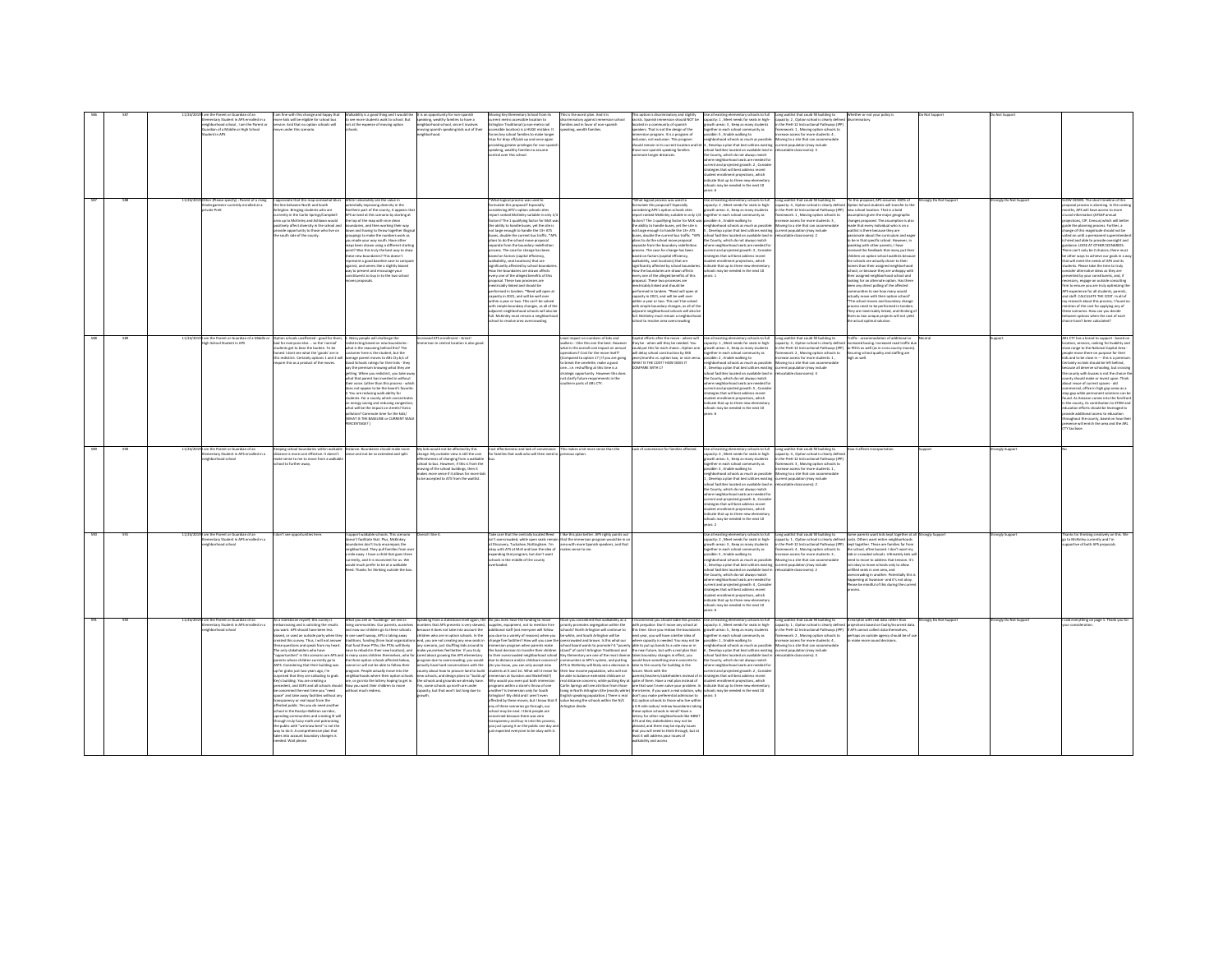|            |  | n the Parent or Guardian of an                                                                                                                                            |                                                                                                                                                                                                                                                                                                                                                                                                                                                                                                                                                                                                                                                                                                                                                                                                                                                                                                                                                                                                                                                       | sility is a good thing and I would lil                                                                                                                                                                                                                                                                                                                                                                                                                                                                                                                                                                                                                                                                                   |                                                                                                                                                                                                                                                                                                                                                                                                                                                                                                                                                                                                                                                                                                                                                                                                                                                          | ving Key Elementary School from                                                                                                                                                                                                                                                                                                                                                                                                                                                                                                                                                                                                                                                                                                                                                                                                                                                                                                                                                                                           | is is the worst plan. And it is                                                                                                                                                                                                                                                                                                                                                                                                                                                                                                                                                                                                                      | option is discriminatory and slightly                                                                                                                                                                                                                                                                                                                                                                                                                                                                                                                                                                                                                                                                                                                                                                                                                                                                                                                                                                                                                                                                                                                                                                                                                                              | ntary schools to full                                                                                                                                                                                                                                                                                                                                                                                                                                                                                                                                                                                                                                                                                                                                                                                                       | Long waitlist that could fill building to                                                                                                                                                                                                                                                                                                                                     | Whether or not your policy is                                                                                                                                                                                                                                                                                                                                                                                                                                                                                                                                                                                                                                                                                                                                                                                                                                                                                                                                |                    |                       |                                                                                                                                                                                                                                                                                                                                                                                                                                                                                                                                                                                                                                                                                                                                                                                                                                                                                                                                                                                                              |
|------------|--|---------------------------------------------------------------------------------------------------------------------------------------------------------------------------|-------------------------------------------------------------------------------------------------------------------------------------------------------------------------------------------------------------------------------------------------------------------------------------------------------------------------------------------------------------------------------------------------------------------------------------------------------------------------------------------------------------------------------------------------------------------------------------------------------------------------------------------------------------------------------------------------------------------------------------------------------------------------------------------------------------------------------------------------------------------------------------------------------------------------------------------------------------------------------------------------------------------------------------------------------|--------------------------------------------------------------------------------------------------------------------------------------------------------------------------------------------------------------------------------------------------------------------------------------------------------------------------------------------------------------------------------------------------------------------------------------------------------------------------------------------------------------------------------------------------------------------------------------------------------------------------------------------------------------------------------------------------------------------------|----------------------------------------------------------------------------------------------------------------------------------------------------------------------------------------------------------------------------------------------------------------------------------------------------------------------------------------------------------------------------------------------------------------------------------------------------------------------------------------------------------------------------------------------------------------------------------------------------------------------------------------------------------------------------------------------------------------------------------------------------------------------------------------------------------------------------------------------------------|---------------------------------------------------------------------------------------------------------------------------------------------------------------------------------------------------------------------------------------------------------------------------------------------------------------------------------------------------------------------------------------------------------------------------------------------------------------------------------------------------------------------------------------------------------------------------------------------------------------------------------------------------------------------------------------------------------------------------------------------------------------------------------------------------------------------------------------------------------------------------------------------------------------------------------------------------------------------------------------------------------------------------|------------------------------------------------------------------------------------------------------------------------------------------------------------------------------------------------------------------------------------------------------------------------------------------------------------------------------------------------------------------------------------------------------------------------------------------------------------------------------------------------------------------------------------------------------------------------------------------------------------------------------------------------------|------------------------------------------------------------------------------------------------------------------------------------------------------------------------------------------------------------------------------------------------------------------------------------------------------------------------------------------------------------------------------------------------------------------------------------------------------------------------------------------------------------------------------------------------------------------------------------------------------------------------------------------------------------------------------------------------------------------------------------------------------------------------------------------------------------------------------------------------------------------------------------------------------------------------------------------------------------------------------------------------------------------------------------------------------------------------------------------------------------------------------------------------------------------------------------------------------------------------------------------------------------------------------------|-----------------------------------------------------------------------------------------------------------------------------------------------------------------------------------------------------------------------------------------------------------------------------------------------------------------------------------------------------------------------------------------------------------------------------------------------------------------------------------------------------------------------------------------------------------------------------------------------------------------------------------------------------------------------------------------------------------------------------------------------------------------------------------------------------------------------------|-------------------------------------------------------------------------------------------------------------------------------------------------------------------------------------------------------------------------------------------------------------------------------------------------------------------------------------------------------------------------------|--------------------------------------------------------------------------------------------------------------------------------------------------------------------------------------------------------------------------------------------------------------------------------------------------------------------------------------------------------------------------------------------------------------------------------------------------------------------------------------------------------------------------------------------------------------------------------------------------------------------------------------------------------------------------------------------------------------------------------------------------------------------------------------------------------------------------------------------------------------------------------------------------------------------------------------------------------------|--------------------|-----------------------|--------------------------------------------------------------------------------------------------------------------------------------------------------------------------------------------------------------------------------------------------------------------------------------------------------------------------------------------------------------------------------------------------------------------------------------------------------------------------------------------------------------------------------------------------------------------------------------------------------------------------------------------------------------------------------------------------------------------------------------------------------------------------------------------------------------------------------------------------------------------------------------------------------------------------------------------------------------------------------------------------------------|
|            |  | mentary Student in APS enrolled in a<br>hood school . I am the Parent or<br>ardian of a Middle or High School<br>ent in AP3<br>ther (Please specify) : Parent of a rising | more kids will be eligible for school bus<br>rvice. And that no option schools will<br>re under this scenario.<br>sppreciate that this map somewhat b                                                                                                                                                                                                                                                                                                                                                                                                                                                                                                                                                                                                                                                                                                                                                                                                                                                                                                 | see more students walk to school. But<br>t at the expense of moving option<br>ie I absolutely see the value in                                                                                                                                                                                                                                                                                                                                                                                                                                                                                                                                                                                                           | speaking, wealthy families to have a<br>hood school, since it invol-<br>oving spanish speaking kids out of the                                                                                                                                                                                                                                                                                                                                                                                                                                                                                                                                                                                                                                                                                                                                           | rrent metro accessible location to<br>ington Traditional (a non-metro rai<br>sible location) is a HUGE mistake. It<br>ces key school families to make longe<br>as for drop off/pick up and once agai<br>providing greater privileges for non-spani<br>speaking, wealthy families to assume<br>trol over this school.<br>Vhat logical process was used to                                                                                                                                                                                                                                                                                                                                                                                                                                                                                                                                                                                                                                                                  | criminatory against immersion school<br>tiles and in favor of non-spanish<br>ing, wealth familie                                                                                                                                                                                                                                                                                                                                                                                                                                                                                                                                                     | acists. Spanish immersion should NOT be<br>ated in a community of spanish<br>akers. That is not the design of the<br>ersion program. It is a program of<br>usion, not exclusion. This program<br>hould remain in its current location and la<br>hose non-spanish speaking families<br>nute longer distances.<br>What logical process was used to                                                                                                                                                                                                                                                                                                                                                                                                                                                                                                                                                                                                                                                                                                                                                                                                                                                                                                                                   | capacity: 1, Meet needs for seats in high-<br>wth areas: 3, Keep as many students<br>gether in each school community as<br>sible: 5 . Enable walking to<br>hborhood schools as much as possib<br>, Develop a plan that best utilizes existing current population (may include<br>chool facilities located on available land in<br>e County, which do not always match<br>here neighborhood seats are needed fo<br>rrent and projected erowth: 2. Consid-<br>tegies that will best address recent<br>itudent enrollment projections, which<br>ndicate that up to three new elementa<br>ols may be needed in the next 10<br>ars: 6                                                                                                                                                                                            | capacity: 2. Option school is clearly defined<br>the PreK-12 Instructional Pathways (IPP)<br>framework: 1, Moving option schools to<br>rease access for more students: 4.<br>ving to a site that can accommoda<br>locatable classrooms): 3                                                                                                                                    | viminatory<br>In this proposal, APS assumes 100% of                                                                                                                                                                                                                                                                                                                                                                                                                                                                                                                                                                                                                                                                                                                                                                                                                                                                                                          | onely Do Not Suppo | ronely Do Not Support | W DOWN. The short timeline of thi                                                                                                                                                                                                                                                                                                                                                                                                                                                                                                                                                                                                                                                                                                                                                                                                                                                                                                                                                                            |
|            |  | s ta belloner terminate rendering<br>ate Pres                                                                                                                             | e line between North and South<br>ington. Bringing students who are<br>ently in the Carlin Springs/Campbel<br>rea up to McKinley and Ashlawn would<br>rely affect diversity in the school an<br>rovide apportunity to those who live on<br>te south side of the county.                                                                                                                                                                                                                                                                                                                                                                                                                                                                                                                                                                                                                                                                                                                                                                               | ntially improving diversity in the<br>ern part of the county, it appears th<br>arrived at this scenario by starting at<br>too of the map with nice clean<br>iries, and then working their way<br>own and having to throw together illogica<br>pines to make the numbers work as<br>tade your way south. Have other<br>aos been drawn usine a different starti<br>nt? Was this trub, the hest was to dray<br>Theob aiff Fasinsbruce were<br>present a good baseline case to compa<br>ainst, and seems like a slightly biased<br>ry to present and encourage your<br>nstituents to buy in to the two school                                                                                                                |                                                                                                                                                                                                                                                                                                                                                                                                                                                                                                                                                                                                                                                                                                                                                                                                                                                          | mulate this proposal? Especially<br>sidering APS's option schools site<br>oort ranked McKinley suitable in only 1/-<br>tors? The 1 qualifying factor for McK wa<br>e ability to handle buses, yet the site is<br>not large enough to handle the 13+ ATS<br>ses, double the current bus traffic. "AP<br>lans to do the school move proposal<br>parate from the boundary redefinition<br>tress. The rase for change has heen<br>.<br>based on factors (capital efficiency,<br>walkability, seat locations) that are<br>mificantly affected by school boun<br>How the boundaries are drawn affects<br>ery one of the alleged benefits of this<br>osal. These two processes are<br>stricably linked and should be<br>rformed in tandem. "Reed will open at<br>pacity in 2021, and will be well over<br>within a year or two. This can't be solved<br>ith simple boundary changes, as all of th<br>adjacent neighborhood schools will also b<br>full. McKinley must remain a neighborhoo<br>thood to resolve area marremarting |                                                                                                                                                                                                                                                                                                                                                                                                                                                                                                                                                                                                                                                      | rulate this proposal? Especially<br>sidering APS's option schools sites<br>port ranked McKinley suitable in only 1/4 together in each school community as<br>tors? The 1 qualifying factor for McK was possible: 6 . Enable walking to<br>ability to handle buses, yet the site is<br>not large enough to handle the 13+ ATS<br>lans to do the school move proposal<br>parate from the boundary redefinition<br>yess The case for change has been<br>ed on factors (capital efficiency,<br>valkability, seat locations) that are<br>ignificantly affected by school bours<br>fow the boundaries are drawn affects<br>wery one of the alleged benefits of this<br>coal. These two processes are<br>nextricably linked and should be<br>erformed in tandem. "Reed will coen a<br>acity in 2021, and will be well over<br>ithin a year or two. This can't be solver<br>ith simple boundary changes, as all of th<br>i<br>djacent neighborhood schools will also be<br>lull. McKinley must remain a neighborhoo<br>hoof to resolve area overcrowding                                                                                                                                                                                                                                   | Jse all existing elementary schools to full<br>Lapacity: 2 , Meet needs for seats in high-<br>wth areas: 4, Keep as many students<br>neighborhood schools as much as possibli<br>5, Develop a plan that best utilizes existing current population (may include<br>ies, double the current bus traffic. *APS school facilities located on available land in<br>he County, which do not always match<br>where neighborhood seats are needed for<br>rrent and projected erowth: 3. Consid<br>ategies that will best address recent<br>dent enrollment projections, which<br>dicate that up to three new elements<br>ools may be needed in the next 10<br>ses: 1                                                                                                                                                                | Long waitlist that could fill building to The this proposal, APS assumes 100% of<br>capacity: 4 , Option school is clearly defined (Option School students will transfer to the<br>the PreK-12 Instructional Pathways (IPP)<br>framework: 1, Moving option schools to<br>rease access for more students: 3.<br>ving to a site that can accommodate<br>ocatable classrooms): 2 | new school location. That is a bold<br>imption given the major geographi-<br>changes proposed. The assumption is also<br>de that every individual who is on a<br>waitlist is there because they are<br>sionate about the curriculum and ear<br>o be in that specific school. However, in<br>aking with other parents. I have<br>plant the fearthark that many not the<br>dren on option school waitlists becau<br>the schools are actually closer to their<br>mes than their assigned neighborhood<br>tool, or because they are unhappy with<br>bns loods booffodfaisn bensizes vis<br>king for an alternate option. Has there<br>seen any direct polling of the affected<br>munities to see how many would<br>ually move with their option school?<br>The school moves and boundary change<br>cess need to be performed in tandem<br>wy are inextricably linked, and thinking o<br>em as two unique projects will not yield<br>the artical ordinal solution |                    |                       | osal process is alarmine. In the comi<br>thi, APS will have access to more<br>launna 9A29A) noisemnohni lai:<br>lections, CIP, Census) which will bette<br>de the planning process. Further, a<br>change of this magnitude should not be<br>ted on until a permanent superintenc<br>hired and able to provide oversight and<br>idance, LOOK AT OTHER SCENARIOS.<br>here ran't nob he 2 christer there must<br>other ways to achieve our goals in a wa<br>that will meet the needs of APS and its<br>udents. Please take the time to truly<br>nsider alternative ideas as they are<br>sented by your constituents, and, if<br>tessary, engage an outside consulting<br>m to ensure you are truly optimizing th<br>APS experience for all students, parents<br>and staff CALCULATE THE COST In all of<br>ry research about this process. I found n<br>intion of the cost for applying any of<br>ese scenarios. How can you decide<br>tween options when the cost of each<br><b>Chatalogue near Cross Paris</b> |
| 588<br>589 |  | 11/24/2019 I am the Parent or Guardian of a Middle or<br><b>A School Student in APS</b>                                                                                   | Option schools unaffected - good for then<br>for everyone else so the 'rormal<br>dents get to bear the burden. To be<br>sent I don't see what the 'enods' are in<br>is redistrict. Certainly options 1 and 2 wil<br>quire this as a product of the moves.                                                                                                                                                                                                                                                                                                                                                                                                                                                                                                                                                                                                                                                                                                                                                                                             | .<br>Many people will challenge the<br>Idistricting based on new bounda<br>t is the reasoning behind this? The<br>omer have is the student but the<br>age parent moves to ARL Cty b/c of<br>Sood Schools ratings for their kids - they<br>y the premium knowing what they are<br>tting. When you redistrict, you take aw<br>at that parent has invested in without<br>eir voice, (other than this process - which<br>not appear to be the board's favorit<br>You are reducing walk-ability for<br>lants. For a rounty which concentra<br>energy saving and reducing congestio<br>hat will be the impact on streets? Extra<br>ollution? Commute time for the kids/<br>WHAT IS THE BASELINE or CURRENT WALK<br>RCENTAGE? I | rased ATS enrollment - Great<br>cantral location is also enor                                                                                                                                                                                                                                                                                                                                                                                                                                                                                                                                                                                                                                                                                                                                                                                            |                                                                                                                                                                                                                                                                                                                                                                                                                                                                                                                                                                                                                                                                                                                                                                                                                                                                                                                                                                                                                           | east impact on numbers of kids and<br>ralkers - I like this one the best. Hows<br>hat is the overall cost impact on annua<br>rations? Cost for the move itself?<br>pared to option 1? ) If you are going<br>break the omelette, make a good<br>e i.e. reshuffling at this time is a<br>stegic opportunity. However this doe<br>ot clarify future requirements in the<br>them parts of ARL CTY.                                                                                                                                                                                                                                                       | apital efforts after the move - where will<br>and habean ad useful like reader - ad us<br>ald put this for each choice Option one<br>delay school construction by XXX<br>will be by action constitution by soc.<br>years/months vs. option two, or vice versa<br>WHAT IS THE COST? HOW DOES IT<br>SAPARE WITH 17                                                                                                                                                                                                                                                                                                                                                                                                                                                                                                                                                                                                                                                                                                                                                                                                                                                                                                                                                                   | Use all existing elementary schools to full Long weitlist that could fill building to<br>capacity: 1, Meet needs for seats in high-capacity: 3, Option school is clearly defined<br>growth areas: 4, Keep as many students in the Pr<br>.<br>together in each school community as<br>ssible: 2, Enable walking to<br>wighborhood schools as much as possible:<br>ool facilities located on available land in<br>the County, which do not always match<br>ere neighborhood seats are needed for<br>rrent and projected growth: S., Consid<br>trategies that will best address recent<br>Imant neojartines which<br><b>Scate that up to three new elementar</b><br>ools may be needed in the next 10<br>are 6                                                                                                                 | framework: 2 . Moving option schools to<br>ease access for more students: 1,<br>eighborhood schools as much as possible: Moving to a site that can accommodate<br>, Develop a plan that best utilizes existing current population (may include<br>catable classrooms): 4                                                                                                      | Traffic - accommodation of additional or<br>ased husing increased mad traffic de<br>to POVs as well (as in cross county moves<br>Ensuring school quality and staffing are<br>high as well                                                                                                                                                                                                                                                                                                                                                                                                                                                                                                                                                                                                                                                                                                                                                                    | utral              |                       | ARL CTY has a brand to support - based on<br>location, services, ranking for livability and<br>close range to the National Capital Area -<br>ople move there on auroose for their<br>ds and to be close in --- this is a premi<br>lertainly no kids should be left behind,<br>ecause all deserve schooling, but crossis<br>e county with busses is not the choice t<br>sunty should make or invest upon. Think<br>about reuse of current spaces - old<br>ercial, office in high gap areas as a<br>stop gap while permanent solutions can b<br>and As Amazon comes into the forefrom<br>the county, its contribution to STEM an<br>education efforts should be leveraged to<br>vide additional access to education<br>hroughout the county, based on how the<br>resence will enrich the area and the ARI<br>CTY tax base.                                                                                                                                                                                     |
| 589<br>590 |  | 11/24/2019 am the Parent or Guardian of an<br>nentary Student in APS enrolled in a<br>barhood school                                                                      | eging school boundaries within walkabl<br>tance is more cost effective. It doesn't<br>sense to me to move from a walka<br>col to further away.                                                                                                                                                                                                                                                                                                                                                                                                                                                                                                                                                                                                                                                                                                                                                                                                                                                                                                        | listance. Boundaries should make more<br>ense and not be so extended and solit.                                                                                                                                                                                                                                                                                                                                                                                                                                                                                                                                                                                                                                          | veness of changing from a walkable<br>school to bus. However, if this is from the<br>oving of the school buildings, then it<br>akes more sense if it allows for more kid<br>se accepted to ATS from the waitlist                                                                                                                                                                                                                                                                                                                                                                                                                                                                                                                                                                                                                                         | My kids would not be affected by this Cost effectiveness and lack of convenance This makes a bit more sense than the<br>change. My outsider view is still the cost for families that walk who will then need to previous option.                                                                                                                                                                                                                                                                                                                                                                                                                                                                                                                                                                                                                                                                                                                                                                                          |                                                                                                                                                                                                                                                                                                                                                                                                                                                                                                                                                                                                                                                      | Lack of convenance for families affected.                                                                                                                                                                                                                                                                                                                                                                                                                                                                                                                                                                                                                                                                                                                                                                                                                                                                                                                                                                                                                                                                                                                                                                                                                                          | Use all existing elementary schools to full Long waitlist that could fill building to<br>capacity: 4, Meet needs for seats in high- capacity: 4, Option school is clearly define<br>wth areas: S., Keep as many students<br>parther in each school community as<br>sible: 3 Frable walking to<br>.<br>wighborhood schools as much as possible: Moving to a site that can accommodate<br>L, Develop a plan that best utilizes existing current population (may include<br>onal facilities located on available land in<br>he County, which do not always match<br>tere neighborhood seats are needed fo<br>rrent and projected growth: 6, Conside<br>rategies that will best address recent<br>lent enrollment projections, which<br><b>dicate that up to three new element</b><br>ools may be needed in the next 10<br>arec | the PreK-12 Instructional Pathways (IP<br>framework: 3 . Moving option schools to<br>pasa arress for more students: 1<br>vatable classrooms): 2                                                                                                                                                                                                                               | How it affects transportation.                                                                                                                                                                                                                                                                                                                                                                                                                                                                                                                                                                                                                                                                                                                                                                                                                                                                                                                               | <b>Tiogi</b>       | ronely Support        |                                                                                                                                                                                                                                                                                                                                                                                                                                                                                                                                                                                                                                                                                                                                                                                                                                                                                                                                                                                                              |
| 591<br>590 |  | 11/24/2019 I am the Parent or Guardian of an<br>entary Student in APS enrolled in a<br>borhood school                                                                     | don't see opportunities here.                                                                                                                                                                                                                                                                                                                                                                                                                                                                                                                                                                                                                                                                                                                                                                                                                                                                                                                                                                                                                         | upport walkable schools. This scenario<br>esn't facilitate that. Plus. McKinkey<br>undaries don't truly encompass the<br>ighborhood. They pull families from ov<br>the away. I have a child that enes there<br>rrently, and it is inconvient for us. We<br>suld much prefer to be at a walkable<br>red. Thanks for thinking outside the bor                                                                                                                                                                                                                                                                                                                                                                              | Overall I like it.                                                                                                                                                                                                                                                                                                                                                                                                                                                                                                                                                                                                                                                                                                                                                                                                                                       | Take care that the centrally located Reed Illike this plan better. APS righty points out<br>at Discovery, Tuckahoe, Nottingham. I'm<br>okay with ATS at McK and love the idea of<br>,<br>panding that program, but don't want<br>tools in the middle of the county<br>rrigaded.                                                                                                                                                                                                                                                                                                                                                                                                                                                                                                                                                                                                                                                                                                                                           | rowded, while open seats remain that the immersion program would be in a<br>ry, Tuckahoe, Nottingham. I'm area with more Spanish speakers, and that<br>es sense to me.                                                                                                                                                                                                                                                                                                                                                                                                                                                                               |                                                                                                                                                                                                                                                                                                                                                                                                                                                                                                                                                                                                                                                                                                                                                                                                                                                                                                                                                                                                                                                                                                                                                                                                                                                                                    | wth areas: 3, Keep as many students<br>ogether in each school community as<br>ible: 5 . Enable walking to<br>school facilities located on available land i<br>the County, which do not always match<br>tere neighborhood seats are needed fo<br>rent and projected growth: 4, Consid<br>trategies that will best address recent<br>lent enrollment projections, which<br>dicate that up to three new elementa<br>chools may be needed in the next 10<br>we 6                                                                                                                                                                                                                                                                                                                                                                | in the PreK-12 Instructional Pathways (IPP)<br>framework: 4, Moving option schools to<br>Probability annex for parent and<br>eighborhood schools as much as possible: Moving to a site that can accommodate<br>, Develop a plan that best utilizes existing current population (may include<br>catable classrooms): 2                                                         | Use all existing elementary schools to full . Econg waitlist that could fill building to<br>capacity: 2 , Meet needs for seats in high- capacity: 1 , Option school is clearly defined costs. Others want e<br><b>Lept together. These are families far from</b><br>the school, often bussed. I don't want my<br>bids in consented schools 100mately kids w<br>need to move to address that tension. It's<br>not okay to move schools only to allow<br>filled seats in one area, and<br>trowding in another. Potentially this<br>pening at Swanson- and it's not okay.<br>e be mindful of this during the cu                                                                                                                                                                                                                                                                                                                                                 |                    | ronely Support        | Thanks for thinking creatively on this. We<br>n to McKinle<br>rantly and I'm<br>portive of both APS proposals                                                                                                                                                                                                                                                                                                                                                                                                                                                                                                                                                                                                                                                                                                                                                                                                                                                                                                |
|            |  | im the Parent or Guardian of an<br>ventary Student in APS enrolled in a<br>Isperhood school                                                                               | a statistician myself, this survey is<br>arrassing and is soliciting the results<br>want. APS should have been less<br>ised, or used an outside party when the<br>ited this survey. Thus, I will not answe<br>hese questions and speak from my heart<br>he only stakeholders who have<br>rtunities" in this scenario are APS an<br>ents whose children currently go to<br>SFS. Considering that their building was<br>up for grabs just two years ago, I'm<br>prised that they are salivating to grab<br>.<br>Key's building. You are creating a<br>precedent, and ASFS and all schools sho<br>bsen" uoy smit time you add bannsons<br>ace" and take away facilities without a<br>insparency or real input from the<br>affected public. Yes you do need anothe<br>sool in the Rosslyn-Ballston corridor<br>vending communities and creating ill wil<br>rough truly fuzzy math and patronizing<br>the public with "we know best" is not the<br>way to do it. A comprehensive plan that<br>takes into account boundary changes is<br>eded. Wait please. | hat you see as "buildings" we see as<br>a communities. Our parents, ourselves<br>now our children go to these schools<br>the swell swoop. APS is taking away<br>tions, funding (from local organizar<br>that fund these PTAs; the PTAs will likely<br>we to rebuild in their new location), and<br>e three option schools affected below.<br>nnot or will not be able to follow their<br>gram. People actually move into the<br>ghborhoods where their option school<br>c or no into the lottery hooing to get in.<br>w you want their children to move<br>ut much redress.                                                                                                                                              | Speaking from a statistician level again, the Do you even have the funding to move<br>numbers that APS presents is very stewed, supplies, equipment, not to mention hire<br>because it does not take into account the additional staff (not everyone will follow<br>children who are in option schools. In the<br>nd, you are not creating any new seats in<br>any scenario, just shuffling kids around to<br>make yourselves feel better. If you truly<br>any cases children themselves, who for cared about growing the APS elementary<br>program due to overcrowding, you would<br>ually have hard conversations with the<br>county about how to procure land to build<br>new schools; and design plans to "build up"<br>the schools and grounds we already have.<br>Yes, some schools up north are under<br>apacity, but that won't last long due to | you due to a variety of reasons) when you<br>change five facilities? How will you save the<br>immersion program when parents make<br>the hard decision to transfer their children<br>to their overcrowded neighborhood school<br>due to distance and/or childcare concerns?<br>(As you know, you can only accept new<br>lents at K and 1st. What will it mean for<br>version at Gunston and Wakefield?)<br>Why would you even out both immers<br>programs within a stone's throw of one<br>ther? Is Immersion only for South<br>inston? My child and I aren't even<br>ected by these moves, but I know that if<br>any of these scenarios eo through, our<br>ool may be next. I think people are<br>cerned because there was zero<br>sparency and buy-in into this proces<br>u just sprung it on the public one day a<br>expected everyone to be okey with it                                                                                                                                                              | fave you considered that walkability as a<br>iority promotes segregation within the<br>hools? North Arlington will continue to<br>e white, and South Arlineton will be<br>rowded and brown. Is this what our<br>ey Elementary are one of the most diverse<br>mmunities in APS's system, and putting<br>ATS in McKinley will likely see a decrease in<br>.<br>heir low income population, who will not<br>re able to balance extended childcare or<br>In Springs will see attrition from those<br>ing in North Arlington (the (mostly white)<br>dish speaking population.) There is real<br>value leaving the schools within the N/S<br>Inston divide | recommend you should table this proces<br>with prejudice. Don't move any school at<br>this time. Once you redraw the boundaries<br>and year, you will have a better idea of<br>ere capacity is needed. You may not be<br>school board wants to promote? A "poverty able to put up bonds to a vote now or in<br>island" of sorts? Arlington Traditional and __the near future, but with a real plan that<br>akes boundary changes in effect, you<br>would have something more concrete to<br>take to the county for building in the<br>uture. Work with the<br>ents/beachers/stakeholders instead of<br>al distance concerns: while putting Key at soite of them. Have a real plan instead of<br>one that won't even solve your problem. In indicate that up to three new elementar<br>he interim, if you want a real solution, why schools may be needed in the next 10<br>don't you make preferential admission to<br>LL option schools to those who live within<br>0.9 mile radius/ redraw boundaries takin<br>se option schools in mind? Have a<br>ttery for other neighborhoods like HBW<br>TS and Key stakeholders may not be<br>ased: and there may be equity issue<br>hat you will need to think through, but a<br>east it will address your issues of<br>bility and access | Use all existing elementary schools to full<br>capacity: 4, Meet needs for seats in high-<br>growth areas: S., Keep as many students<br>together in each school community as<br>ssible: 1, Enable walking to<br>neighborhood schools as much as possible<br>veighborhood schools as much as possible: Moving to a site that can accommodate<br>5 , Develop a plan that best utilizes existing current population (may include<br>hool facilities located on available land i<br>the County, which do not always match<br>where neighborhood seats are needed for<br>urrent and projected growth: 2, Consid<br>strategies that will best address recent<br>student enrollment nonjections which<br>Fourteen                                                                                                                  | Long waitlist that could fill building to<br>capacity: 1, Option school is clearly defined projections based on faulty/incorrect dat<br>in the PreK-12 Instructional Pathways (IPP) If APS cannot collect data themselves,<br>framework: 2 . Moving option schools to<br>ease access for more students: 4,<br>catable classrooms): 3                                          | A real plan with real data rather than<br>perhaps an outside agency should be of ur<br>make more sound decisio                                                                                                                                                                                                                                                                                                                                                                                                                                                                                                                                                                                                                                                                                                                                                                                                                                               | angly Do Not Suppo | ronely Do Not Support | said everything on page 1. Thank you fo                                                                                                                                                                                                                                                                                                                                                                                                                                                                                                                                                                                                                                                                                                                                                                                                                                                                                                                                                                      |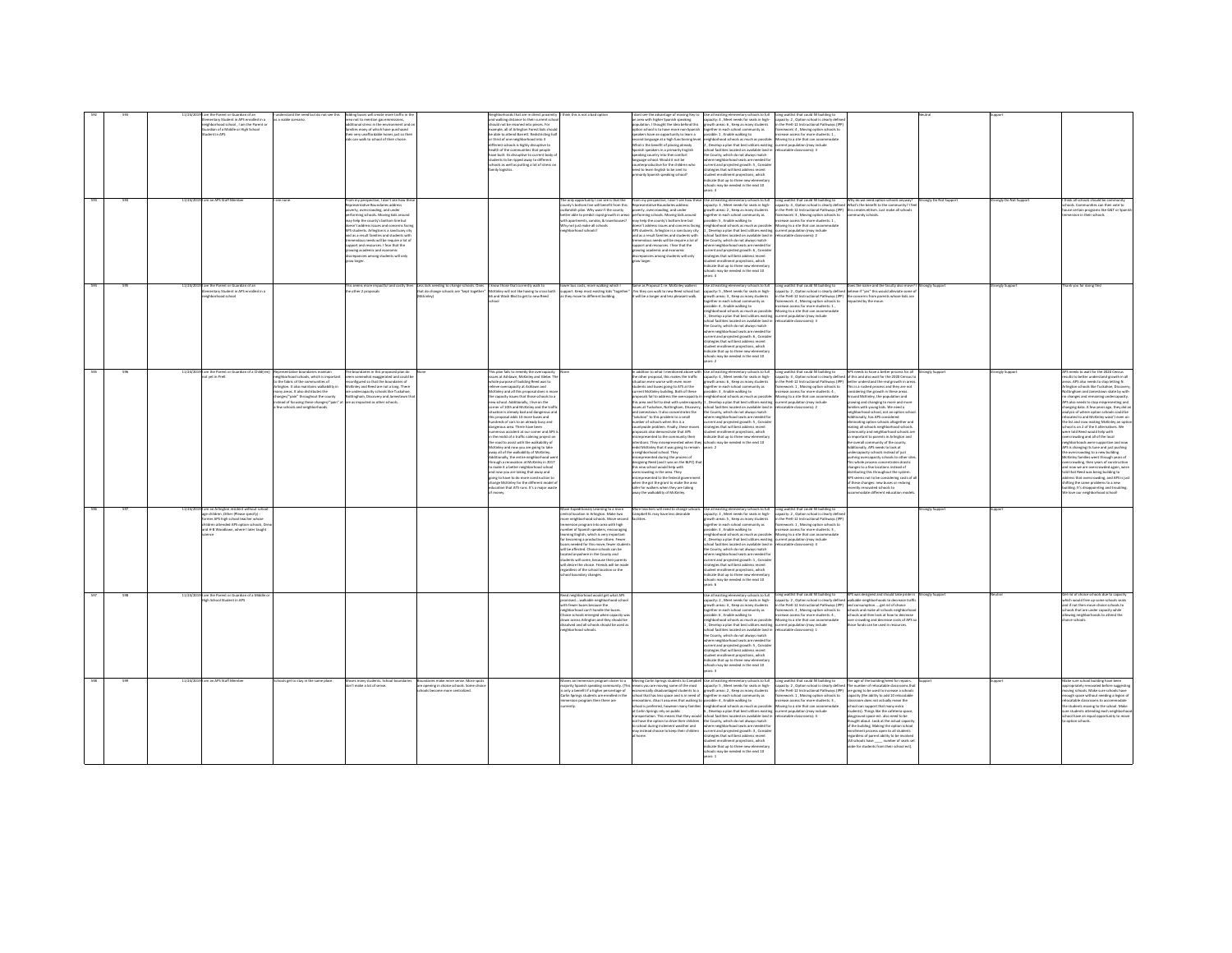|            |  | n the Parent or Guardian of an                                                          | lerstand the need but do not see thi                                               | ding buses will create more traffic in                                                 |                                                                                                                                                                                    | ods that are in direct prov                                                            | ink this is not a bad opt                                                            | ont see the advantage of moving Key t                                                                                                                                                                                                | Use all existing elementary schools to fu                                                                                                                                                                                         | ong waitlist that could fill building to                                                                                                                                      |                                                                                                             |                         |                      |                                                                                     |
|------------|--|-----------------------------------------------------------------------------------------|------------------------------------------------------------------------------------|----------------------------------------------------------------------------------------|------------------------------------------------------------------------------------------------------------------------------------------------------------------------------------|----------------------------------------------------------------------------------------|--------------------------------------------------------------------------------------|--------------------------------------------------------------------------------------------------------------------------------------------------------------------------------------------------------------------------------------|-----------------------------------------------------------------------------------------------------------------------------------------------------------------------------------------------------------------------------------|-------------------------------------------------------------------------------------------------------------------------------------------------------------------------------|-------------------------------------------------------------------------------------------------------------|-------------------------|----------------------|-------------------------------------------------------------------------------------|
|            |  | ementary Student in APS enrolled in a<br>philosophoned school 1 am the Darent or        | s a viable scenario.                                                               | ea not to mention gas emmissions.<br>lineal stress in the environment and              |                                                                                                                                                                                    | and walking distance to their current scho<br>old not he represed into nieres. For     |                                                                                      | an area with higher Spanish speaking<br>population. I thought the idea behind this<br>option school is to have more non-Spanish                                                                                                      | capacity: 4 . Meet needs for seats in high-<br>owth areas: 6 . Keep as many students                                                                                                                                              | capacity: 2 . Option school is clearly defin<br>n the Dreft, 17 Instructional Dathways (IDE                                                                                   |                                                                                                             |                         |                      |                                                                                     |
|            |  | ardian of a Middle or High School                                                       |                                                                                    | ies many of which have purchased                                                       |                                                                                                                                                                                    | mple, all of Arlington Forest kids sho                                                 |                                                                                      |                                                                                                                                                                                                                                      |                                                                                                                                                                                                                                   | nework: 4, Moving option schools to                                                                                                                                           |                                                                                                             |                         |                      |                                                                                     |
|            |  | int in APS                                                                              |                                                                                    | ir very unaffordable hones just so the                                                 |                                                                                                                                                                                    | able to attend Barrett. Redistricting ha                                               |                                                                                      | eakers have an opportunity to learn a                                                                                                                                                                                                | together in each school commun<br>possible: 1 , Enable walking to                                                                                                                                                                 | ease access for more students: 1,                                                                                                                                             |                                                                                                             |                         |                      |                                                                                     |
|            |  |                                                                                         |                                                                                    | s can walk to school of their choice.                                                  |                                                                                                                                                                                    | third of one neighborhood into 3                                                       |                                                                                      | cond language at a high functioning leve                                                                                                                                                                                             | eighborhood schools as much as possibl                                                                                                                                                                                            | Moving to a site that can accommodate                                                                                                                                         |                                                                                                             |                         |                      |                                                                                     |
|            |  |                                                                                         |                                                                                    |                                                                                        |                                                                                                                                                                                    | .<br>Ifferent schools is highly disruptive to<br>ealth of the communities that people  |                                                                                      | What is the benefit of placing already<br>Spanish speakers in a primarily English                                                                                                                                                    | grownwar armste best utilizes existing current population (may include<br>ool facilities located on available land in reelocatable classrooms): 3                                                                                 |                                                                                                                                                                               |                                                                                                             |                         |                      |                                                                                     |
|            |  |                                                                                         |                                                                                    |                                                                                        |                                                                                                                                                                                    | have built. Its disruptive to current body o                                           |                                                                                      | peaking country into thei comfort                                                                                                                                                                                                    | he County, which do not always match                                                                                                                                                                                              |                                                                                                                                                                               |                                                                                                             |                         |                      |                                                                                     |
|            |  |                                                                                         |                                                                                    |                                                                                        |                                                                                                                                                                                    | dents to be ripped away to different<br>tools as well as putting a lot of stress on    |                                                                                      | anguage school. Would it not be<br>terproductive for the children who                                                                                                                                                                | .<br>here neighborhood seats are needed for<br>rrent and projected growth: 5 , Conside                                                                                                                                            |                                                                                                                                                                               |                                                                                                             |                         |                      |                                                                                     |
|            |  |                                                                                         |                                                                                    |                                                                                        |                                                                                                                                                                                    | nily logistics.                                                                        |                                                                                      | eed to learn English to be sent to                                                                                                                                                                                                   | atesies that will best address recent                                                                                                                                                                                             |                                                                                                                                                                               |                                                                                                             |                         |                      |                                                                                     |
|            |  |                                                                                         |                                                                                    |                                                                                        |                                                                                                                                                                                    |                                                                                        |                                                                                      | sarily Spanish speaking school                                                                                                                                                                                                       | .<br>udent enrollment projections, which<br>dicate that up to three new elementary                                                                                                                                                |                                                                                                                                                                               |                                                                                                             |                         |                      |                                                                                     |
|            |  |                                                                                         |                                                                                    |                                                                                        |                                                                                                                                                                                    |                                                                                        |                                                                                      |                                                                                                                                                                                                                                      | thools may be needed in the next 10                                                                                                                                                                                               |                                                                                                                                                                               |                                                                                                             |                         |                      |                                                                                     |
|            |  |                                                                                         |                                                                                    |                                                                                        |                                                                                                                                                                                    |                                                                                        |                                                                                      |                                                                                                                                                                                                                                      | $F \rightarrow \infty$                                                                                                                                                                                                            |                                                                                                                                                                               |                                                                                                             |                         |                      |                                                                                     |
|            |  |                                                                                         |                                                                                    |                                                                                        |                                                                                                                                                                                    |                                                                                        |                                                                                      |                                                                                                                                                                                                                                      |                                                                                                                                                                                                                                   |                                                                                                                                                                               |                                                                                                             |                         |                      |                                                                                     |
|            |  | 11/24/2019   am an APS Staff Member                                                     | ee none.                                                                           | om my perspective, I don't see how t<br>that Reventuries address                       |                                                                                                                                                                                    |                                                                                        | he only opportunity I can see is that the                                            | From my perspective, I don't see how these Use all existing elementary schools to full<br>Representative Boundaries address capacity: 3 , Meet needs for seats in high-<br>powerty, overcrowding, and under growth areas: 2 , Keep a |                                                                                                                                                                                                                                   | Long waitlist that could fill building to<br>capacity: 4 , Option school is clearly defined<br>in the PreK-12 Instructional Pathways (IPP)                                    | Why do we need option schools anyway?<br>Vhat's the benefit to the community? I                             | Strongly Do Not Support | ronely Do Not Suppor | ink all schools should be communit<br>nots Communities can then unto to             |
|            |  |                                                                                         |                                                                                    | verty, overcrowding, and under                                                         |                                                                                                                                                                                    |                                                                                        | unty's bottom line will benefit from this<br>diandish plan. Why wasn't the county    |                                                                                                                                                                                                                                      |                                                                                                                                                                                                                                   |                                                                                                                                                                               | this creates elitism. Just make all schools                                                                 |                         |                      | use certain programs like G&T or Span                                               |
|            |  |                                                                                         |                                                                                    | <i>eforming schools. Moving kids around</i><br>av helo the county's bottom line but    |                                                                                                                                                                                    |                                                                                        |                                                                                      | etter able to predict rapid growth in areas performing schools. Moving kids around<br>ith apartments, condos. & townhouses? Inviv help the county's bottom line but                                                                  | together in each school community as<br>scrible: 5 Frable walking to                                                                                                                                                              | framework: 3 . Moving option schools to<br>pasa arress for more students: 1                                                                                                   | munity schools.                                                                                             |                         |                      | nersion in their schools                                                            |
|            |  |                                                                                         |                                                                                    | n't address issues and concerns facin                                                  |                                                                                                                                                                                    |                                                                                        | Why not just make all schools                                                        | besn't address issues and concerns facing                                                                                                                                                                                            | ghborhood schools as much as possi                                                                                                                                                                                                | foving to a site that can accommodat                                                                                                                                          |                                                                                                             |                         |                      |                                                                                     |
|            |  |                                                                                         |                                                                                    | Sistudents, Arlineton is a sanctuary city                                              |                                                                                                                                                                                    |                                                                                        | shborhood schools?                                                                   | APS students. Arlineton is a sanctuary city                                                                                                                                                                                          | . Develop a plan that best utilizes existing                                                                                                                                                                                      | current population (may include                                                                                                                                               |                                                                                                             |                         |                      |                                                                                     |
|            |  |                                                                                         |                                                                                    | d as a rascult familias and students with<br>dous needs will be require a lot of       |                                                                                                                                                                                    |                                                                                        |                                                                                      | and as a result families and students with<br>mendous needs will be require a lot of                                                                                                                                                 | and family<br>Incated on available land is<br>the County, which do not always match                                                                                                                                               | ratable riassmoms) 2                                                                                                                                                          |                                                                                                             |                         |                      |                                                                                     |
|            |  |                                                                                         |                                                                                    | sport and resources. I fear that the                                                   |                                                                                                                                                                                    |                                                                                        |                                                                                      | upport and resources. I fear that the                                                                                                                                                                                                | where neighborhood seats are needed for                                                                                                                                                                                           |                                                                                                                                                                               |                                                                                                             |                         |                      |                                                                                     |
|            |  |                                                                                         |                                                                                    |                                                                                        |                                                                                                                                                                                    |                                                                                        |                                                                                      |                                                                                                                                                                                                                                      | rrent and projected erowth: 6. Consid-                                                                                                                                                                                            |                                                                                                                                                                               |                                                                                                             |                         |                      |                                                                                     |
|            |  |                                                                                         |                                                                                    | port and readered in the tree one<br>crepancies among students will only<br>or larger. |                                                                                                                                                                                    |                                                                                        |                                                                                      | popport and resources: I real time time<br>prowing academic and economic<br>prow larger.                                                                                                                                             | ategies that will best address recent                                                                                                                                                                                             |                                                                                                                                                                               |                                                                                                             |                         |                      |                                                                                     |
|            |  |                                                                                         |                                                                                    |                                                                                        |                                                                                                                                                                                    |                                                                                        |                                                                                      |                                                                                                                                                                                                                                      | ent enrollment projections, which<br>dicate that up to three new elementar                                                                                                                                                        |                                                                                                                                                                               |                                                                                                             |                         |                      |                                                                                     |
|            |  |                                                                                         |                                                                                    |                                                                                        |                                                                                                                                                                                    |                                                                                        |                                                                                      |                                                                                                                                                                                                                                      | ols may be needed in the next 10                                                                                                                                                                                                  |                                                                                                                                                                               |                                                                                                             |                         |                      |                                                                                     |
|            |  |                                                                                         |                                                                                    |                                                                                        |                                                                                                                                                                                    |                                                                                        |                                                                                      |                                                                                                                                                                                                                                      | arc 4                                                                                                                                                                                                                             |                                                                                                                                                                               |                                                                                                             |                         |                      |                                                                                     |
|            |  |                                                                                         |                                                                                    | his seems more impactful and costly th                                                 |                                                                                                                                                                                    |                                                                                        | lower bus costs, more walking which I                                                |                                                                                                                                                                                                                                      |                                                                                                                                                                                                                                   |                                                                                                                                                                               |                                                                                                             | <b>Strongly Suppo</b>   | <b>Ingly Suppo</b>   | ink you for doing the                                                               |
|            |  | .<br>Elementary Student in APS enrolled in a<br>Elementary Student in APS enrolled in a |                                                                                    | other 2 proposal                                                                       | Less kids needing to change schools. Ones <sup>1</sup> I know those that currently walk to<br>that do change schools are "kept together" McKinley will not like having to cross bo |                                                                                        | port. Keep most existing kids "toget!                                                | Same as Proposal 1 re: McKinley walkers<br>.Yes they can walk to new Reed school but                                                                                                                                                 | Use all existing elementary schools to full<br>capacity: 5 , Meet needs for seats in high-                                                                                                                                        | Long waitlist that could fill building to<br>capacity: 2, Option school is clearly define                                                                                     | Does the name and the faculty also move?<br>believe if "yes" this would alleviate some c                    |                         |                      |                                                                                     |
|            |  | loorbood school                                                                         |                                                                                    |                                                                                        |                                                                                                                                                                                    | 6 and Wash Blvd to get to new Reed                                                     | they move to different building.                                                     | will be a longer and less pleasant walk.                                                                                                                                                                                             | owth areas: 3 . Keep as many students                                                                                                                                                                                             | in the PreK-12 Instructional Pathways (IPP)                                                                                                                                   | concerns from parents whose kids are<br>ted by the move                                                     |                         |                      |                                                                                     |
|            |  |                                                                                         |                                                                                    |                                                                                        |                                                                                                                                                                                    |                                                                                        |                                                                                      |                                                                                                                                                                                                                                      | .<br>together in each school community as<br>possible: 4 , Enable walking to                                                                                                                                                      | ework: 4, Moving option schools to<br>ease access for more students: 1,                                                                                                       |                                                                                                             |                         |                      |                                                                                     |
|            |  |                                                                                         |                                                                                    |                                                                                        |                                                                                                                                                                                    |                                                                                        |                                                                                      |                                                                                                                                                                                                                                      | eighborhood schools as much as possible: Moving to a site that can accommodate                                                                                                                                                    |                                                                                                                                                                               |                                                                                                             |                         |                      |                                                                                     |
|            |  |                                                                                         |                                                                                    |                                                                                        |                                                                                                                                                                                    |                                                                                        |                                                                                      |                                                                                                                                                                                                                                      | Develop a plan that best utilizes existing<br>ool facilities located on available land i                                                                                                                                          | rrent population (may include<br>catable classrooms): 3                                                                                                                       |                                                                                                             |                         |                      |                                                                                     |
|            |  |                                                                                         |                                                                                    |                                                                                        |                                                                                                                                                                                    |                                                                                        |                                                                                      |                                                                                                                                                                                                                                      | the County, which do not always match                                                                                                                                                                                             |                                                                                                                                                                               |                                                                                                             |                         |                      |                                                                                     |
|            |  |                                                                                         |                                                                                    |                                                                                        |                                                                                                                                                                                    |                                                                                        |                                                                                      |                                                                                                                                                                                                                                      | tere neighborhood seats are needed for<br>rrent and projected growth: 6 , Conside                                                                                                                                                 |                                                                                                                                                                               |                                                                                                             |                         |                      |                                                                                     |
|            |  |                                                                                         |                                                                                    |                                                                                        |                                                                                                                                                                                    |                                                                                        |                                                                                      |                                                                                                                                                                                                                                      |                                                                                                                                                                                                                                   |                                                                                                                                                                               |                                                                                                             |                         |                      |                                                                                     |
|            |  |                                                                                         |                                                                                    |                                                                                        |                                                                                                                                                                                    |                                                                                        |                                                                                      |                                                                                                                                                                                                                                      | trategies that will best address recent<br>ent projections, which                                                                                                                                                                 |                                                                                                                                                                               |                                                                                                             |                         |                      |                                                                                     |
|            |  |                                                                                         |                                                                                    |                                                                                        |                                                                                                                                                                                    |                                                                                        |                                                                                      |                                                                                                                                                                                                                                      | <b>Scate that up to three new elementar</b>                                                                                                                                                                                       |                                                                                                                                                                               |                                                                                                             |                         |                      |                                                                                     |
|            |  |                                                                                         |                                                                                    |                                                                                        |                                                                                                                                                                                    |                                                                                        |                                                                                      |                                                                                                                                                                                                                                      | ools may be needed in the next 10<br>$-2$                                                                                                                                                                                         |                                                                                                                                                                               |                                                                                                             |                         |                      |                                                                                     |
|            |  |                                                                                         |                                                                                    |                                                                                        |                                                                                                                                                                                    |                                                                                        |                                                                                      |                                                                                                                                                                                                                                      |                                                                                                                                                                                                                                   |                                                                                                                                                                               |                                                                                                             |                         |                      |                                                                                     |
| 595<br>596 |  | 11/24/2019   am the Parent or Guardian of a Childfren                                   | epresentative boundaries maintain                                                  | he boundaries in this proposed plan do                                                 |                                                                                                                                                                                    | his plan fails to remedy the overcapacity                                              |                                                                                      |                                                                                                                                                                                                                                      | addition to what I mentioned above with Use all existing elementary schools to full                                                                                                                                               | Long waitlist that could fill building to APS needs to have a better process for a<br>capacity: 3, Option school is clearly defined of this and also wait for the 2020 Census | PS needs to have a better process for all                                                                   | onely Support           | <b>Ingly Support</b> | 5 needs to wait for the 2020 Census                                                 |
|            |  | <b><i><u>A west in Orent</u></i></b>                                                    | hborhood schools, which is important                                               | m somewhat exaggerated and could b<br>onfigured so that the boundaries of              |                                                                                                                                                                                    | as at Ashlawn, McKinley and Glaha, TI<br>cle purpose of building Reed was to           |                                                                                      | the other proposal, this makes the traffic<br>ituation even worse with even more<br>itudents and buses going to ATS at the                                                                                                           | apacity: 4, Meet needs for seats in high-<br>outh areas: 6, Keep as many students                                                                                                                                                 | n the PreK-12 Instructional Pathways (IPP)                                                                                                                                    | ter understand the real growth in area                                                                      |                         |                      | sults to better understand growth in all<br>eas. APS also needs to stop letting N.  |
|            |  |                                                                                         | to the fabric of the communities of<br>Arlington. It also maintains walkability in | inley and Reed are not a long. There                                                   |                                                                                                                                                                                    | eve overcapacity at Ashlawn and                                                        |                                                                                      |                                                                                                                                                                                                                                      | ogether in each school community as                                                                                                                                                                                               | framework: 1, Moving option schools to                                                                                                                                        | s is a rushed process and they are not                                                                      |                         |                      | ington schools like Tuckahoe, Discove                                               |
|            |  |                                                                                         | my areas It also distributes the                                                   | undercanacity schools like Turkshop                                                    |                                                                                                                                                                                    | Kinley and all this renonced does is me                                                |                                                                                      | urrent McKinley building, Both of these                                                                                                                                                                                              | nosible: 3 Frable walking to                                                                                                                                                                                                      | pasa arrass for more students-4                                                                                                                                               | idering the growth in these areas.                                                                          |                         |                      | ingham and tampstream skate hy with                                                 |
|            |  |                                                                                         | hanges/"pain" throughout the county<br>stead of focusing these changes/"pain"      | ottingham, Discovery and Jamestown th<br>re as impacted as other schools.              |                                                                                                                                                                                    | he capacity issues that those schools to a<br>ew school. Additionally, I live on the   |                                                                                      |                                                                                                                                                                                                                                      | propositis fail to address the overcapacity in meighborhood schools as much as possible: Moving to a site that can accomm<br>this area and fail to deal with undercapacity in neighborhood schools as much as possible; Moving to | foving to a site that can accommodate                                                                                                                                         | und McKinley, the population and<br>wing and changing to more and more                                      |                         |                      | hanges and remaining undercapacity<br>S also needs to stop mispresenting and        |
|            |  |                                                                                         | few schools and neighborhoods                                                      |                                                                                        |                                                                                                                                                                                    | mer of 10th and McKinley and the traffi                                                |                                                                                      | issues at Tuckahoe, Nottingham, Discovery,<br>and Jamestown. It also concentrates the<br>"solution" to this problem to a small                                                                                                       | school facilities located on available land in                                                                                                                                                                                    | locatable classrooms): 2                                                                                                                                                      | milies with young kids. We need a<br>ighborhood school, not an option sch<br>idtionally, has APS considered |                         |                      | anging data. A few years ago, they did a                                            |
|            |  |                                                                                         |                                                                                    |                                                                                        |                                                                                                                                                                                    | .<br>Ituation is already bad and dangerous ar<br>his proposal adds 10 more buses and   |                                                                                      |                                                                                                                                                                                                                                      | the County, which do not always match                                                                                                                                                                                             |                                                                                                                                                                               |                                                                                                             |                         |                      | .<br>Asis of where option schools could be<br>scated to and McKinley wasn't even on |
|            |  |                                                                                         |                                                                                    |                                                                                        |                                                                                                                                                                                    | ndreds of cars to an already busy and                                                  |                                                                                      | umber of schools when this is a                                                                                                                                                                                                      | where neighborhood seats are needed fo<br>urrent and projected erowth: 5 . Conside                                                                                                                                                |                                                                                                                                                                               | inating option schools altogether and                                                                       |                         |                      | he list and now making McKinley an ooti                                             |
|            |  |                                                                                         |                                                                                    |                                                                                        |                                                                                                                                                                                    | .<br>Ingerous area. There have been<br>umerous accident at our corner and APS i        |                                                                                      | ountywide problem. Finally, these moves<br>roposals also demonstrate that APS                                                                                                                                                        | trategies that will best address recent                                                                                                                                                                                           |                                                                                                                                                                               | iking all schools neighborhood schools.<br>mmunity and neighborhood schools are                             |                         |                      | ool is on 2 of the 3 alternatives. We                                               |
|            |  |                                                                                         |                                                                                    |                                                                                        |                                                                                                                                                                                    |                                                                                        |                                                                                      |                                                                                                                                                                                                                                      | udent enrollment projections, which                                                                                                                                                                                               |                                                                                                                                                                               |                                                                                                             |                         |                      | were told Reed would help with                                                      |
|            |  |                                                                                         |                                                                                    |                                                                                        |                                                                                                                                                                                    | the midst of a traffic calming project on<br>re road to assist with the walkability of |                                                                                      | sirepresented to the community their<br>tentions. They misrepresented when they                                                                                                                                                      | indicate that up to three new elementary<br>eded in the next 10                                                                                                                                                                   |                                                                                                                                                                               | important to parents in Arlinaton and<br>werall co<br>nity of the count                                     |                         |                      | ercrowding and all of the local<br>tive and now                                     |
|            |  |                                                                                         |                                                                                    |                                                                                        |                                                                                                                                                                                    | Xirley and now you are going to take                                                   |                                                                                      | edid McKinley that it was going to remain                                                                                                                                                                                            | $m/s$ 2                                                                                                                                                                                                                           |                                                                                                                                                                               | tionally, APS needs to look at                                                                              |                         |                      | S is changing its tune and just pushing                                             |
|            |  |                                                                                         |                                                                                    |                                                                                        |                                                                                                                                                                                    | away all of the walkability of McKinley.                                               |                                                                                      | neighborhood school. They                                                                                                                                                                                                            |                                                                                                                                                                                                                                   |                                                                                                                                                                               | ercapacity schools instead of just<br>ing overcapacity schools to other s                                   |                         |                      | e overcrowding to a new building.                                                   |
|            |  |                                                                                         |                                                                                    |                                                                                        |                                                                                                                                                                                    | lditionally, the entire neighborhood we<br>rough a renovation at McKinley in 2017      |                                                                                      | -<br>risrepresented during the process of<br>designing Reed (and I was on the BLPC) th                                                                                                                                               |                                                                                                                                                                                                                                   |                                                                                                                                                                               | s whole process concentrates drastic                                                                        |                         |                      | inley families went through years of<br>rowding, then years of construction         |
|            |  |                                                                                         |                                                                                    |                                                                                        |                                                                                                                                                                                    | to make it a better neighborhood school                                                |                                                                                      | his new school would help with                                                                                                                                                                                                       |                                                                                                                                                                                                                                   |                                                                                                                                                                               | anzes to a few locations instead of                                                                         |                         |                      | and now we are overcrowded again, were                                              |
|            |  |                                                                                         |                                                                                    |                                                                                        |                                                                                                                                                                                    | and now you are taking that away and<br>going to have to do more construction          |                                                                                      | rcrowding in the area. They<br>epresented to the federal gove                                                                                                                                                                        |                                                                                                                                                                                                                                   |                                                                                                                                                                               | <b>Buting this throughout the system</b><br>seems not to be considering costs of a                          |                         |                      | old that Reed was being building to<br>ddress that overcrowding, and APS is just    |
|            |  |                                                                                         |                                                                                    |                                                                                        |                                                                                                                                                                                    | ange McKinley for the different model of                                               |                                                                                      | when the ect the erant to make the area                                                                                                                                                                                              |                                                                                                                                                                                                                                   |                                                                                                                                                                               | these changes: new buses or redoing                                                                         |                         |                      | hifting the same problems to a new                                                  |
|            |  |                                                                                         |                                                                                    |                                                                                        |                                                                                                                                                                                    | ation that ATS runs. It's a major waste                                                |                                                                                      | safer for walkers when they are taking<br>away the walkability of McKinley.                                                                                                                                                          |                                                                                                                                                                                                                                   |                                                                                                                                                                               | ently renovated schools to                                                                                  |                         |                      | ilding. It's disappointing and troubling.                                           |
|            |  |                                                                                         |                                                                                    |                                                                                        |                                                                                                                                                                                    | noney.                                                                                 |                                                                                      |                                                                                                                                                                                                                                      |                                                                                                                                                                                                                                   |                                                                                                                                                                               | odate different education m                                                                                 |                         |                      | love our neighborhood school                                                        |
|            |  |                                                                                         |                                                                                    |                                                                                        |                                                                                                                                                                                    |                                                                                        |                                                                                      |                                                                                                                                                                                                                                      |                                                                                                                                                                                                                                   |                                                                                                                                                                               |                                                                                                             |                         |                      |                                                                                     |
|            |  | 11/24/2019   am an Arlineton resident without a<br>e children , Other (Please specify): |                                                                                    |                                                                                        |                                                                                                                                                                                    |                                                                                        | ove Expeditionary Learning to a more<br>tral location in Arlington, Make two         | fore teachers will need to change school<br>ampbell EL may have less desirable                                                                                                                                                       | Se all existing elementary schools to full<br>apacity: 2, Meet needs for seats in high-                                                                                                                                           | Long waitlist that could fill building to<br>capacity: 2 , Option school is clearly defin                                                                                     |                                                                                                             | onaly Suppo             |                      |                                                                                     |
|            |  | emer APS high school teacher whose                                                      |                                                                                    |                                                                                        |                                                                                                                                                                                    |                                                                                        | ore neighborhood schools. Move secon                                                 |                                                                                                                                                                                                                                      | rowth areas: S . Keep as many students                                                                                                                                                                                            | in the PreK-12 Instructional Pathways (IPF                                                                                                                                    |                                                                                                             |                         |                      |                                                                                     |
|            |  | ildren attended APS option schools. Dr                                                  |                                                                                    |                                                                                        |                                                                                                                                                                                    |                                                                                        | rsion program into area with high                                                    |                                                                                                                                                                                                                                      | seether in each school community as                                                                                                                                                                                               | sework: 1, Moving option schools to                                                                                                                                           |                                                                                                             |                         |                      |                                                                                     |
|            |  | d H-B Woodlawn, where I later taught                                                    |                                                                                    |                                                                                        |                                                                                                                                                                                    |                                                                                        | ther of Spanish speakers, encouraging<br>arning English, which is very important     |                                                                                                                                                                                                                                      | sible: 3, Enable walking to<br>ighborhood schools as much as possil                                                                                                                                                               | use access for more students: 3,<br>Movine to a site that can accommodat                                                                                                      |                                                                                                             |                         |                      |                                                                                     |
|            |  |                                                                                         |                                                                                    |                                                                                        |                                                                                                                                                                                    |                                                                                        | ing a productive citizen. Fewe                                                       |                                                                                                                                                                                                                                      | Develop a plan that best utilizes existing current population (may include                                                                                                                                                        |                                                                                                                                                                               |                                                                                                             |                         |                      |                                                                                     |
|            |  |                                                                                         |                                                                                    |                                                                                        |                                                                                                                                                                                    |                                                                                        | uses needed for this move; fewer students<br>will be affected. Choice schools can be |                                                                                                                                                                                                                                      | .<br>chool facilities located on available land i<br>he County, which do not always match                                                                                                                                         | atable classro                                                                                                                                                                |                                                                                                             |                         |                      |                                                                                     |
|            |  |                                                                                         |                                                                                    |                                                                                        |                                                                                                                                                                                    |                                                                                        | cated anywhere in the County and                                                     |                                                                                                                                                                                                                                      | there neighborhood seats are needed for                                                                                                                                                                                           |                                                                                                                                                                               |                                                                                                             |                         |                      |                                                                                     |
|            |  |                                                                                         |                                                                                    |                                                                                        |                                                                                                                                                                                    |                                                                                        | uses by come, because their parents<br>Il desire the choice. Friends will be mac     |                                                                                                                                                                                                                                      | rrent and projected growth: 1, Conside<br>rategies that will best address recent                                                                                                                                                  |                                                                                                                                                                               |                                                                                                             |                         |                      |                                                                                     |
|            |  |                                                                                         |                                                                                    |                                                                                        |                                                                                                                                                                                    |                                                                                        |                                                                                      |                                                                                                                                                                                                                                      |                                                                                                                                                                                                                                   |                                                                                                                                                                               |                                                                                                             |                         |                      |                                                                                     |
|            |  |                                                                                         |                                                                                    |                                                                                        |                                                                                                                                                                                    |                                                                                        | ardless of the school location or the<br>ol boundary changes.                        |                                                                                                                                                                                                                                      | udent enrollment projections, which                                                                                                                                                                                               |                                                                                                                                                                               |                                                                                                             |                         |                      |                                                                                     |
|            |  |                                                                                         |                                                                                    |                                                                                        |                                                                                                                                                                                    |                                                                                        |                                                                                      |                                                                                                                                                                                                                                      | dicate that up to three new elementary<br>chools may be needed in the next 10                                                                                                                                                     |                                                                                                                                                                               |                                                                                                             |                         |                      |                                                                                     |
|            |  |                                                                                         |                                                                                    |                                                                                        |                                                                                                                                                                                    |                                                                                        |                                                                                      |                                                                                                                                                                                                                                      | ears: 6                                                                                                                                                                                                                           |                                                                                                                                                                               |                                                                                                             |                         |                      |                                                                                     |
|            |  | I am the Parent or Guardian of                                                          |                                                                                    |                                                                                        |                                                                                                                                                                                    |                                                                                        | ed neighborhood would get what Al                                                    |                                                                                                                                                                                                                                      | all existing elementary schools to fu                                                                                                                                                                                             | Long waitlist that could fill building to                                                                                                                                     | APS was designed and should take pride is                                                                   | rongly Supp             |                      | it rid of choice schools due to capacit                                             |
|            |  | ich School Student in APS                                                               |                                                                                    |                                                                                        |                                                                                                                                                                                    |                                                                                        | misedwalkable neighborhood schor<br>th faunt hotel haracte the                       |                                                                                                                                                                                                                                      | apacity: 2, Meet needs for seats in high-<br>wth areas: 4 . Keep as many students                                                                                                                                                 | capacity: 2. Option school is clearly defined walkable neighborhoods to decrease traffic<br>in the Dreft, 12 Instructional Dathways (IDD)                                     | ention and rid of choice                                                                                    |                         |                      | hich would free up some schools seats<br>of if not then move choice schools to      |
|            |  |                                                                                         |                                                                                    |                                                                                        |                                                                                                                                                                                    |                                                                                        | ighborhood can't handle the buses.                                                   |                                                                                                                                                                                                                                      | gether in each school community as                                                                                                                                                                                                | sework: 3, Moving option schools to                                                                                                                                           | ols and make all schools neighbor                                                                           |                         |                      | ools that are under capacity while                                                  |
|            |  |                                                                                         |                                                                                    |                                                                                        |                                                                                                                                                                                    |                                                                                        | oice schools emerged when capacity w                                                 |                                                                                                                                                                                                                                      | ssible: 6 . Enable walking to                                                                                                                                                                                                     | crease access for more students: 4 .                                                                                                                                          | sools and then look at how to decrease                                                                      |                         |                      | allowing neighborhoods to attend the<br>choice schools                              |
|            |  |                                                                                         |                                                                                    |                                                                                        |                                                                                                                                                                                    |                                                                                        | wn across Arlington and they should be<br>ssolved and all schools should be used at  |                                                                                                                                                                                                                                      | ighterhood schools as much as nossibl<br>Develop a plan that best utilizes existing current population (may include                                                                                                               | loving to a site that can accomm                                                                                                                                              | r crowding and decrease costs of APS so<br>se funds can be used in resources.                               |                         |                      |                                                                                     |
|            |  |                                                                                         |                                                                                    |                                                                                        |                                                                                                                                                                                    |                                                                                        | ishborhood schools.                                                                  |                                                                                                                                                                                                                                      | hool facilities located on available land in                                                                                                                                                                                      | catable classrooms): 1                                                                                                                                                        |                                                                                                             |                         |                      |                                                                                     |
|            |  |                                                                                         |                                                                                    |                                                                                        |                                                                                                                                                                                    |                                                                                        |                                                                                      |                                                                                                                                                                                                                                      | he County, which do not always match                                                                                                                                                                                              |                                                                                                                                                                               |                                                                                                             |                         |                      |                                                                                     |
|            |  |                                                                                         |                                                                                    |                                                                                        |                                                                                                                                                                                    |                                                                                        |                                                                                      |                                                                                                                                                                                                                                      | vere neighborhood seats are needed for<br>urrent and projected arowth: S. Conside                                                                                                                                                 |                                                                                                                                                                               |                                                                                                             |                         |                      |                                                                                     |
|            |  |                                                                                         |                                                                                    |                                                                                        |                                                                                                                                                                                    |                                                                                        |                                                                                      |                                                                                                                                                                                                                                      | trategies that will best address recent                                                                                                                                                                                           |                                                                                                                                                                               |                                                                                                             |                         |                      |                                                                                     |
|            |  |                                                                                         |                                                                                    |                                                                                        |                                                                                                                                                                                    |                                                                                        |                                                                                      |                                                                                                                                                                                                                                      | ent enrollment projections, which                                                                                                                                                                                                 |                                                                                                                                                                               |                                                                                                             |                         |                      |                                                                                     |
|            |  |                                                                                         |                                                                                    |                                                                                        |                                                                                                                                                                                    |                                                                                        |                                                                                      |                                                                                                                                                                                                                                      | indicate that up to three new elementary<br>reded in the next 10                                                                                                                                                                  |                                                                                                                                                                               |                                                                                                             |                         |                      |                                                                                     |
|            |  |                                                                                         |                                                                                    |                                                                                        |                                                                                                                                                                                    |                                                                                        |                                                                                      |                                                                                                                                                                                                                                      | rs: 3                                                                                                                                                                                                                             |                                                                                                                                                                               |                                                                                                             |                         |                      |                                                                                     |
| 598<br>500 |  | 11/24/2019   am an APS Staff Membe                                                      | hools not to stay in the same place.                                               | oves many students. School bo                                                          | daries make more sense. More spots                                                                                                                                                 |                                                                                        |                                                                                      | was an immersion program closer to a Moving Carlin Springs students to Campbell Use all existing elementary schools to full                                                                                                          |                                                                                                                                                                                                                                   |                                                                                                                                                                               | The age of the building/need for repairs                                                                    |                         |                      | alor sure school building have been                                                 |
|            |  |                                                                                         |                                                                                    | t make a lot of sense                                                                  |                                                                                                                                                                                    |                                                                                        | rity Spanish speaking community. (This                                               |                                                                                                                                                                                                                                      |                                                                                                                                                                                                                                   | Long waitlist that could fill building to<br>capacity: 2 , Option school is clearly defines<br>in the PreK-12 Instructional Pathways (IPP)                                    |                                                                                                             |                         |                      | ted before suggesti                                                                 |
|            |  |                                                                                         |                                                                                    |                                                                                        | opening in choice schools. Some ch<br>ools become more centralized.                                                                                                                |                                                                                        | only a benefit if a higher percentage of                                             | veans you are moving some of the most<br>conomically disadvantaged students to a                                                                                                                                                     | capacity: 5, Meet needs for seats in high-<br>growth areas: 2, Keep as many students                                                                                                                                              |                                                                                                                                                                               | are going to be used to increase a schools                                                                  |                         |                      | rropriately renovated before suggestir<br>ving schools. Make sure schools have      |
|            |  |                                                                                         |                                                                                    |                                                                                        |                                                                                                                                                                                    |                                                                                        | arlin Sorines students are enrolled in the                                           | school that has less space and is in need of together in each school community as                                                                                                                                                    |                                                                                                                                                                                                                                   | framework: 1 . Moving option schools to                                                                                                                                       | acity (the ability to add 10 relocatably                                                                    |                         |                      | ough space without needing a legion of                                              |
|            |  |                                                                                         |                                                                                    |                                                                                        |                                                                                                                                                                                    |                                                                                        | merican program then there are<br>trently.                                           |                                                                                                                                                                                                                                      | -<br>inovations. Also it assumes that walking to possible: 4 , Enable walking to<br>chool is preferred, however many families preighborhood schools as much as possible:                                                          | ease access for more students: 3,<br>Moving to a site that can accommodate                                                                                                    | sroom does not actually mean the<br>ool can support that many extra                                         |                         |                      | relocatable classrooms to accommodate<br>the students moving to the school. Make    |
|            |  |                                                                                         |                                                                                    |                                                                                        |                                                                                                                                                                                    |                                                                                        |                                                                                      | at Carlin Sorines rely on public                                                                                                                                                                                                     | 6. Develop a plan that best utilizes existing current population (may include                                                                                                                                                     |                                                                                                                                                                               | dents). Things like the cafeteria space                                                                     |                         |                      | ure students attending each neighborho                                              |
|            |  |                                                                                         |                                                                                    |                                                                                        |                                                                                                                                                                                    |                                                                                        |                                                                                      | transportation. This means that they would<br>not have the option to drive their children                                                                                                                                            | school facilities located on available land in<br>the County, which do not always match                                                                                                                                           | atable classrooms): 4                                                                                                                                                         | syground space ect. also need to be<br>sught about. Look at the actual capaci                               |                         |                      | ol have an equal opportunity to mov<br>otion schools                                |
|            |  |                                                                                         |                                                                                    |                                                                                        |                                                                                                                                                                                    |                                                                                        |                                                                                      | school during inclement weather and                                                                                                                                                                                                  | where neighborhood seats are needed for                                                                                                                                                                                           |                                                                                                                                                                               | the building. Making the option school                                                                      |                         |                      |                                                                                     |
|            |  |                                                                                         |                                                                                    |                                                                                        |                                                                                                                                                                                    |                                                                                        |                                                                                      | nstead choose to keep their children                                                                                                                                                                                                 | www.wayneeneed MMS are needed to<br>urrent and projected growth: 3 , Conside<br>rategies that will best address recent                                                                                                            |                                                                                                                                                                               | rollment process open to all students<br>gardless of parent ability to be involved                          |                         |                      |                                                                                     |
|            |  |                                                                                         |                                                                                    |                                                                                        |                                                                                                                                                                                    |                                                                                        |                                                                                      |                                                                                                                                                                                                                                      | tudent enrollment projections, which                                                                                                                                                                                              |                                                                                                                                                                               |                                                                                                             |                         |                      |                                                                                     |
|            |  |                                                                                         |                                                                                    |                                                                                        |                                                                                                                                                                                    |                                                                                        |                                                                                      |                                                                                                                                                                                                                                      | relicate that un to three new elec-                                                                                                                                                                                               |                                                                                                                                                                               | (All schools have ____ number of seats set<br>aside for students from their school ect).                    |                         |                      |                                                                                     |
|            |  |                                                                                         |                                                                                    |                                                                                        |                                                                                                                                                                                    |                                                                                        |                                                                                      |                                                                                                                                                                                                                                      | ools may be needed in the next 10                                                                                                                                                                                                 |                                                                                                                                                                               |                                                                                                             |                         |                      |                                                                                     |
|            |  |                                                                                         |                                                                                    |                                                                                        |                                                                                                                                                                                    |                                                                                        |                                                                                      |                                                                                                                                                                                                                                      | ears: 1                                                                                                                                                                                                                           |                                                                                                                                                                               |                                                                                                             |                         |                      |                                                                                     |